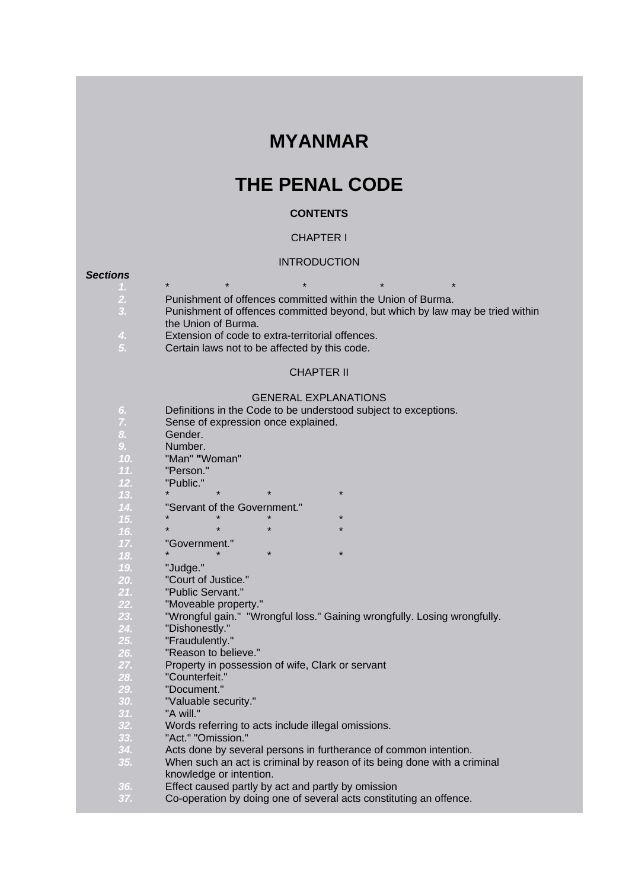## **MYANMAR**

## **THE PENAL CODE**

## **CONTENTS**

## CHAPTER I

## **[INTRODUCTION](http://www.blc-burma.org/html/Myanmar Penal Code/mpc.html#cpt1)**

#### *Sections*

- *1.* \* \* \* \* \* *2.* Punishment of offences committed within the Union of Burma.
	- Punishment of offences committed beyond, but which by law may be tried within the Union of Burma.
- *4.* **Extension of code to extra-territorial offences.**<br> **6** Certain laws not to be affected by this code
- *5.* Certain laws not to be affected by this code.

#### CHAPTER II

## [GENERAL EXPLANATIONS](http://www.blc-burma.org/html/Myanmar Penal Code/mpc.html#cpt2)

*6.* Definitions in the Code to be understood subject to exceptions. *7.* Sense of expression once explained. Gender. *9.* Number. *10.* "Man" **"**Woman" *11.* "Person." *12.* "Public." *13.* \* \* \* \* "Servant of the Government." *15.* \* \* \* \* *16.* \* \* \* \* *17.* "Government." *18.* \* \* \* \* *19.* "Judge." "Court of Justice." *21.* "Public Servant." *22.* "Moveable property." *23.* "Wrongful gain." "Wrongful loss." Gaining wrongfully. Losing wrongfully. *24.* "Dishonestly." *25.* "Fraudulently." *26.* "Reason to believe." Property in possession of wife, Clark or servant *28.* "Counterfeit." *29.* "Document." *30.* "Valuable security." *31.* "A will." *32.* Words referring to acts include illegal omissions. *33.* "Act." "Omission." *34.* Acts done by several persons in furtherance of common intention. *35.* When such an act is criminal by reason of its being done with a criminal knowledge or intention. *36.* Effect caused partly by act and partly by omission *37.* Co-operation by doing one of several acts constituting an offence.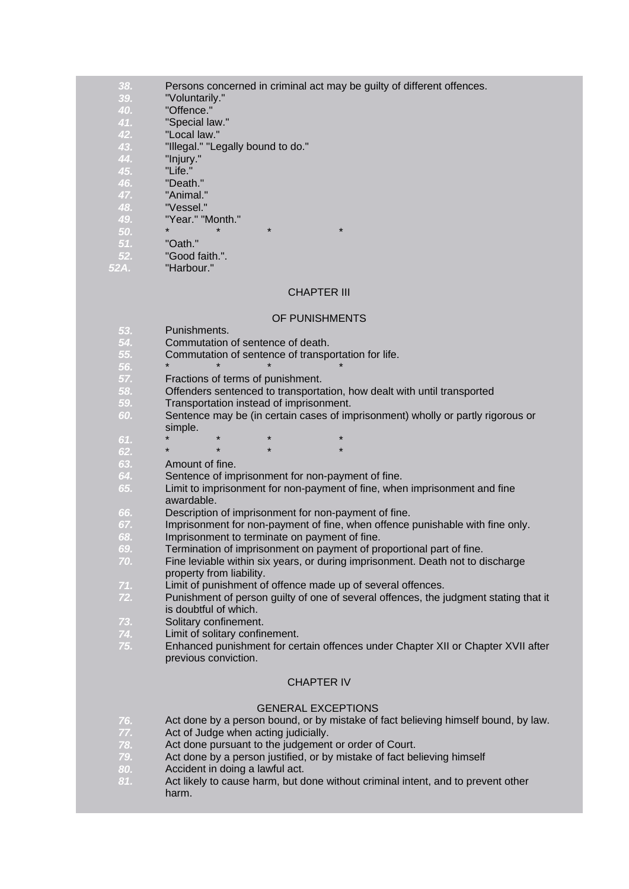- **38.** Persons concerned in criminal act may be guilty of different offences.<br> **39.** "Voluntarily."<br> **40.** "Offence."<br> **41.** "Special law."<br> **42.** "Local law."<br> **43.** "Illegal." "Legally bound to do."<br> **44.** "Injury."<br> **45.**
- *39.* "Voluntarily."
- "Offence."
- *41.* "Special law."
- *42.* "Local law."
	- "Illegal." "Legally bound to do."
- *44.* "Injury."
- *45.* "Life."
- *46.* "Death."
- *47.* "Animal."
- *48.* "Vessel."
- "Year." "Month."
- *50.* \* \* \* \*
- *51.* "Oath."
- *52.* "Good faith.".
- *52A.* "Harbour."

## CHAPTER III

## [OF PUNISHMENTS](http://www.blc-burma.org/html/Myanmar Penal Code/mpc.html#cpt3)

- 
- 53. Punishments.<br>
54. Commutation<br>
55. Commutation<br>
56. \* \* \*<br>
57. Fractions of te<br>
58. Offenders sen<br>
59. Transportation Commutation of sentence of death.
- *55.* Commutation of sentence of transportation for life.
- *56.* \* \* \* \*
- **Fractions of terms of punishment.**
- *58.* Offenders sentenced to transportation, how dealt with until transported
- *59.* Transportation instead of imprisonment.
- *60.* Sentence may be (in certain cases of imprisonment) wholly or partly rigorous or simple.
- *61.* \* \* \* \* *62.* \* \* \* \*
- 
- *63.* Amount of fine. Sentence of imprisonment for non-payment of fine.
- *65.* Limit to imprisonment for non-payment of fine, when imprisonment and fine awardable.
- *66.* Description of imprisonment for non-payment of fine.
- *67.* Imprisonment for non-payment of fine, when offence punishable with fine only.
- *68.* Imprisonment to terminate on payment of fine.
- *69.* Termination of imprisonment on payment of proportional part of fine. Fine leviable within six years, or during imprisonment. Death not to discharge property from liability.
- *71.* Limit of punishment of offence made up of several offences.
- *72.* Punishment of person guilty of one of several offences, the judgment stating that it is doubtful of which.
- *73.* Solitary confinement.
- *74.* Limit of solitary confinement.
- *75.* Enhanced punishment for certain offences under Chapter XII or Chapter XVII after previous conviction.

## CHAPTER IV

## [GENERAL](http://www.blc-burma.org/html/Myanmar Penal Code/mpc.html#cpt4) [EXCEPTIONS](http://www.blc-burma.org/html/Myanmar Penal Code/mpc.html#cpt4)

- *76.* Act done by a person bound, or by mistake of fact believing himself bound, by law.<br> *77.* Act of Judge when acting judicially.<br> *78.* Act done pursuant to the judgement or order of Court.<br> *79.* Act done by a person
- Act of Judge when acting judicially.
- Act done pursuant to the judgement or order of Court.
- *79.* Act done by a person justified, or by mistake of fact believing himself
- *80.* Accident in doing a lawful act.
- Act likely to cause harm, but done without criminal intent, and to prevent other harm.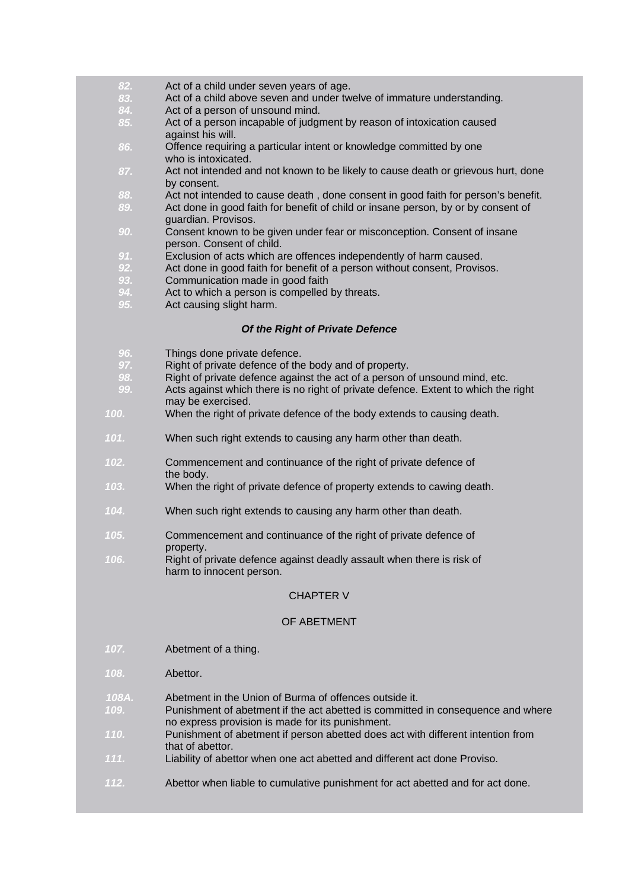| 82.<br>83.    | Act of a child under seven years of age.<br>Act of a child above seven and under twelve of immature understanding.                                                                            |
|---------------|-----------------------------------------------------------------------------------------------------------------------------------------------------------------------------------------------|
| 84.           | Act of a person of unsound mind.                                                                                                                                                              |
| 85.           | Act of a person incapable of judgment by reason of intoxication caused<br>against his will.                                                                                                   |
| 86.           | Offence requiring a particular intent or knowledge committed by one<br>who is intoxicated.                                                                                                    |
| 87.           | Act not intended and not known to be likely to cause death or grievous hurt, done<br>by consent.                                                                                              |
| 88.<br>89.    | Act not intended to cause death, done consent in good faith for person's benefit.<br>Act done in good faith for benefit of child or insane person, by or by consent of                        |
| 90.           | guardian. Provisos.<br>Consent known to be given under fear or misconception. Consent of insane<br>person. Consent of child.                                                                  |
| 91.           | Exclusion of acts which are offences independently of harm caused.                                                                                                                            |
| 92.<br>93.    | Act done in good faith for benefit of a person without consent, Provisos.<br>Communication made in good faith                                                                                 |
| 94.<br>95.    | Act to which a person is compelled by threats.<br>Act causing slight harm.                                                                                                                    |
|               | Of the Right of Private Defence                                                                                                                                                               |
|               |                                                                                                                                                                                               |
| 96.<br>97.    | Things done private defence.<br>Right of private defence of the body and of property.                                                                                                         |
| 98.<br>99.    | Right of private defence against the act of a person of unsound mind, etc.<br>Acts against which there is no right of private defence. Extent to which the right                              |
|               | may be exercised.                                                                                                                                                                             |
| 100.          | When the right of private defence of the body extends to causing death.                                                                                                                       |
| 101.          | When such right extends to causing any harm other than death.                                                                                                                                 |
| 102.          | Commencement and continuance of the right of private defence of<br>the body.                                                                                                                  |
| 103.          | When the right of private defence of property extends to cawing death.                                                                                                                        |
| 104.          | When such right extends to causing any harm other than death.                                                                                                                                 |
| 105.          | Commencement and continuance of the right of private defence of<br>property.                                                                                                                  |
| 106.          | Right of private defence against deadly assault when there is risk of<br>harm to innocent person.                                                                                             |
|               | <b>CHAPTER V</b>                                                                                                                                                                              |
|               | OF ABETMENT                                                                                                                                                                                   |
| 107.          | Abetment of a thing.                                                                                                                                                                          |
| 108.          | Abettor.                                                                                                                                                                                      |
| 108A.<br>109. | Abetment in the Union of Burma of offences outside it.<br>Punishment of abetment if the act abetted is committed in consequence and where<br>no express provision is made for its punishment. |
| 110.          | Punishment of abetment if person abetted does act with different intention from<br>that of abettor.                                                                                           |
| 111.          | Liability of abettor when one act abetted and different act done Proviso.                                                                                                                     |
| 112.          | Abettor when liable to cumulative punishment for act abetted and for act done.                                                                                                                |
|               |                                                                                                                                                                                               |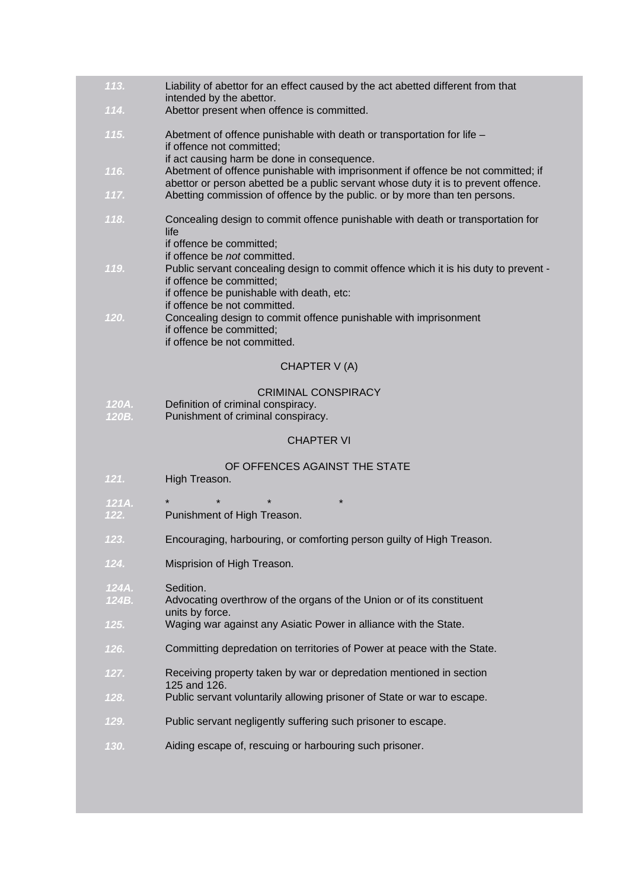| 113.<br>114.   | Liability of abettor for an effect caused by the act abetted different from that<br>intended by the abettor.<br>Abettor present when offence is committed.                                                            |
|----------------|-----------------------------------------------------------------------------------------------------------------------------------------------------------------------------------------------------------------------|
| 115.           | Abetment of offence punishable with death or transportation for life -<br>if offence not committed;                                                                                                                   |
| 116.           | if act causing harm be done in consequence.<br>Abetment of offence punishable with imprisonment if offence be not committed; if<br>abettor or person abetted be a public servant whose duty it is to prevent offence. |
| 117.           | Abetting commission of offence by the public. or by more than ten persons.                                                                                                                                            |
| 118.           | Concealing design to commit offence punishable with death or transportation for<br>life<br>if offence be committed;<br>if offence be not committed.                                                                   |
| 119.           | Public servant concealing design to commit offence which it is his duty to prevent -<br>if offence be committed;<br>if offence be punishable with death, etc:<br>if offence be not committed.                         |
| 120.           | Concealing design to commit offence punishable with imprisonment<br>if offence be committed;<br>if offence be not committed.                                                                                          |
|                | CHAPTER V (A)                                                                                                                                                                                                         |
|                | <b>CRIMINAL CONSPIRACY</b>                                                                                                                                                                                            |
| 120A.<br>120B. | Definition of criminal conspiracy.<br>Punishment of criminal conspiracy.                                                                                                                                              |
|                |                                                                                                                                                                                                                       |
|                | <b>CHAPTER VI</b>                                                                                                                                                                                                     |
| 121.           | OF OFFENCES AGAINST THE STATE<br>High Treason.                                                                                                                                                                        |
| 121A.<br>122.  | Punishment of High Treason.                                                                                                                                                                                           |
| 123.           | Encouraging, harbouring, or comforting person guilty of High Treason.                                                                                                                                                 |
| 124.           | Misprision of High Treason.                                                                                                                                                                                           |
| 124A.<br>124B. | Sedition.<br>Advocating overthrow of the organs of the Union or of its constituent                                                                                                                                    |
| 125.           | units by force.<br>Waging war against any Asiatic Power in alliance with the State.                                                                                                                                   |
| 126.           | Committing depredation on territories of Power at peace with the State.                                                                                                                                               |
| 127.           | Receiving property taken by war or depredation mentioned in section<br>125 and 126.                                                                                                                                   |
| 128.           | Public servant voluntarily allowing prisoner of State or war to escape.                                                                                                                                               |
| 129.           | Public servant negligently suffering such prisoner to escape.                                                                                                                                                         |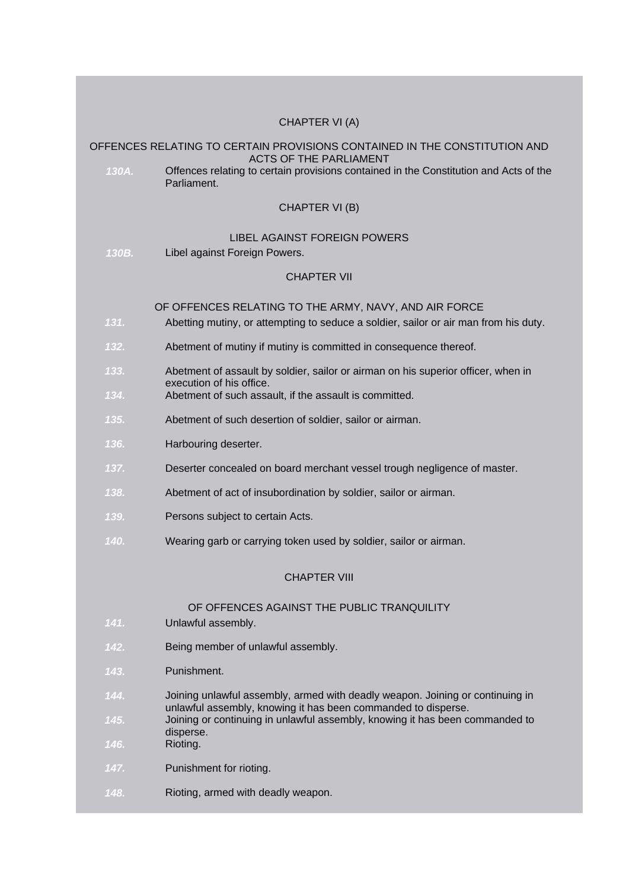|       | CHAPTER VI (A)                                                                                                                                                                                      |
|-------|-----------------------------------------------------------------------------------------------------------------------------------------------------------------------------------------------------|
| 130A. | OFFENCES RELATING TO CERTAIN PROVISIONS CONTAINED IN THE CONSTITUTION AND<br><b>ACTS OF THE PARLIAMENT</b><br>Offences relating to certain provisions contained in the Constitution and Acts of the |
|       | Parliament.                                                                                                                                                                                         |
|       | CHAPTER VI (B)                                                                                                                                                                                      |
|       | LIBEL AGAINST FOREIGN POWERS                                                                                                                                                                        |
| 130B. | Libel against Foreign Powers.                                                                                                                                                                       |
|       | <b>CHAPTER VII</b>                                                                                                                                                                                  |
|       | OF OFFENCES RELATING TO THE ARMY, NAVY, AND AIR FORCE                                                                                                                                               |
| 131.  | Abetting mutiny, or attempting to seduce a soldier, sailor or air man from his duty.                                                                                                                |
| 132.  | Abetment of mutiny if mutiny is committed in consequence thereof.                                                                                                                                   |
| 133.  | Abetment of assault by soldier, sailor or airman on his superior officer, when in<br>execution of his office.                                                                                       |
| 134.  | Abetment of such assault, if the assault is committed.                                                                                                                                              |
| 135.  | Abetment of such desertion of soldier, sailor or airman.                                                                                                                                            |
| 136.  | Harbouring deserter.                                                                                                                                                                                |
| 137.  | Deserter concealed on board merchant vessel trough negligence of master.                                                                                                                            |
| 138.  | Abetment of act of insubordination by soldier, sailor or airman.                                                                                                                                    |
| 139.  | Persons subject to certain Acts.                                                                                                                                                                    |
| 140.  | Wearing garb or carrying token used by soldier, sailor or airman.                                                                                                                                   |
|       | <b>CHAPTER VIII</b>                                                                                                                                                                                 |
| 141.  | OF OFFENCES AGAINST THE PUBLIC TRANQUILITY<br>Unlawful assembly.                                                                                                                                    |
| 142.  | Being member of unlawful assembly.                                                                                                                                                                  |
| 143.  | Punishment.                                                                                                                                                                                         |
| 144.  | Joining unlawful assembly, armed with deadly weapon. Joining or continuing in                                                                                                                       |
| 145.  | unlawful assembly, knowing it has been commanded to disperse.<br>Joining or continuing in unlawful assembly, knowing it has been commanded to                                                       |
| 146.  | disperse.<br>Rioting.                                                                                                                                                                               |
| 147.  | Punishment for rioting.                                                                                                                                                                             |
| 148.  | Rioting, armed with deadly weapon.                                                                                                                                                                  |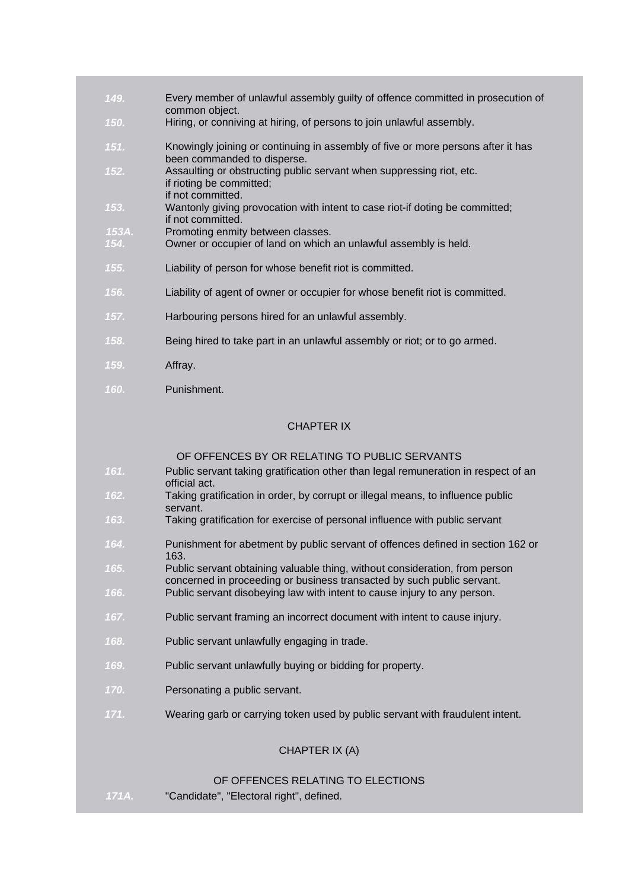- *149.* Every member of unlawful assembly guilty of offence committed in prosecution of common object. *150.* Hiring, or conniving at hiring, of persons to join unlawful assembly. *151.* Knowingly joining or continuing in assembly of five or more persons after it has been commanded to disperse. *152.* Assaulting or obstructing public servant when suppressing riot, etc. if rioting be committed; if not committed. *153.* Wantonly giving provocation with intent to case riot-if doting be committed; if not committed. 153A. Promoting enmity between classes. *154.* Owner or occupier of land on which an unlawful assembly is held. *155.* Liability of person for whose benefit riot is committed. *156.* Liability of agent of owner or occupier for whose benefit riot is committed. *157.* Harbouring persons hired for an unlawful assembly. *158.* Being hired to take part in an unlawful assembly or riot; or to go armed. *159.* Affray.
	- *160.* Punishment.

## CHAPTER IX

[OF OFFENCES BY OR RELATING TO PUBLIC SERVANTS](http://www.blc-burma.org/html/Myanmar Penal Code/mpc.html#CPT9)

*161.* Public servant taking gratification other than legal remuneration in respect of an official act. *162.* Taking gratification in order, by corrupt or illegal means, to influence public servant. *163.* Taking gratification for exercise of personal influence with public servant *164.* Punishment for abetment by public servant of offences defined in section 162 or 163. *165.* Public servant obtaining valuable thing, without consideration, from person concerned in proceeding or business transacted by such public servant. *166.* Public servant disobeying law with intent to cause injury to any person. *167.* Public servant framing an incorrect document with intent to cause injury. *168.* Public servant unlawfully engaging in trade. *169.* Public servant unlawfully buying or bidding for property. *170.* Personating a public servant. *171.* Wearing garb or carrying token used by public servant with fraudulent intent. CHAPTER IX (A) [OF OFFENCES RELATING TO ELECTIONS](http://www.blc-burma.org/html/Myanmar Penal Code/mpc.html#CPT9A) *171A.* "Candidate", "Electoral right", defined.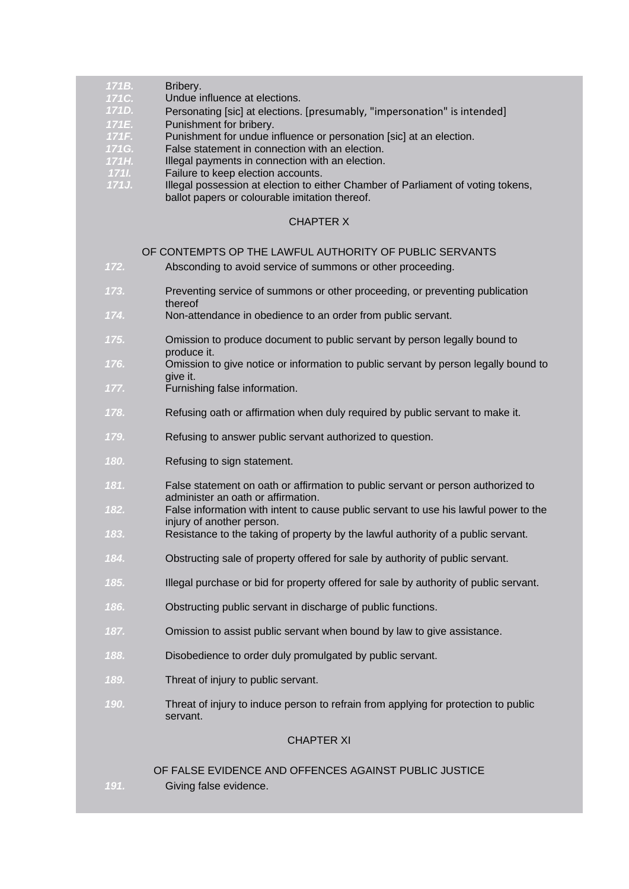| 171B.          | Bribery.                                                                                                                           |
|----------------|------------------------------------------------------------------------------------------------------------------------------------|
| 171C.<br>171D. | Undue influence at elections.<br>Personating [sic] at elections. [presumably, "impersonation" is intended]                         |
| 171E.          | Punishment for bribery.                                                                                                            |
| 171F.<br>171G. | Punishment for undue influence or personation [sic] at an election.<br>False statement in connection with an election.             |
| 171H.          | Illegal payments in connection with an election.                                                                                   |
| $171L$         | Failure to keep election accounts.                                                                                                 |
| 171J.          | Illegal possession at election to either Chamber of Parliament of voting tokens,<br>ballot papers or colourable imitation thereof. |
|                | <b>CHAPTER X</b>                                                                                                                   |
|                | OF CONTEMPTS OP THE LAWFUL AUTHORITY OF PUBLIC SERVANTS                                                                            |
| 172.           | Absconding to avoid service of summons or other proceeding.                                                                        |
| 173.           | Preventing service of summons or other proceeding, or preventing publication<br>thereof                                            |
| 174.           | Non-attendance in obedience to an order from public servant.                                                                       |
| 175.           | Omission to produce document to public servant by person legally bound to<br>produce it.                                           |
| 176.           | Omission to give notice or information to public servant by person legally bound to                                                |
| 177.           | give it.<br>Furnishing false information.                                                                                          |
| 178.           | Refusing oath or affirmation when duly required by public servant to make it.                                                      |
| 179.           | Refusing to answer public servant authorized to question.                                                                          |
| 180.           | Refusing to sign statement.                                                                                                        |
| 181.           | False statement on oath or affirmation to public servant or person authorized to                                                   |
| 182.           | administer an oath or affirmation.<br>False information with intent to cause public servant to use his lawful power to the         |
|                | injury of another person.                                                                                                          |
| 183.           | Resistance to the taking of property by the lawful authority of a public servant.                                                  |
| 184.           | Obstructing sale of property offered for sale by authority of public servant.                                                      |
| 185.           | Illegal purchase or bid for property offered for sale by authority of public servant.                                              |
| 186.           | Obstructing public servant in discharge of public functions.                                                                       |
| 187.           | Omission to assist public servant when bound by law to give assistance.                                                            |
| 188.           | Disobedience to order duly promulgated by public servant.                                                                          |
| 189.           | Threat of injury to public servant.                                                                                                |
| 190.           | Threat of injury to induce person to refrain from applying for protection to public<br>servant.                                    |
|                | <b>CHAPTER XI</b>                                                                                                                  |
|                | OF FALSE EVIDENCE AND OFFENCES AGAINST PUBLIC JUSTICE                                                                              |
| 191.           | Giving false evidence.                                                                                                             |
|                |                                                                                                                                    |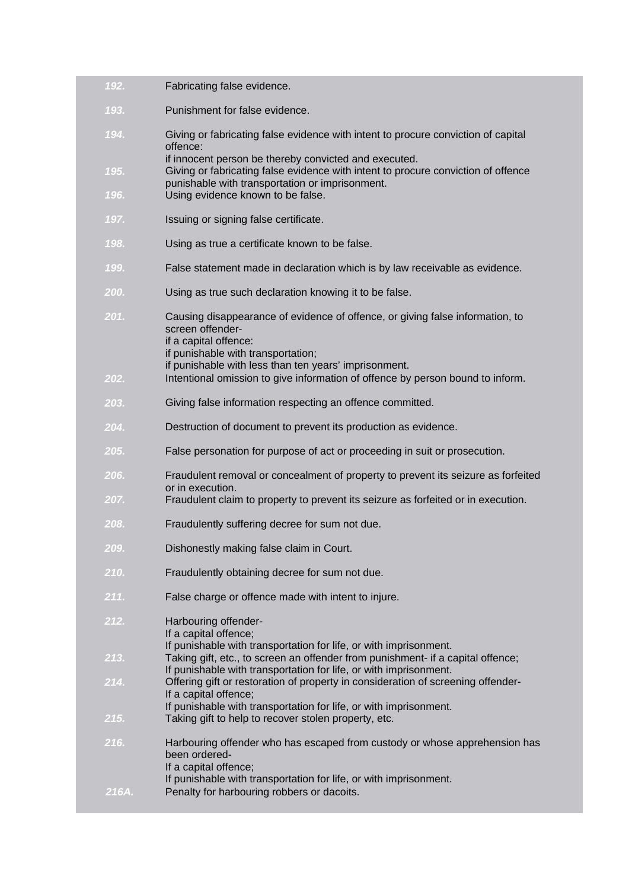| 192.         | Fabricating false evidence.                                                                                                                                                                                                                                                                                 |
|--------------|-------------------------------------------------------------------------------------------------------------------------------------------------------------------------------------------------------------------------------------------------------------------------------------------------------------|
| 193.         | Punishment for false evidence.                                                                                                                                                                                                                                                                              |
| 194.         | Giving or fabricating false evidence with intent to procure conviction of capital<br>offence:                                                                                                                                                                                                               |
| 195.<br>196. | if innocent person be thereby convicted and executed.<br>Giving or fabricating false evidence with intent to procure conviction of offence<br>punishable with transportation or imprisonment.<br>Using evidence known to be false.                                                                          |
| 197.         | Issuing or signing false certificate.                                                                                                                                                                                                                                                                       |
| 198.         | Using as true a certificate known to be false.                                                                                                                                                                                                                                                              |
| 199.         | False statement made in declaration which is by law receivable as evidence.                                                                                                                                                                                                                                 |
| 200.         | Using as true such declaration knowing it to be false.                                                                                                                                                                                                                                                      |
| 201.<br>202. | Causing disappearance of evidence of offence, or giving false information, to<br>screen offender-<br>if a capital offence:<br>if punishable with transportation;<br>if punishable with less than ten years' imprisonment.<br>Intentional omission to give information of offence by person bound to inform. |
| 203.         | Giving false information respecting an offence committed.                                                                                                                                                                                                                                                   |
| 204.         | Destruction of document to prevent its production as evidence.                                                                                                                                                                                                                                              |
|              |                                                                                                                                                                                                                                                                                                             |
| 205.         | False personation for purpose of act or proceeding in suit or prosecution.                                                                                                                                                                                                                                  |
| 206.<br>207. | Fraudulent removal or concealment of property to prevent its seizure as forfeited<br>or in execution.<br>Fraudulent claim to property to prevent its seizure as forfeited or in execution.                                                                                                                  |
| 208.         | Fraudulently suffering decree for sum not due.                                                                                                                                                                                                                                                              |
| 209.         | Dishonestly making false claim in Court.                                                                                                                                                                                                                                                                    |
| 210.         | Fraudulently obtaining decree for sum not due.                                                                                                                                                                                                                                                              |
| 211.         | False charge or offence made with intent to injure.                                                                                                                                                                                                                                                         |
| 212.         | Harbouring offender-<br>If a capital offence;                                                                                                                                                                                                                                                               |
| 213.         | If punishable with transportation for life, or with imprisonment.<br>Taking gift, etc., to screen an offender from punishment- if a capital offence;<br>If punishable with transportation for life, or with imprisonment.                                                                                   |
| 214.<br>215. | Offering gift or restoration of property in consideration of screening offender-<br>If a capital offence;<br>If punishable with transportation for life, or with imprisonment.<br>Taking gift to help to recover stolen property, etc.                                                                      |
| 216.         | Harbouring offender who has escaped from custody or whose apprehension has<br>been ordered-<br>If a capital offence;<br>If punishable with transportation for life, or with imprisonment.                                                                                                                   |
| 216A.        | Penalty for harbouring robbers or dacoits.                                                                                                                                                                                                                                                                  |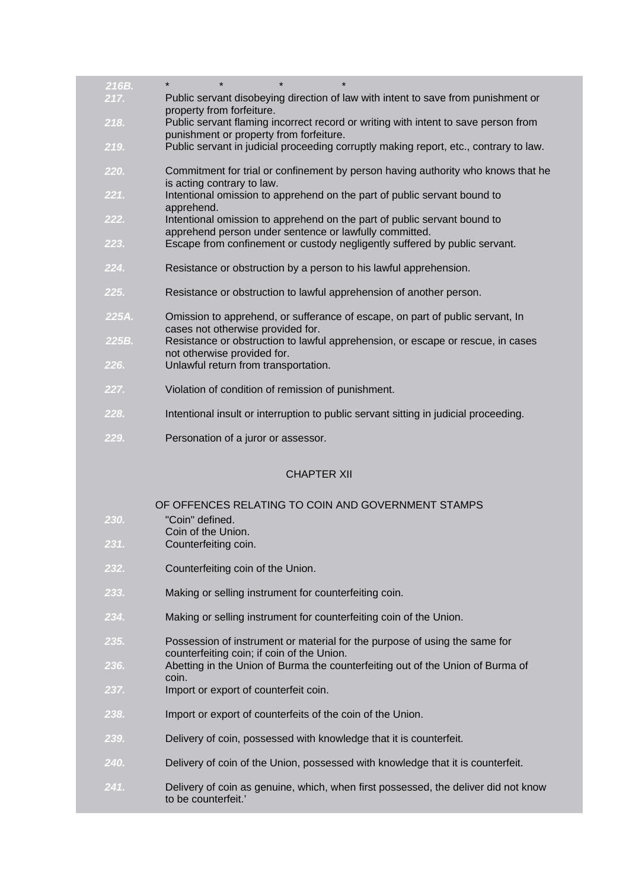| 216B. | $\star$<br>$\star$<br>$\star$                                                                                                        |
|-------|--------------------------------------------------------------------------------------------------------------------------------------|
| 217.  | Public servant disobeying direction of law with intent to save from punishment or                                                    |
| 218.  | property from forfeiture.<br>Public servant flaming incorrect record or writing with intent to save person from                      |
| 219.  | punishment or property from forfeiture.<br>Public servant in judicial proceeding corruptly making report, etc., contrary to law.     |
| 220.  | Commitment for trial or confinement by person having authority who knows that he                                                     |
|       | is acting contrary to law.                                                                                                           |
| 221.  | Intentional omission to apprehend on the part of public servant bound to<br>apprehend.                                               |
| 222.  | Intentional omission to apprehend on the part of public servant bound to                                                             |
| 223.  | apprehend person under sentence or lawfully committed.<br>Escape from confinement or custody negligently suffered by public servant. |
| 224.  | Resistance or obstruction by a person to his lawful apprehension.                                                                    |
| 225.  | Resistance or obstruction to lawful apprehension of another person.                                                                  |
| 225A. | Omission to apprehend, or sufferance of escape, on part of public servant, In                                                        |
| 225B. | cases not otherwise provided for.<br>Resistance or obstruction to lawful apprehension, or escape or rescue, in cases                 |
| 226.  | not otherwise provided for.<br>Unlawful return from transportation.                                                                  |
| 227.  | Violation of condition of remission of punishment.                                                                                   |
| 228.  | Intentional insult or interruption to public servant sitting in judicial proceeding.                                                 |
| 229.  | Personation of a juror or assessor.                                                                                                  |
|       |                                                                                                                                      |
|       | <b>CHAPTER XII</b>                                                                                                                   |
|       | OF OFFENCES RELATING TO COIN AND GOVERNMENT STAMPS                                                                                   |
| 230.  | "Coin" defined.                                                                                                                      |
| 231   | Coin of the Union.<br>Counterfeiting coin.                                                                                           |
| 232.  | Counterfeiting coin of the Union.                                                                                                    |
| 233.  | Making or selling instrument for counterfeiting coin.                                                                                |
| 234.  | Making or selling instrument for counterfeiting coin of the Union.                                                                   |
| 235.  | Possession of instrument or material for the purpose of using the same for<br>counterfeiting coin; if coin of the Union.             |

- *236.* Abetting in the Union of Burma the counterfeiting out of the Union of Burma of coin.
- *237.* Import or export of counterfeit coin.
- *238.* Import or export of counterfeits of the coin of the Union.
- *239.* Delivery of coin, possessed with knowledge that it is counterfeit.
- *240.* Delivery of coin of the Union, possessed with knowledge that it is counterfeit.
- Delivery of coin as genuine, which, when first possessed, the deliver did not know to be counterfeit.'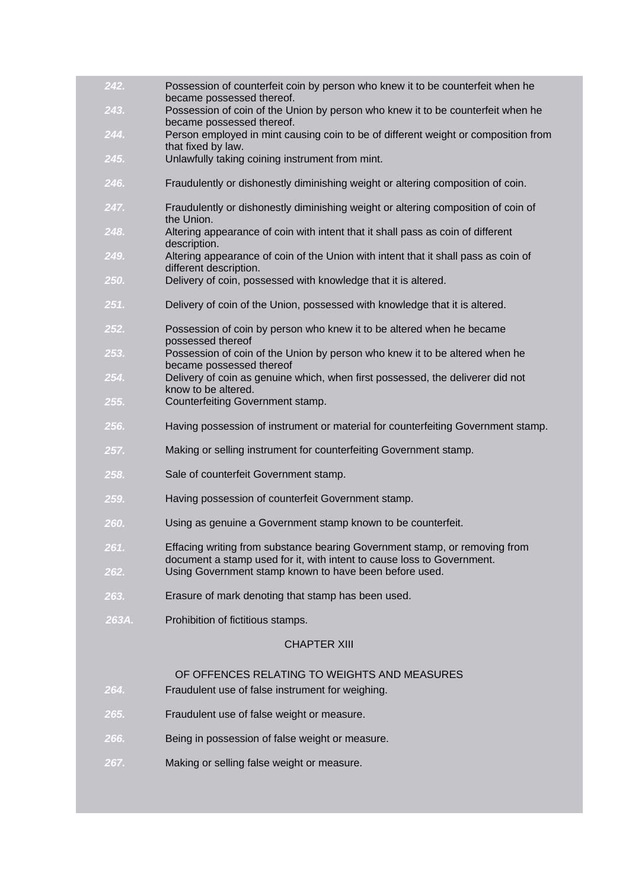| 242.  | Possession of counterfeit coin by person who knew it to be counterfeit when he<br>became possessed thereof.                      |
|-------|----------------------------------------------------------------------------------------------------------------------------------|
| 243.  | Possession of coin of the Union by person who knew it to be counterfeit when he                                                  |
| 244.  | became possessed thereof.<br>Person employed in mint causing coin to be of different weight or composition from                  |
| 245.  | that fixed by law.<br>Unlawfully taking coining instrument from mint.                                                            |
|       |                                                                                                                                  |
| 246.  | Fraudulently or dishonestly diminishing weight or altering composition of coin.                                                  |
| 247.  | Fraudulently or dishonestly diminishing weight or altering composition of coin of<br>the Union.                                  |
| 248.  | Altering appearance of coin with intent that it shall pass as coin of different<br>description.                                  |
| 249.  | Altering appearance of coin of the Union with intent that it shall pass as coin of                                               |
| 250.  | different description.<br>Delivery of coin, possessed with knowledge that it is altered.                                         |
| 251.  | Delivery of coin of the Union, possessed with knowledge that it is altered.                                                      |
| 252.  | Possession of coin by person who knew it to be altered when he became                                                            |
| 253.  | possessed thereof<br>Possession of coin of the Union by person who knew it to be altered when he                                 |
| 254.  | became possessed thereof<br>Delivery of coin as genuine which, when first possessed, the deliverer did not                       |
|       | know to be altered.                                                                                                              |
| 255.  | Counterfeiting Government stamp.                                                                                                 |
| 256.  | Having possession of instrument or material for counterfeiting Government stamp.                                                 |
| 257.  | Making or selling instrument for counterfeiting Government stamp.                                                                |
| 258.  | Sale of counterfeit Government stamp.                                                                                            |
| 259.  | Having possession of counterfeit Government stamp.                                                                               |
| 260.  | Using as genuine a Government stamp known to be counterfeit.                                                                     |
| 261.  | Effacing writing from substance bearing Government stamp, or removing from                                                       |
| 262.  | document a stamp used for it, with intent to cause loss to Government.<br>Using Government stamp known to have been before used. |
| 263.  | Erasure of mark denoting that stamp has been used.                                                                               |
| 263A. | Prohibition of fictitious stamps.                                                                                                |
|       | <b>CHAPTER XIII</b>                                                                                                              |
|       | OF OFFENCES RELATING TO WEIGHTS AND MEASURES                                                                                     |
| 264.  | Fraudulent use of false instrument for weighing.                                                                                 |
| 265.  | Fraudulent use of false weight or measure.                                                                                       |
| 266.  | Being in possession of false weight or measure.                                                                                  |
| 267.  | Making or selling false weight or measure.                                                                                       |
|       |                                                                                                                                  |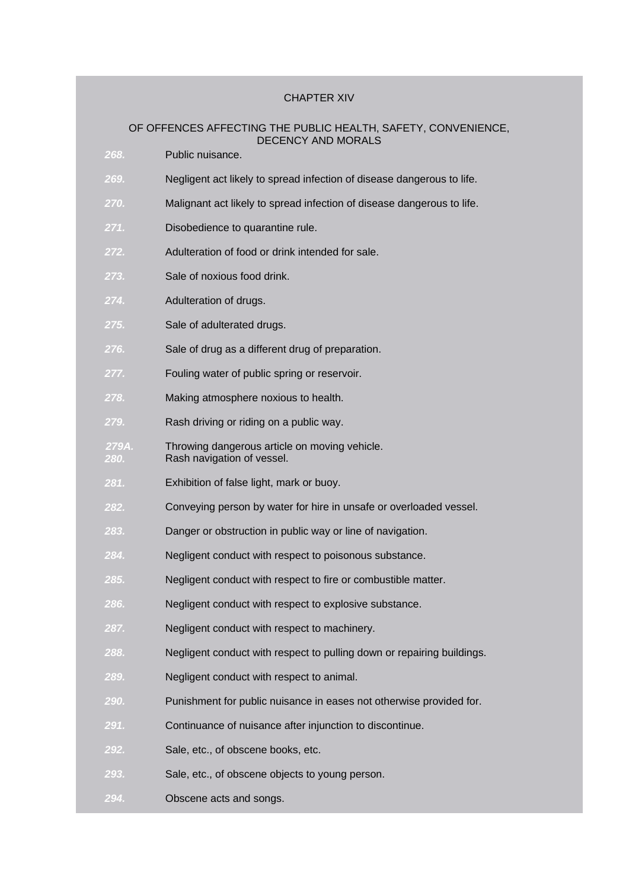## CHAPTER XIV

## [OF OFFENCES AFFECTING THE PUBLIC HEALTH, SAFETY, CONVENIENCE,](http://www.blc-burma.org/html/Myanmar Penal Code/mpc.html#cpt14)  [DECENCY AND MORALS](http://www.blc-burma.org/html/Myanmar Penal Code/mpc.html#cpt14)

- *268.* Public nuisance.
- *269.* Negligent act likely to spread infection of disease dangerous to life.
- *270.* Malignant act likely to spread infection of disease dangerous to life.
- *271.* Disobedience to quarantine rule.
- *272.* Adulteration of food or drink intended for sale.
- *273.* Sale of noxious food drink.
- *274.* Adulteration of drugs.
- *275.* Sale of adulterated drugs.
- *276.* Sale of drug as a different drug of preparation.
- *277.* Fouling water of public spring or reservoir.
- *278.* Making atmosphere noxious to health.
- *279.* Rash driving or riding on a public way.
- *279A.* Throwing dangerous article on moving vehicle. *280.* Rash navigation of vessel.
- *281.* Exhibition of false light, mark or buoy.
- *282.* Conveying person by water for hire in unsafe or overloaded vessel.
- *283.* Danger or obstruction in public way or line of navigation.
- *284.* Negligent conduct with respect to poisonous substance.
- *285.* Negligent conduct with respect to fire or combustible matter.
- *286.* Negligent conduct with respect to explosive substance.
- *287.* Negligent conduct with respect to machinery.
- *288.* Negligent conduct with respect to pulling down or repairing buildings.
- *289.* Negligent conduct with respect to animal.
- *290.* Punishment for public nuisance in eases not otherwise provided for.
- *291.* Continuance of nuisance after injunction to discontinue.
- *292.* Sale, etc., of obscene books, etc.
- *293.* Sale, etc., of obscene objects to young person.
- *294.* Obscene acts and songs.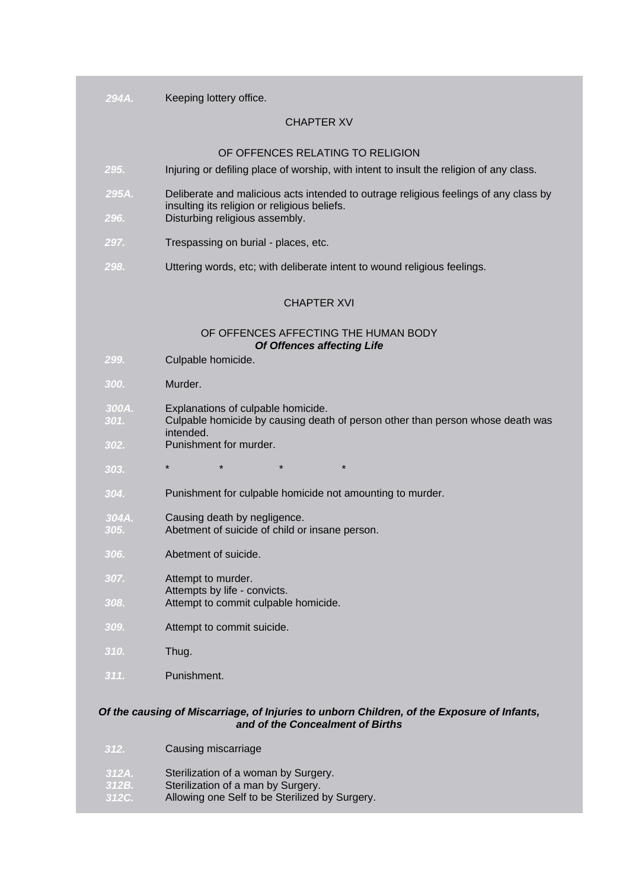| 294A. | Keeping lottery office. |  |
|-------|-------------------------|--|
|       |                         |  |

## CHAPTER XV

#### [OF OFFENCES RELATING TO RELIGION](http://www.blc-burma.org/html/Myanmar Penal Code/mpc.html#cpt15)

- *295.* Injuring or defiling place of worship, with intent to insult the religion of any class.
- *295A.* Deliberate and malicious acts intended to outrage religious feelings of any class by insulting its religion or religious beliefs. *296.* Disturbing religious assembly.
- *297.* Trespassing on burial - places, etc.
- *298.* Uttering words, etc; with deliberate intent to wound religious feelings.

#### CHAPTER XVI

#### [OF OFFENCES AFFECTING THE HUMAN BODY](http://www.blc-burma.org/html/Myanmar Penal Code/mpc.html#cpt16) *Of Offences affecting Life*

- *299.* Culpable homicide.
- *300.* Murder.
- *300A.* Explanations of culpable homicide.
- Culpable homicide by causing death of person other than person whose death was intended.
- *302.* Punishment for murder.
- *303.*  $\star$   $\star$   $\star$   $\star$   $\star$   $\star$
- *304.* Punishment for culpable homicide not amounting to murder.
- *304A.* Causing death by negligence. *305.* Abetment of suicide of child or insane person.
- *306.* Abetment of suicide.
- *307.* Attempt to murder. Attempts by life - convicts. *308.*
- Attempt to commit culpable homicide.
- *309.* Attempt to commit suicide.
- *310.* Thug.
- *311.* Punishment.

## *Of the causing of Miscarriage, of Injuries to unborn Children, of the Exposure of Infants, and of the Concealment of Births*

- *312.* Causing miscarriage
- *312A.* Sterilization of a woman by Surgery.
- *312B.* Sterilization of a man by Surgery.
- Allowing one Self to be Sterilized by Surgery.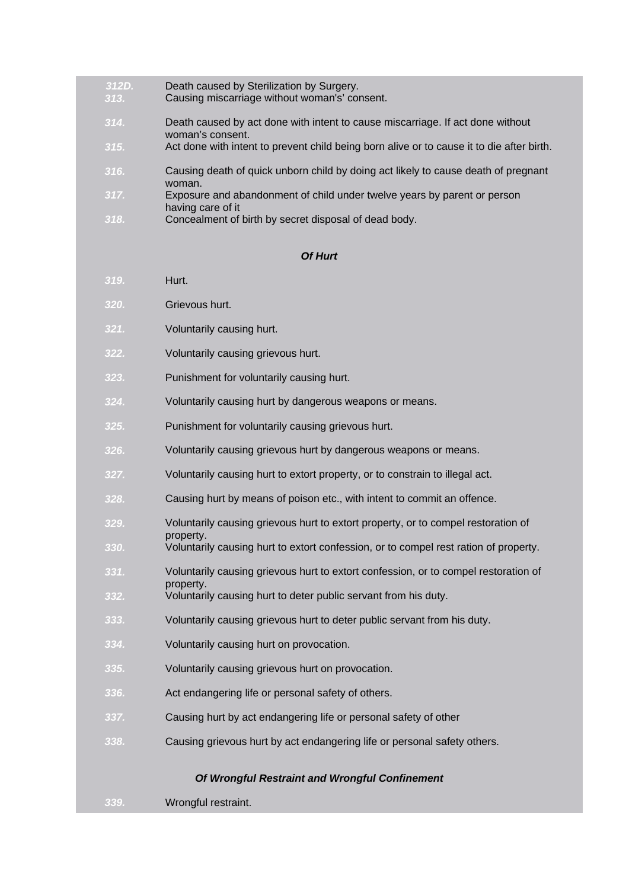| 312D.<br>313. | Death caused by Sterilization by Surgery.<br>Causing miscarriage without woman's' consent.         |
|---------------|----------------------------------------------------------------------------------------------------|
| 314.          | Death caused by act done with intent to cause miscarriage. If act done without<br>woman's consent. |
| 315.          | Act done with intent to prevent child being born alive or to cause it to die after birth.          |
| 316.          | Causing death of quick unborn child by doing act likely to cause death of pregnant<br>woman.       |
| 317.          | Exposure and abandonment of child under twelve years by parent or person                           |
| 318.          | having care of it<br>Concealment of birth by secret disposal of dead body.                         |
|               | Of Hurt                                                                                            |
| 319.          | Hurt.                                                                                              |
| 320.          | Grievous hurt.                                                                                     |
| 321.          | Voluntarily causing hurt.                                                                          |
| 322.          | Voluntarily causing grievous hurt.                                                                 |
| 323.          | Punishment for voluntarily causing hurt.                                                           |
| 324.          | Voluntarily causing hurt by dangerous weapons or means.                                            |
| 325.          | Punishment for voluntarily causing grievous hurt.                                                  |
| 326.          | Voluntarily causing grievous hurt by dangerous weapons or means.                                   |
| 327.          | Voluntarily causing hurt to extort property, or to constrain to illegal act.                       |
| 328.          | Causing hurt by means of poison etc., with intent to commit an offence.                            |
| 329.          | Voluntarily causing grievous hurt to extort property, or to compel restoration of                  |
| 330.          | property.<br>Voluntarily causing hurt to extort confession, or to compel rest ration of property.  |
| 331.          | Voluntarily causing grievous hurt to extort confession, or to compel restoration of                |
| 332.          | property.<br>Voluntarily causing hurt to deter public servant from his duty.                       |
| 333.          | Voluntarily causing grievous hurt to deter public servant from his duty.                           |
| 334.          | Voluntarily causing hurt on provocation.                                                           |
| 335.          | Voluntarily causing grievous hurt on provocation.                                                  |
| 336.          | Act endangering life or personal safety of others.                                                 |
| 337.          | Causing hurt by act endangering life or personal safety of other                                   |
| 338.          | Causing grievous hurt by act endangering life or personal safety others.                           |
|               | Of Wrongful Restraint and Wrongful Confinement                                                     |
| 339.          | Wrongful restraint.                                                                                |
|               |                                                                                                    |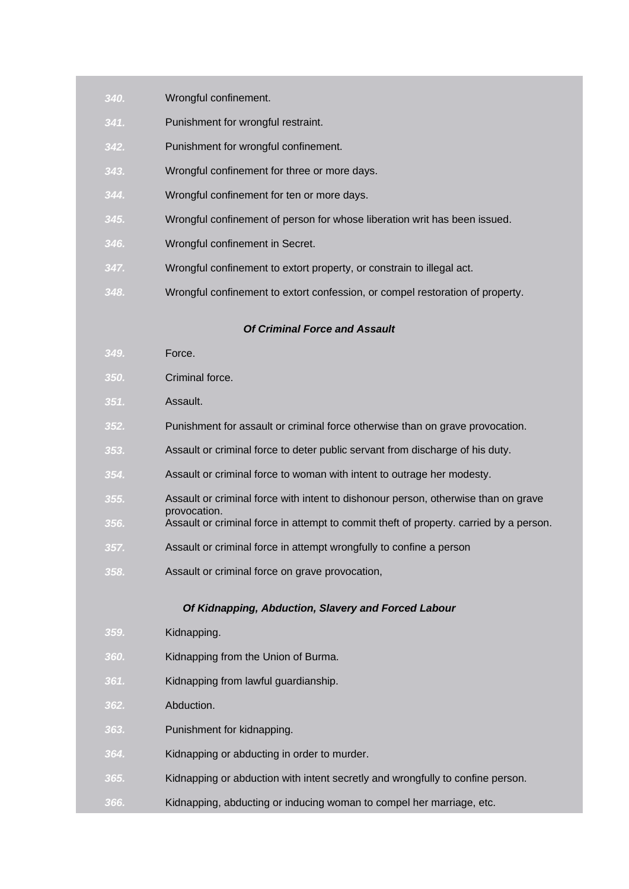| Wrongful confinement.<br>, 340. |  |
|---------------------------------|--|
|---------------------------------|--|

- *341.* Punishment for wrongful restraint.
- *342.* Punishment for wrongful confinement.
- *343.* Wrongful confinement for three or more days.
- *344.* Wrongful confinement for ten or more days.
- *345.* Wrongful confinement of person for whose liberation writ has been issued.
- *346.* Wrongful confinement in Secret.
- *347.* Wrongful confinement to extort property, or constrain to illegal act.
- *348.* Wrongful confinement to extort confession, or compel restoration of property.

## *Of Criminal Force and Assault*

- *349.* Force.
- *350.* Criminal force.
- *351.* Assault.
- *352.* Punishment for assault or criminal force otherwise than on grave provocation.
- *353.* Assault or criminal force to deter public servant from discharge of his duty.
- *354.* Assault or criminal force to woman with intent to outrage her modesty.
- *355.* Assault or criminal force with intent to dishonour person, otherwise than on grave provocation.
- *356.* Assault or criminal force in attempt to commit theft of property. carried by a person.
- *357.* Assault or criminal force in attempt wrongfully to confine a person
- *358.* Assault or criminal force on grave provocation,

## *Of Kidnapping, Abduction, Slavery and Forced Labour*

- *359.* Kidnapping.
- *360.* Kidnapping from the Union of Burma.
- *361.* Kidnapping from lawful guardianship.
- *362.* Abduction.
- *363.* Punishment for kidnapping.
- *364.* Kidnapping or abducting in order to murder.
- *365.* Kidnapping or abduction with intent secretly and wrongfully to confine person.
- *366.* Kidnapping, abducting or inducing woman to compel her marriage, etc.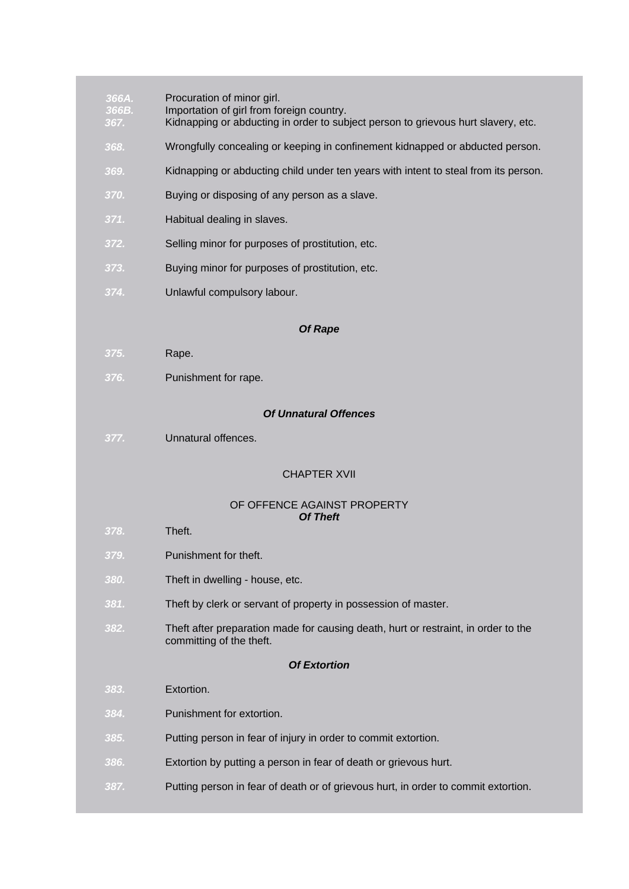| 366A.<br>366B.<br>367. | Procuration of minor girl.<br>Importation of girl from foreign country.<br>Kidnapping or abducting in order to subject person to grievous hurt slavery, etc. |  |
|------------------------|--------------------------------------------------------------------------------------------------------------------------------------------------------------|--|
| 368.                   | Wrongfully concealing or keeping in confinement kidnapped or abducted person.                                                                                |  |
| 369.                   | Kidnapping or abducting child under ten years with intent to steal from its person.                                                                          |  |
| 370.                   | Buying or disposing of any person as a slave.                                                                                                                |  |
| 371.                   | Habitual dealing in slaves.                                                                                                                                  |  |
| 372.                   | Selling minor for purposes of prostitution, etc.                                                                                                             |  |
| 373.                   | Buying minor for purposes of prostitution, etc.                                                                                                              |  |
| 374.                   | Unlawful compulsory labour.                                                                                                                                  |  |
|                        | <b>Of Rape</b>                                                                                                                                               |  |
|                        |                                                                                                                                                              |  |
| 375.                   | Rape.                                                                                                                                                        |  |
| 376.                   | Punishment for rape.                                                                                                                                         |  |
|                        | <b>Of Unnatural Offences</b>                                                                                                                                 |  |
| 377.                   | Unnatural offences.                                                                                                                                          |  |
| <b>CHAPTER XVII</b>    |                                                                                                                                                              |  |
|                        | OF OFFENCE AGAINST PROPERTY<br><b>Of Theft</b>                                                                                                               |  |
| 378.                   | Theft.                                                                                                                                                       |  |
| 379.                   | Punishment for theft.                                                                                                                                        |  |
| 380.                   | Theft in dwelling - house, etc.                                                                                                                              |  |
| 381.                   | Theft by clerk or servant of property in possession of master.                                                                                               |  |
| 382.                   | Theft after preparation made for causing death, hurt or restraint, in order to the<br>committing of the theft.                                               |  |
| <b>Of Extortion</b>    |                                                                                                                                                              |  |
| 383.                   | Extortion.                                                                                                                                                   |  |
| 384.                   | Punishment for extortion.                                                                                                                                    |  |
| 385.                   | Putting person in fear of injury in order to commit extortion.                                                                                               |  |
| 386.                   | Extortion by putting a person in fear of death or grievous hurt.                                                                                             |  |
| 387.                   | Putting person in fear of death or of grievous hurt, in order to commit extortion.                                                                           |  |
|                        |                                                                                                                                                              |  |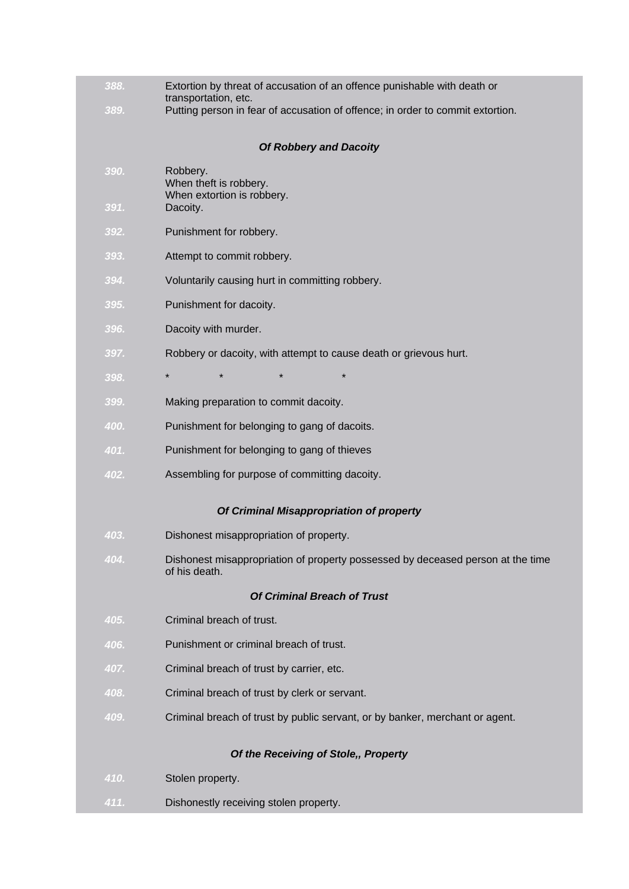| 388.         | Extortion by threat of accusation of an offence punishable with death or<br>transportation, etc. |
|--------------|--------------------------------------------------------------------------------------------------|
| 389.         | Putting person in fear of accusation of offence; in order to commit extortion.                   |
|              | <b>Of Robbery and Dacoity</b>                                                                    |
| 390.<br>391. | Robbery.<br>When theft is robbery.<br>When extortion is robbery.<br>Dacoity.                     |
| 392.         | Punishment for robbery.                                                                          |
| 393.         | Attempt to commit robbery.                                                                       |
| 394.         | Voluntarily causing hurt in committing robbery.                                                  |
| 395.         | Punishment for dacoity.                                                                          |
| 396.         | Dacoity with murder.                                                                             |
| 397.         | Robbery or dacoity, with attempt to cause death or grievous hurt.                                |
| 398.         | $\star$<br>$\star$                                                                               |
| 399.         | Making preparation to commit dacoity.                                                            |
| 400.         | Punishment for belonging to gang of dacoits.                                                     |
| 401.         | Punishment for belonging to gang of thieves                                                      |
| 402.         | Assembling for purpose of committing dacoity.                                                    |
|              | Of Criminal Misappropriation of property                                                         |
| 403.         | Dishonest misappropriation of property.                                                          |
| 404.         | Dishonest misappropriation of property possessed by deceased person at the time<br>of his death. |
|              | <b>Of Criminal Breach of Trust</b>                                                               |
| 405.         | Criminal breach of trust.                                                                        |
| 406.         | Punishment or criminal breach of trust.                                                          |
| 407.         | Criminal breach of trust by carrier, etc.                                                        |
| 408.         | Criminal breach of trust by clerk or servant.                                                    |
| 409.         | Criminal breach of trust by public servant, or by banker, merchant or agent.                     |
|              | Of the Receiving of Stole,, Property                                                             |
| 410.         | Stolen property.                                                                                 |
| 411.         | Dishonestly receiving stolen property.                                                           |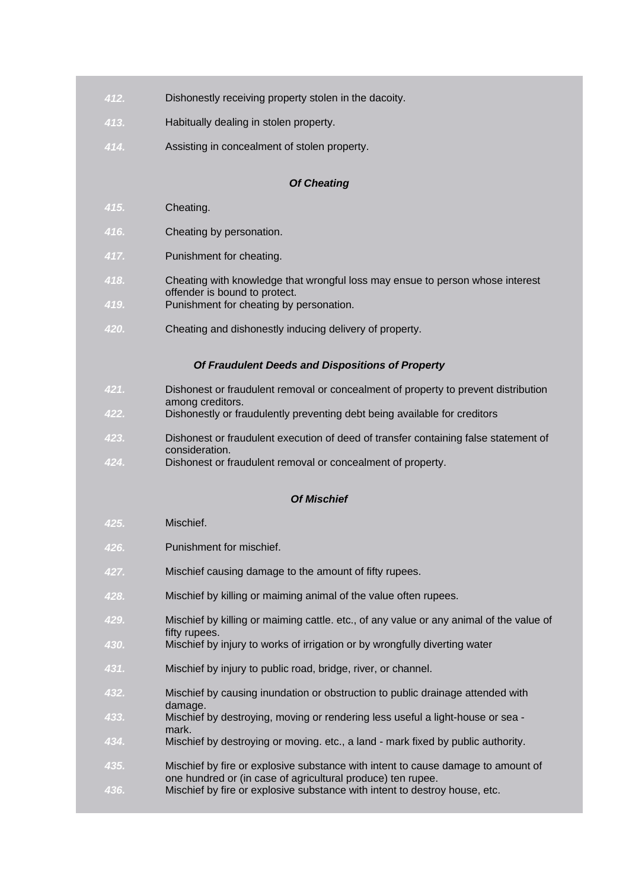| 412.                                             | Dishonestly receiving property stolen in the dacoity.                                                                                     |  |
|--------------------------------------------------|-------------------------------------------------------------------------------------------------------------------------------------------|--|
| 413.                                             | Habitually dealing in stolen property.                                                                                                    |  |
| 414.                                             | Assisting in concealment of stolen property.                                                                                              |  |
|                                                  | <b>Of Cheating</b>                                                                                                                        |  |
|                                                  |                                                                                                                                           |  |
| 415.                                             | Cheating.                                                                                                                                 |  |
| 416.                                             | Cheating by personation.                                                                                                                  |  |
| 417.                                             | Punishment for cheating.                                                                                                                  |  |
| 418.                                             | Cheating with knowledge that wrongful loss may ensue to person whose interest                                                             |  |
| 419.                                             | offender is bound to protect.<br>Punishment for cheating by personation.                                                                  |  |
| 420.                                             | Cheating and dishonestly inducing delivery of property.                                                                                   |  |
| Of Fraudulent Deeds and Dispositions of Property |                                                                                                                                           |  |
| 421.                                             | Dishonest or fraudulent removal or concealment of property to prevent distribution                                                        |  |
| 422.                                             | among creditors.<br>Dishonestly or fraudulently preventing debt being available for creditors                                             |  |
| 423.                                             | Dishonest or fraudulent execution of deed of transfer containing false statement of                                                       |  |
| 424.                                             | consideration.<br>Dishonest or fraudulent removal or concealment of property.                                                             |  |
|                                                  | <b>Of Mischief</b>                                                                                                                        |  |
|                                                  |                                                                                                                                           |  |
| 425.                                             | Mischief.                                                                                                                                 |  |
| 426.                                             | Punishment for mischief.                                                                                                                  |  |
| 427.                                             | Mischief causing damage to the amount of fifty rupees.                                                                                    |  |
| 428.                                             | Mischief by killing or maiming animal of the value often rupees.                                                                          |  |
| 429.                                             | Mischief by killing or maiming cattle. etc., of any value or any animal of the value of<br>fifty rupees.                                  |  |
| 430.                                             | Mischief by injury to works of irrigation or by wrongfully diverting water                                                                |  |
| 431.                                             | Mischief by injury to public road, bridge, river, or channel.                                                                             |  |
| 432.                                             | Mischief by causing inundation or obstruction to public drainage attended with                                                            |  |
| 433.                                             | damage.<br>Mischief by destroying, moving or rendering less useful a light-house or sea -<br>mark.                                        |  |
| 434.                                             | Mischief by destroying or moving. etc., a land - mark fixed by public authority.                                                          |  |
| 435.                                             | Mischief by fire or explosive substance with intent to cause damage to amount of                                                          |  |
| 436.                                             | one hundred or (in case of agricultural produce) ten rupee.<br>Mischief by fire or explosive substance with intent to destroy house, etc. |  |
|                                                  |                                                                                                                                           |  |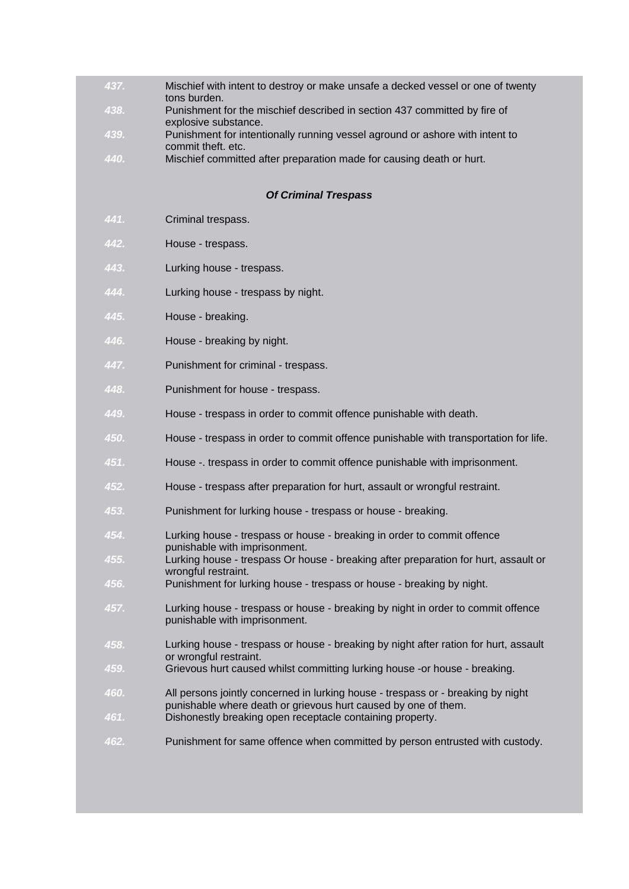| 437. | Mischief with intent to destroy or make unsafe a decked vessel or one of twenty<br>tons burden.                                                    |
|------|----------------------------------------------------------------------------------------------------------------------------------------------------|
| 438. | Punishment for the mischief described in section 437 committed by fire of<br>explosive substance.                                                  |
| 439. | Punishment for intentionally running vessel aground or ashore with intent to<br>commit theft. etc.                                                 |
| 440. | Mischief committed after preparation made for causing death or hurt.                                                                               |
|      |                                                                                                                                                    |
|      | <b>Of Criminal Trespass</b>                                                                                                                        |
| 441. | Criminal trespass.                                                                                                                                 |
| 442. | House - trespass.                                                                                                                                  |
| 443. | Lurking house - trespass.                                                                                                                          |
| 444. | Lurking house - trespass by night.                                                                                                                 |
| 445. | House - breaking.                                                                                                                                  |
| 446. | House - breaking by night.                                                                                                                         |
| 447. | Punishment for criminal - trespass.                                                                                                                |
| 448. | Punishment for house - trespass.                                                                                                                   |
| 449. | House - trespass in order to commit offence punishable with death.                                                                                 |
| 450. | House - trespass in order to commit offence punishable with transportation for life.                                                               |
| 451. | House -. trespass in order to commit offence punishable with imprisonment.                                                                         |
| 452. | House - trespass after preparation for hurt, assault or wrongful restraint.                                                                        |
| 453. | Punishment for lurking house - trespass or house - breaking.                                                                                       |
| 454. | Lurking house - trespass or house - breaking in order to commit offence<br>punishable with imprisonment.                                           |
| 455. | Lurking house - trespass Or house - breaking after preparation for hurt, assault or<br>wrongful restraint.                                         |
| 456. | Punishment for lurking house - trespass or house - breaking by night.                                                                              |
| 457. | Lurking house - trespass or house - breaking by night in order to commit offence<br>punishable with imprisonment.                                  |
| 458. | Lurking house - trespass or house - breaking by night after ration for hurt, assault<br>or wrongful restraint.                                     |
| 459. | Grievous hurt caused whilst committing lurking house -or house - breaking.                                                                         |
| 460. | All persons jointly concerned in lurking house - trespass or - breaking by night<br>punishable where death or grievous hurt caused by one of them. |
| 461. | Dishonestly breaking open receptacle containing property.                                                                                          |
| 462. | Punishment for same offence when committed by person entrusted with custody.                                                                       |
|      |                                                                                                                                                    |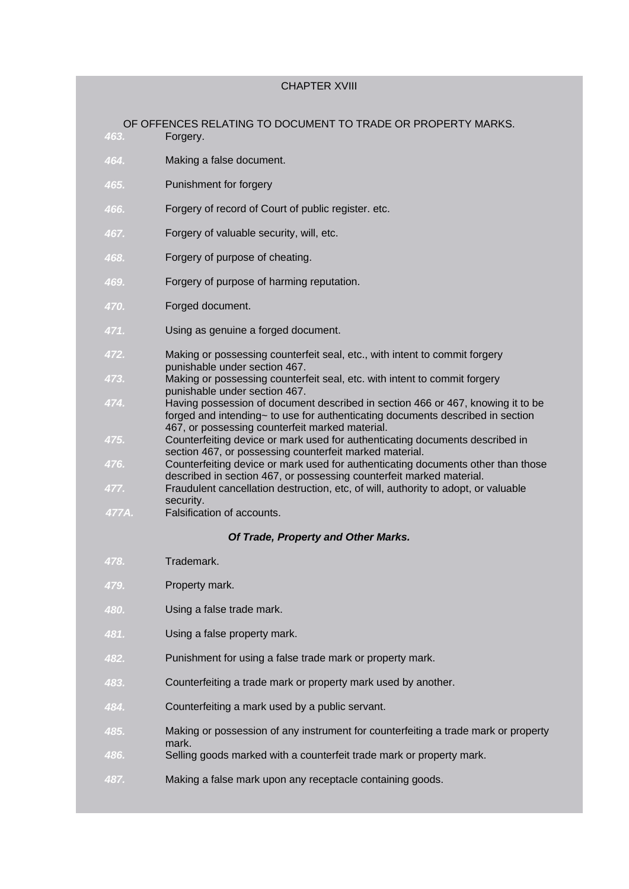|                                     | <b>CHAPTER XVIII</b>                                                                                                                                                                                                        |  |
|-------------------------------------|-----------------------------------------------------------------------------------------------------------------------------------------------------------------------------------------------------------------------------|--|
| 463.                                | OF OFFENCES RELATING TO DOCUMENT TO TRADE OR PROPERTY MARKS.<br>Forgery.                                                                                                                                                    |  |
| 464.                                | Making a false document.                                                                                                                                                                                                    |  |
| 465.                                | Punishment for forgery                                                                                                                                                                                                      |  |
| 466.                                | Forgery of record of Court of public register. etc.                                                                                                                                                                         |  |
| 467.                                | Forgery of valuable security, will, etc.                                                                                                                                                                                    |  |
| 468.                                | Forgery of purpose of cheating.                                                                                                                                                                                             |  |
| 469.                                | Forgery of purpose of harming reputation.                                                                                                                                                                                   |  |
| 470.                                | Forged document.                                                                                                                                                                                                            |  |
| 471.                                | Using as genuine a forged document.                                                                                                                                                                                         |  |
| 472.                                | Making or possessing counterfeit seal, etc., with intent to commit forgery<br>punishable under section 467.                                                                                                                 |  |
| 473.                                | Making or possessing counterfeit seal, etc. with intent to commit forgery<br>punishable under section 467.                                                                                                                  |  |
| 474.                                | Having possession of document described in section 466 or 467, knowing it to be<br>forged and intending~ to use for authenticating documents described in section<br>467, or possessing counterfeit marked material.        |  |
| 475.<br>476.                        | Counterfeiting device or mark used for authenticating documents described in<br>section 467, or possessing counterfeit marked material.<br>Counterfeiting device or mark used for authenticating documents other than those |  |
| 477.                                | described in section 467, or possessing counterfeit marked material.<br>Fraudulent cancellation destruction, etc, of will, authority to adopt, or valuable<br>security.                                                     |  |
| 477A.                               | Falsification of accounts.                                                                                                                                                                                                  |  |
| Of Trade, Property and Other Marks. |                                                                                                                                                                                                                             |  |
| 478.                                | Trademark.                                                                                                                                                                                                                  |  |
| 479.                                | Property mark.                                                                                                                                                                                                              |  |
| 480.                                | Using a false trade mark.                                                                                                                                                                                                   |  |
| 481.                                | Using a false property mark.                                                                                                                                                                                                |  |
| 482.                                | Punishment for using a false trade mark or property mark.                                                                                                                                                                   |  |
| 483.                                | Counterfeiting a trade mark or property mark used by another.                                                                                                                                                               |  |
| 484.                                | Counterfeiting a mark used by a public servant.                                                                                                                                                                             |  |
| 485.                                | Making or possession of any instrument for counterfeiting a trade mark or property<br>mark.                                                                                                                                 |  |
| 486.                                | Selling goods marked with a counterfeit trade mark or property mark.                                                                                                                                                        |  |
| 487.                                | Making a false mark upon any receptacle containing goods.                                                                                                                                                                   |  |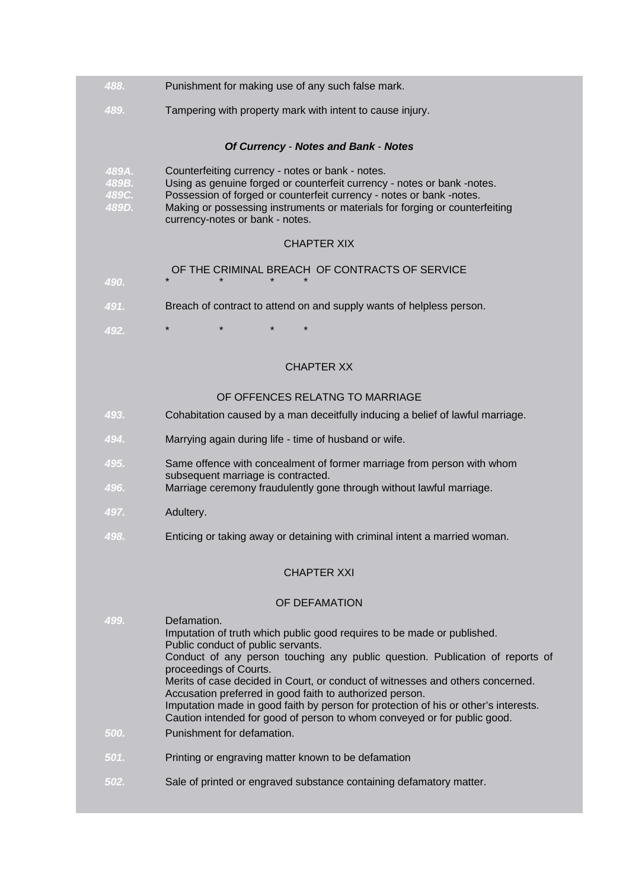| 488.                             | Punishment for making use of any such false mark.                                                                                                                                                                                                                                                                                                                                                                                                                                                                                                        |
|----------------------------------|----------------------------------------------------------------------------------------------------------------------------------------------------------------------------------------------------------------------------------------------------------------------------------------------------------------------------------------------------------------------------------------------------------------------------------------------------------------------------------------------------------------------------------------------------------|
| 489.                             | Tampering with property mark with intent to cause injury.                                                                                                                                                                                                                                                                                                                                                                                                                                                                                                |
|                                  | Of Currency - Notes and Bank - Notes                                                                                                                                                                                                                                                                                                                                                                                                                                                                                                                     |
| 489A.<br>489B.<br>489C.<br>489D. | Counterfeiting currency - notes or bank - notes.<br>Using as genuine forged or counterfeit currency - notes or bank -notes.<br>Possession of forged or counterfeit currency - notes or bank -notes.<br>Making or possessing instruments or materials for forging or counterfeiting<br>currency-notes or bank - notes.                                                                                                                                                                                                                                    |
|                                  | <b>CHAPTER XIX</b>                                                                                                                                                                                                                                                                                                                                                                                                                                                                                                                                       |
| 490.                             | OF THE CRIMINAL BREACH OF CONTRACTS OF SERVICE                                                                                                                                                                                                                                                                                                                                                                                                                                                                                                           |
| 491.                             | Breach of contract to attend on and supply wants of helpless person.                                                                                                                                                                                                                                                                                                                                                                                                                                                                                     |
| 492.                             | $\star$<br>$\star$                                                                                                                                                                                                                                                                                                                                                                                                                                                                                                                                       |
|                                  | <b>CHAPTER XX</b>                                                                                                                                                                                                                                                                                                                                                                                                                                                                                                                                        |
|                                  | OF OFFENCES RELATNG TO MARRIAGE                                                                                                                                                                                                                                                                                                                                                                                                                                                                                                                          |
| 493.                             | Cohabitation caused by a man deceitfully inducing a belief of lawful marriage.                                                                                                                                                                                                                                                                                                                                                                                                                                                                           |
| 494.                             | Marrying again during life - time of husband or wife.                                                                                                                                                                                                                                                                                                                                                                                                                                                                                                    |
| 495.<br>496.                     | Same offence with concealment of former marriage from person with whom<br>subsequent marriage is contracted.<br>Marriage ceremony fraudulently gone through without lawful marriage.                                                                                                                                                                                                                                                                                                                                                                     |
| 497.                             | Adultery.                                                                                                                                                                                                                                                                                                                                                                                                                                                                                                                                                |
| 498.                             | Enticing or taking away or detaining with criminal intent a married woman.                                                                                                                                                                                                                                                                                                                                                                                                                                                                               |
|                                  | <b>CHAPTER XXI</b>                                                                                                                                                                                                                                                                                                                                                                                                                                                                                                                                       |
|                                  | OF DEFAMATION                                                                                                                                                                                                                                                                                                                                                                                                                                                                                                                                            |
| 499.                             | Defamation.<br>Imputation of truth which public good requires to be made or published.<br>Public conduct of public servants.<br>Conduct of any person touching any public question. Publication of reports of<br>proceedings of Courts.<br>Merits of case decided in Court, or conduct of witnesses and others concerned.<br>Accusation preferred in good faith to authorized person.<br>Imputation made in good faith by person for protection of his or other's interests.<br>Caution intended for good of person to whom conveyed or for public good. |
| 500.                             | Punishment for defamation.                                                                                                                                                                                                                                                                                                                                                                                                                                                                                                                               |
| 501.                             | Printing or engraving matter known to be defamation                                                                                                                                                                                                                                                                                                                                                                                                                                                                                                      |
| 502.                             | Sale of printed or engraved substance containing defamatory matter.                                                                                                                                                                                                                                                                                                                                                                                                                                                                                      |
|                                  |                                                                                                                                                                                                                                                                                                                                                                                                                                                                                                                                                          |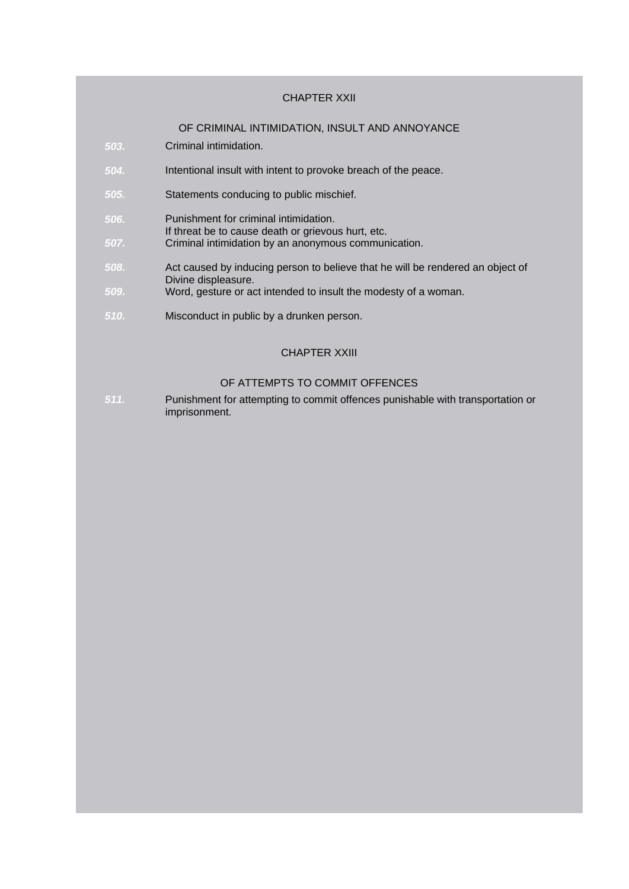## CHAPTER XXII

## [OF CRIMINAL INTIMIDATION, INSULT AND ANNOYANCE](http://www.blc-burma.org/html/Myanmar Penal Code/mpc.html#cpt22)

- *503.* Criminal intimidation.
- *504.* Intentional insult with intent to provoke breach of the peace.
- *505.* Statements conducing to public mischief.
- *506.* Punishment for criminal intimidation.
- If threat be to cause death or grievous hurt, etc.
- *507.* Criminal intimidation by an anonymous communication.
- *508.* Act caused by inducing person to believe that he will be rendered an object of Divine displeasure.
- *509.* Word, gesture or act intended to insult the modesty of a woman.
- Misconduct in public by a drunken person.

## CHAPTER XXIII

## [OF ATTEMPTS TO COMMIT OFFENCES](http://www.blc-burma.org/html/Myanmar Penal Code/mpc.html#cpt23)

*511.* Punishment for attempting to commit offences punishable with transportation or imprisonment.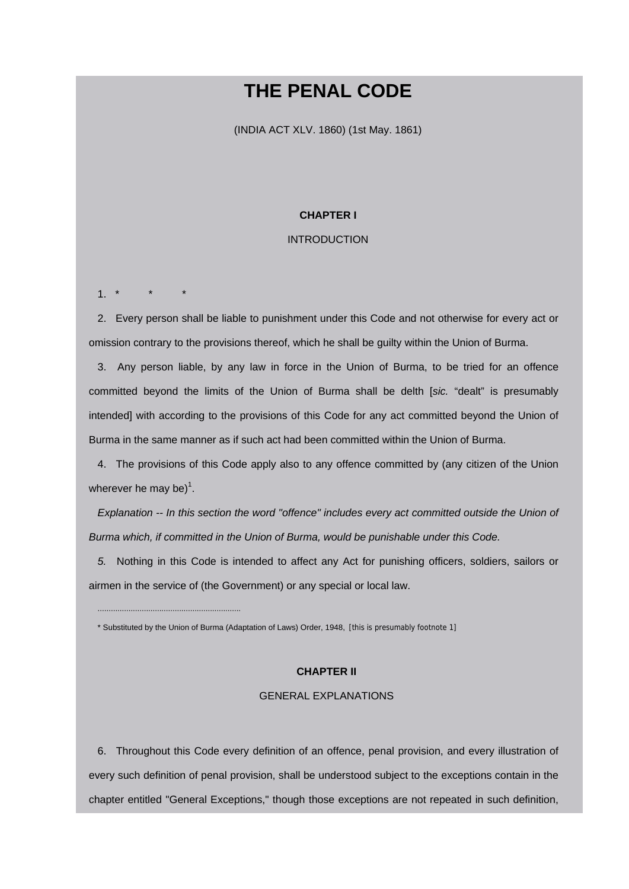# **THE PENAL CODE**

(INDIA ACT XLV. 1860) (1st May. 1861)

## **CHAPTER I**

## INTRODUCTION

 $1.$  \*

2. Every person shall be liable to punishment under this Code and not otherwise for every act or omission contrary to the provisions thereof, which he shall be guilty within the Union of Burma.

3. Any person liable, by any law in force in the Union of Burma, to be tried for an offence committed beyond the limits of the Union of Burma shall be delth [*sic.* "dealt" is presumably intended] with according to the provisions of this Code for any act committed beyond the Union of Burma in the same manner as if such act had been committed within the Union of Burma.

4. The provisions of this Code apply also to any offence committed by (any citizen of the Union wherever he may be) $1$ .

*Explanation -- In this section the word "offence" includes every act committed outside the Union of Burma which, if committed in the Union of Burma, would be punishable under this Code.* 

*5.* Nothing in this Code is intended to affect any Act for punishing officers, soldiers, sailors or airmen in the service of (the Government) or any special or local law.

\* Substituted by the Union of Burma (Adaptation of Laws) Order, 1948, [this is presumably footnote 1]

.................................................................

## **CHAPTER II**

## GENERAL EXPLANATIONS

6. Throughout this Code every definition of an offence, penal provision, and every illustration of every such definition of penal provision, shall be understood subject to the exceptions contain in the chapter entitled "General Exceptions," though those exceptions are not repeated in such definition,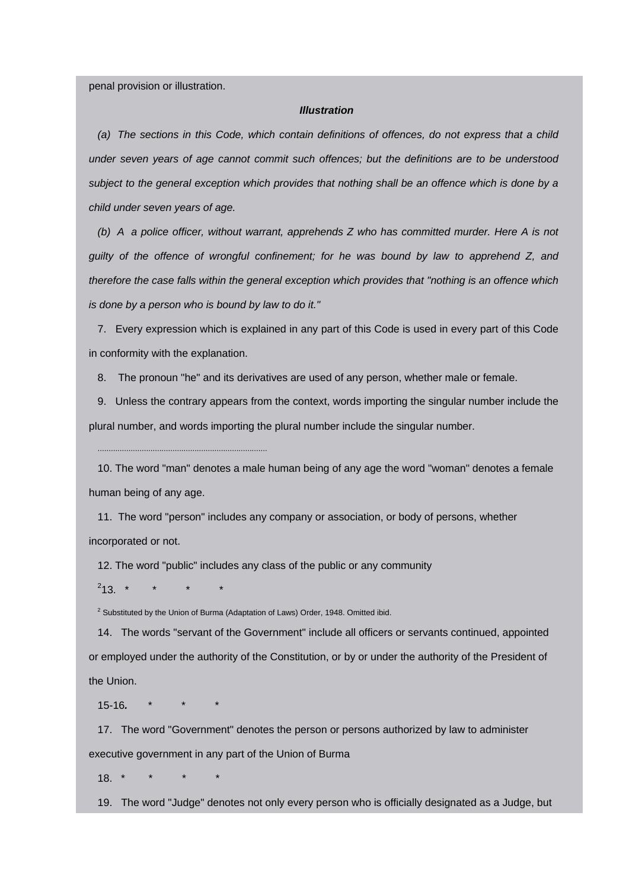penal provision or illustration.

#### *Illustration*

*(a) The sections in this Code, which contain definitions of offences, do not express that a child under seven years of age cannot commit such offences; but the definitions are to be understood subject to the general exception which provides that nothing shall be an offence which is done by a child under seven years of age.* 

*(b) A a police officer, without warrant, apprehends Z who has committed murder. Here A is not guilty of the offence of wrongful confinement; for he was bound by law to apprehend Z, and therefore the case falls within the general exception which provides that "nothing is an offence which is done by a person who is bound by law to do it."*

7. Every expression which is explained in any part of this Code is used in every part of this Code in conformity with the explanation.

8. The pronoun "he" and its derivatives are used of any person, whether male or female.

9. Unless the contrary appears from the context, words importing the singular number include the plural number, and words importing the plural number include the singular number.

10. The word "man" denotes a male human being of any age the word "woman" denotes a female human being of any age.

11. The word "person" includes any company or association, or body of persons, whether incorporated or not.

12. The word "public" includes any class of the public or any community

 $^{2}$ 13. \* \* \* \* \*

.............................................................................

 $2$  Substituted by the Union of Burma (Adaptation of Laws) Order, 1948. Omitted ibid.

14. The words "servant of the Government" include all officers or servants continued, appointed or employed under the authority of the Constitution, or by or under the authority of the President of the Union.

15-16.

17. The word "Government" denotes the person or persons authorized by law to administer executive government in any part of the Union of Burma

 $18. *$ 

19. The word "Judge" denotes not only every person who is officially designated as a Judge, but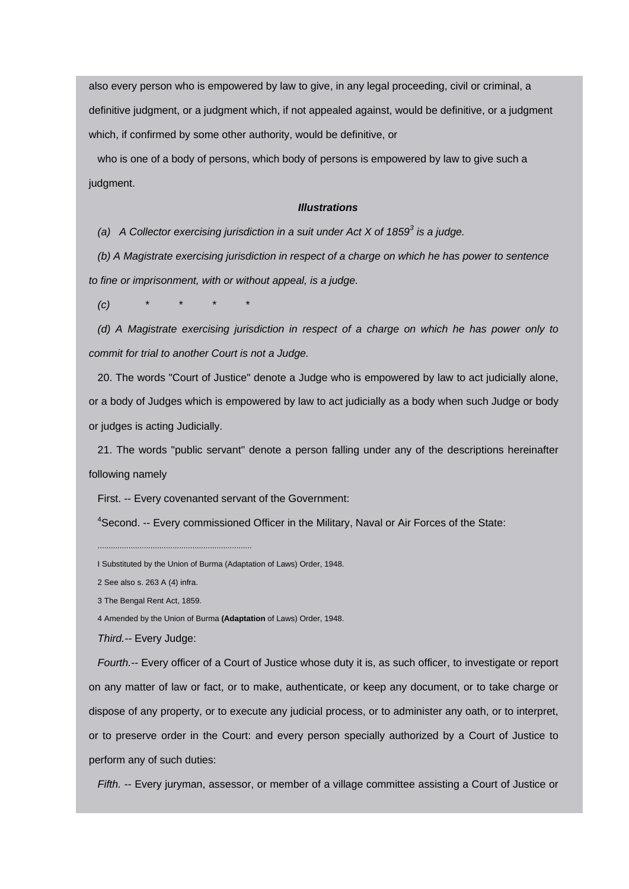also every person who is empowered by law to give, in any legal proceeding, civil or criminal, a definitive judgment, or a judgment which, if not appealed against, would be definitive, or a judgment which, if confirmed by some other authority, would be definitive, or

who is one of a body of persons, which body of persons is empowered by law to give such a judgment.

#### *Illustrations*

*(a) A Collector exercising jurisdiction in a suit under Act X of 1859<sup>3</sup> is a judge.*

*(b) A Magistrate exercising jurisdiction in respect of a charge on which he has power to sentence to fine or imprisonment, with or without appeal, is a judge.*

*(c) \* \* \* \**

*(d) A Magistrate exercising jurisdiction in respect of a charge on which he has power only to commit for trial to another Court is not a Judge.*

20. The words "Court of Justice" denote a Judge who is empowered by law to act judicially alone, or a body of Judges which is empowered by law to act judicially as a body when such Judge or body or judges is acting Judicially.

21. The words "public servant" denote a person falling under any of the descriptions hereinafter following namely

First. -- Every covenanted servant of the Government:

<sup>4</sup>Second. -- Every commissioned Officer in the Military, Naval or Air Forces of the State:

......................................................................

4 Amended by the Union of Burma **(Adaptation** of Laws) Order, 1948.

*Third.--* Every Judge:

*Fourth.--* Every officer of a Court of Justice whose duty it is, as such officer, to investigate or report on any matter of law or fact, or to make, authenticate, or keep any document, or to take charge or dispose of any property, or to execute any judicial process, or to administer any oath, or to interpret, or to preserve order in the Court: and every person specially authorized by a Court of Justice to perform any of such duties:

*Fifth.* -- Every juryman, assessor, or member of a village committee assisting a Court of Justice or

I Substituted by the Union of Burma (Adaptation of Laws) Order, 1948.

<sup>2</sup> See also s. 263 A (4) infra.

<sup>3</sup> The Bengal Rent Act, 1859.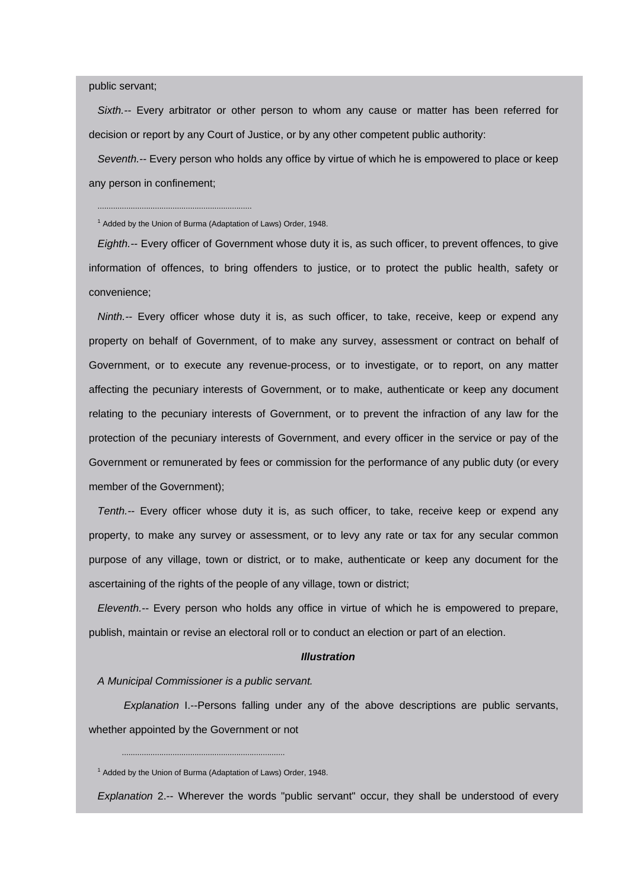public servant;

*Sixth.--* Every arbitrator or other person to whom any cause or matter has been referred for decision or report by any Court of Justice, or by any other competent public authority:

*Seventh.--* Every person who holds any office by virtue of which he is empowered to place or keep any person in confinement;

<sup>1</sup> Added by the Union of Burma (Adaptation of Laws) Order, 1948.

......................................................................

*Eighth.--* Every officer of Government whose duty it is, as such officer, to prevent offences, to give information of offences, to bring offenders to justice, or to protect the public health, safety or convenience;

*Ninth.--* Every officer whose duty it is, as such officer, to take, receive, keep or expend any property on behalf of Government, of to make any survey, assessment or contract on behalf of Government, or to execute any revenue-process, or to investigate, or to report, on any matter affecting the pecuniary interests of Government, or to make, authenticate or keep any document relating to the pecuniary interests of Government, or to prevent the infraction of any law for the protection of the pecuniary interests of Government, and every officer in the service or pay of the Government or remunerated by fees or commission for the performance of any public duty (or every member of the Government);

*Tenth.--* Every officer whose duty it is, as such officer, to take, receive keep or expend any property, to make any survey or assessment, or to levy any rate or tax for any secular common purpose of any village, town or district, or to make, authenticate or keep any document for the ascertaining of the rights of the people of any village, town or district;

*Eleventh.--* Every person who holds any office in virtue of which he is empowered to prepare, publish, maintain or revise an electoral roll or to conduct an election or part of an election.

#### *Illustration*

#### *A Municipal Commissioner is a public servant.*

 *Explanation* I.--Persons falling under any of the above descriptions are public servants, whether appointed by the Government or not

..........................................................................

*Explanation* 2.-- Wherever the words "public servant" occur, they shall be understood of every

<sup>&</sup>lt;sup>1</sup> Added by the Union of Burma (Adaptation of Laws) Order, 1948.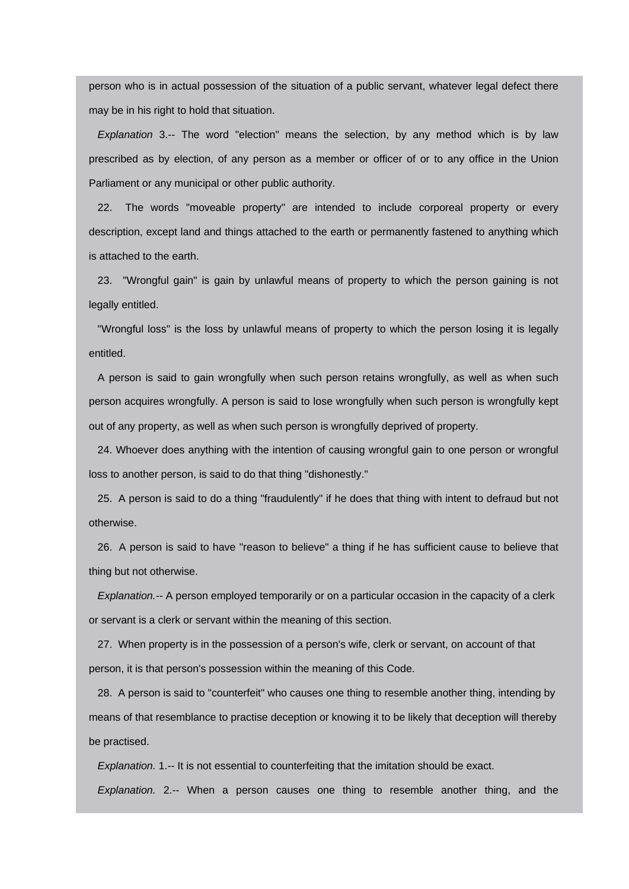person who is in actual possession of the situation of a public servant, whatever legal defect there may be in his right to hold that situation.

*Explanation* 3.-- The word "election" means the selection, by any method which is by law prescribed as by election, of any person as a member or officer of or to any office in the Union Parliament or any municipal or other public authority.

22. The words "moveable property" are intended to include corporeal property or every description, except land and things attached to the earth or permanently fastened to anything which is attached to the earth.

23. "Wrongful gain" is gain by unlawful means of property to which the person gaining is not legally entitled.

"Wrongful loss" is the loss by unlawful means of property to which the person losing it is legally entitled.

A person is said to gain wrongfully when such person retains wrongfully, as well as when such person acquires wrongfully. A person is said to lose wrongfully when such person is wrongfully kept out of any property, as well as when such person is wrongfully deprived of property.

24. Whoever does anything with the intention of causing wrongful gain to one person or wrongful loss to another person, is said to do that thing "dishonestly."

25. A person is said to do a thing "fraudulently" if he does that thing with intent to defraud but not otherwise.

26. A person is said to have "reason to believe" a thing if he has sufficient cause to believe that thing but not otherwise.

*Explanation.--* A person employed temporarily or on a particular occasion in the capacity of a clerk or servant is a clerk or servant within the meaning of this section.

27. When property is in the possession of a person's wife, clerk or servant, on account of that person, it is that person's possession within the meaning of this Code.

28. A person is said to "counterfeit" who causes one thing to resemble another thing, intending by means of that resemblance to practise deception or knowing it to be likely that deception will thereby be practised.

*Explanation.* 1.-- It is not essential to counterfeiting that the imitation should be exact.

*Explanation.* 2.-- When a person causes one thing to resemble another thing, and the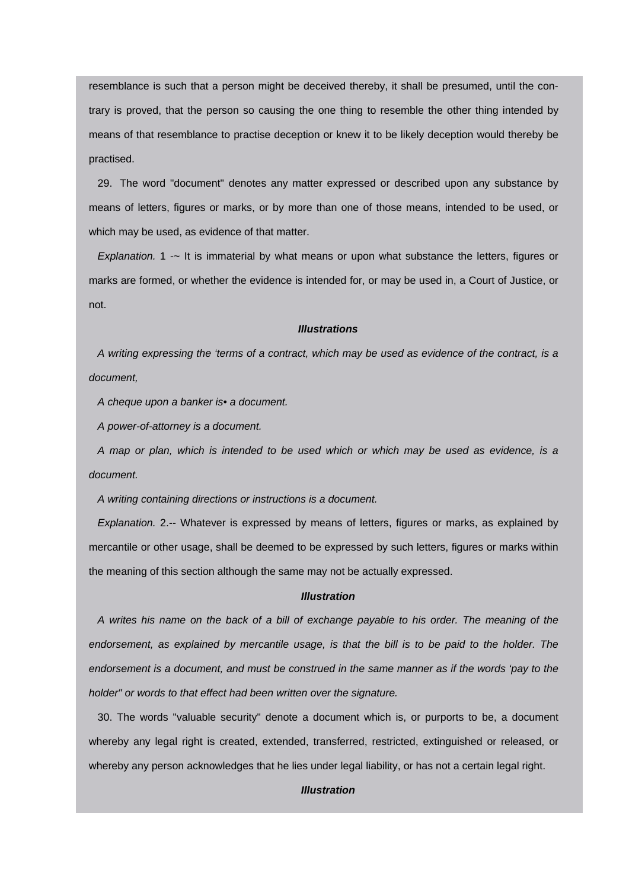resemblance is such that a person might be deceived thereby, it shall be presumed, until the contrary is proved, that the person so causing the one thing to resemble the other thing intended by means of that resemblance to practise deception or knew it to be likely deception would thereby be practised.

29. The word "document" denotes any matter expressed or described upon any substance by means of letters, figures or marks, or by more than one of those means, intended to be used, or which may be used, as evidence of that matter.

*Explanation.* 1 -~ It is immaterial by what means or upon what substance the letters, figures or marks are formed, or whether the evidence is intended for, or may be used in, a Court of Justice, or not.

#### *Illustrations*

*A writing expressing the 'terms of a contract, which may be used as evidence of the contract, is a document,*

*A cheque upon a banker is• a document.*

*A power-of-attorney is a document.*

*A map or plan, which is intended to be used which or which may be used as evidence, is a document.*

*A writing containing directions or instructions is a document.*

*Explanation.* 2.-- Whatever is expressed by means of letters, figures or marks, as explained by mercantile or other usage, shall be deemed to be expressed by such letters, figures or marks within the meaning of this section although the same may not be actually expressed.

## *Illustration*

*A writes his name on the back of a bill of exchange payable to his order. The meaning of the endorsement, as explained by mercantile usage, is that the bill is to be paid to the holder. The endorsement is a document, and must be construed in the same manner as if the words 'pay to the holder" or words to that effect had been written over the signature.*

30. The words "valuable security" denote a document which is, or purports to be, a document whereby any legal right is created, extended, transferred, restricted, extinguished or released, or whereby any person acknowledges that he lies under legal liability, or has not a certain legal right.

## *Illustration*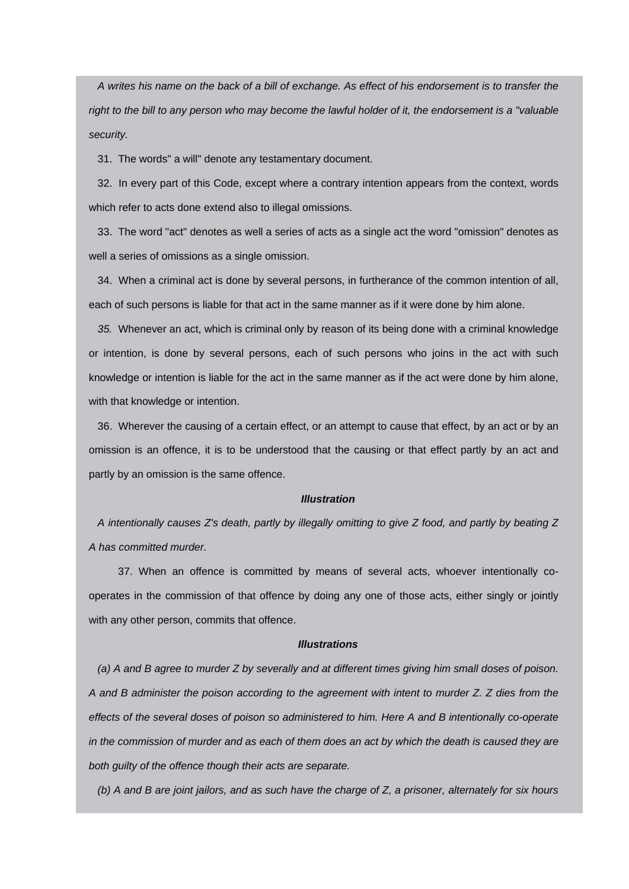*A writes his name on the back of a bill of exchange. As effect of his endorsement is to transfer the right to the bill to any person who may become the lawful holder of it, the endorsement is a "valuable security.*

31. The words" a will" denote any testamentary document.

32. In every part of this Code, except where a contrary intention appears from the context, words which refer to acts done extend also to illegal omissions.

33. The word "act" denotes as well a series of acts as a single act the word "omission" denotes as well a series of omissions as a single omission.

34. When a criminal act is done by several persons, in furtherance of the common intention of all, each of such persons is liable for that act in the same manner as if it were done by him alone.

*35.* Whenever an act, which is criminal only by reason of its being done with a criminal knowledge or intention, is done by several persons, each of such persons who joins in the act with such knowledge or intention is liable for the act in the same manner as if the act were done by him alone, with that knowledge or intention.

36. Wherever the causing of a certain effect, or an attempt to cause that effect, by an act or by an omission is an offence, it is to be understood that the causing or that effect partly by an act and partly by an omission is the same offence.

## *Illustration*

*A intentionally causes Z's death, partly by illegally omitting to give Z food, and partly by beating Z A has committed murder.*

37. When an offence is committed by means of several acts, whoever intentionally cooperates in the commission of that offence by doing any one of those acts, either singly or jointly with any other person, commits that offence.

## *Illustrations*

*(a) A and B agree to murder Z by severally and at different times giving him small doses of poison. A and B administer the poison according to the agreement with intent to murder Z. Z dies from the effects of the several doses of poison so administered to him. Here A and B intentionally co-operate in the commission of murder and as each of them does an act by which the death is caused they are both guilty of the offence though their acts are separate.*

*(b) A and B are joint jailors, and as such have the charge of Z, a prisoner, alternately for six hours*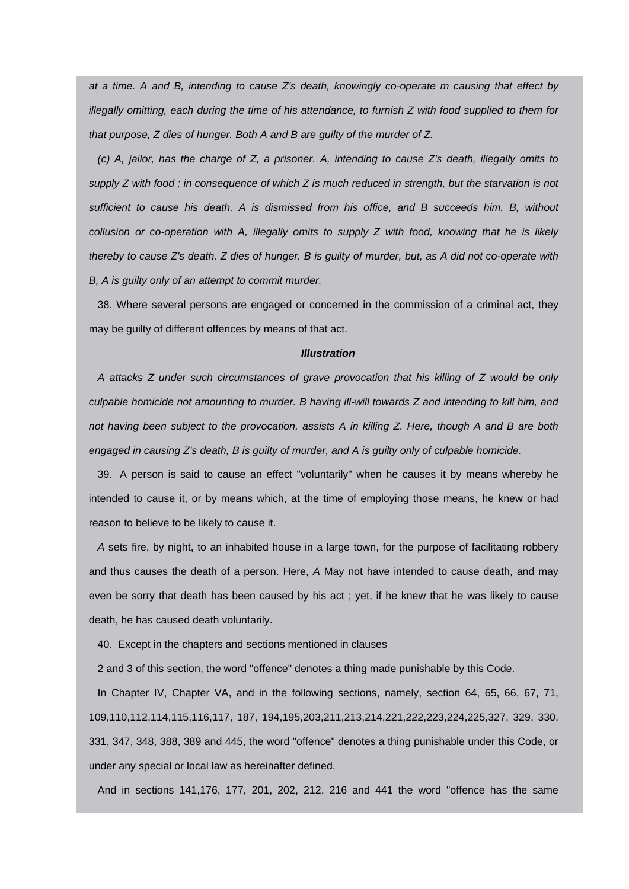*at a time. A and B, intending to cause Z's death, knowingly co-operate m causing that effect by illegally omitting, each during the time of his attendance, to furnish Z with food supplied to them for that purpose, Z dies of hunger. Both A and B are guilty of the murder of Z.*

*(c) A, jailor, has the charge of Z, a prisoner. A, intending to cause Z's death, illegally omits to supply Z with food ; in consequence of which Z is much reduced in strength, but the starvation is not sufficient to cause his death. A is dismissed from his office, and B succeeds him. B, without collusion or co-operation with A, illegally omits to supply Z with food, knowing that he is likely thereby to cause Z's death. Z dies of hunger. B is guilty of murder, but, as A did not co-operate with B, A is guilty only of an attempt to commit murder.*

38. Where several persons are engaged or concerned in the commission of a criminal act, they may be guilty of different offences by means of that act.

## *Illustration*

*A attacks Z under such circumstances of grave provocation that his killing of Z would be only culpable homicide not amounting to murder. B having ill-will towards Z and intending to kill him, and not having been subject to the provocation, assists A in killing Z. Here, though A and B are both engaged in causing Z's death, B is guilty of murder, and A is guilty only of culpable homicide.*

39. A person is said to cause an effect "voluntarily" when he causes it by means whereby he intended to cause it, or by means which, at the time of employing those means, he knew or had reason to believe to be likely to cause it.

*A* sets fire, by night, to an inhabited house in a large town, for the purpose of facilitating robbery and thus causes the death of a person. Here, *A* May not have intended to cause death, and may even be sorry that death has been caused by his act ; yet, if he knew that he was likely to cause death, he has caused death voluntarily.

40. Except in the chapters and sections mentioned in clauses

2 and 3 of this section, the word "offence" denotes a thing made punishable by this Code.

In Chapter IV, Chapter VA, and in the following sections, namely, section 64, 65, 66, 67, 71, 109,110,112,114,115,116,117, 187, 194,195,203,211,213,214,221,222,223,224,225,327, 329, 330, 331, 347, 348, 388, 389 and 445, the word "offence" denotes a thing punishable under this Code, or under any special or local law as hereinafter defined.

And in sections 141,176, 177, 201, 202, 212, 216 and 441 the word "offence has the same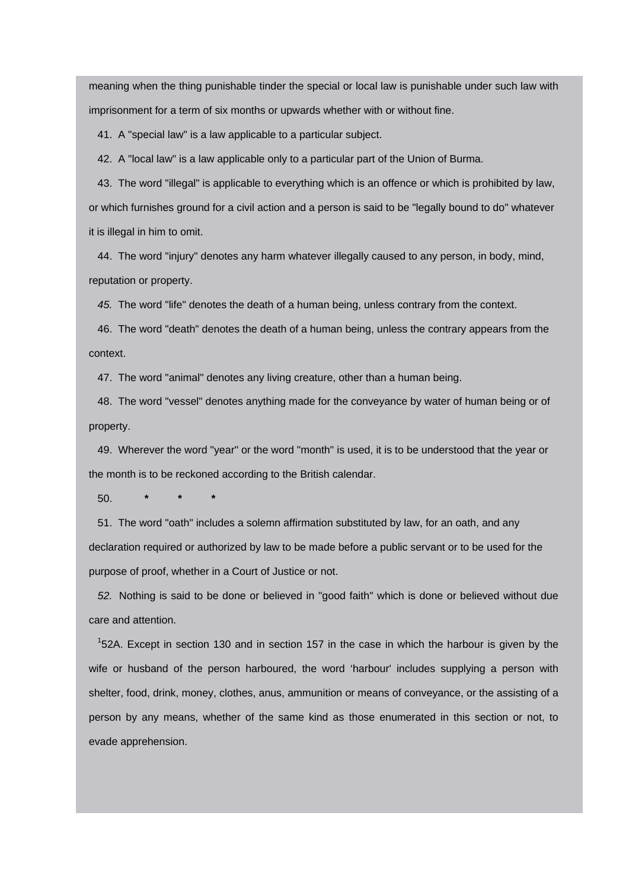meaning when the thing punishable tinder the special or local law is punishable under such law with imprisonment for a term of six months or upwards whether with or without fine.

41. A "special law" is a law applicable to a particular subject.

42. A "local law" is a law applicable only to a particular part of the Union of Burma.

43. The word "illegal" is applicable to everything which is an offence or which is prohibited by law, or which furnishes ground for a civil action and a person is said to be "legally bound to do" whatever it is illegal in him to omit.

44. The word "injury" denotes any harm whatever illegally caused to any person, in body, mind, reputation or property.

*45.* The word "life" denotes the death of a human being, unless contrary from the context.

46. The word "death" denotes the death of a human being, unless the contrary appears from the context.

47. The word "animal" denotes any living creature, other than a human being.

48. The word "vessel" denotes anything made for the conveyance by water of human being or of property.

49. Wherever the word "year" or the word "month" is used, it is to be understood that the year or the month is to be reckoned according to the British calendar.

50. **\* \* \***

51. The word "oath" includes a solemn affirmation substituted by law, for an oath, and any declaration required or authorized by law to be made before a public servant or to be used for the purpose of proof, whether in a Court of Justice or not.

*52.* Nothing is said to be done or believed in "good faith" which is done or believed without due care and attention.

 $152A$ . Except in section 130 and in section 157 in the case in which the harbour is given by the wife or husband of the person harboured, the word 'harbour' includes supplying a person with shelter, food, drink, money, clothes, anus, ammunition or means of conveyance, or the assisting of a person by any means, whether of the same kind as those enumerated in this section or not, to evade apprehension.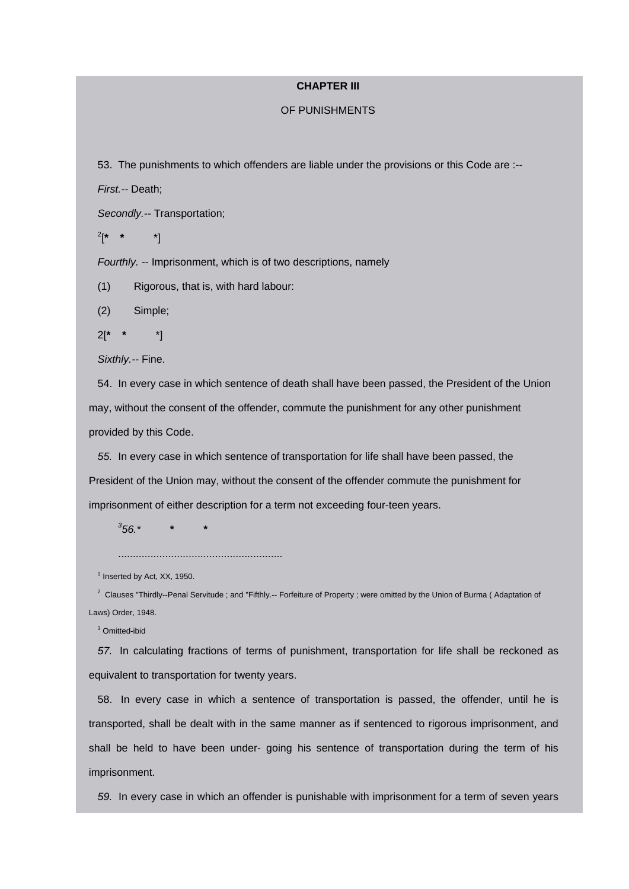## **CHAPTER III**

## OF PUNISHMENTS

53. The punishments to which offenders are liable under the provisions or this Code are :--

*First.--* Death;

*Secondly.--* Transportation;

2 [**\* \*** \*]

*Fourthly.* -- Imprisonment, which is of two descriptions, namely

(1) Rigorous, that is, with hard labour:

(2) Simple;

2[**\* \*** \*]

*Sixthly.--* Fine.

54. In every case in which sentence of death shall have been passed, the President of the Union may, without the consent of the offender, commute the punishment for any other punishment provided by this Code.

*55.* In every case in which sentence of transportation for life shall have been passed, the President of the Union may, without the consent of the offender commute the punishment for imprisonment of either description for a term not exceeding four-teen years.

 *<sup>3</sup> 56.\** **\* \***

........................................................

 $<sup>1</sup>$  Inserted by Act, XX, 1950.</sup>

 $^2$  Clauses "Thirdly--Penal Servitude ; and "Fifthly.-- Forfeiture of Property ; were omitted by the Union of Burma (Adaptation of Laws) Order, 1948.

<sup>3</sup> Omitted-ibid

*57.* In calculating fractions of terms of punishment, transportation for life shall be reckoned as equivalent to transportation for twenty years.

58. In every case in which a sentence of transportation is passed, the offender, until he is transported, shall be dealt with in the same manner as if sentenced to rigorous imprisonment, and shall be held to have been under- going his sentence of transportation during the term of his imprisonment.

*59.* In every case in which an offender is punishable with imprisonment for a term of seven years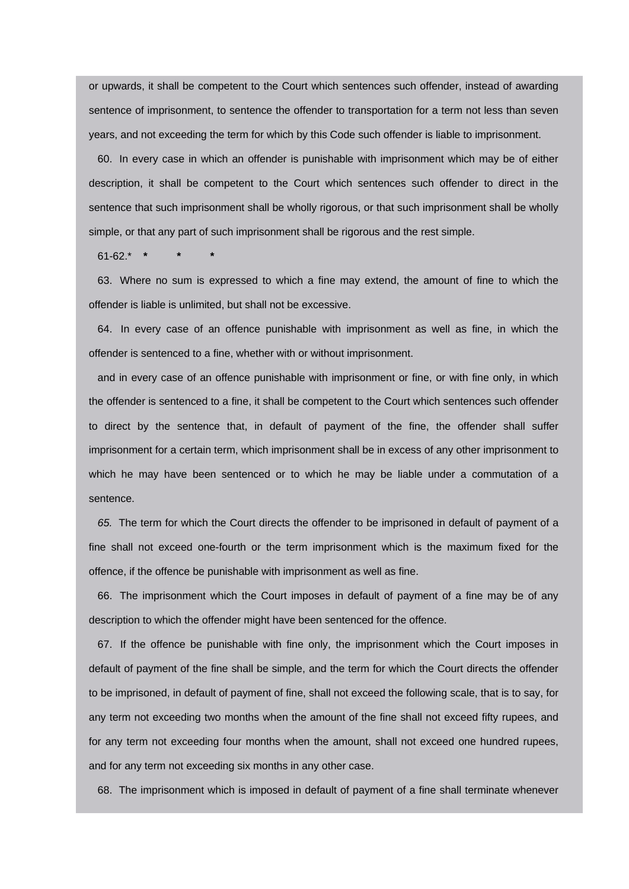or upwards, it shall be competent to the Court which sentences such offender, instead of awarding sentence of imprisonment, to sentence the offender to transportation for a term not less than seven years, and not exceeding the term for which by this Code such offender is liable to imprisonment.

60. In every case in which an offender is punishable with imprisonment which may be of either description, it shall be competent to the Court which sentences such offender to direct in the sentence that such imprisonment shall be wholly rigorous, or that such imprisonment shall be wholly simple, or that any part of such imprisonment shall be rigorous and the rest simple.

61-62.\* **\* \* \***

63. Where no sum is expressed to which a fine may extend, the amount of fine to which the offender is liable is unlimited, but shall not be excessive.

64. In every case of an offence punishable with imprisonment as well as fine, in which the offender is sentenced to a fine, whether with or without imprisonment.

and in every case of an offence punishable with imprisonment or fine, or with fine only, in which the offender is sentenced to a fine, it shall be competent to the Court which sentences such offender to direct by the sentence that, in default of payment of the fine, the offender shall suffer imprisonment for a certain term, which imprisonment shall be in excess of any other imprisonment to which he may have been sentenced or to which he may be liable under a commutation of a sentence.

*65.* The term for which the Court directs the offender to be imprisoned in default of payment of a fine shall not exceed one-fourth or the term imprisonment which is the maximum fixed for the offence, if the offence be punishable with imprisonment as well as fine.

66. The imprisonment which the Court imposes in default of payment of a fine may be of any description to which the offender might have been sentenced for the offence.

67. If the offence be punishable with fine only, the imprisonment which the Court imposes in default of payment of the fine shall be simple, and the term for which the Court directs the offender to be imprisoned, in default of payment of fine, shall not exceed the following scale, that is to say, for any term not exceeding two months when the amount of the fine shall not exceed fifty rupees, and for any term not exceeding four months when the amount, shall not exceed one hundred rupees, and for any term not exceeding six months in any other case.

68. The imprisonment which is imposed in default of payment of a fine shall terminate whenever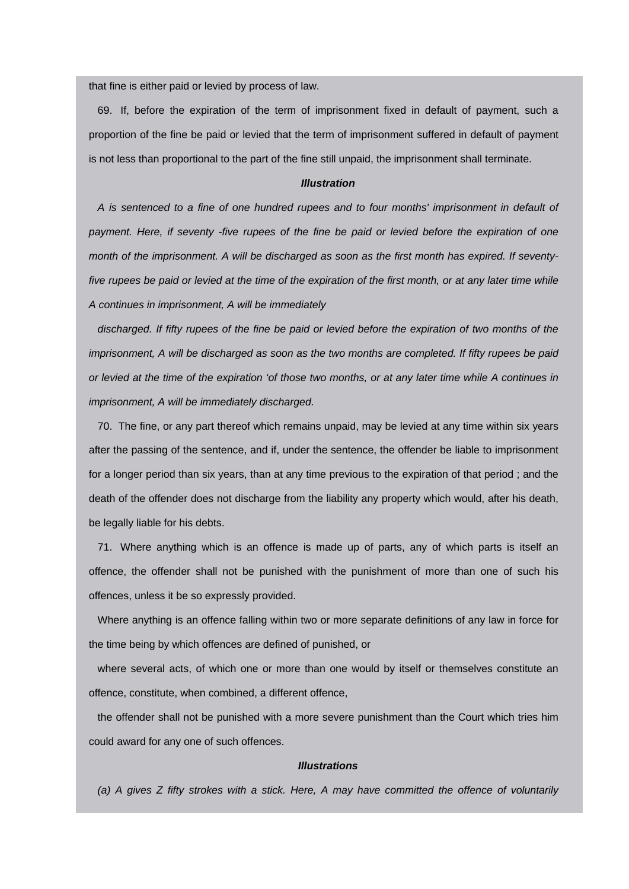that fine is either paid or levied by process of law.

69. If, before the expiration of the term of imprisonment fixed in default of payment, such a proportion of the fine be paid or levied that the term of imprisonment suffered in default of payment is not less than proportional to the part of the fine still unpaid, the imprisonment shall terminate.

#### *Illustration*

*A is sentenced to a fine of one hundred rupees and to four months' imprisonment in default of*  payment. Here, if seventy -five rupees of the fine be paid or levied before the expiration of one *month of the imprisonment. A will be discharged as soon as the first month has expired. If seventyfive rupees be paid or levied at the time of the expiration of the first month, or at any later time while A continues in imprisonment, A will be immediately*

*discharged. If fifty rupees of the fine be paid or levied before the expiration of two months of the imprisonment, A will be discharged as soon as the two months are completed. If fifty rupees be paid or levied at the time of the expiration 'of those two months, or at any later time while A continues in imprisonment, A will be immediately discharged.*

70. The fine, or any part thereof which remains unpaid, may be levied at any time within six years after the passing of the sentence, and if, under the sentence, the offender be liable to imprisonment for a longer period than six years, than at any time previous to the expiration of that period ; and the death of the offender does not discharge from the liability any property which would, after his death, be legally liable for his debts.

71. Where anything which is an offence is made up of parts, any of which parts is itself an offence, the offender shall not be punished with the punishment of more than one of such his offences, unless it be so expressly provided.

Where anything is an offence falling within two or more separate definitions of any law in force for the time being by which offences are defined of punished, or

where several acts, of which one or more than one would by itself or themselves constitute an offence, constitute, when combined, a different offence,

the offender shall not be punished with a more severe punishment than the Court which tries him could award for any one of such offences.

## *Illustrations*

*(a) A gives Z fifty strokes with a stick. Here, A may have committed the offence of voluntarily*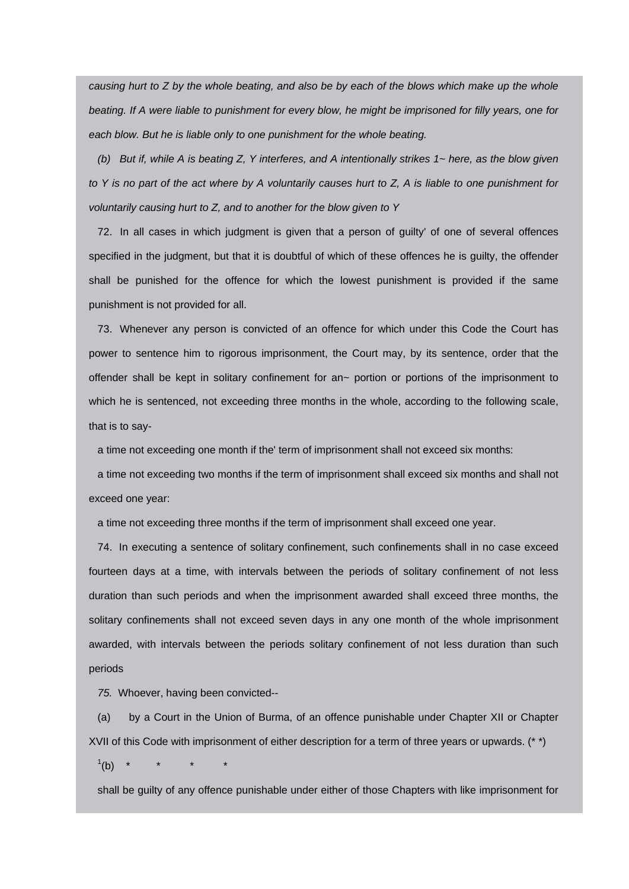*causing hurt to Z by the whole beating, and also be by each of the blows which make up the whole* beating. If A were liable to punishment for every blow, he might be imprisoned for filly years, one for *each blow. But he is liable only to one punishment for the whole beating.*

*(b) But if, while A is beating Z, Y interferes, and A intentionally strikes 1~ here, as the blow given to Y is no part of the act where by A voluntarily causes hurt to Z, A is liable to one punishment for voluntarily causing hurt to Z, and to another for the blow given to Y*

72. In all cases in which judgment is given that a person of guilty' of one of several offences specified in the judgment, but that it is doubtful of which of these offences he is guilty, the offender shall be punished for the offence for which the lowest punishment is provided if the same punishment is not provided for all.

73. Whenever any person is convicted of an offence for which under this Code the Court has power to sentence him to rigorous imprisonment, the Court may, by its sentence, order that the offender shall be kept in solitary confinement for an~ portion or portions of the imprisonment to which he is sentenced, not exceeding three months in the whole, according to the following scale, that is to say-

a time not exceeding one month if the' term of imprisonment shall not exceed six months:

a time not exceeding two months if the term of imprisonment shall exceed six months and shall not exceed one year:

a time not exceeding three months if the term of imprisonment shall exceed one year.

74. In executing a sentence of solitary confinement, such confinements shall in no case exceed fourteen days at a time, with intervals between the periods of solitary confinement of not less duration than such periods and when the imprisonment awarded shall exceed three months, the solitary confinements shall not exceed seven days in any one month of the whole imprisonment awarded, with intervals between the periods solitary confinement of not less duration than such periods

*75.* Whoever, having been convicted--

(a) by a Court in the Union of Burma, of an offence punishable under Chapter XII or Chapter XVII of this Code with imprisonment of either description for a term of three years or upwards. (\* \*)

 $(1<sup>1</sup>)$ (b) \* \* \* \*

shall be guilty of any offence punishable under either of those Chapters with like imprisonment for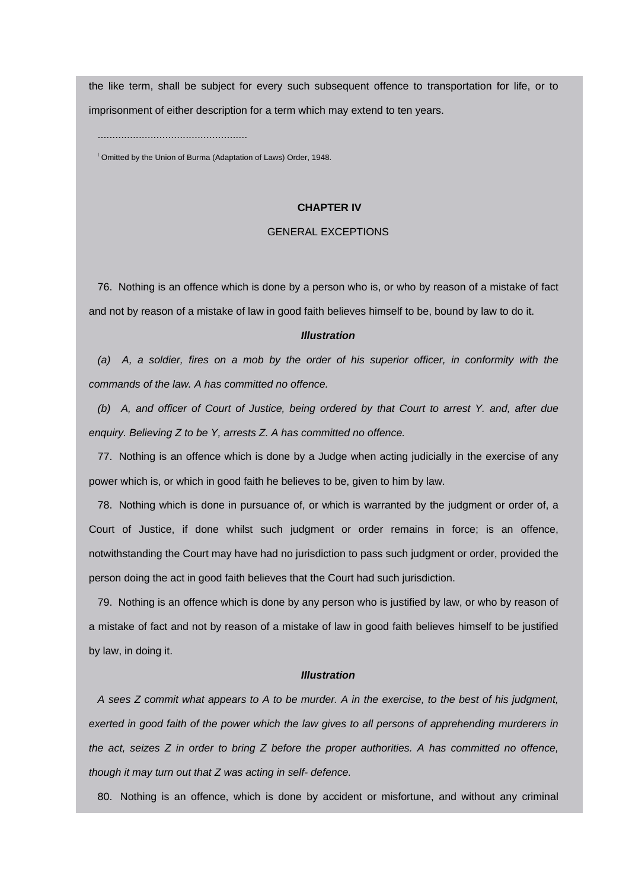the like term, shall be subject for every such subsequent offence to transportation for life, or to imprisonment of either description for a term which may extend to ten years.

...................................................

<sup>I</sup> Omitted by the Union of Burma (Adaptation of Laws) Order, 1948.

#### **CHAPTER IV**

## GENERAL EXCEPTIONS

76. Nothing is an offence which is done by a person who is, or who by reason of a mistake of fact and not by reason of a mistake of law in good faith believes himself to be, bound by law to do it.

#### *Illustration*

*(a) A, a soldier, fires on a mob by the order of his superior officer, in conformity with the commands of the law. A has committed no offence.*

*(b) A, and officer of Court of Justice, being ordered by that Court to arrest Y. and, after due enquiry. Believing Z to be Y, arrests Z. A has committed no offence.*

77. Nothing is an offence which is done by a Judge when acting judicially in the exercise of any power which is, or which in good faith he believes to be, given to him by law.

78. Nothing which is done in pursuance of, or which is warranted by the judgment or order of, a Court of Justice, if done whilst such judgment or order remains in force; is an offence, notwithstanding the Court may have had no jurisdiction to pass such judgment or order, provided the person doing the act in good faith believes that the Court had such jurisdiction.

79. Nothing is an offence which is done by any person who is justified by law, or who by reason of a mistake of fact and not by reason of a mistake of law in good faith believes himself to be justified by law, in doing it.

#### *Illustration*

*A sees Z commit what appears to A to be murder. A in the exercise, to the best of his judgment, exerted in good faith of the power which the law gives to all persons of apprehending murderers in the act, seizes Z in order to bring Z before the proper authorities. A has committed no offence, though it may turn out that Z was acting in self- defence.*

80. Nothing is an offence, which is done by accident or misfortune, and without any criminal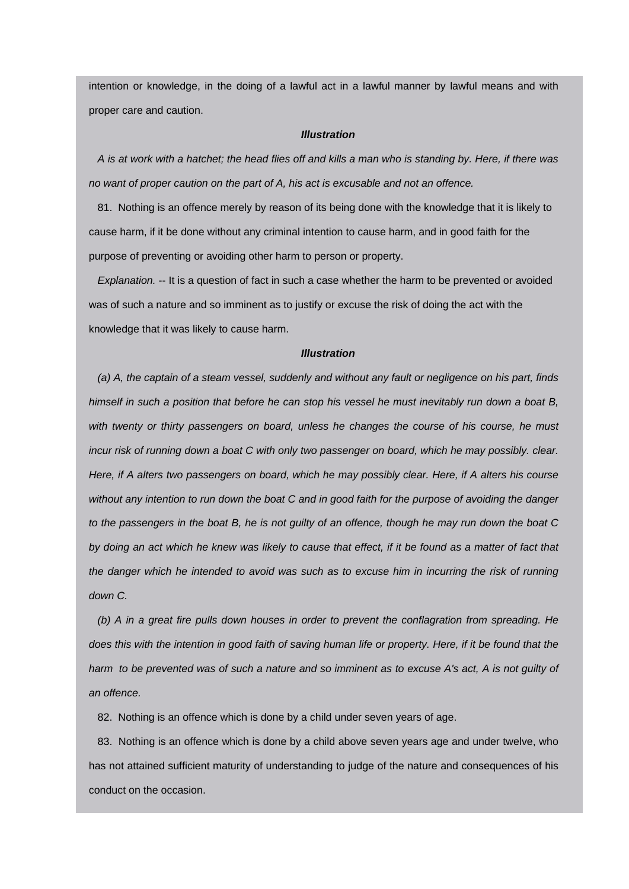intention or knowledge, in the doing of a lawful act in a lawful manner by lawful means and with proper care and caution.

#### *Illustration*

*A is at work with a hatchet; the head flies off and kills a man who is standing by. Here, if there was no want of proper caution on the part of A, his act is excusable and not an offence.*

81. Nothing is an offence merely by reason of its being done with the knowledge that it is likely to cause harm, if it be done without any criminal intention to cause harm, and in good faith for the purpose of preventing or avoiding other harm to person or property.

*Explanation.* -- It is a question of fact in such a case whether the harm to be prevented or avoided was of such a nature and so imminent as to justify or excuse the risk of doing the act with the knowledge that it was likely to cause harm.

## *Illustration*

*(a) A, the captain of a steam vessel, suddenly and without any fault or negligence on his part, finds himself in such a position that before he can stop his vessel he must inevitably run down a boat B, with twenty or thirty passengers on board, unless he changes the course of his course, he must incur risk of running down a boat C with only two passenger on board, which he may possibly. clear. Here, if A alters two passengers on board, which he may possibly clear. Here, if A alters his course without any intention to run down the boat C and in good faith for the purpose of avoiding the danger to the passengers in the boat B, he is not guilty of an offence, though he may run down the boat C by doing an act which he knew was likely to cause that effect, if it be found as a matter of fact that the danger which he intended to avoid was such as to excuse him in incurring the risk of running down C.*

*(b) A in a great fire pulls down houses in order to prevent the conflagration from spreading. He*  does this with the intention in good faith of saving human life or property. Here, if it be found that the *harm to be prevented was of such a nature and so imminent as to excuse A's act, A is not guilty of an offence.*

82. Nothing is an offence which is done by a child under seven years of age.

83. Nothing is an offence which is done by a child above seven years age and under twelve, who has not attained sufficient maturity of understanding to judge of the nature and consequences of his conduct on the occasion.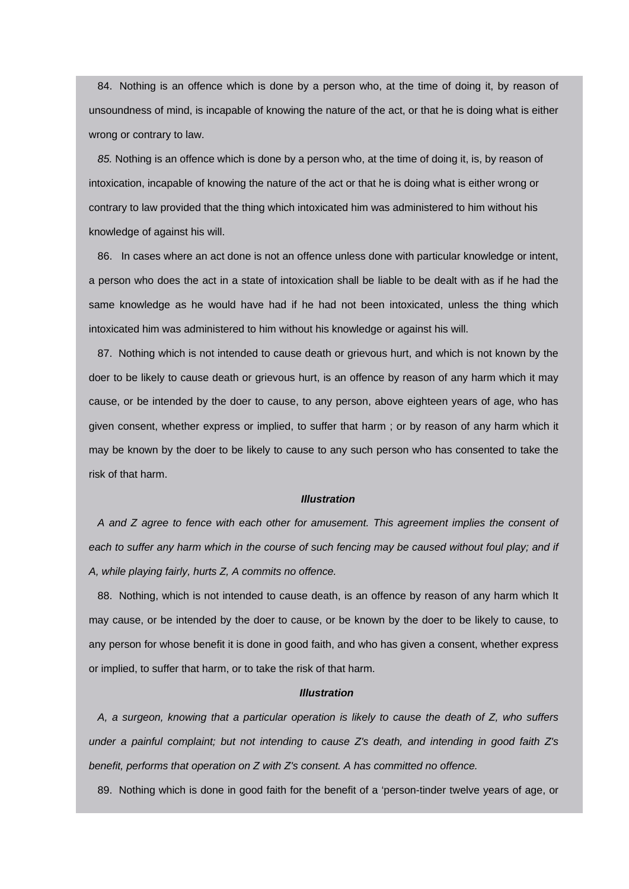84. Nothing is an offence which is done by a person who, at the time of doing it, by reason of unsoundness of mind, is incapable of knowing the nature of the act, or that he is doing what is either wrong or contrary to law.

*85.* Nothing is an offence which is done by a person who, at the time of doing it, is, by reason of intoxication, incapable of knowing the nature of the act or that he is doing what is either wrong or contrary to law provided that the thing which intoxicated him was administered to him without his knowledge of against his will.

86. In cases where an act done is not an offence unless done with particular knowledge or intent, a person who does the act in a state of intoxication shall be liable to be dealt with as if he had the same knowledge as he would have had if he had not been intoxicated, unless the thing which intoxicated him was administered to him without his knowledge or against his will.

87. Nothing which is not intended to cause death or grievous hurt, and which is not known by the doer to be likely to cause death or grievous hurt, is an offence by reason of any harm which it may cause, or be intended by the doer to cause, to any person, above eighteen years of age, who has given consent, whether express or implied, to suffer that harm ; or by reason of any harm which it may be known by the doer to be likely to cause to any such person who has consented to take the risk of that harm.

### *Illustration*

*A and Z agree to fence with each other for amusement. This agreement implies the consent of*  each to suffer any harm which in the course of such fencing may be caused without foul play; and if *A, while playing fairly, hurts Z, A commits no offence.*

88. Nothing, which is not intended to cause death, is an offence by reason of any harm which It may cause, or be intended by the doer to cause, or be known by the doer to be likely to cause, to any person for whose benefit it is done in good faith, and who has given a consent, whether express or implied, to suffer that harm, or to take the risk of that harm.

### *Illustration*

*A, a surgeon, knowing that a particular operation is likely to cause the death of Z, who suffers under a painful complaint; but not intending to cause Z's death, and intending in good faith Z's benefit, performs that operation on Z with Z's consent. A has committed no offence.*

89. Nothing which is done in good faith for the benefit of a 'person-tinder twelve years of age, or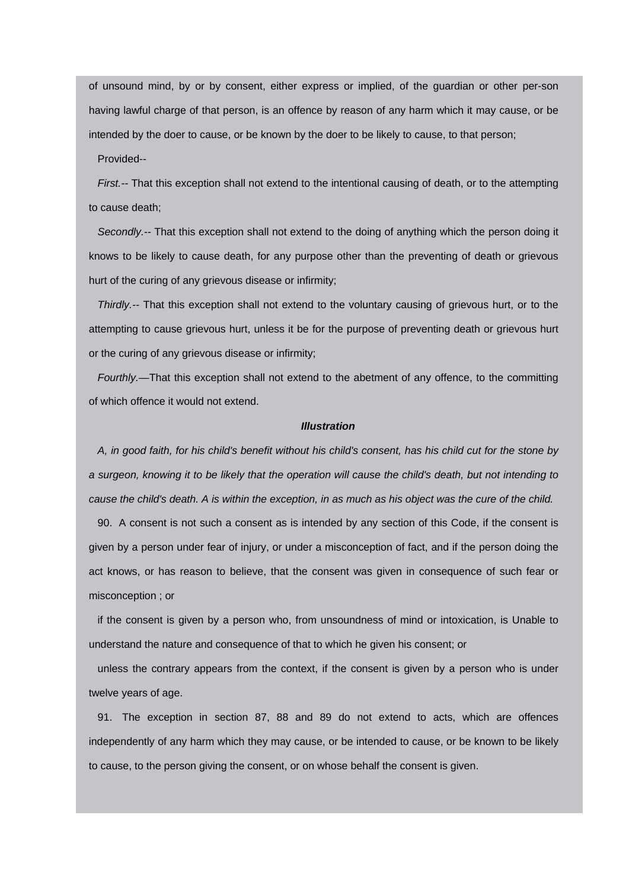of unsound mind, by or by consent, either express or implied, of the guardian or other per-son having lawful charge of that person, is an offence by reason of any harm which it may cause, or be intended by the doer to cause, or be known by the doer to be likely to cause, to that person; Provided--

*First.--* That this exception shall not extend to the intentional causing of death, or to the attempting to cause death;

*Secondly.--* That this exception shall not extend to the doing of anything which the person doing it knows to be likely to cause death, for any purpose other than the preventing of death or grievous hurt of the curing of any grievous disease or infirmity;

*Thirdly.--* That this exception shall not extend to the voluntary causing of grievous hurt, or to the attempting to cause grievous hurt, unless it be for the purpose of preventing death or grievous hurt or the curing of any grievous disease or infirmity;

*Fourthly.—*That this exception shall not extend to the abetment of any offence, to the committing of which offence it would not extend.

### *Illustration*

*A, in good faith, for his child's benefit without his child's consent, has his child cut for the stone by a surgeon, knowing it to be likely that the operation will cause the child's death, but not intending to cause the child's death. A is within the exception, in as much as his object was the cure of the child.*

90. A consent is not such a consent as is intended by any section of this Code, if the consent is given by a person under fear of injury, or under a misconception of fact, and if the person doing the act knows, or has reason to believe, that the consent was given in consequence of such fear or misconception ; or

if the consent is given by a person who, from unsoundness of mind or intoxication, is Unable to understand the nature and consequence of that to which he given his consent; or

unless the contrary appears from the context, if the consent is given by a person who is under twelve years of age.

91. The exception in section 87, 88 and 89 do not extend to acts, which are offences independently of any harm which they may cause, or be intended to cause, or be known to be likely to cause, to the person giving the consent, or on whose behalf the consent is given.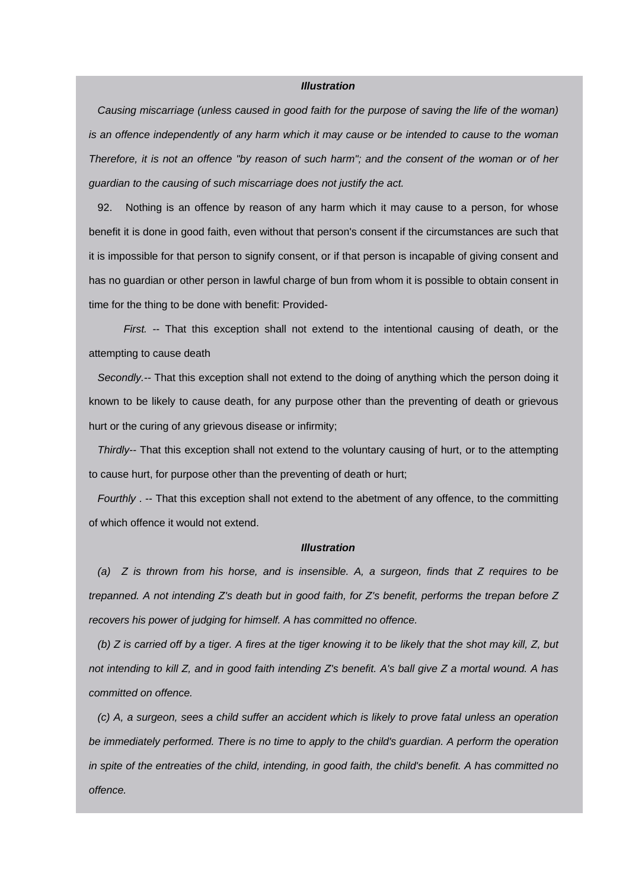# *Illustration*

*Causing miscarriage (unless caused in good faith for the purpose of saving the life of the woman) is an offence independently of any harm which it may cause or be intended to cause to the woman Therefore, it is not an offence "by reason of such harm"; and the consent of the woman or of her guardian to the causing of such miscarriage does not justify the act.*

92. Nothing is an offence by reason of any harm which it may cause to a person, for whose benefit it is done in good faith, even without that person's consent if the circumstances are such that it is impossible for that person to signify consent, or if that person is incapable of giving consent and has no guardian or other person in lawful charge of bun from whom it is possible to obtain consent in time for the thing to be done with benefit: Provided-

 *First.* -- That this exception shall not extend to the intentional causing of death, or the attempting to cause death

*Secondly.--* That this exception shall not extend to the doing of anything which the person doing it known to be likely to cause death, for any purpose other than the preventing of death or grievous hurt or the curing of any grievous disease or infirmity;

*Thirdly--* That this exception shall not extend to the voluntary causing of hurt, or to the attempting to cause hurt, for purpose other than the preventing of death or hurt;

*Fourthly* . -- That this exception shall not extend to the abetment of any offence, to the committing of which offence it would not extend.

#### *Illustration*

*(a) Z is thrown from his horse, and is insensible. A, a surgeon, finds that Z requires to be trepanned. A not intending Z's death but in good faith, for Z's benefit, performs the trepan before Z recovers his power of judging for himself. A has committed no offence.*

*(b) Z is carried off by a tiger. A fires at the tiger knowing it to be likely that the shot may kill, Z, but not intending to kill Z, and in good faith intending Z's benefit. A's ball give Z a mortal wound. A has committed on offence.*

*(c) A, a surgeon, sees a child suffer an accident which is likely to prove fatal unless an operation be immediately performed. There is no time to apply to the child's guardian. A perform the operation in spite of the entreaties of the child, intending, in good faith, the child's benefit. A has committed no offence.*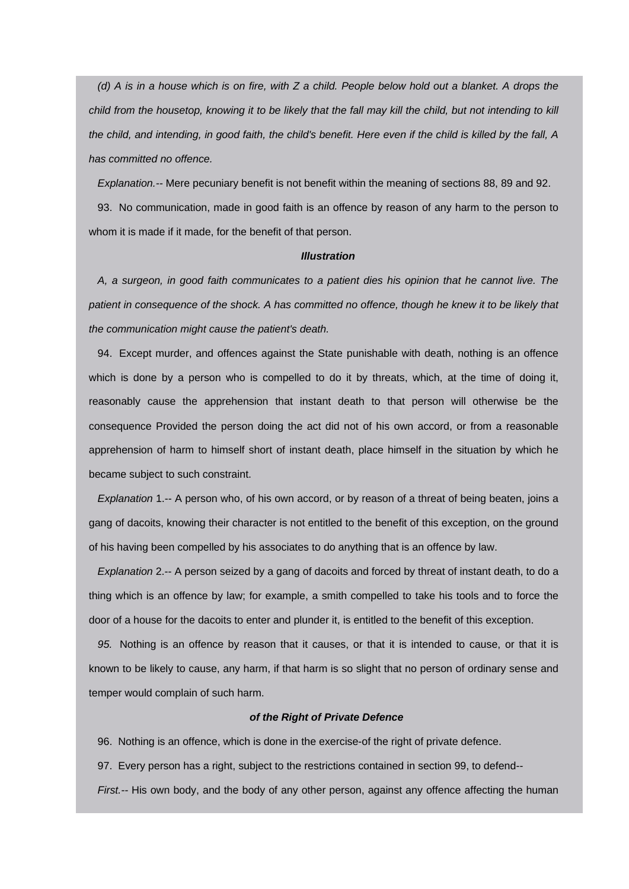*(d) A is in a house which is on fire, with Z a child. People below hold out a blanket. A drops the child from the housetop, knowing it to be likely that the fall may kill the child, but not intending to kill the child, and intending, in good faith, the child's benefit. Here even if the child is killed by the fall, A has committed no offence.*

*Explanation.--* Mere pecuniary benefit is not benefit within the meaning of sections 88, 89 and 92.

93. No communication, made in good faith is an offence by reason of any harm to the person to whom it is made if it made, for the benefit of that person.

#### *Illustration*

*A, a surgeon, in good faith communicates to a patient dies his opinion that he cannot live. The patient in consequence of the shock. A has committed no offence, though he knew it to be likely that the communication might cause the patient's death.*

94. Except murder, and offences against the State punishable with death, nothing is an offence which is done by a person who is compelled to do it by threats, which, at the time of doing it, reasonably cause the apprehension that instant death to that person will otherwise be the consequence Provided the person doing the act did not of his own accord, or from a reasonable apprehension of harm to himself short of instant death, place himself in the situation by which he became subject to such constraint.

*Explanation* 1.-- A person who, of his own accord, or by reason of a threat of being beaten, joins a gang of dacoits, knowing their character is not entitled to the benefit of this exception, on the ground of his having been compelled by his associates to do anything that is an offence by law.

*Explanation* 2.-- A person seized by a gang of dacoits and forced by threat of instant death, to do a thing which is an offence by law; for example, a smith compelled to take his tools and to force the door of a house for the dacoits to enter and plunder it, is entitled to the benefit of this exception.

*95.* Nothing is an offence by reason that it causes, or that it is intended to cause, or that it is known to be likely to cause, any harm, if that harm is so slight that no person of ordinary sense and temper would complain of such harm.

## *of the Right of Private Defence*

96. Nothing is an offence, which is done in the exercise-of the right of private defence.

97. Every person has a right, subject to the restrictions contained in section 99, to defend--

*First.--* His own body, and the body of any other person, against any offence affecting the human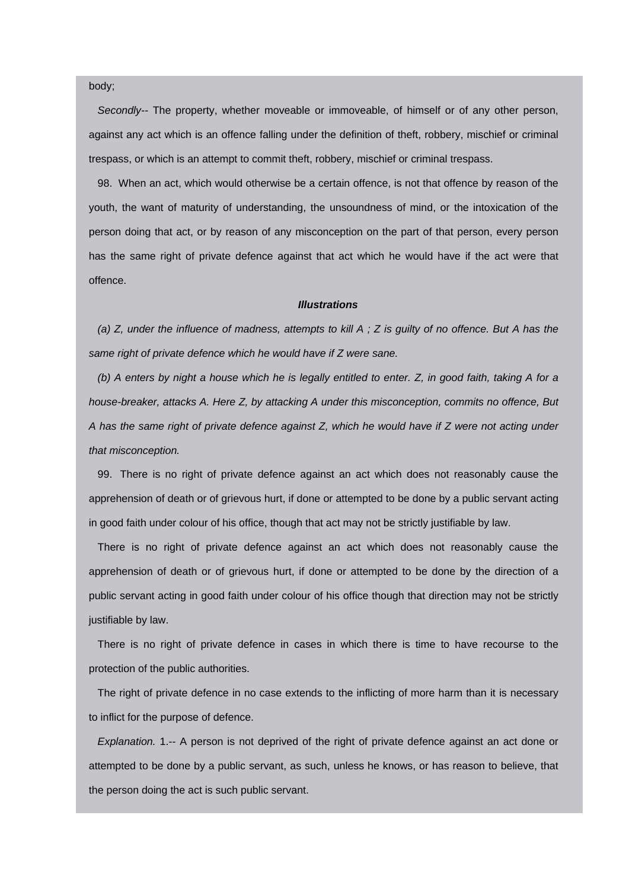body;

*Secondly--* The property, whether moveable or immoveable, of himself or of any other person, against any act which is an offence falling under the definition of theft, robbery, mischief or criminal trespass, or which is an attempt to commit theft, robbery, mischief or criminal trespass.

98. When an act, which would otherwise be a certain offence, is not that offence by reason of the youth, the want of maturity of understanding, the unsoundness of mind, or the intoxication of the person doing that act, or by reason of any misconception on the part of that person, every person has the same right of private defence against that act which he would have if the act were that offence.

#### *Illustrations*

*(a) Z, under the influence of madness, attempts to kill A ; Z is guilty of no offence. But A has the same right of private defence which he would have if Z were sane.*

*(b) A enters by night a house which he is legally entitled to enter. Z, in good faith, taking A for a house-breaker, attacks A. Here Z, by attacking A under this misconception, commits no offence, But A has the same right of private defence against Z, which he would have if Z were not acting under that misconception.*

99. There is no right of private defence against an act which does not reasonably cause the apprehension of death or of grievous hurt, if done or attempted to be done by a public servant acting in good faith under colour of his office, though that act may not be strictly justifiable by law.

There is no right of private defence against an act which does not reasonably cause the apprehension of death or of grievous hurt, if done or attempted to be done by the direction of a public servant acting in good faith under colour of his office though that direction may not be strictly justifiable by law.

There is no right of private defence in cases in which there is time to have recourse to the protection of the public authorities.

The right of private defence in no case extends to the inflicting of more harm than it is necessary to inflict for the purpose of defence.

*Explanation.* 1.-- A person is not deprived of the right of private defence against an act done or attempted to be done by a public servant, as such, unless he knows, or has reason to believe, that the person doing the act is such public servant.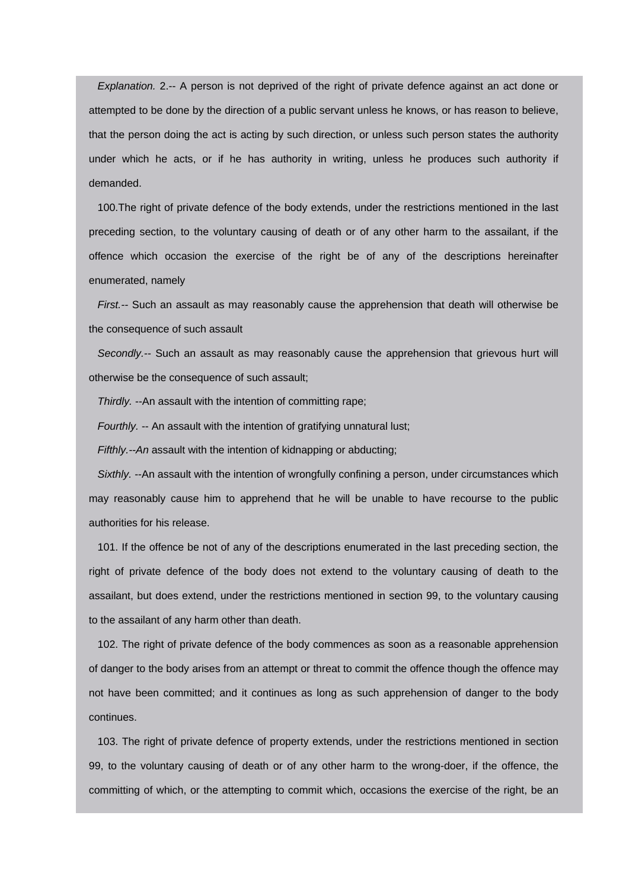*Explanation.* 2.-- A person is not deprived of the right of private defence against an act done or attempted to be done by the direction of a public servant unless he knows, or has reason to believe, that the person doing the act is acting by such direction, or unless such person states the authority under which he acts, or if he has authority in writing, unless he produces such authority if demanded.

100.The right of private defence of the body extends, under the restrictions mentioned in the last preceding section, to the voluntary causing of death or of any other harm to the assailant, if the offence which occasion the exercise of the right be of any of the descriptions hereinafter enumerated, namely

*First.--* Such an assault as may reasonably cause the apprehension that death will otherwise be the consequence of such assault

*Secondly.--* Such an assault as may reasonably cause the apprehension that grievous hurt will otherwise be the consequence of such assault;

*Thirdly.* --An assault with the intention of committing rape;

*Fourthly.* -- An assault with the intention of gratifying unnatural lust;

*Fifthly.--An* assault with the intention of kidnapping or abducting;

*Sixthly.* --An assault with the intention of wrongfully confining a person, under circumstances which may reasonably cause him to apprehend that he will be unable to have recourse to the public authorities for his release.

101. If the offence be not of any of the descriptions enumerated in the last preceding section, the right of private defence of the body does not extend to the voluntary causing of death to the assailant, but does extend, under the restrictions mentioned in section 99, to the voluntary causing to the assailant of any harm other than death.

102. The right of private defence of the body commences as soon as a reasonable apprehension of danger to the body arises from an attempt or threat to commit the offence though the offence may not have been committed; and it continues as long as such apprehension of danger to the body continues.

103. The right of private defence of property extends, under the restrictions mentioned in section 99, to the voluntary causing of death or of any other harm to the wrong-doer, if the offence, the committing of which, or the attempting to commit which, occasions the exercise of the right, be an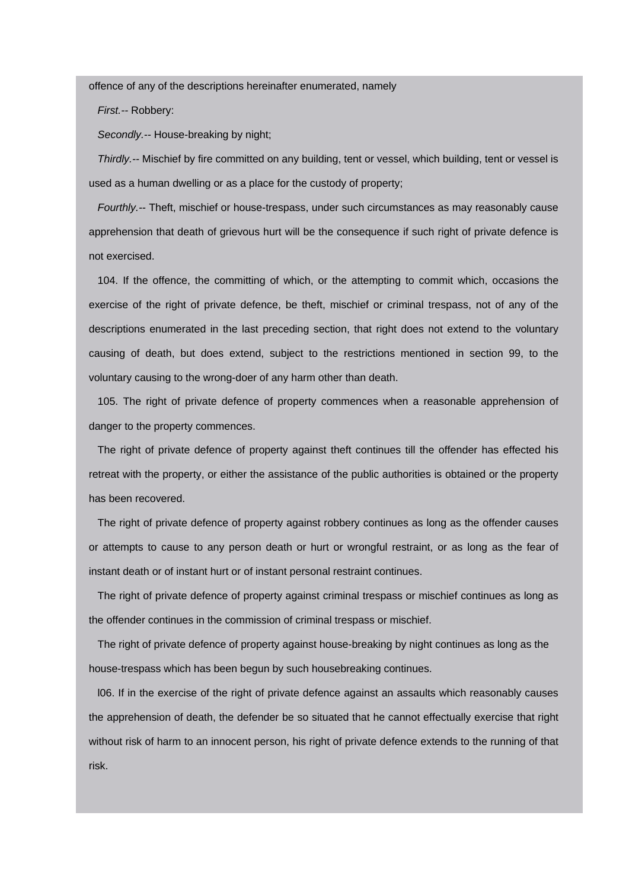offence of any of the descriptions hereinafter enumerated, namely

*First.--* Robbery:

*Secondly.--* House-breaking by night;

*Thirdly.--* Mischief by fire committed on any building, tent or vessel, which building, tent or vessel is used as a human dwelling or as a place for the custody of property;

*Fourthly.--* Theft, mischief or house-trespass, under such circumstances as may reasonably cause apprehension that death of grievous hurt will be the consequence if such right of private defence is not exercised.

104. If the offence, the committing of which, or the attempting to commit which, occasions the exercise of the right of private defence, be theft, mischief or criminal trespass, not of any of the descriptions enumerated in the last preceding section, that right does not extend to the voluntary causing of death, but does extend, subject to the restrictions mentioned in section 99, to the voluntary causing to the wrong-doer of any harm other than death.

105. The right of private defence of property commences when a reasonable apprehension of danger to the property commences.

The right of private defence of property against theft continues till the offender has effected his retreat with the property, or either the assistance of the public authorities is obtained or the property has been recovered.

The right of private defence of property against robbery continues as long as the offender causes or attempts to cause to any person death or hurt or wrongful restraint, or as long as the fear of instant death or of instant hurt or of instant personal restraint continues.

The right of private defence of property against criminal trespass or mischief continues as long as the offender continues in the commission of criminal trespass or mischief.

The right of private defence of property against house-breaking by night continues as long as the house-trespass which has been begun by such housebreaking continues.

l06. If in the exercise of the right of private defence against an assaults which reasonably causes the apprehension of death, the defender be so situated that he cannot effectually exercise that right without risk of harm to an innocent person, his right of private defence extends to the running of that risk.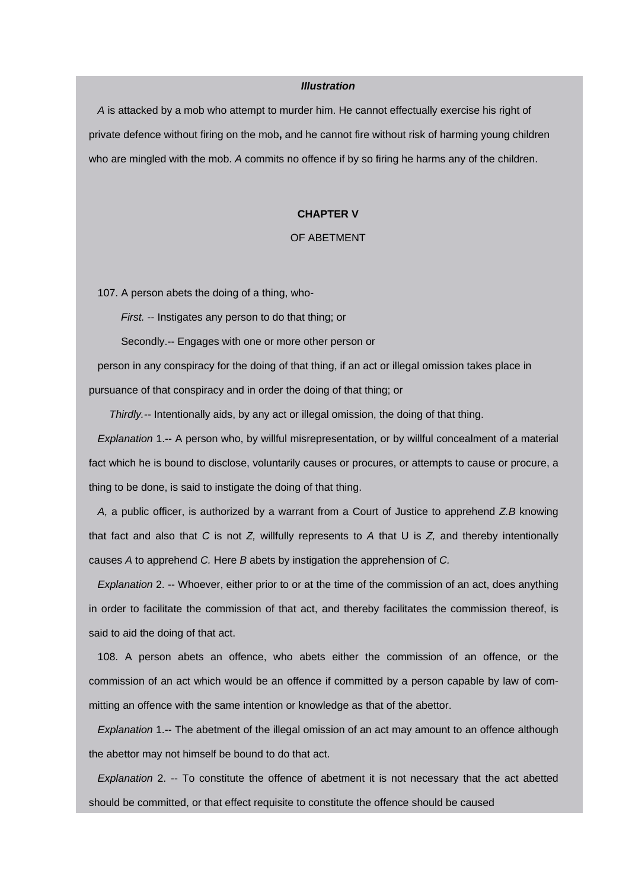# *Illustration*

*A* is attacked by a mob who attempt to murder him. He cannot effectually exercise his right of private defence without firing on the mob**,** and he cannot fire without risk of harming young children who are mingled with the mob. *A* commits no offence if by so firing he harms any of the children.

### **CHAPTER V**

# OF ABETMENT

107. A person abets the doing of a thing, who-

 *First.* -- Instigates any person to do that thing; or

Secondly.-- Engages with one or more other person or

person in any conspiracy for the doing of that thing, if an act or illegal omission takes place in pursuance of that conspiracy and in order the doing of that thing; or

 *Thirdly.--* Intentionally aids, by any act or illegal omission, the doing of that thing.

*Explanation* 1.-- A person who, by willful misrepresentation, or by willful concealment of a material fact which he is bound to disclose, voluntarily causes or procures, or attempts to cause or procure, a thing to be done, is said to instigate the doing of that thing.

*A,* a public officer, is authorized by a warrant from a Court of Justice to apprehend *Z.B* knowing that fact and also that *C* is not *Z,* willfully represents to *A* that U is *Z,* and thereby intentionally causes *A* to apprehend *C.* Here *B* abets by instigation the apprehension of *C.*

*Explanation* 2. -- Whoever, either prior to or at the time of the commission of an act, does anything in order to facilitate the commission of that act, and thereby facilitates the commission thereof, is said to aid the doing of that act.

108. A person abets an offence, who abets either the commission of an offence, or the commission of an act which would be an offence if committed by a person capable by law of committing an offence with the same intention or knowledge as that of the abettor.

*Explanation* 1.-- The abetment of the illegal omission of an act may amount to an offence although the abettor may not himself be bound to do that act.

*Explanation* 2. -- To constitute the offence of abetment it is not necessary that the act abetted should be committed, or that effect requisite to constitute the offence should be caused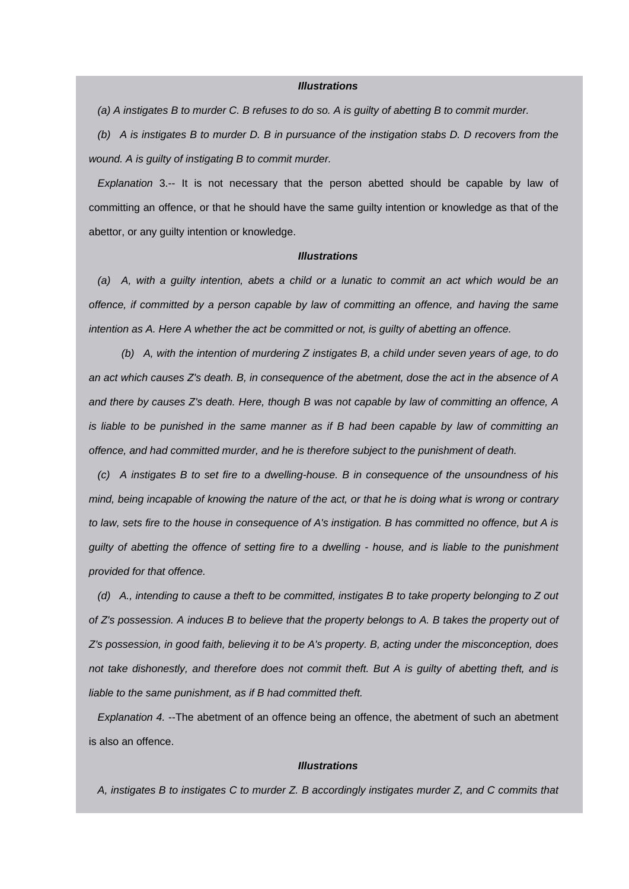# *Illustrations*

*(a) A instigates B to murder C. B refuses to do so. A is guilty of abetting B to commit murder.*

*(b) A is instigates B to murder D. B in pursuance of the instigation stabs D. D recovers from the wound. A is guilty of instigating B to commit murder.*

*Explanation* 3.-- It is not necessary that the person abetted should be capable by law of committing an offence, or that he should have the same guilty intention or knowledge as that of the abettor, or any guilty intention or knowledge.

### *Illustrations*

*(a) A, with a guilty intention, abets a child or a lunatic to commit an act which would be an offence, if committed by a person capable by law of committing an offence, and having the same intention as A. Here A whether the act be committed or not, is guilty of abetting an offence.*

 *(b) A, with the intention of murdering Z instigates B, a child under seven years of age, to do an act which causes Z's death. B, in consequence of the abetment, dose the act in the absence of A and there by causes Z's death. Here, though B was not capable by law of committing an offence, A is liable to be punished in the same manner as if B had been capable by law of committing an offence, and had committed murder, and he is therefore subject to the punishment of death.*

*(c) A instigates B to set fire to a dwelling-house. B in consequence of the unsoundness of his mind, being incapable of knowing the nature of the act, or that he is doing what is wrong or contrary to law, sets fire to the house in consequence of A's instigation. B has committed no offence, but A is guilty of abetting the offence of setting fire to a dwelling - house, and is liable to the punishment provided for that offence.*

*(d) A., intending to cause a theft to be committed, instigates B to take property belonging to Z out of Z's possession. A induces B to believe that the property belongs to A. B takes the property out of Z's possession, in good faith, believing it to be A's property. B, acting under the misconception, does not take dishonestly, and therefore does not commit theft. But A is guilty of abetting theft, and is liable to the same punishment, as if B had committed theft.*

*Explanation 4.* --The abetment of an offence being an offence, the abetment of such an abetment is also an offence.

# *Illustrations*

*A, instigates B to instigates C to murder Z. B accordingly instigates murder Z, and C commits that*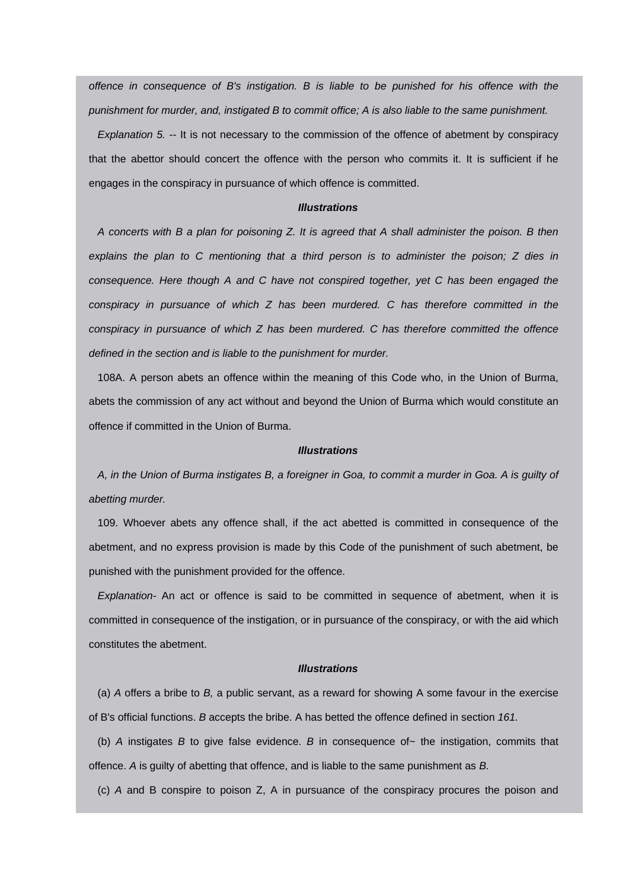*offence in consequence of B's instigation. B is liable to be punished for his offence with the punishment for murder, and, instigated B to commit office; A is also liable to the same punishment.*

*Explanation 5.* -- It is not necessary to the commission of the offence of abetment by conspiracy that the abettor should concert the offence with the person who commits it. It is sufficient if he engages in the conspiracy in pursuance of which offence is committed.

### *Illustrations*

*A concerts with B a plan for poisoning Z. It is agreed that A shall administer the poison. B then explains the plan to C mentioning that a third person is to administer the poison; Z dies in consequence. Here though A and C have not conspired together, yet C has been engaged the conspiracy in pursuance of which Z has been murdered. C has therefore committed in the conspiracy in pursuance of which Z has been murdered. C has therefore committed the offence defined in the section and is liable to the punishment for murder.*

108A. A person abets an offence within the meaning of this Code who, in the Union of Burma, abets the commission of any act without and beyond the Union of Burma which would constitute an offence if committed in the Union of Burma.

# *Illustrations*

*A, in the Union of Burma instigates B, a foreigner in Goa, to commit a murder in Goa. A is guilty of abetting murder.*

109. Whoever abets any offence shall, if the act abetted is committed in consequence of the abetment, and no express provision is made by this Code of the punishment of such abetment, be punished with the punishment provided for the offence.

*Explanation-* An act or offence is said to be committed in sequence of abetment, when it is committed in consequence of the instigation, or in pursuance of the conspiracy, or with the aid which constitutes the abetment.

## *Illustrations*

(a) *A* offers a bribe to *B,* a public servant, as a reward for showing A some favour in the exercise of B's official functions. *B* accepts the bribe. A has betted the offence defined in section *161.*

(b) *A* instigates *B* to give false evidence. *B* in consequence of~ the instigation, commits that offence. *A* is guilty of abetting that offence, and is liable to the same punishment as *B.*

(c) *A* and B conspire to poison Z, A in pursuance of the conspiracy procures the poison and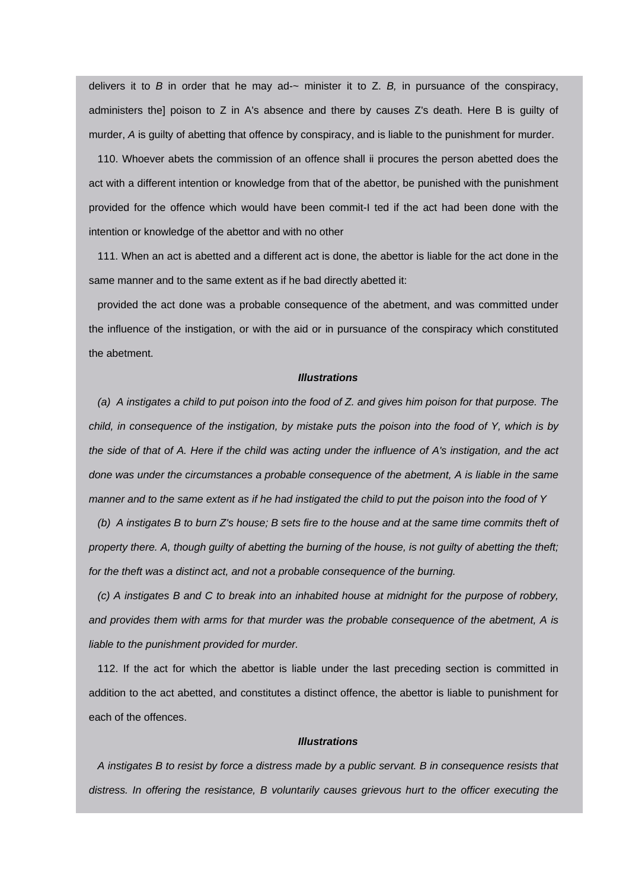delivers it to *B* in order that he may ad-~ minister it to Z. *B,* in pursuance of the conspiracy, administers the] poison to Z in A's absence and there by causes Z's death. Here B is guilty of murder, *A* is guilty of abetting that offence by conspiracy, and is liable to the punishment for murder.

110. Whoever abets the commission of an offence shall ii procures the person abetted does the act with a different intention or knowledge from that of the abettor, be punished with the punishment provided for the offence which would have been commit-I ted if the act had been done with the intention or knowledge of the abettor and with no other

111. When an act is abetted and a different act is done, the abettor is liable for the act done in the same manner and to the same extent as if he bad directly abetted it:

provided the act done was a probable consequence of the abetment, and was committed under the influence of the instigation, or with the aid or in pursuance of the conspiracy which constituted the abetment.

# *Illustrations*

*(a) A instigates a child to put poison into the food of Z. and gives him poison for that purpose. The child, in consequence of the instigation, by mistake puts the poison into the food of Y, which is by the side of that of A. Here if the child was acting under the influence of A's instigation, and the act done was under the circumstances a probable consequence of the abetment, A is liable in the same manner and to the same extent as if he had instigated the child to put the poison into the food of Y*

*(b) A instigates B to burn Z's house; B sets fire to the house and at the same time commits theft of property there. A, though guilty of abetting the burning of the house, is not guilty of abetting the theft; for the theft was a distinct act, and not a probable consequence of the burning.*

*(c) A instigates B and C to break into an inhabited house at midnight for the purpose of robbery, and provides them with arms for that murder was the probable consequence of the abetment, A is liable to the punishment provided for murder.*

112. If the act for which the abettor is liable under the last preceding section is committed in addition to the act abetted, and constitutes a distinct offence, the abettor is liable to punishment for each of the offences.

# *Illustrations*

*A instigates B to resist by force a distress made by a public servant. B in consequence resists that*  distress. In offering the resistance, B voluntarily causes grievous hurt to the officer executing the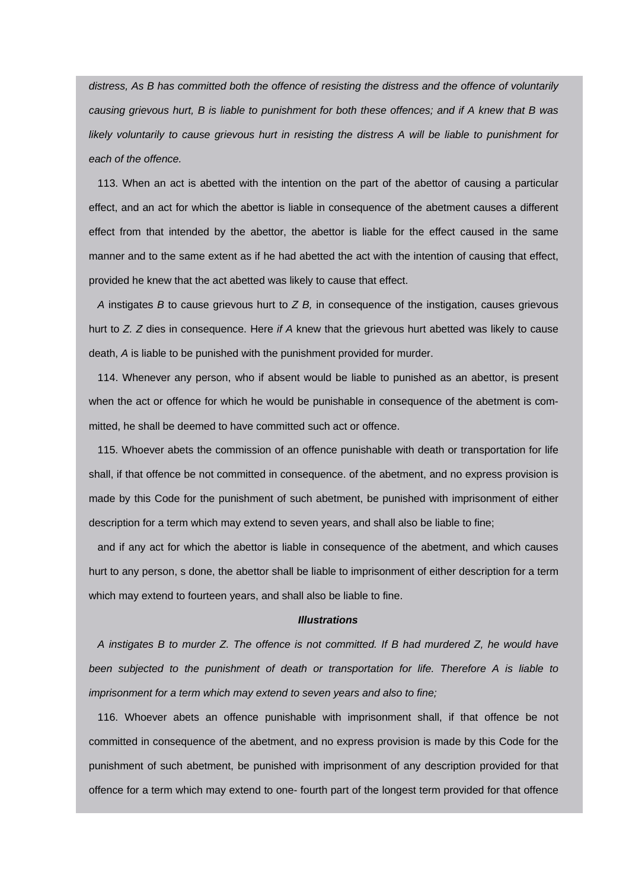*distress, As B has committed both the offence of resisting the distress and the offence of voluntarily causing grievous hurt, B is liable to punishment for both these offences; and if A knew that B was likely voluntarily to cause grievous hurt in resisting the distress A will be liable to punishment for each of the offence.*

113. When an act is abetted with the intention on the part of the abettor of causing a particular effect, and an act for which the abettor is liable in consequence of the abetment causes a different effect from that intended by the abettor, the abettor is liable for the effect caused in the same manner and to the same extent as if he had abetted the act with the intention of causing that effect, provided he knew that the act abetted was likely to cause that effect.

*A* instigates *B* to cause grievous hurt to *Z B,* in consequence of the instigation, causes grievous hurt to *Z. Z* dies in consequence. Here *if A* knew that the grievous hurt abetted was likely to cause death, *A* is liable to be punished with the punishment provided for murder.

114. Whenever any person, who if absent would be liable to punished as an abettor, is present when the act or offence for which he would be punishable in consequence of the abetment is committed, he shall be deemed to have committed such act or offence.

115. Whoever abets the commission of an offence punishable with death or transportation for life shall, if that offence be not committed in consequence. of the abetment, and no express provision is made by this Code for the punishment of such abetment, be punished with imprisonment of either description for a term which may extend to seven years, and shall also be liable to fine;

and if any act for which the abettor is liable in consequence of the abetment, and which causes hurt to any person, s done, the abettor shall be liable to imprisonment of either description for a term which may extend to fourteen years, and shall also be liable to fine.

# *Illustrations*

*A instigates B to murder Z. The offence is not committed. If B had murdered Z, he would have been subjected to the punishment of death or transportation for life. Therefore A is liable to imprisonment for a term which may extend to seven years and also to fine;*

116. Whoever abets an offence punishable with imprisonment shall, if that offence be not committed in consequence of the abetment, and no express provision is made by this Code for the punishment of such abetment, be punished with imprisonment of any description provided for that offence for a term which may extend to one- fourth part of the longest term provided for that offence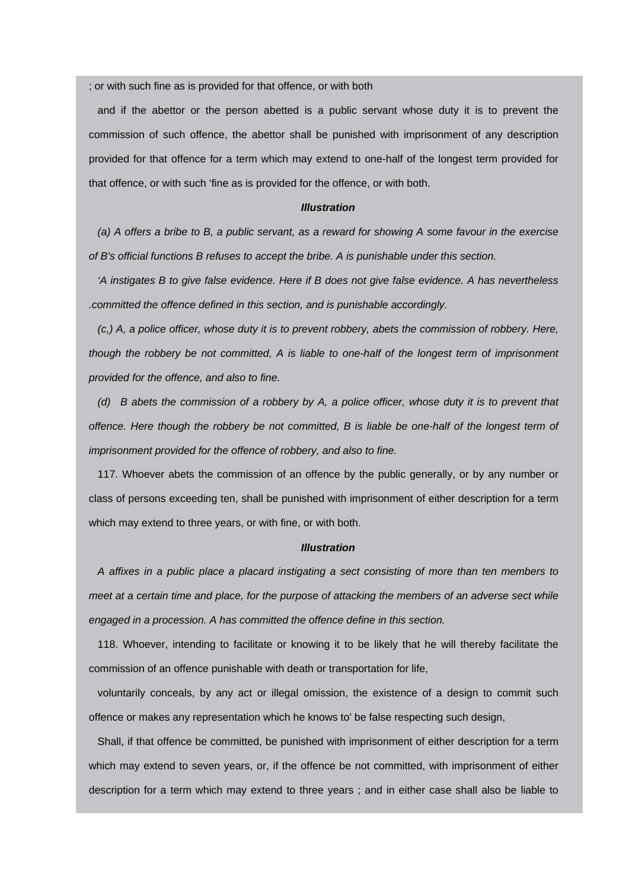; or with such fine as is provided for that offence, or with both

and if the abettor or the person abetted is a public servant whose duty it is to prevent the commission of such offence, the abettor shall be punished with imprisonment of any description provided for that offence for a term which may extend to one-half of the longest term provided for that offence, or with such 'fine as is provided for the offence, or with both.

# *Illustration*

*(a) A offers a bribe to B, a public servant, as a reward for showing A some favour in the exercise of B's official functions B refuses to accept the bribe. A is punishable under this section.*

*'A instigates B to give false evidence. Here if B does not give false evidence. A has nevertheless .committed the offence defined in this section, and is punishable accordingly.*

*(c,) A, a police officer, whose duty it is to prevent robbery, abets the commission of robbery. Here, though the robbery be not committed, A is liable to one-half of the longest term of imprisonment provided for the offence, and also to fine.*

*(d)* B abets the commission of a robbery by A, a police officer, whose duty it is to prevent that *offence. Here though the robbery be not committed, B is liable be one-half of the longest term of imprisonment provided for the offence of robbery, and also to fine.*

117. Whoever abets the commission of an offence by the public generally, or by any number or class of persons exceeding ten, shall be punished with imprisonment of either description for a term which may extend to three years, or with fine, or with both.

### *Illustration*

*A affixes in a public place a placard instigating a sect consisting of more than ten members to meet at a certain time and place, for the purpose of attacking the members of an adverse sect while engaged in a procession. A has committed the offence define in this section.*

118. Whoever, intending to facilitate or knowing it to be likely that he will thereby facilitate the commission of an offence punishable with death or transportation for life,

voluntarily conceals, by any act or illegal omission, the existence of a design to commit such offence or makes any representation which he knows to' be false respecting such design,

Shall, if that offence be committed, be punished with imprisonment of either description for a term which may extend to seven years, or, if the offence be not committed, with imprisonment of either description for a term which may extend to three years ; and in either case shall also be liable to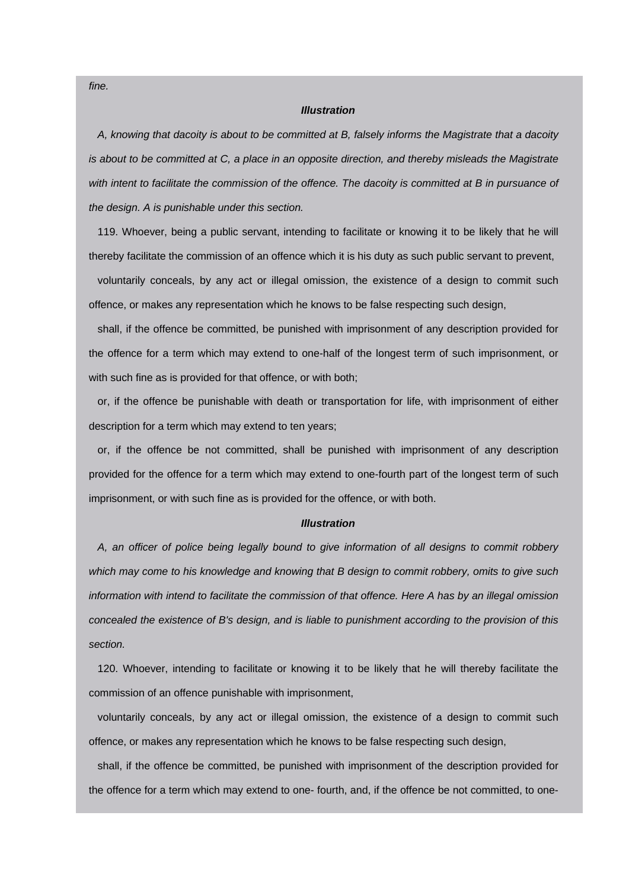*Illustration*

*A, knowing that dacoity is about to be committed at B, falsely informs the Magistrate that a dacoity is about to be committed at C, a place in an opposite direction, and thereby misleads the Magistrate*  with intent to facilitate the commission of the offence. The dacoity is committed at B in pursuance of *the design. A is punishable under this section.*

119. Whoever, being a public servant, intending to facilitate or knowing it to be likely that he will thereby facilitate the commission of an offence which it is his duty as such public servant to prevent,

voluntarily conceals, by any act or illegal omission, the existence of a design to commit such offence, or makes any representation which he knows to be false respecting such design,

shall, if the offence be committed, be punished with imprisonment of any description provided for the offence for a term which may extend to one-half of the longest term of such imprisonment, or with such fine as is provided for that offence, or with both:

or, if the offence be punishable with death or transportation for life, with imprisonment of either description for a term which may extend to ten years;

or, if the offence be not committed, shall be punished with imprisonment of any description provided for the offence for a term which may extend to one-fourth part of the longest term of such imprisonment, or with such fine as is provided for the offence, or with both.

#### *Illustration*

*A, an officer of police being legally bound to give information of all designs to commit robbery which may come to his knowledge and knowing that B design to commit robbery, omits to give such information with intend to facilitate the commission of that offence. Here A has by an illegal omission concealed the existence of B's design, and is liable to punishment according to the provision of this section.*

120. Whoever, intending to facilitate or knowing it to be likely that he will thereby facilitate the commission of an offence punishable with imprisonment,

voluntarily conceals, by any act or illegal omission, the existence of a design to commit such offence, or makes any representation which he knows to be false respecting such design,

shall, if the offence be committed, be punished with imprisonment of the description provided for the offence for a term which may extend to one- fourth, and, if the offence be not committed, to one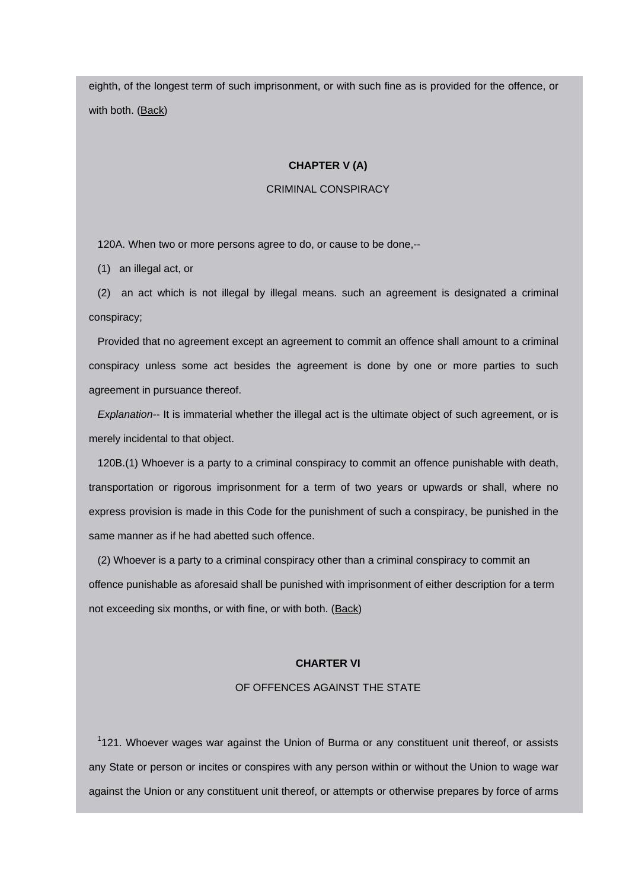eighth, of the longest term of such imprisonment, or with such fine as is provided for the offence, or with both. [\(Back](http://www.blc-burma.org/html/Myanmar Penal Code/mpc.html#concpt5))

# **CHAPTER V (A)**

# CRIMINAL CONSPIRACY

120A. When two or more persons agree to do, or cause to be done,--

(1) an illegal act, or

(2) an act which is not illegal by illegal means. such an agreement is designated a criminal conspiracy;

Provided that no agreement except an agreement to commit an offence shall amount to a criminal conspiracy unless some act besides the agreement is done by one or more parties to such agreement in pursuance thereof.

*Explanation--* It is immaterial whether the illegal act is the ultimate object of such agreement, or is merely incidental to that object.

120B.(1) Whoever is a party to a criminal conspiracy to commit an offence punishable with death, transportation or rigorous imprisonment for a term of two years or upwards or shall, where no express provision is made in this Code for the punishment of such a conspiracy, be punished in the same manner as if he had abetted such offence.

(2) Whoever is a party to a criminal conspiracy other than a criminal conspiracy to commit an offence punishable as aforesaid shall be punished with imprisonment of either description for a term not exceeding six months, or with fine, or with both. ([Back](http://www.blc-burma.org/html/Myanmar Penal Code/mpc.html#concpt5a))

# **CHARTER VI**

# OF OFFENCES AGAINST THE STATE

<sup>1</sup>121. Whoever wages war against the Union of Burma or any constituent unit thereof, or assists any State or person or incites or conspires with any person within or without the Union to wage war against the Union or any constituent unit thereof, or attempts or otherwise prepares by force of arms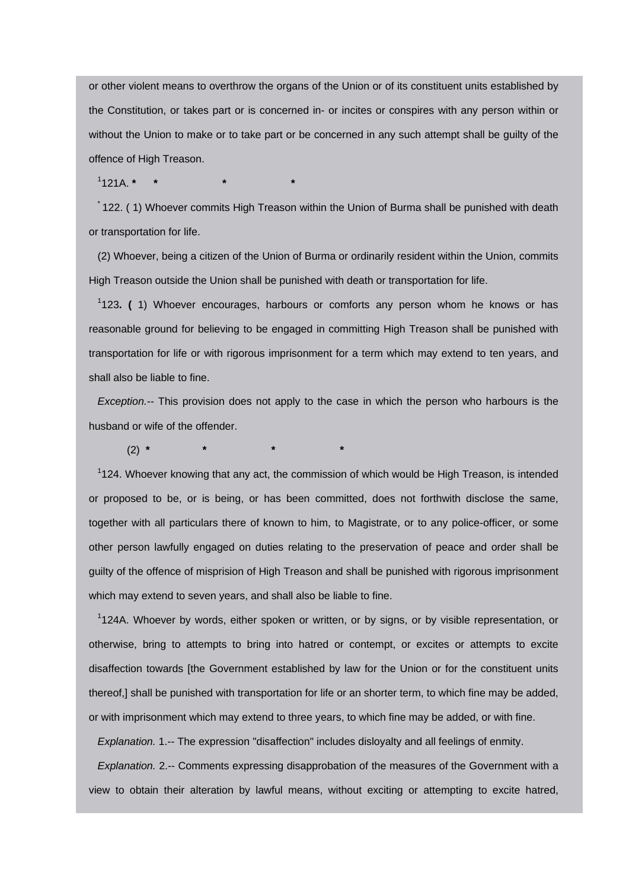or other violent means to overthrow the organs of the Union or of its constituent units established by the Constitution, or takes part or is concerned in- or incites or conspires with any person within or without the Union to make or to take part or be concerned in any such attempt shall be guilty of the offence of High Treason.

1 121A. **\* \* \* \***

\* 122. ( 1) Whoever commits High Treason within the Union of Burma shall be punished with death or transportation for life.

(2) Whoever, being a citizen of the Union of Burma or ordinarily resident within the Union, commits High Treason outside the Union shall be punished with death or transportation for life.

<sup>1</sup>123. (1) Whoever encourages, harbours or comforts any person whom he knows or has reasonable ground for believing to be engaged in committing High Treason shall be punished with transportation for life or with rigorous imprisonment for a term which may extend to ten years, and shall also be liable to fine.

*Exception.--* This provision does not apply to the case in which the person who harbours is the husband or wife of the offender.

(2) **\* \* \* \***

<sup>1</sup>124. Whoever knowing that any act, the commission of which would be High Treason, is intended or proposed to be, or is being, or has been committed, does not forthwith disclose the same, together with all particulars there of known to him, to Magistrate, or to any police-officer, or some other person lawfully engaged on duties relating to the preservation of peace and order shall be guilty of the offence of misprision of High Treason and shall be punished with rigorous imprisonment which may extend to seven years, and shall also be liable to fine.

<sup>1</sup>124A. Whoever by words, either spoken or written, or by signs, or by visible representation, or otherwise, bring to attempts to bring into hatred or contempt, or excites or attempts to excite disaffection towards [the Government established by law for the Union or for the constituent units thereof,] shall be punished with transportation for life or an shorter term, to which fine may be added, or with imprisonment which may extend to three years, to which fine may be added, or with fine.

*Explanation.* 1.-- The expression "disaffection" includes disloyalty and all feelings of enmity.

*Explanation.* 2.-- Comments expressing disapprobation of the measures of the Government with a view to obtain their alteration by lawful means, without exciting or attempting to excite hatred,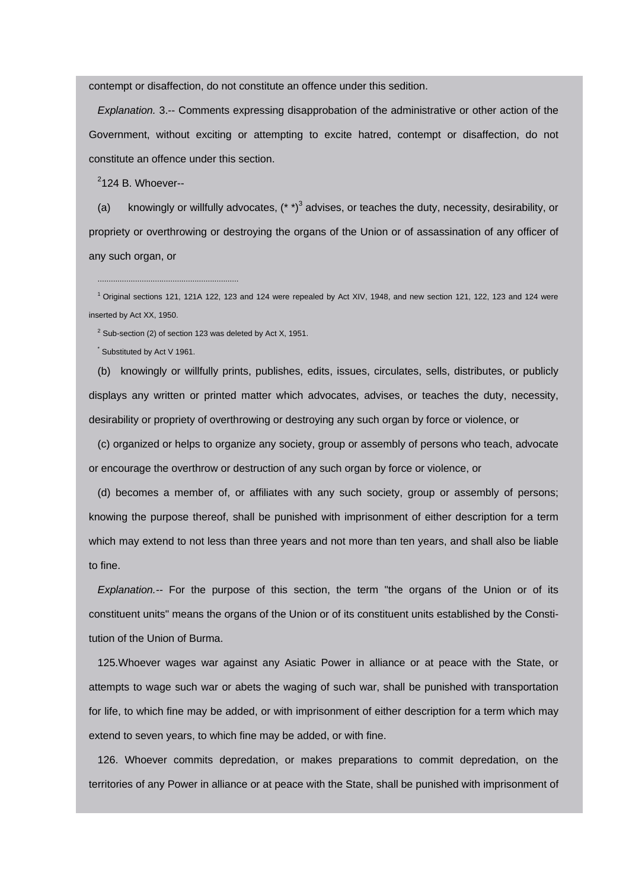contempt or disaffection, do not constitute an offence under this sedition.

*Explanation.* 3.-- Comments expressing disapprobation of the administrative or other action of the Government, without exciting or attempting to excite hatred, contempt or disaffection, do not constitute an offence under this section.

 $2$ 124 B. Whoever--

(a) knowingly or willfully advocates,  $({*})^3$  advises, or teaches the duty, necessity, desirability, or propriety or overthrowing or destroying the organs of the Union or of assassination of any officer of any such organ, or

 $1$  Original sections 121, 121A 122, 123 and 124 were repealed by Act XIV, 1948, and new section 121, 122, 123 and 124 were inserted by Act XX, 1950.

 $2$  Sub-section (2) of section 123 was deleted by Act X, 1951.

\* Substituted by Act V 1961.

................................................................

(b) knowingly or willfully prints, publishes, edits, issues, circulates, sells, distributes, or publicly displays any written or printed matter which advocates, advises, or teaches the duty, necessity, desirability or propriety of overthrowing or destroying any such organ by force or violence, or

(c) organized or helps to organize any society, group or assembly of persons who teach, advocate or encourage the overthrow or destruction of any such organ by force or violence, or

(d) becomes a member of, or affiliates with any such society, group or assembly of persons; knowing the purpose thereof, shall be punished with imprisonment of either description for a term which may extend to not less than three years and not more than ten years, and shall also be liable to fine.

*Explanation.--* For the purpose of this section, the term "the organs of the Union or of its constituent units" means the organs of the Union or of its constituent units established by the Constitution of the Union of Burma.

125.Whoever wages war against any Asiatic Power in alliance or at peace with the State, or attempts to wage such war or abets the waging of such war, shall be punished with transportation for life, to which fine may be added, or with imprisonment of either description for a term which may extend to seven years, to which fine may be added, or with fine.

126. Whoever commits depredation, or makes preparations to commit depredation, on the territories of any Power in alliance or at peace with the State, shall be punished with imprisonment of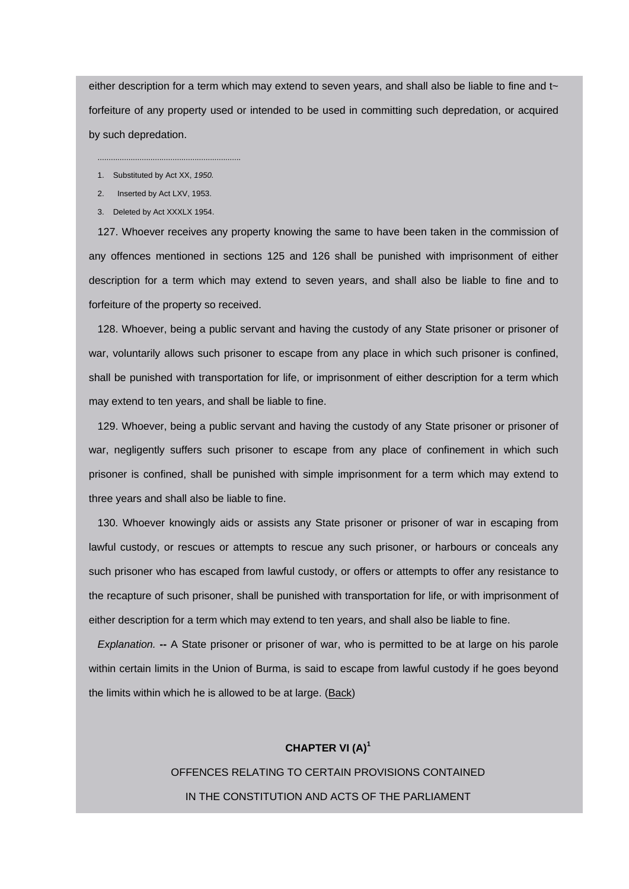either description for a term which may extend to seven years, and shall also be liable to fine and  $t<sub>~</sub>$ forfeiture of any property used or intended to be used in committing such depredation, or acquired by such depredation.

1. Substituted by Act XX, *1950.*

.................................................................

- 2. Inserted by Act LXV, 1953.
- 3. Deleted by Act XXXLX 1954.

127. Whoever receives any property knowing the same to have been taken in the commission of any offences mentioned in sections 125 and 126 shall be punished with imprisonment of either description for a term which may extend to seven years, and shall also be liable to fine and to forfeiture of the property so received.

128. Whoever, being a public servant and having the custody of any State prisoner or prisoner of war, voluntarily allows such prisoner to escape from any place in which such prisoner is confined, shall be punished with transportation for life, or imprisonment of either description for a term which may extend to ten years, and shall be liable to fine.

129. Whoever, being a public servant and having the custody of any State prisoner or prisoner of war, negligently suffers such prisoner to escape from any place of confinement in which such prisoner is confined, shall be punished with simple imprisonment for a term which may extend to three years and shall also be liable to fine.

130. Whoever knowingly aids or assists any State prisoner or prisoner of war in escaping from lawful custody, or rescues or attempts to rescue any such prisoner, or harbours or conceals any such prisoner who has escaped from lawful custody, or offers or attempts to offer any resistance to the recapture of such prisoner, shall be punished with transportation for life, or with imprisonment of either description for a term which may extend to ten years, and shall also be liable to fine.

*Explanation.* **--** A State prisoner or prisoner of war, who is permitted to be at large on his parole within certain limits in the Union of Burma, is said to escape from lawful custody if he goes beyond the limits within which he is allowed to be at large. ([Back](http://www.blc-burma.org/html/Myanmar Penal Code/mpc.html#concpt6))

# **CHAPTER VI (A)<sup>1</sup>**

OFFENCES RELATING TO CERTAIN PROVISIONS CONTAINED IN THE CONSTITUTION AND ACTS OF THE PARLIAMENT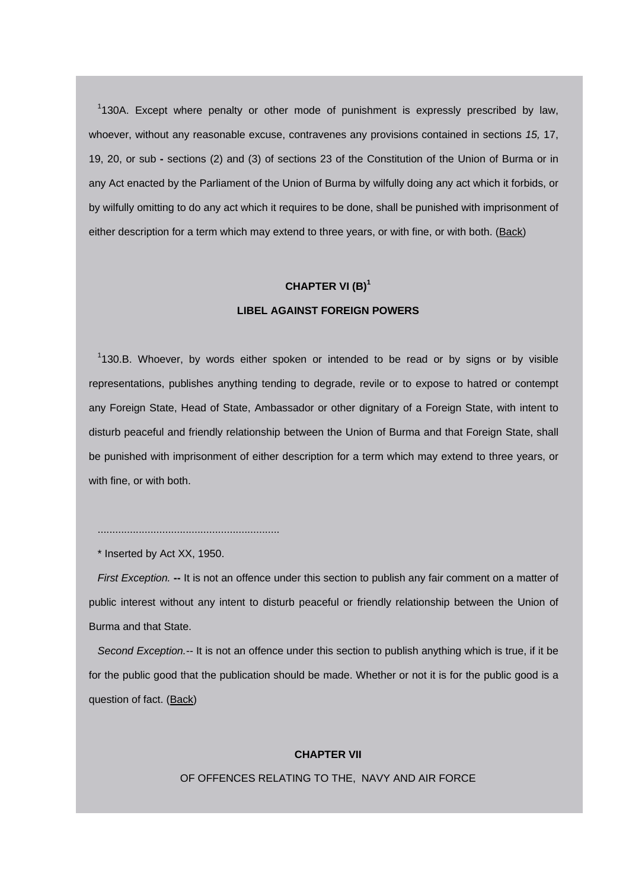<sup>1</sup>130A. Except where penalty or other mode of punishment is expressly prescribed by law, whoever, without any reasonable excuse, contravenes any provisions contained in sections *15,* 17, 19, 20, or sub **-** sections (2) and (3) of sections 23 of the Constitution of the Union of Burma or in any Act enacted by the Parliament of the Union of Burma by wilfully doing any act which it forbids, or by wilfully omitting to do any act which it requires to be done, shall be punished with imprisonment of either description for a term which may extend to three years, or with fine, or with both. ([Back\)](http://www.blc-burma.org/html/Myanmar Penal Code/mpc.html#concpt6a)

# **CHAPTER VI (B)<sup>1</sup>**

# **LIBEL AGAINST FOREIGN POWERS**

<sup>1</sup>130.B. Whoever, by words either spoken or intended to be read or by signs or by visible representations, publishes anything tending to degrade, revile or to expose to hatred or contempt any Foreign State, Head of State, Ambassador or other dignitary of a Foreign State, with intent to disturb peaceful and friendly relationship between the Union of Burma and that Foreign State, shall be punished with imprisonment of either description for a term which may extend to three years, or with fine, or with both.

\* Inserted by Act XX, 1950.

..............................................................

*First Exception.* **--** It is not an offence under this section to publish any fair comment on a matter of public interest without any intent to disturb peaceful or friendly relationship between the Union of Burma and that State.

*Second Exception.--* It is not an offence under this section to publish anything which is true, if it be for the public good that the publication should be made. Whether or not it is for the public good is a question of fact. ([Back](http://www.blc-burma.org/html/Myanmar Penal Code/mpc.html#concpt6b))

#### **CHAPTER VII**

#### OF OFFENCES RELATING TO THE, NAVY AND AIR FORCE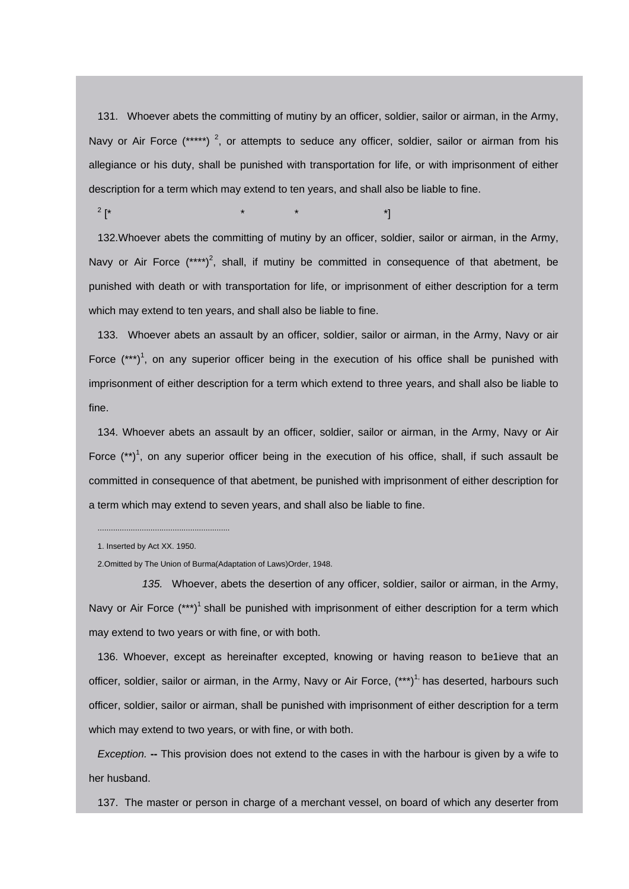131. Whoever abets the committing of mutiny by an officer, soldier, sailor or airman, in the Army, Navy or Air Force  $(****)$ <sup>2</sup>, or attempts to seduce any officer, soldier, sailor or airman from his allegiance or his duty, shall be punished with transportation for life, or with imprisonment of either description for a term which may extend to ten years, and shall also be liable to fine.

 $2^{2}$  $\begin{bmatrix} * & * & * & * \ * & * & * \end{bmatrix}$ 

132.Whoever abets the committing of mutiny by an officer, soldier, sailor or airman, in the Army, Navy or Air Force  $(****)^2$ , shall, if mutiny be committed in consequence of that abetment, be punished with death or with transportation for life, or imprisonment of either description for a term which may extend to ten years, and shall also be liable to fine.

133. Whoever abets an assault by an officer, soldier, sailor or airman, in the Army, Navy or air Force  $(*^{**})^1$ , on any superior officer being in the execution of his office shall be punished with imprisonment of either description for a term which extend to three years, and shall also be liable to fine.

134. Whoever abets an assault by an officer, soldier, sailor or airman, in the Army, Navy or Air Force  $(*^*)^1$ , on any superior officer being in the execution of his office, shall, if such assault be committed in consequence of that abetment, be punished with imprisonment of either description for a term which may extend to seven years, and shall also be liable to fine.

............................................................

 *135.* Whoever, abets the desertion of any officer, soldier, sailor or airman, in the Army, Navy or Air Force  $(**)$ <sup>1</sup> shall be punished with imprisonment of either description for a term which may extend to two years or with fine, or with both.

136. Whoever, except as hereinafter excepted, knowing or having reason to be1ieve that an officer, soldier, sailor or airman, in the Army, Navy or Air Force,  $(*^{**})^1$  has deserted, harbours such officer, soldier, sailor or airman, shall be punished with imprisonment of either description for a term which may extend to two years, or with fine, or with both.

*Exception.* **--** This provision does not extend to the cases in with the harbour is given by a wife to her husband.

137. The master or person in charge of a merchant vessel, on board of which any deserter from

<sup>1.</sup> Inserted by Act XX. 1950.

<sup>2.</sup>Omitted by The Union of Burma(Adaptation of Laws)Order, 1948.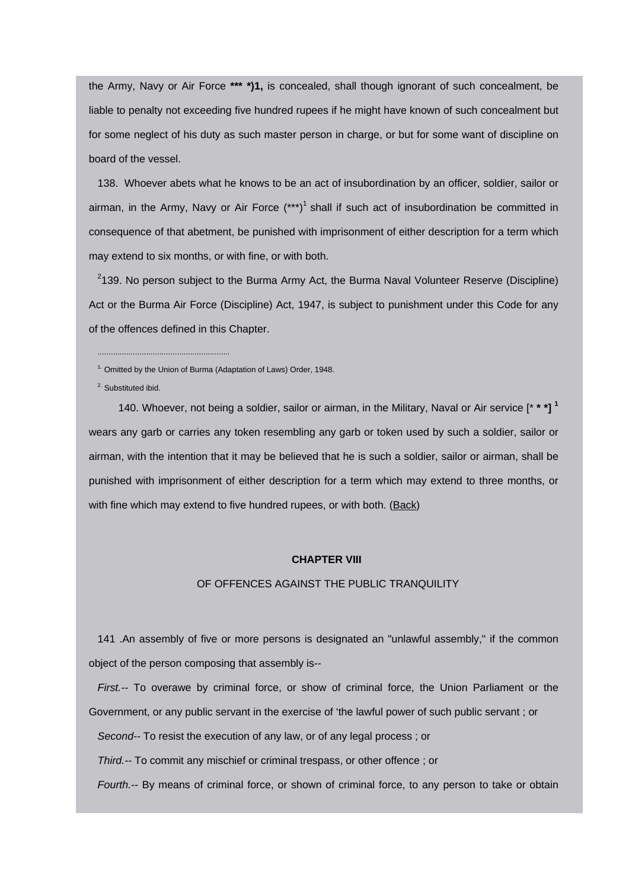the Army, Navy or Air Force **\*\*\* \*)1,** is concealed, shall though ignorant of such concealment, be liable to penalty not exceeding five hundred rupees if he might have known of such concealment but for some neglect of his duty as such master person in charge, or but for some want of discipline on board of the vessel.

138. Whoever abets what he knows to be an act of insubordination by an officer, soldier, sailor or airman, in the Army, Navy or Air Force  $(**)$ <sup>1</sup> shall if such act of insubordination be committed in consequence of that abetment, be punished with imprisonment of either description for a term which may extend to six months, or with fine, or with both.

 $2$ 139. No person subject to the Burma Army Act, the Burma Naval Volunteer Reserve (Discipline) Act or the Burma Air Force (Discipline) Act, 1947, is subject to punishment under this Code for any of the offences defined in this Chapter.

<sup>1.</sup> Omitted by the Union of Burma (Adaptation of Laws) Order, 1948.

<sup>2.</sup> Substituted ibid.

............................................................

 140. Whoever, not being a soldier, sailor or airman, in the Military, Naval or Air service [\* **\* \*] <sup>1</sup>** wears any garb or carries any token resembling any garb or token used by such a soldier, sailor or airman, with the intention that it may be believed that he is such a soldier, sailor or airman, shall be punished with imprisonment of either description for a term which may extend to three months, or with fine which may extend to five hundred rupees, or with both. [\(Back](http://www.blc-burma.org/html/Myanmar Penal Code/mpc.html#concpt7))

### **CHAPTER VIII**

### OF OFFENCES AGAINST THE PUBLIC TRANQUILITY

141 .An assembly of five or more persons is designated an "unlawful assembly," if the common object of the person composing that assembly is--

*First.--* To overawe by criminal force, or show of criminal force, the Union Parliament or the Government, or any public servant in the exercise of 'the lawful power of such public servant ; or

*Second--* To resist the execution of any law, or of any legal process ; or

*Third.--* To commit any mischief or criminal trespass, or other offence ; or

*Fourth.--* By means of criminal force, or shown of criminal force, to any person to take or obtain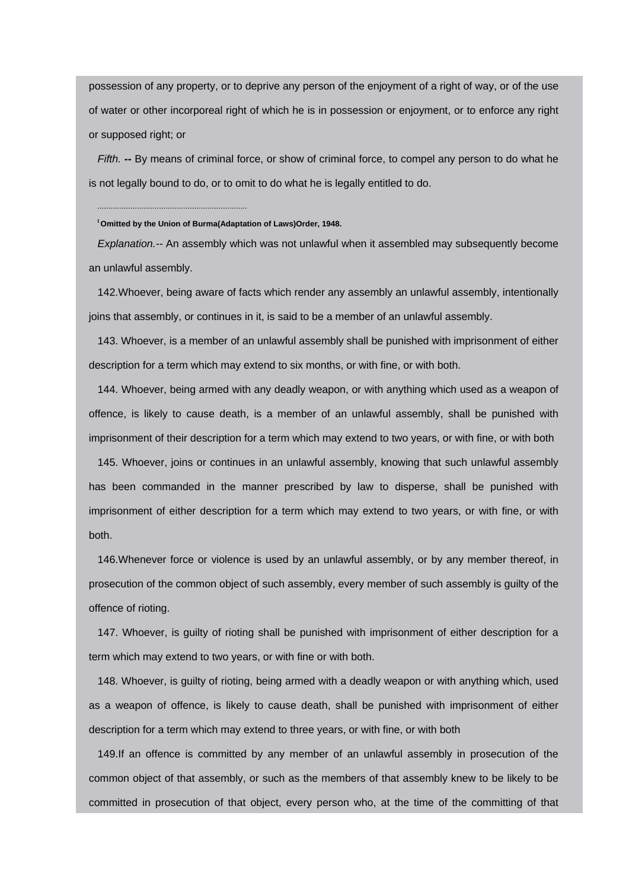possession of any property, or to deprive any person of the enjoyment of a right of way, or of the use of water or other incorporeal right of which he is in possession or enjoyment, or to enforce any right or supposed right; or

*Fifth.* **--** By means of criminal force, or show of criminal force, to compel any person to do what he is not legally bound to do, or to omit to do what he is legally entitled to do.

**I Omitted by the Union of Burma(Adaptation of Laws)Order, 1948.**

*....................................................................*

*Explanation.--* An assembly which was not unlawful when it assembled may subsequently become an unlawful assembly.

142.Whoever, being aware of facts which render any assembly an unlawful assembly, intentionally joins that assembly, or continues in it, is said to be a member of an unlawful assembly.

143. Whoever, is a member of an unlawful assembly shall be punished with imprisonment of either description for a term which may extend to six months, or with fine, or with both.

144. Whoever, being armed with any deadly weapon, or with anything which used as a weapon of offence, is likely to cause death, is a member of an unlawful assembly, shall be punished with imprisonment of their description for a term which may extend to two years, or with fine, or with both

145. Whoever, joins or continues in an unlawful assembly, knowing that such unlawful assembly has been commanded in the manner prescribed by law to disperse, shall be punished with imprisonment of either description for a term which may extend to two years, or with fine, or with both.

146.Whenever force or violence is used by an unlawful assembly, or by any member thereof, in prosecution of the common object of such assembly, every member of such assembly is guilty of the offence of rioting.

147. Whoever, is guilty of rioting shall be punished with imprisonment of either description for a term which may extend to two years, or with fine or with both.

148. Whoever, is guilty of rioting, being armed with a deadly weapon or with anything which, used as a weapon of offence, is likely to cause death, shall be punished with imprisonment of either description for a term which may extend to three years, or with fine, or with both

149.If an offence is committed by any member of an unlawful assembly in prosecution of the common object of that assembly, or such as the members of that assembly knew to be likely to be committed in prosecution of that object, every person who, at the time of the committing of that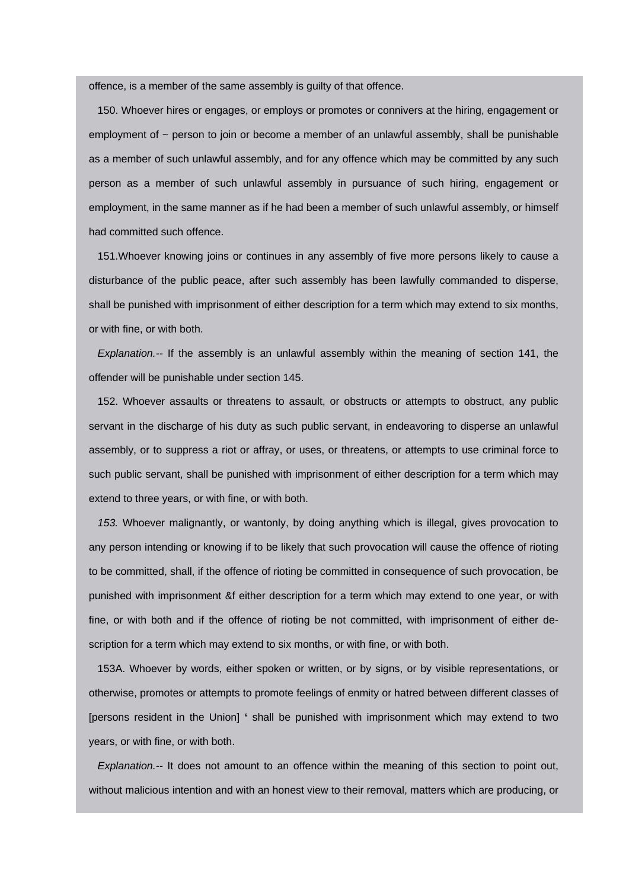offence, is a member of the same assembly is guilty of that offence.

150. Whoever hires or engages, or employs or promotes or connivers at the hiring, engagement or employment of  $\sim$  person to join or become a member of an unlawful assembly, shall be punishable as a member of such unlawful assembly, and for any offence which may be committed by any such person as a member of such unlawful assembly in pursuance of such hiring, engagement or employment, in the same manner as if he had been a member of such unlawful assembly, or himself had committed such offence.

151.Whoever knowing joins or continues in any assembly of five more persons likely to cause a disturbance of the public peace, after such assembly has been lawfully commanded to disperse, shall be punished with imprisonment of either description for a term which may extend to six months, or with fine, or with both.

*Explanation.--* If the assembly is an unlawful assembly within the meaning of section 141, the offender will be punishable under section 145.

152. Whoever assaults or threatens to assault, or obstructs or attempts to obstruct, any public servant in the discharge of his duty as such public servant, in endeavoring to disperse an unlawful assembly, or to suppress a riot or affray, or uses, or threatens, or attempts to use criminal force to such public servant, shall be punished with imprisonment of either description for a term which may extend to three years, or with fine, or with both.

*153.* Whoever malignantly, or wantonly, by doing anything which is illegal, gives provocation to any person intending or knowing if to be likely that such provocation will cause the offence of rioting to be committed, shall, if the offence of rioting be committed in consequence of such provocation, be punished with imprisonment &f either description for a term which may extend to one year, or with fine, or with both and if the offence of rioting be not committed, with imprisonment of either description for a term which may extend to six months, or with fine, or with both.

153A. Whoever by words, either spoken or written, or by signs, or by visible representations, or otherwise, promotes or attempts to promote feelings of enmity or hatred between different classes of [persons resident in the Union] **'** shall be punished with imprisonment which may extend to two years, or with fine, or with both.

*Explanation.--* It does not amount to an offence within the meaning of this section to point out, without malicious intention and with an honest view to their removal, matters which are producing, or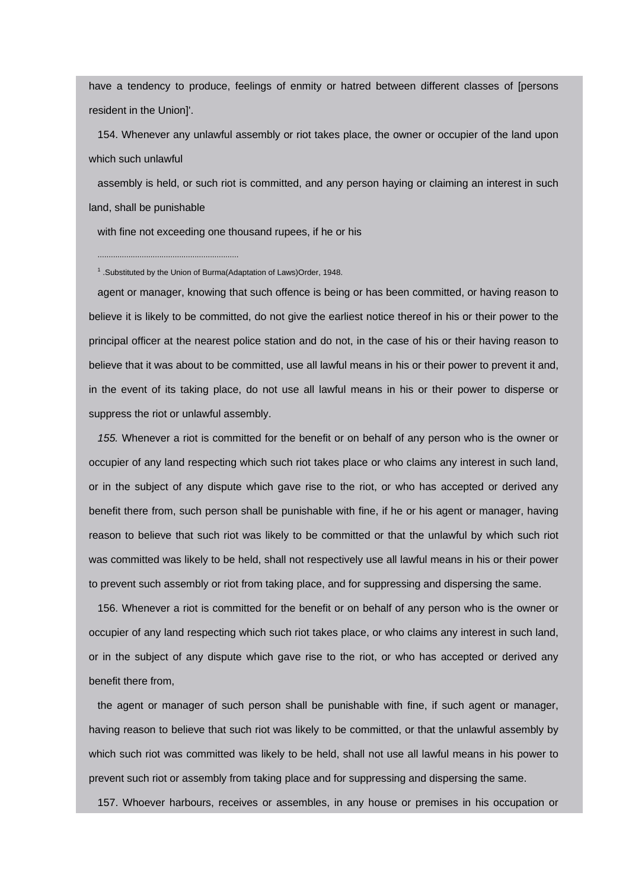have a tendency to produce, feelings of enmity or hatred between different classes of [persons resident in the Union]'.

154. Whenever any unlawful assembly or riot takes place, the owner or occupier of the land upon which such unlawful

assembly is held, or such riot is committed, and any person haying or claiming an interest in such land, shall be punishable

with fine not exceeding one thousand rupees, if he or his

<sup>1</sup>. Substituted by the Union of Burma(Adaptation of Laws) Order, 1948.

................................................................

agent or manager, knowing that such offence is being or has been committed, or having reason to believe it is likely to be committed, do not give the earliest notice thereof in his or their power to the principal officer at the nearest police station and do not, in the case of his or their having reason to believe that it was about to be committed, use all lawful means in his or their power to prevent it and, in the event of its taking place, do not use all lawful means in his or their power to disperse or suppress the riot or unlawful assembly.

*155.* Whenever a riot is committed for the benefit or on behalf of any person who is the owner or occupier of any land respecting which such riot takes place or who claims any interest in such land, or in the subject of any dispute which gave rise to the riot, or who has accepted or derived any benefit there from, such person shall be punishable with fine, if he or his agent or manager, having reason to believe that such riot was likely to be committed or that the unlawful by which such riot was committed was likely to be held, shall not respectively use all lawful means in his or their power to prevent such assembly or riot from taking place, and for suppressing and dispersing the same.

156. Whenever a riot is committed for the benefit or on behalf of any person who is the owner or occupier of any land respecting which such riot takes place, or who claims any interest in such land, or in the subject of any dispute which gave rise to the riot, or who has accepted or derived any benefit there from,

the agent or manager of such person shall be punishable with fine, if such agent or manager, having reason to believe that such riot was likely to be committed, or that the unlawful assembly by which such riot was committed was likely to be held, shall not use all lawful means in his power to prevent such riot or assembly from taking place and for suppressing and dispersing the same.

157. Whoever harbours, receives or assembles, in any house or premises in his occupation or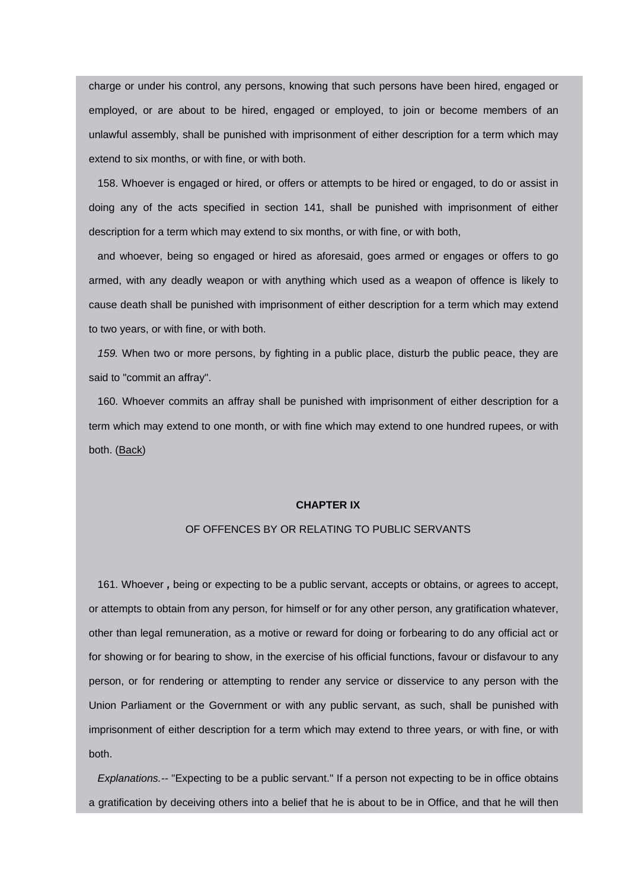charge or under his control, any persons, knowing that such persons have been hired, engaged or employed, or are about to be hired, engaged or employed, to join or become members of an unlawful assembly, shall be punished with imprisonment of either description for a term which may extend to six months, or with fine, or with both.

158. Whoever is engaged or hired, or offers or attempts to be hired or engaged, to do or assist in doing any of the acts specified in section 141, shall be punished with imprisonment of either description for a term which may extend to six months, or with fine, or with both,

and whoever, being so engaged or hired as aforesaid, goes armed or engages or offers to go armed, with any deadly weapon or with anything which used as a weapon of offence is likely to cause death shall be punished with imprisonment of either description for a term which may extend to two years, or with fine, or with both.

*159.* When two or more persons, by fighting in a public place, disturb the public peace, they are said to "commit an affray".

160. Whoever commits an affray shall be punished with imprisonment of either description for a term which may extend to one month, or with fine which may extend to one hundred rupees, or with both. [\(Back\)](http://www.blc-burma.org/html/Myanmar Penal Code/mpc.html#concpt8)

# **CHAPTER IX**

# OF OFFENCES BY OR RELATING TO PUBLIC SERVANTS

161. Whoever *,* being or expecting to be a public servant, accepts or obtains, or agrees to accept, or attempts to obtain from any person, for himself or for any other person, any gratification whatever, other than legal remuneration, as a motive or reward for doing or forbearing to do any official act or for showing or for bearing to show, in the exercise of his official functions, favour or disfavour to any person, or for rendering or attempting to render any service or disservice to any person with the Union Parliament or the Government or with any public servant, as such, shall be punished with imprisonment of either description for a term which may extend to three years, or with fine, or with both.

*Explanations.--* "Expecting to be a public servant." If a person not expecting to be in office obtains a gratification by deceiving others into a belief that he is about to be in Office, and that he will then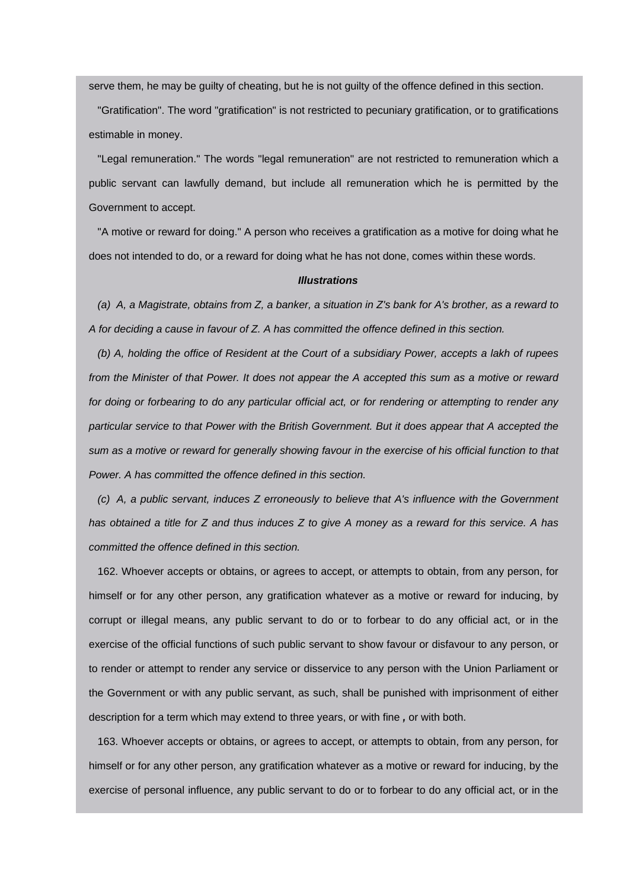serve them, he may be guilty of cheating, but he is not guilty of the offence defined in this section.

"Gratification". The word "gratification" is not restricted to pecuniary gratification, or to gratifications estimable in money.

"Legal remuneration." The words "legal remuneration" are not restricted to remuneration which a public servant can lawfully demand, but include all remuneration which he is permitted by the Government to accept.

"A motive or reward for doing." A person who receives a gratification as a motive for doing what he does not intended to do, or a reward for doing what he has not done, comes within these words.

#### *Illustrations*

*(a) A, a Magistrate, obtains from Z, a banker, a situation in Z's bank for A's brother, as a reward to A for deciding a cause in favour of Z. A has committed the offence defined in this section.*

*(b) A, holding the office of Resident at the Court of a subsidiary Power, accepts a lakh of rupees from the Minister of that Power. It does not appear the A accepted this sum as a motive or reward for doing or forbearing to do any particular official act, or for rendering or attempting to render any particular service to that Power with the British Government. But it does appear that A accepted the sum as a motive or reward for generally showing favour in the exercise of his official function to that Power. A has committed the offence defined in this section.*

*(c) A, a public servant, induces Z erroneously to believe that A's influence with the Government has obtained a title for Z and thus induces Z to give A money as a reward for this service. A has committed the offence defined in this section.*

162. Whoever accepts or obtains, or agrees to accept, or attempts to obtain, from any person, for himself or for any other person, any gratification whatever as a motive or reward for inducing, by corrupt or illegal means, any public servant to do or to forbear to do any official act, or in the exercise of the official functions of such public servant to show favour or disfavour to any person, or to render or attempt to render any service or disservice to any person with the Union Parliament or the Government or with any public servant, as such, shall be punished with imprisonment of either description for a term which may extend to three years, or with fine *,* or with both.

163. Whoever accepts or obtains, or agrees to accept, or attempts to obtain, from any person, for himself or for any other person, any gratification whatever as a motive or reward for inducing, by the exercise of personal influence, any public servant to do or to forbear to do any official act, or in the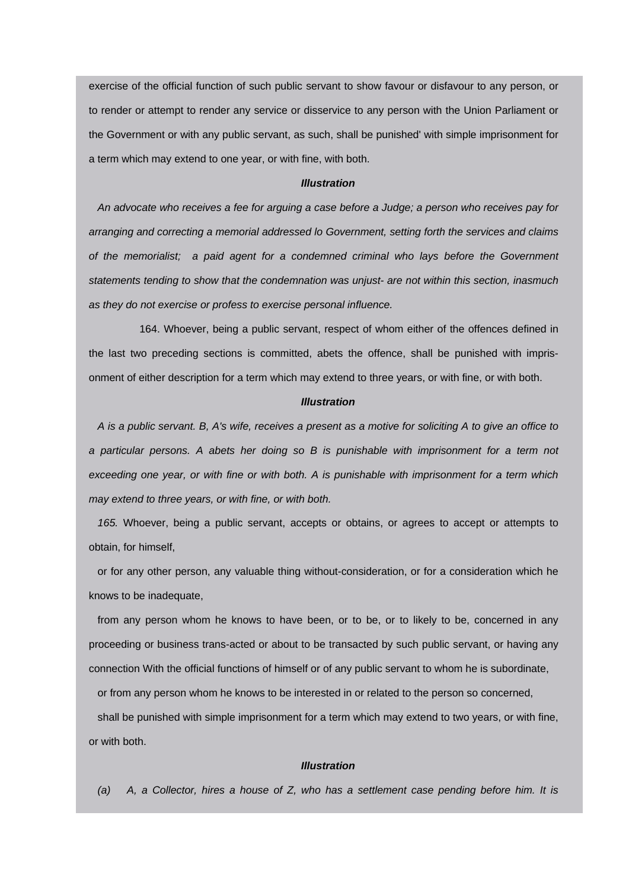exercise of the official function of such public servant to show favour or disfavour to any person, or to render or attempt to render any service or disservice to any person with the Union Parliament or the Government or with any public servant, as such, shall be punished' with simple imprisonment for a term which may extend to one year, or with fine, with both.

#### *Illustration*

*An advocate who receives a fee for arguing a case before a Judge; a person who receives pay for arranging and correcting a memorial addressed lo Government, setting forth the services and claims of the memorialist; a paid agent for a condemned criminal who lays before the Government statements tending to show that the condemnation was unjust- are not within this section, inasmuch as they do not exercise or profess to exercise personal influence.*

164. Whoever, being a public servant, respect of whom either of the offences defined in the last two preceding sections is committed, abets the offence, shall be punished with imprisonment of either description for a term which may extend to three years, or with fine, or with both.

### *Illustration*

*A is a public servant. B, A's wife, receives a present as a motive for soliciting A to give an office to a particular persons. A abets her doing so B is punishable with imprisonment for a term not exceeding one year, or with fine or with both. A is punishable with imprisonment for a term which may extend to three years, or with fine, or with both.*

*165.* Whoever, being a public servant, accepts or obtains, or agrees to accept or attempts to obtain, for himself,

or for any other person, any valuable thing without-consideration, or for a consideration which he knows to be inadequate,

from any person whom he knows to have been, or to be, or to likely to be, concerned in any proceeding or business trans-acted or about to be transacted by such public servant, or having any connection With the official functions of himself or of any public servant to whom he is subordinate,

or from any person whom he knows to be interested in or related to the person so concerned,

shall be punished with simple imprisonment for a term which may extend to two years, or with fine, or with both.

# *Illustration*

*(a) A, a Collector, hires a house of Z, who has a settlement case pending before him. It is*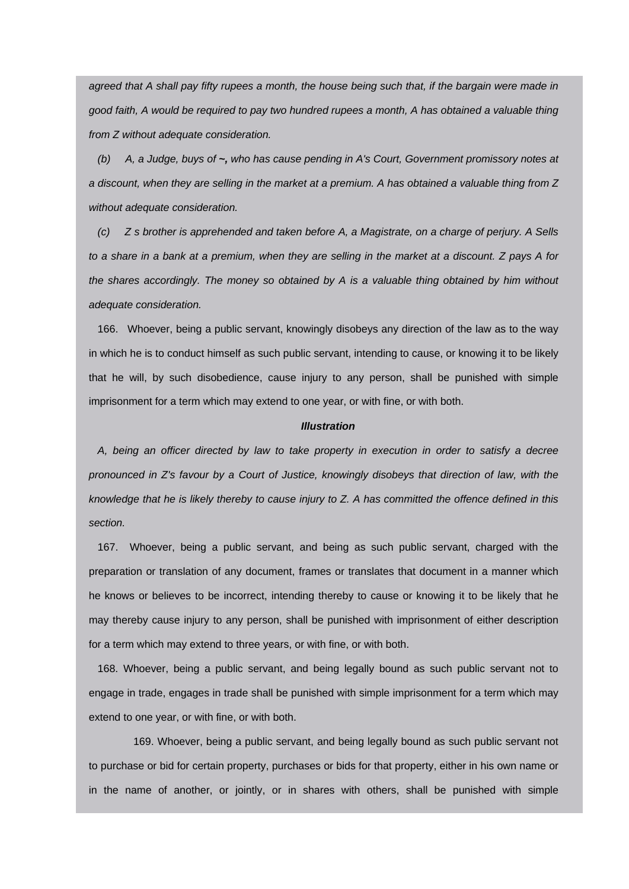*agreed that A shall pay fifty rupees a month, the house being such that, if the bargain were made in good faith, A would be required to pay two hundred rupees a month, A has obtained a valuable thing from Z without adequate consideration.*

*(b) A, a Judge, buys of ~, who has cause pending in A's Court, Government promissory notes at a discount, when they are selling in the market at a premium. A has obtained a valuable thing from Z without adequate consideration.*

*(c) Z s brother is apprehended and taken before A, a Magistrate, on a charge of perjury. A Sells to a share in a bank at a premium, when they are selling in the market at a discount. Z pays A for the shares accordingly. The money so obtained by A is a valuable thing obtained by him without adequate consideration.*

166. Whoever, being a public servant, knowingly disobeys any direction of the law as to the way in which he is to conduct himself as such public servant, intending to cause, or knowing it to be likely that he will, by such disobedience, cause injury to any person, shall be punished with simple imprisonment for a term which may extend to one year, or with fine, or with both.

### *Illustration*

*A, being an officer directed by law to take property in execution in order to satisfy a decree pronounced in Z's favour by a Court of Justice, knowingly disobeys that direction of law, with the knowledge that he is likely thereby to cause injury to Z. A has committed the offence defined in this section.*

167. Whoever, being a public servant, and being as such public servant, charged with the preparation or translation of any document, frames or translates that document in a manner which he knows or believes to be incorrect, intending thereby to cause or knowing it to be likely that he may thereby cause injury to any person, shall be punished with imprisonment of either description for a term which may extend to three years, or with fine, or with both.

168. Whoever, being a public servant, and being legally bound as such public servant not to engage in trade, engages in trade shall be punished with simple imprisonment for a term which may extend to one year, or with fine, or with both.

 169. Whoever, being a public servant, and being legally bound as such public servant not to purchase or bid for certain property, purchases or bids for that property, either in his own name or in the name of another, or jointly, or in shares with others, shall be punished with simple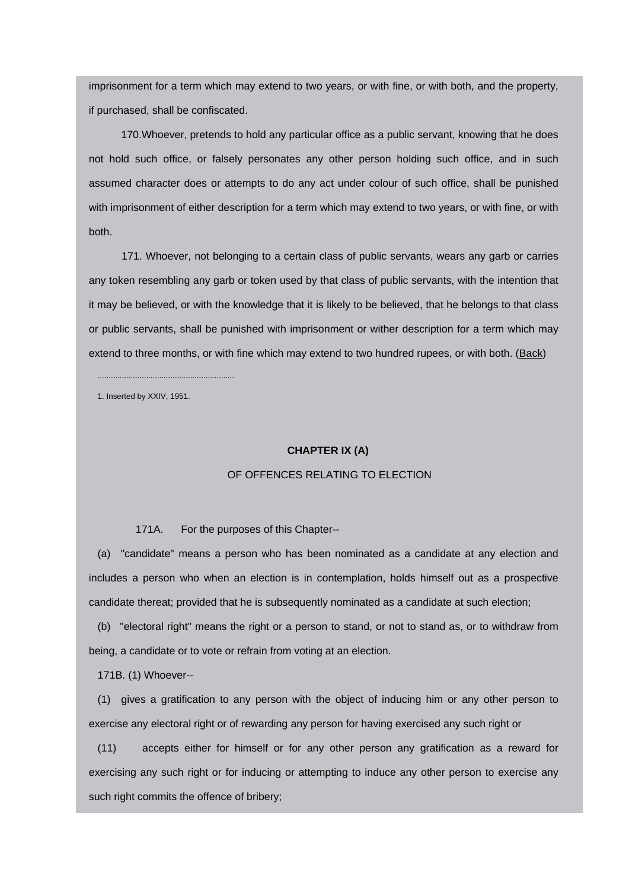imprisonment for a term which may extend to two years, or with fine, or with both, and the property, if purchased, shall be confiscated.

 170.Whoever, pretends to hold any particular office as a public servant, knowing that he does not hold such office, or falsely personates any other person holding such office, and in such assumed character does or attempts to do any act under colour of such office, shall be punished with imprisonment of either description for a term which may extend to two years, or with fine, or with both.

 171. Whoever, not belonging to a certain class of public servants, wears any garb or carries any token resembling any garb or token used by that class of public servants, with the intention that it may be believed, or with the knowledge that it is likely to be believed, that he belongs to that class or public servants, shall be punished with imprisonment or wither description for a term which may extend to three months, or with fine which may extend to two hundred rupees, or with both. ([Back\)](http://www.blc-burma.org/html/Myanmar Penal Code/mpc.html#comcpt9)

1. Inserted by XXIV, 1951.

..............................................................

### **CHAPTER IX (A)**

### OF OFFENCES RELATING TO ELECTION

171A. For the purposes of this Chapter--

(a) "candidate" means a person who has been nominated as a candidate at any election and includes a person who when an election is in contemplation, holds himself out as a prospective candidate thereat; provided that he is subsequently nominated as a candidate at such election;

(b) "electoral right" means the right or a person to stand, or not to stand as, or to withdraw from being, a candidate or to vote or refrain from voting at an election.

171B. (1) Whoever--

(1) gives a gratification to any person with the object of inducing him or any other person to exercise any electoral right or of rewarding any person for having exercised any such right or

(11) accepts either for himself or for any other person any gratification as a reward for exercising any such right or for inducing or attempting to induce any other person to exercise any such right commits the offence of bribery;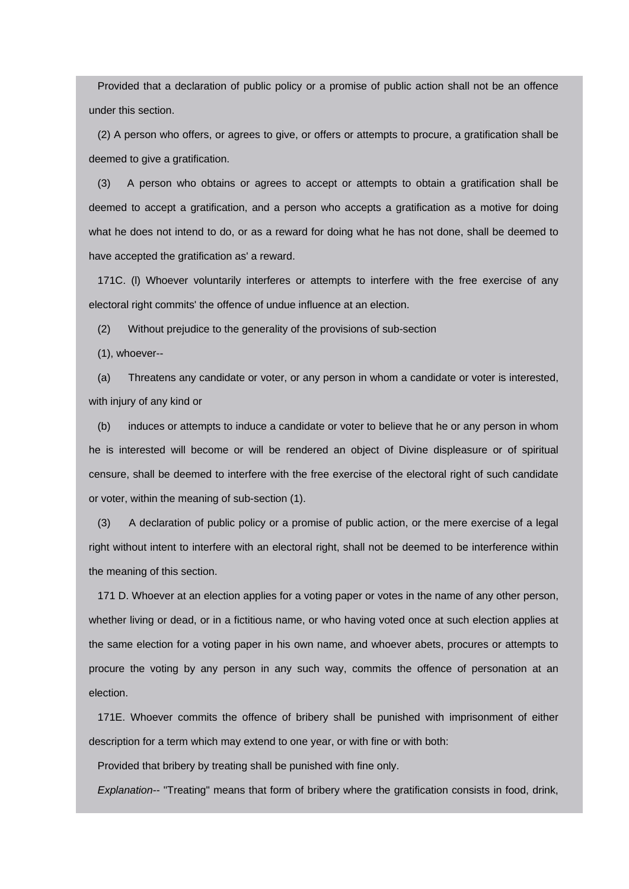Provided that a declaration of public policy or a promise of public action shall not be an offence under this section.

(2) A person who offers, or agrees to give, or offers or attempts to procure, a gratification shall be deemed to give a gratification.

(3) A person who obtains or agrees to accept or attempts to obtain a gratification shall be deemed to accept a gratification, and a person who accepts a gratification as a motive for doing what he does not intend to do, or as a reward for doing what he has not done, shall be deemed to have accepted the gratification as' a reward.

171C. (l) Whoever voluntarily interferes or attempts to interfere with the free exercise of any electoral right commits' the offence of undue influence at an election.

(2) Without prejudice to the generality of the provisions of sub-section

(1), whoever--

(a) Threatens any candidate or voter, or any person in whom a candidate or voter is interested, with injury of any kind or

(b) induces or attempts to induce a candidate or voter to believe that he or any person in whom he is interested will become or will be rendered an object of Divine displeasure or of spiritual censure, shall be deemed to interfere with the free exercise of the electoral right of such candidate or voter, within the meaning of sub-section (1).

(3) A declaration of public policy or a promise of public action, or the mere exercise of a legal right without intent to interfere with an electoral right, shall not be deemed to be interference within the meaning of this section.

171 D. Whoever at an election applies for a voting paper or votes in the name of any other person, whether living or dead, or in a fictitious name, or who having voted once at such election applies at the same election for a voting paper in his own name, and whoever abets, procures or attempts to procure the voting by any person in any such way, commits the offence of personation at an election.

171E. Whoever commits the offence of bribery shall be punished with imprisonment of either description for a term which may extend to one year, or with fine or with both:

Provided that bribery by treating shall be punished with fine only.

*Explanation--* "Treating" means that form of bribery where the gratification consists in food, drink,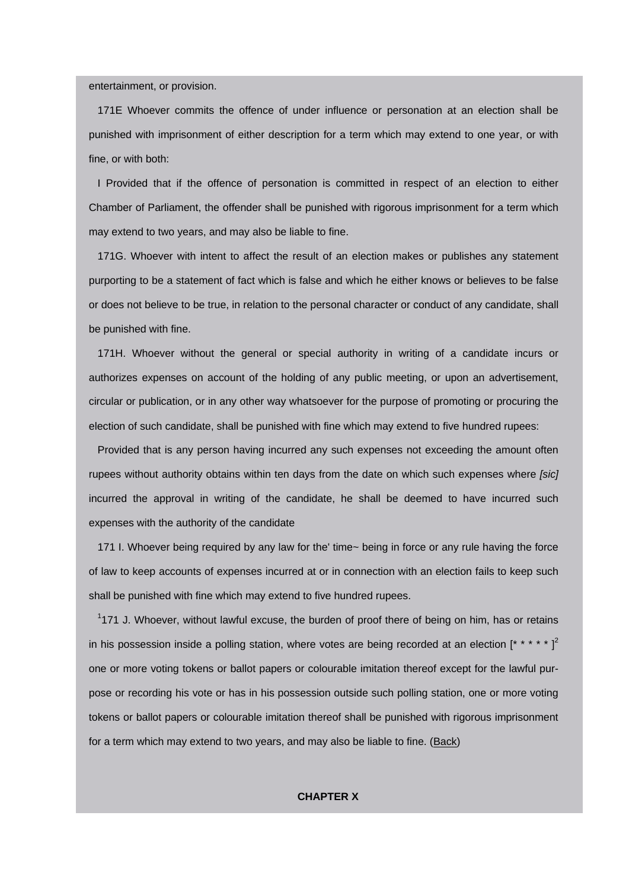#### entertainment, or provision.

171E Whoever commits the offence of under influence or personation at an election shall be punished with imprisonment of either description for a term which may extend to one year, or with fine, or with both:

I Provided that if the offence of personation is committed in respect of an election to either Chamber of Parliament, the offender shall be punished with rigorous imprisonment for a term which may extend to two years, and may also be liable to fine.

171G. Whoever with intent to affect the result of an election makes or publishes any statement purporting to be a statement of fact which is false and which he either knows or believes to be false or does not believe to be true, in relation to the personal character or conduct of any candidate, shall be punished with fine.

171H. Whoever without the general or special authority in writing of a candidate incurs or authorizes expenses on account of the holding of any public meeting, or upon an advertisement, circular or publication, or in any other way whatsoever for the purpose of promoting or procuring the election of such candidate, shall be punished with fine which may extend to five hundred rupees:

Provided that is any person having incurred any such expenses not exceeding the amount often rupees without authority obtains within ten days from the date on which such expenses where *[sic]*  incurred the approval in writing of the candidate, he shall be deemed to have incurred such expenses with the authority of the candidate

171 I. Whoever being required by any law for the' time~ being in force or any rule having the force of law to keep accounts of expenses incurred at or in connection with an election fails to keep such shall be punished with fine which may extend to five hundred rupees.

<sup>1</sup>171 J. Whoever, without lawful excuse, the burden of proof there of being on him, has or retains in his possession inside a polling station, where votes are being recorded at an election  $[$ \*\*\*\*\* $]$ <sup>2</sup> one or more voting tokens or ballot papers or colourable imitation thereof except for the lawful purpose or recording his vote or has in his possession outside such polling station, one or more voting tokens or ballot papers or colourable imitation thereof shall be punished with rigorous imprisonment for a term which may extend to two years, and may also be liable to fine. [\(Back\)](http://www.blc-burma.org/html/Myanmar Penal Code/mpc.html#comcpt9a)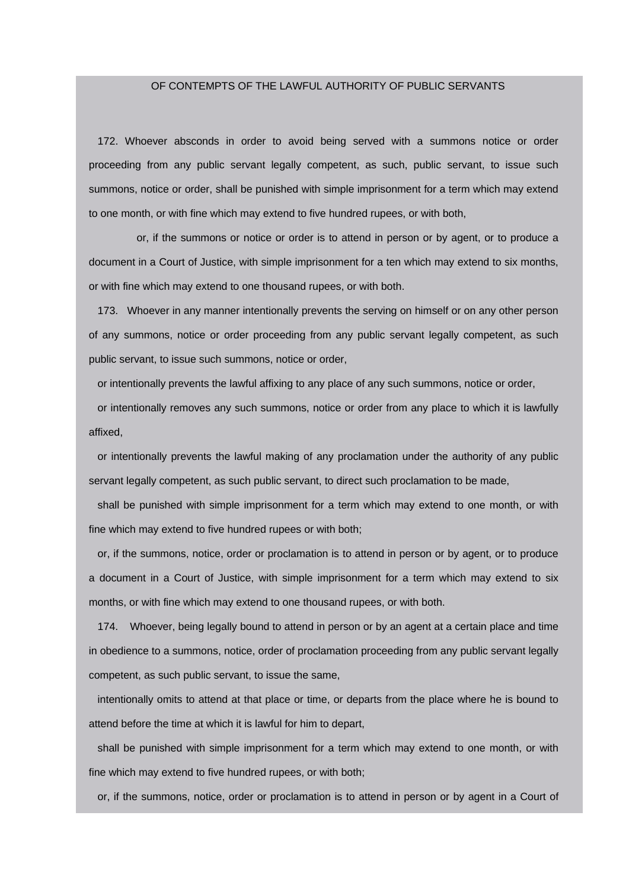# OF CONTEMPTS OF THE LAWFUL AUTHORITY OF PUBLIC SERVANTS

172. Whoever absconds in order to avoid being served with a summons notice or order proceeding from any public servant legally competent, as such, public servant, to issue such summons, notice or order, shall be punished with simple imprisonment for a term which may extend to one month, or with fine which may extend to five hundred rupees, or with both,

 or, if the summons or notice or order is to attend in person or by agent, or to produce a document in a Court of Justice, with simple imprisonment for a ten which may extend to six months, or with fine which may extend to one thousand rupees, or with both.

173. Whoever in any manner intentionally prevents the serving on himself or on any other person of any summons, notice or order proceeding from any public servant legally competent, as such public servant, to issue such summons, notice or order,

or intentionally prevents the lawful affixing to any place of any such summons, notice or order,

or intentionally removes any such summons, notice or order from any place to which it is lawfully affixed,

or intentionally prevents the lawful making of any proclamation under the authority of any public servant legally competent, as such public servant, to direct such proclamation to be made,

shall be punished with simple imprisonment for a term which may extend to one month, or with fine which may extend to five hundred rupees or with both;

or, if the summons, notice, order or proclamation is to attend in person or by agent, or to produce a document in a Court of Justice, with simple imprisonment for a term which may extend to six months, or with fine which may extend to one thousand rupees, or with both.

174. Whoever, being legally bound to attend in person or by an agent at a certain place and time in obedience to a summons, notice, order of proclamation proceeding from any public servant legally competent, as such public servant, to issue the same,

intentionally omits to attend at that place or time, or departs from the place where he is bound to attend before the time at which it is lawful for him to depart,

shall be punished with simple imprisonment for a term which may extend to one month, or with fine which may extend to five hundred rupees, or with both;

or, if the summons, notice, order or proclamation is to attend in person or by agent in a Court of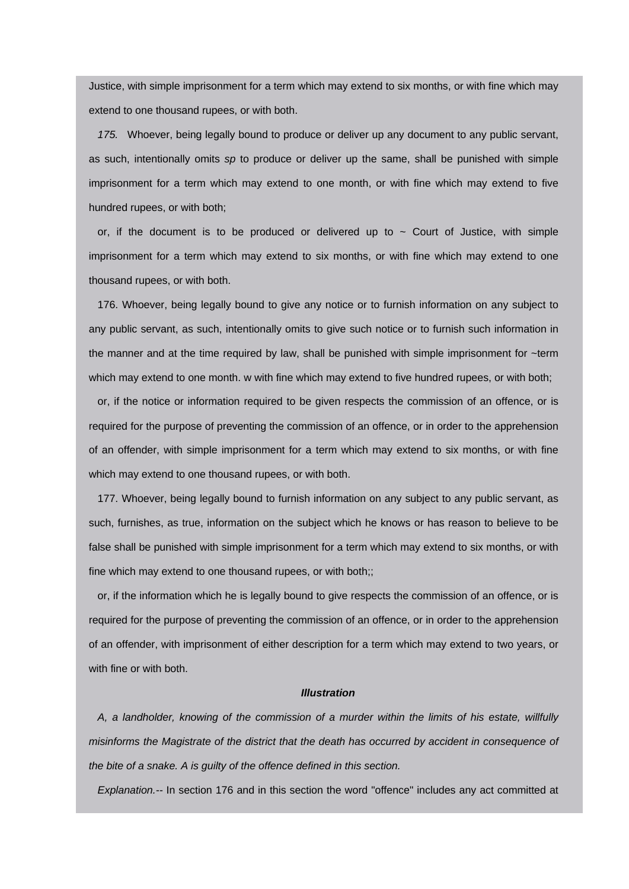Justice, with simple imprisonment for a term which may extend to six months, or with fine which may extend to one thousand rupees, or with both.

*175.* Whoever, being legally bound to produce or deliver up any document to any public servant, as such, intentionally omits *sp* to produce or deliver up the same, shall be punished with simple imprisonment for a term which may extend to one month, or with fine which may extend to five hundred rupees, or with both;

or, if the document is to be produced or delivered up to  $\sim$  Court of Justice, with simple imprisonment for a term which may extend to six months, or with fine which may extend to one thousand rupees, or with both.

176. Whoever, being legally bound to give any notice or to furnish information on any subject to any public servant, as such, intentionally omits to give such notice or to furnish such information in the manner and at the time required by law, shall be punished with simple imprisonment for  $\sim$ term which may extend to one month. w with fine which may extend to five hundred rupees, or with both;

or, if the notice or information required to be given respects the commission of an offence, or is required for the purpose of preventing the commission of an offence, or in order to the apprehension of an offender, with simple imprisonment for a term which may extend to six months, or with fine which may extend to one thousand rupees, or with both.

177. Whoever, being legally bound to furnish information on any subject to any public servant, as such, furnishes, as true, information on the subject which he knows or has reason to believe to be false shall be punished with simple imprisonment for a term which may extend to six months, or with fine which may extend to one thousand rupees, or with both;;

or, if the information which he is legally bound to give respects the commission of an offence, or is required for the purpose of preventing the commission of an offence, or in order to the apprehension of an offender, with imprisonment of either description for a term which may extend to two years, or with fine or with both.

# *Illustration*

*A, a landholder, knowing of the commission of a murder within the limits of his estate, willfully misinforms the Magistrate of the district that the death has occurred by accident in consequence of the bite of a snake. A is guilty of the offence defined in this section.*

*Explanation.--* In section 176 and in this section the word "offence" includes any act committed at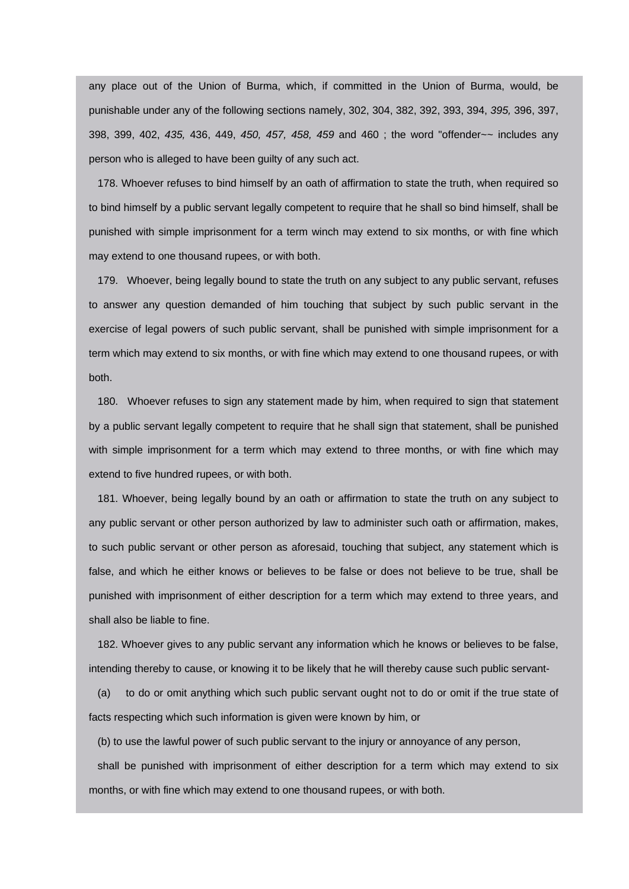any place out of the Union of Burma, which, if committed in the Union of Burma, would, be punishable under any of the following sections namely, 302, 304, 382, 392, 393, 394, *395,* 396, 397, 398, 399, 402, *435,* 436, 449, *450, 457, 458, 459* and 460 ; the word "offender~~ includes any person who is alleged to have been guilty of any such act.

178. Whoever refuses to bind himself by an oath of affirmation to state the truth, when required so to bind himself by a public servant legally competent to require that he shall so bind himself, shall be punished with simple imprisonment for a term winch may extend to six months, or with fine which may extend to one thousand rupees, or with both.

179. Whoever, being legally bound to state the truth on any subject to any public servant, refuses to answer any question demanded of him touching that subject by such public servant in the exercise of legal powers of such public servant, shall be punished with simple imprisonment for a term which may extend to six months, or with fine which may extend to one thousand rupees, or with both.

180. Whoever refuses to sign any statement made by him, when required to sign that statement by a public servant legally competent to require that he shall sign that statement, shall be punished with simple imprisonment for a term which may extend to three months, or with fine which may extend to five hundred rupees, or with both.

181. Whoever, being legally bound by an oath or affirmation to state the truth on any subject to any public servant or other person authorized by law to administer such oath or affirmation, makes, to such public servant or other person as aforesaid, touching that subject, any statement which is false, and which he either knows or believes to be false or does not believe to be true, shall be punished with imprisonment of either description for a term which may extend to three years, and shall also be liable to fine.

182. Whoever gives to any public servant any information which he knows or believes to be false, intending thereby to cause, or knowing it to be likely that he will thereby cause such public servant-

(a) to do or omit anything which such public servant ought not to do or omit if the true state of facts respecting which such information is given were known by him, or

(b) to use the lawful power of such public servant to the injury or annoyance of any person,

shall be punished with imprisonment of either description for a term which may extend to six months, or with fine which may extend to one thousand rupees, or with both.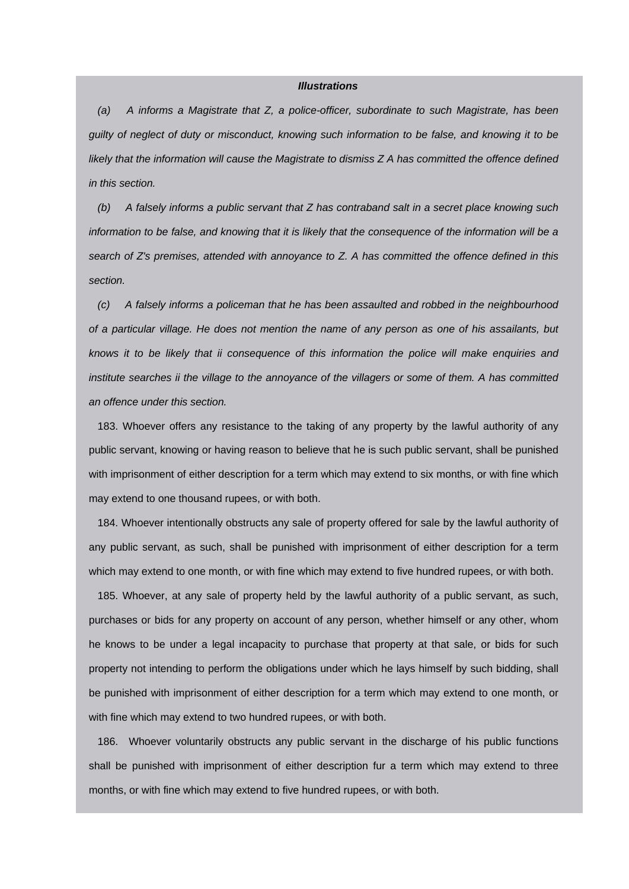# *Illustrations*

*(a) A informs a Magistrate that Z, a police-officer, subordinate to such Magistrate, has been guilty of neglect of duty or misconduct, knowing such information to be false, and knowing it to be likely that the information will cause the Magistrate to dismiss Z A has committed the offence defined in this section.*

*(b) A falsely informs a public servant that Z has contraband salt in a secret place knowing such information to be false, and knowing that it is likely that the consequence of the information will be a search of Z's premises, attended with annoyance to Z. A has committed the offence defined in this section.*

*(c) A falsely informs a policeman that he has been assaulted and robbed in the neighbourhood of a particular village. He does not mention the name of any person as one of his assailants, but knows it to be likely that ii consequence of this information the police will make enquiries and institute searches ii the village to the annoyance of the villagers or some of them. A has committed an offence under this section.*

183. Whoever offers any resistance to the taking of any property by the lawful authority of any public servant, knowing or having reason to believe that he is such public servant, shall be punished with imprisonment of either description for a term which may extend to six months, or with fine which may extend to one thousand rupees, or with both.

184. Whoever intentionally obstructs any sale of property offered for sale by the lawful authority of any public servant, as such, shall be punished with imprisonment of either description for a term which may extend to one month, or with fine which may extend to five hundred rupees, or with both.

185. Whoever, at any sale of property held by the lawful authority of a public servant, as such, purchases or bids for any property on account of any person, whether himself or any other, whom he knows to be under a legal incapacity to purchase that property at that sale, or bids for such property not intending to perform the obligations under which he lays himself by such bidding, shall be punished with imprisonment of either description for a term which may extend to one month, or with fine which may extend to two hundred rupees, or with both.

186. Whoever voluntarily obstructs any public servant in the discharge of his public functions shall be punished with imprisonment of either description fur a term which may extend to three months, or with fine which may extend to five hundred rupees, or with both.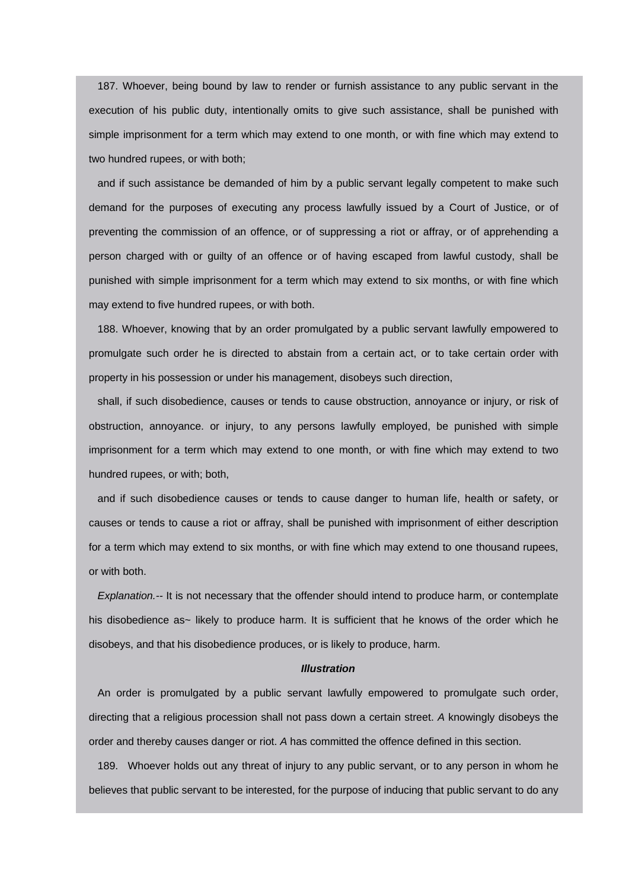187. Whoever, being bound by law to render or furnish assistance to any public servant in the execution of his public duty, intentionally omits to give such assistance, shall be punished with simple imprisonment for a term which may extend to one month, or with fine which may extend to two hundred rupees, or with both;

and if such assistance be demanded of him by a public servant legally competent to make such demand for the purposes of executing any process lawfully issued by a Court of Justice, or of preventing the commission of an offence, or of suppressing a riot or affray, or of apprehending a person charged with or guilty of an offence or of having escaped from lawful custody, shall be punished with simple imprisonment for a term which may extend to six months, or with fine which may extend to five hundred rupees, or with both.

188. Whoever, knowing that by an order promulgated by a public servant lawfully empowered to promulgate such order he is directed to abstain from a certain act, or to take certain order with property in his possession or under his management, disobeys such direction,

shall, if such disobedience, causes or tends to cause obstruction, annoyance or injury, or risk of obstruction, annoyance. or injury, to any persons lawfully employed, be punished with simple imprisonment for a term which may extend to one month, or with fine which may extend to two hundred rupees, or with; both,

and if such disobedience causes or tends to cause danger to human life, health or safety, or causes or tends to cause a riot or affray, shall be punished with imprisonment of either description for a term which may extend to six months, or with fine which may extend to one thousand rupees, or with both.

*Explanation.--* It is not necessary that the offender should intend to produce harm, or contemplate his disobedience as~ likely to produce harm. It is sufficient that he knows of the order which he disobeys, and that his disobedience produces, or is likely to produce, harm.

### *Illustration*

An order is promulgated by a public servant lawfully empowered to promulgate such order, directing that a religious procession shall not pass down a certain street. *A* knowingly disobeys the order and thereby causes danger or riot. *A* has committed the offence defined in this section.

189. Whoever holds out any threat of injury to any public servant, or to any person in whom he believes that public servant to be interested, for the purpose of inducing that public servant to do any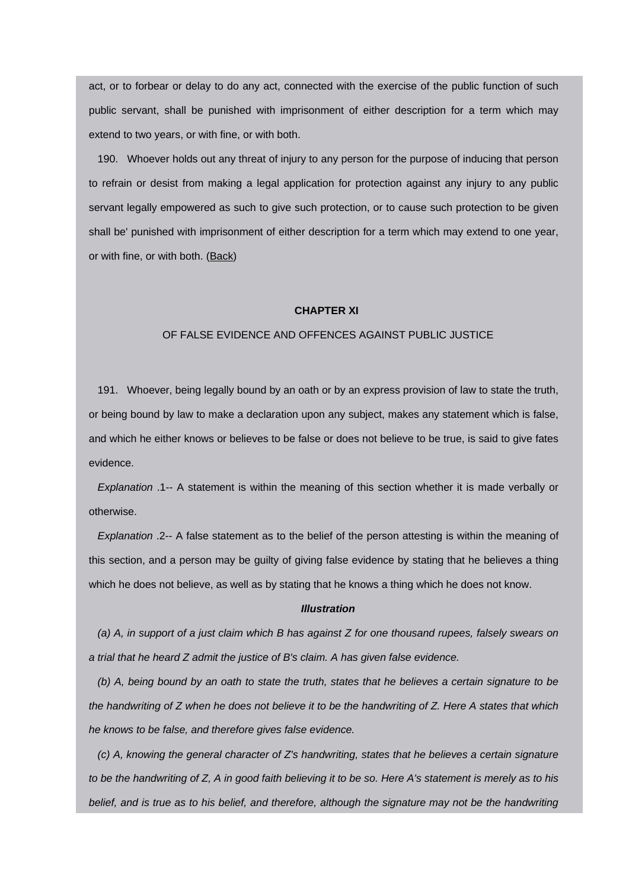act, or to forbear or delay to do any act, connected with the exercise of the public function of such public servant, shall be punished with imprisonment of either description for a term which may extend to two years, or with fine, or with both.

190. Whoever holds out any threat of injury to any person for the purpose of inducing that person to refrain or desist from making a legal application for protection against any injury to any public servant legally empowered as such to give such protection, or to cause such protection to be given shall be' punished with imprisonment of either description for a term which may extend to one year, or with fine, or with both. ([Back\)](http://www.blc-burma.org/html/Myanmar Penal Code/mpc.html#comcpt10)

## **CHAPTER XI**

## OF FALSE EVIDENCE AND OFFENCES AGAINST PUBLIC JUSTICE

191. Whoever, being legally bound by an oath or by an express provision of law to state the truth, or being bound by law to make a declaration upon any subject, makes any statement which is false, and which he either knows or believes to be false or does not believe to be true, is said to give fates evidence.

*Explanation* .1-- A statement is within the meaning of this section whether it is made verbally or otherwise.

*Explanation* .2-- A false statement as to the belief of the person attesting is within the meaning of this section, and a person may be guilty of giving false evidence by stating that he believes a thing which he does not believe, as well as by stating that he knows a thing which he does not know.

#### *Illustration*

*(a) A, in support of a just claim which B has against Z for one thousand rupees, falsely swears on a trial that he heard Z admit the justice of B's claim. A has given false evidence.*

*(b) A, being bound by an oath to state the truth, states that he believes a certain signature to be the handwriting of Z when he does not believe it to be the handwriting of Z. Here A states that which he knows to be false, and therefore gives false evidence.*

*(c) A, knowing the general character of Z's handwriting, states that he believes a certain signature to be the handwriting of Z, A in good faith believing it to be so. Here A's statement is merely as to his belief, and is true as to his belief, and therefore, although the signature may not be the handwriting*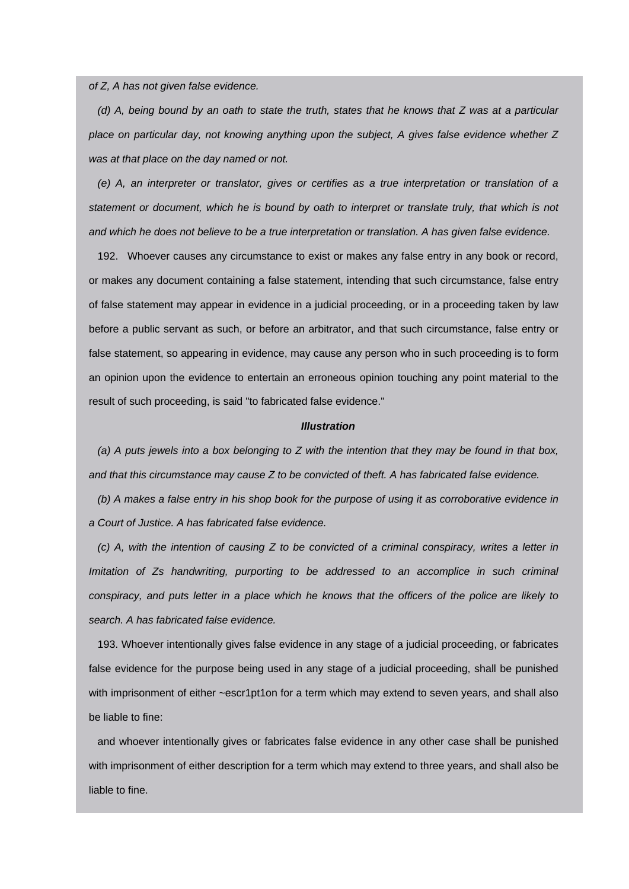*of Z, A has not given false evidence.*

*(d) A, being bound by an oath to state the truth, states that he knows that Z was at a particular place on particular day, not knowing anything upon the subject, A gives false evidence whether Z was at that place on the day named or not.*

*(e) A, an interpreter or translator, gives or certifies as a true interpretation or translation of a statement or document, which he is bound by oath to interpret or translate truly, that which is not and which he does not believe to be a true interpretation or translation. A has given false evidence.*

192. Whoever causes any circumstance to exist or makes any false entry in any book or record, or makes any document containing a false statement, intending that such circumstance, false entry of false statement may appear in evidence in a judicial proceeding, or in a proceeding taken by law before a public servant as such, or before an arbitrator, and that such circumstance, false entry or false statement, so appearing in evidence, may cause any person who in such proceeding is to form an opinion upon the evidence to entertain an erroneous opinion touching any point material to the result of such proceeding, is said "to fabricated false evidence."

#### *Illustration*

*(a) A puts jewels into a box belonging to Z with the intention that they may be found in that box, and that this circumstance may cause Z to be convicted of theft. A has fabricated false evidence.*

*(b) A makes a false entry in his shop book for the purpose of using it as corroborative evidence in a Court of Justice. A has fabricated false evidence.*

*(c) A, with the intention of causing Z to be convicted of a criminal conspiracy, writes a letter in Imitation of Zs handwriting, purporting to be addressed to an accomplice in such criminal conspiracy, and puts letter in a place which he knows that the officers of the police are likely to search. A has fabricated false evidence.*

193. Whoever intentionally gives false evidence in any stage of a judicial proceeding, or fabricates false evidence for the purpose being used in any stage of a judicial proceeding, shall be punished with imprisonment of either ~escr1pt1on for a term which may extend to seven years, and shall also be liable to fine:

and whoever intentionally gives or fabricates false evidence in any other case shall be punished with imprisonment of either description for a term which may extend to three years, and shall also be liable to fine.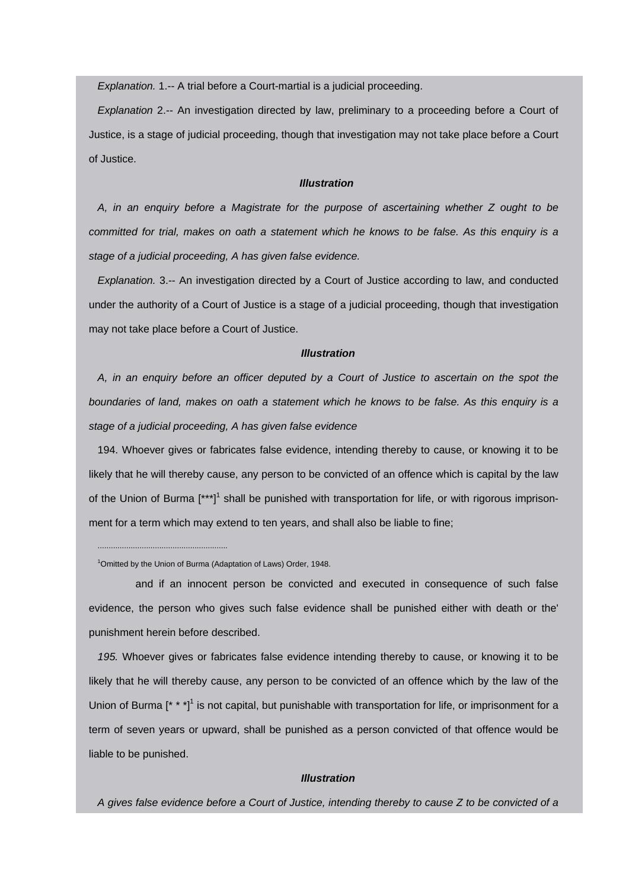*Explanation.* 1.-- A trial before a Court-martial is a judicial proceeding.

*Explanation* 2.-- An investigation directed by law, preliminary to a proceeding before a Court of Justice, is a stage of judicial proceeding, though that investigation may not take place before a Court of Justice.

## *Illustration*

*A, in an enquiry before a Magistrate for the purpose of ascertaining whether Z ought to be committed for trial, makes on oath a statement which he knows to be false. As this enquiry is a stage of a judicial proceeding, A has given false evidence.*

*Explanation.* 3.-- An investigation directed by a Court of Justice according to law, and conducted under the authority of a Court of Justice is a stage of a judicial proceeding, though that investigation may not take place before a Court of Justice.

## *Illustration*

*A, in an enquiry before an officer deputed by a Court of Justice to ascertain on the spot the boundaries of land, makes on oath a statement which he knows to be false. As this enquiry is a stage of a judicial proceeding, A has given false evidence*

194. Whoever gives or fabricates false evidence, intending thereby to cause, or knowing it to be likely that he will thereby cause, any person to be convicted of an offence which is capital by the law of the Union of Burma  $[***]$ <sup>1</sup> shall be punished with transportation for life, or with rigorous imprisonment for a term which may extend to ten years, and shall also be liable to fine;

 and if an innocent person be convicted and executed in consequence of such false evidence, the person who gives such false evidence shall be punished either with death or the' punishment herein before described.

*195.* Whoever gives or fabricates false evidence intending thereby to cause, or knowing it to be likely that he will thereby cause, any person to be convicted of an offence which by the law of the Union of Burma  $[$ <sup>\*</sup>  $^*$ <sup>1</sup> is not capital, but punishable with transportation for life, or imprisonment for a term of seven years or upward, shall be punished as a person convicted of that offence would be liable to be punished.

## *Illustration*

*A gives false evidence before a Court of Justice, intending thereby to cause Z to be convicted of a* 

<sup>&</sup>lt;sup>1</sup>Omitted by the Union of Burma (Adaptation of Laws) Order, 1948.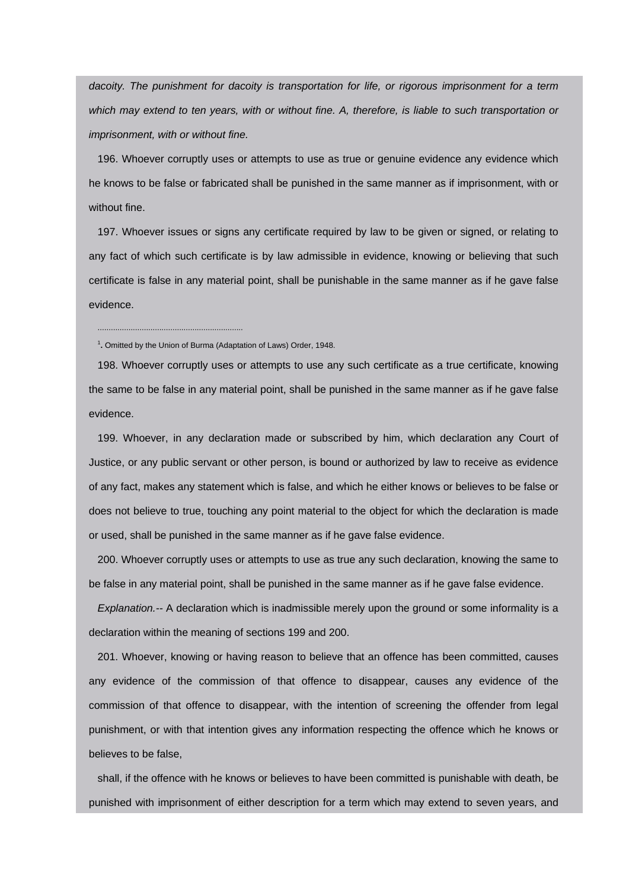*dacoity. The punishment for dacoity is transportation for life, or rigorous imprisonment for a term which may extend to ten years, with or without fine. A, therefore, is liable to such transportation or imprisonment, with or without fine.*

196. Whoever corruptly uses or attempts to use as true or genuine evidence any evidence which he knows to be false or fabricated shall be punished in the same manner as if imprisonment, with or without fine.

197. Whoever issues or signs any certificate required by law to be given or signed, or relating to any fact of which such certificate is by law admissible in evidence, knowing or believing that such certificate is false in any material point, shall be punishable in the same manner as if he gave false evidence.

<sup>1</sup>. Omitted by the Union of Burma (Adaptation of Laws) Order, 1948.

..................................................................

198. Whoever corruptly uses or attempts to use any such certificate as a true certificate, knowing the same to be false in any material point, shall be punished in the same manner as if he gave false evidence.

199. Whoever, in any declaration made or subscribed by him, which declaration any Court of Justice, or any public servant or other person, is bound or authorized by law to receive as evidence of any fact, makes any statement which is false, and which he either knows or believes to be false or does not believe to true, touching any point material to the object for which the declaration is made or used, shall be punished in the same manner as if he gave false evidence.

200. Whoever corruptly uses or attempts to use as true any such declaration, knowing the same to be false in any material point, shall be punished in the same manner as if he gave false evidence.

*Explanation.--* A declaration which is inadmissible merely upon the ground or some informality is a declaration within the meaning of sections 199 and 200.

201. Whoever, knowing or having reason to believe that an offence has been committed, causes any evidence of the commission of that offence to disappear, causes any evidence of the commission of that offence to disappear, with the intention of screening the offender from legal punishment, or with that intention gives any information respecting the offence which he knows or believes to be false,

shall, if the offence with he knows or believes to have been committed is punishable with death, be punished with imprisonment of either description for a term which may extend to seven years, and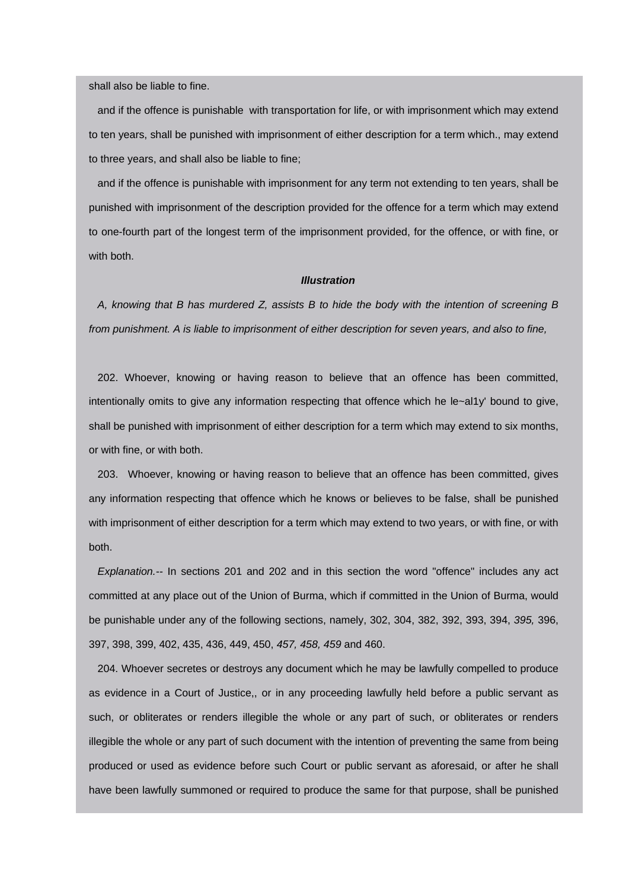shall also be liable to fine.

and if the offence is punishable with transportation for life, or with imprisonment which may extend to ten years, shall be punished with imprisonment of either description for a term which., may extend to three years, and shall also be liable to fine;

and if the offence is punishable with imprisonment for any term not extending to ten years, shall be punished with imprisonment of the description provided for the offence for a term which may extend to one-fourth part of the longest term of the imprisonment provided, for the offence, or with fine, or with both.

## *Illustration*

*A, knowing that B has murdered Z, assists B to hide the body with the intention of screening B from punishment. A is liable to imprisonment of either description for seven years, and also to fine,*

202. Whoever, knowing or having reason to believe that an offence has been committed, intentionally omits to give any information respecting that offence which he le~al1y' bound to give, shall be punished with imprisonment of either description for a term which may extend to six months, or with fine, or with both.

203. Whoever, knowing or having reason to believe that an offence has been committed, gives any information respecting that offence which he knows or believes to be false, shall be punished with imprisonment of either description for a term which may extend to two years, or with fine, or with both.

*Explanation.--* In sections 201 and 202 and in this section the word "offence" includes any act committed at any place out of the Union of Burma, which if committed in the Union of Burma, would be punishable under any of the following sections, namely, 302, 304, 382, 392, 393, 394, *395,* 396, 397, 398, 399, 402, 435, 436, 449, 450, *457, 458, 459* and 460.

204. Whoever secretes or destroys any document which he may be lawfully compelled to produce as evidence in a Court of Justice,, or in any proceeding lawfully held before a public servant as such, or obliterates or renders illegible the whole or any part of such, or obliterates or renders illegible the whole or any part of such document with the intention of preventing the same from being produced or used as evidence before such Court or public servant as aforesaid, or after he shall have been lawfully summoned or required to produce the same for that purpose, shall be punished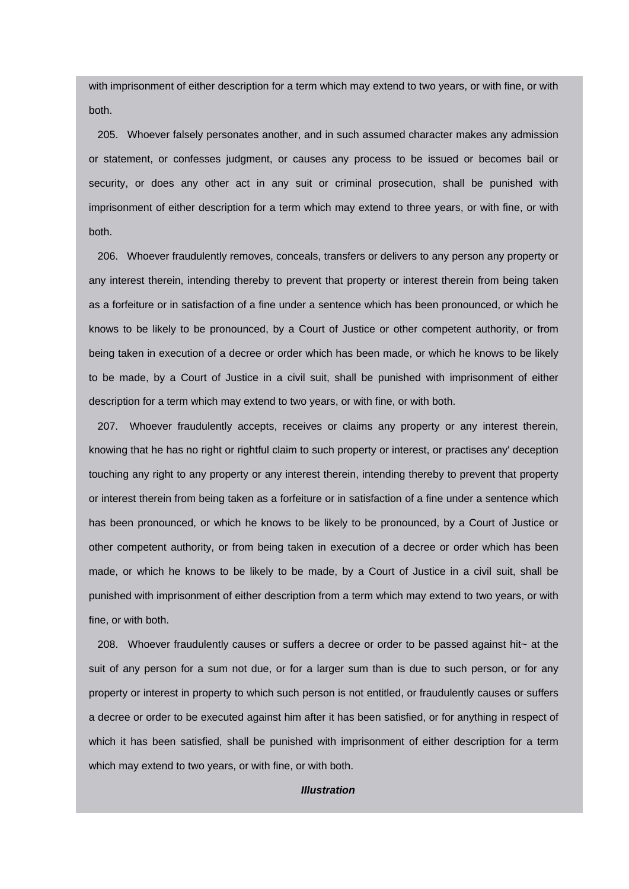with imprisonment of either description for a term which may extend to two years, or with fine, or with both.

205. Whoever falsely personates another, and in such assumed character makes any admission or statement, or confesses judgment, or causes any process to be issued or becomes bail or security, or does any other act in any suit or criminal prosecution, shall be punished with imprisonment of either description for a term which may extend to three years, or with fine, or with both.

206. Whoever fraudulently removes, conceals, transfers or delivers to any person any property or any interest therein, intending thereby to prevent that property or interest therein from being taken as a forfeiture or in satisfaction of a fine under a sentence which has been pronounced, or which he knows to be likely to be pronounced, by a Court of Justice or other competent authority, or from being taken in execution of a decree or order which has been made, or which he knows to be likely to be made, by a Court of Justice in a civil suit, shall be punished with imprisonment of either description for a term which may extend to two years, or with fine, or with both.

207. Whoever fraudulently accepts, receives or claims any property or any interest therein, knowing that he has no right or rightful claim to such property or interest, or practises any' deception touching any right to any property or any interest therein, intending thereby to prevent that property or interest therein from being taken as a forfeiture or in satisfaction of a fine under a sentence which has been pronounced, or which he knows to be likely to be pronounced, by a Court of Justice or other competent authority, or from being taken in execution of a decree or order which has been made, or which he knows to be likely to be made, by a Court of Justice in a civil suit, shall be punished with imprisonment of either description from a term which may extend to two years, or with fine, or with both.

208. Whoever fraudulently causes or suffers a decree or order to be passed against hit~ at the suit of any person for a sum not due, or for a larger sum than is due to such person, or for any property or interest in property to which such person is not entitled, or fraudulently causes or suffers a decree or order to be executed against him after it has been satisfied, or for anything in respect of which it has been satisfied, shall be punished with imprisonment of either description for a term which may extend to two years, or with fine, or with both.

# *Illustration*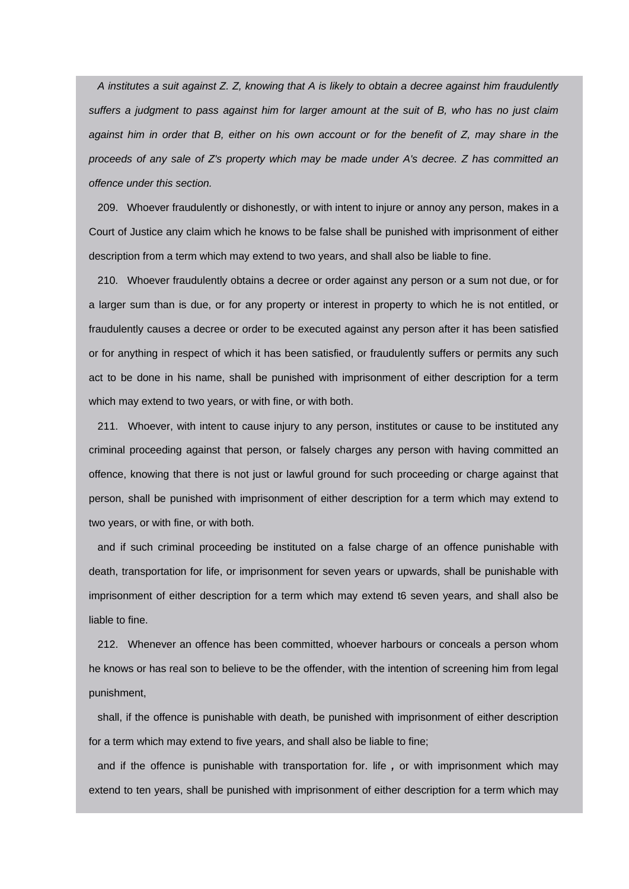*A institutes a suit against Z. Z, knowing that A is likely to obtain a decree against him fraudulently suffers a judgment to pass against him for larger amount at the suit of B, who has no just claim*  against him in order that B, either on his own account or for the benefit of Z, may share in the *proceeds of any sale of Z's property which may be made under A's decree. Z has committed an offence under this section.*

209. Whoever fraudulently or dishonestly, or with intent to injure or annoy any person, makes in a Court of Justice any claim which he knows to be false shall be punished with imprisonment of either description from a term which may extend to two years, and shall also be liable to fine.

210. Whoever fraudulently obtains a decree or order against any person or a sum not due, or for a larger sum than is due, or for any property or interest in property to which he is not entitled, or fraudulently causes a decree or order to be executed against any person after it has been satisfied or for anything in respect of which it has been satisfied, or fraudulently suffers or permits any such act to be done in his name, shall be punished with imprisonment of either description for a term which may extend to two years, or with fine, or with both.

211. Whoever, with intent to cause injury to any person, institutes or cause to be instituted any criminal proceeding against that person, or falsely charges any person with having committed an offence, knowing that there is not just or lawful ground for such proceeding or charge against that person, shall be punished with imprisonment of either description for a term which may extend to two years, or with fine, or with both.

and if such criminal proceeding be instituted on a false charge of an offence punishable with death, transportation for life, or imprisonment for seven years or upwards, shall be punishable with imprisonment of either description for a term which may extend t6 seven years, and shall also be liable to fine.

212. Whenever an offence has been committed, whoever harbours or conceals a person whom he knows or has real son to believe to be the offender, with the intention of screening him from legal punishment,

shall, if the offence is punishable with death, be punished with imprisonment of either description for a term which may extend to five years, and shall also be liable to fine;

and if the offence is punishable with transportation for. life *,* or with imprisonment which may extend to ten years, shall be punished with imprisonment of either description for a term which may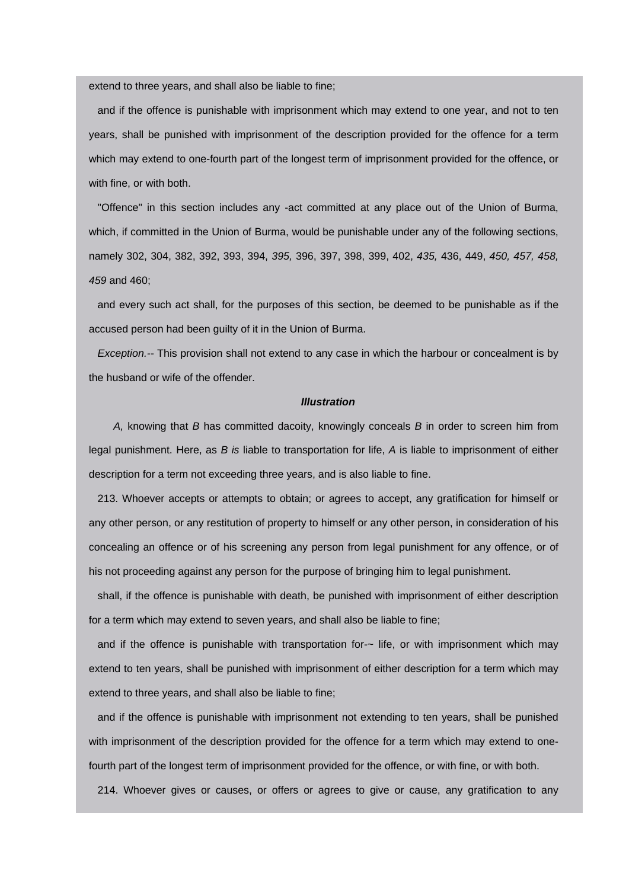extend to three years, and shall also be liable to fine;

and if the offence is punishable with imprisonment which may extend to one year, and not to ten years, shall be punished with imprisonment of the description provided for the offence for a term which may extend to one-fourth part of the longest term of imprisonment provided for the offence, or with fine, or with both.

"Offence" in this section includes any -act committed at any place out of the Union of Burma, which, if committed in the Union of Burma, would be punishable under any of the following sections, namely 302, 304, 382, 392, 393, 394, *395,* 396, 397, 398, 399, 402, *435,* 436, 449, *450, 457, 458, 459* and 460;

and every such act shall, for the purposes of this section, be deemed to be punishable as if the accused person had been guilty of it in the Union of Burma.

*Exception.--* This provision shall not extend to any case in which the harbour or concealment is by the husband or wife of the offender.

## *Illustration*

 *A,* knowing that *B* has committed dacoity, knowingly conceals *B* in order to screen him from legal punishment. Here, as *B is* liable to transportation for life, *A* is liable to imprisonment of either description for a term not exceeding three years, and is also liable to fine.

213. Whoever accepts or attempts to obtain; or agrees to accept, any gratification for himself or any other person, or any restitution of property to himself or any other person, in consideration of his concealing an offence or of his screening any person from legal punishment for any offence, or of his not proceeding against any person for the purpose of bringing him to legal punishment.

shall, if the offence is punishable with death, be punished with imprisonment of either description for a term which may extend to seven years, and shall also be liable to fine;

and if the offence is punishable with transportation for-~ life, or with imprisonment which may extend to ten years, shall be punished with imprisonment of either description for a term which may extend to three years, and shall also be liable to fine;

and if the offence is punishable with imprisonment not extending to ten years, shall be punished with imprisonment of the description provided for the offence for a term which may extend to onefourth part of the longest term of imprisonment provided for the offence, or with fine, or with both.

214. Whoever gives or causes, or offers or agrees to give or cause, any gratification to any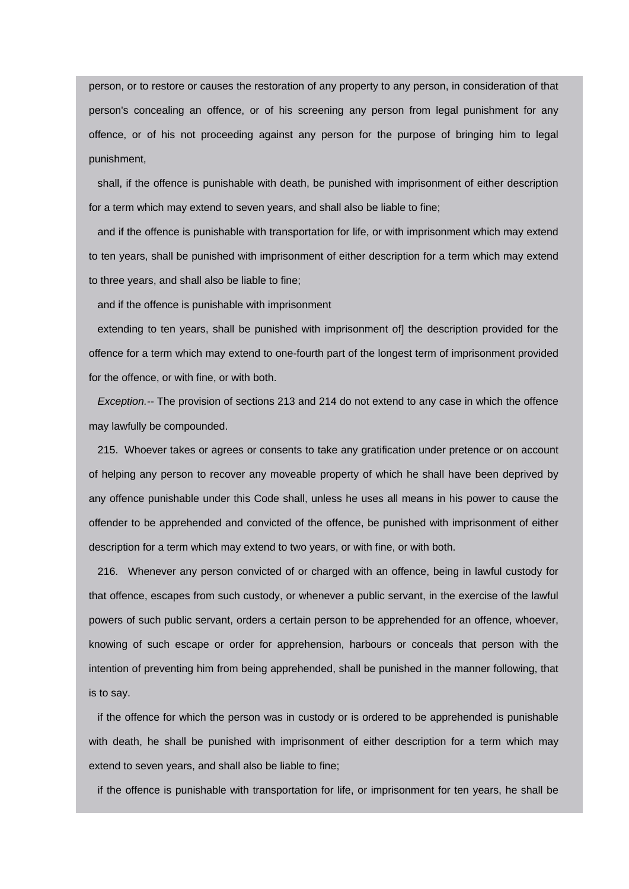person, or to restore or causes the restoration of any property to any person, in consideration of that person's concealing an offence, or of his screening any person from legal punishment for any offence, or of his not proceeding against any person for the purpose of bringing him to legal punishment,

shall, if the offence is punishable with death, be punished with imprisonment of either description for a term which may extend to seven years, and shall also be liable to fine;

and if the offence is punishable with transportation for life, or with imprisonment which may extend to ten years, shall be punished with imprisonment of either description for a term which may extend to three years, and shall also be liable to fine;

and if the offence is punishable with imprisonment

extending to ten years, shall be punished with imprisonment of] the description provided for the offence for a term which may extend to one-fourth part of the longest term of imprisonment provided for the offence, or with fine, or with both.

*Exception.--* The provision of sections 213 and 214 do not extend to any case in which the offence may lawfully be compounded.

215. Whoever takes or agrees or consents to take any gratification under pretence or on account of helping any person to recover any moveable property of which he shall have been deprived by any offence punishable under this Code shall, unless he uses all means in his power to cause the offender to be apprehended and convicted of the offence, be punished with imprisonment of either description for a term which may extend to two years, or with fine, or with both.

216. Whenever any person convicted of or charged with an offence, being in lawful custody for that offence, escapes from such custody, or whenever a public servant, in the exercise of the lawful powers of such public servant, orders a certain person to be apprehended for an offence, whoever, knowing of such escape or order for apprehension, harbours or conceals that person with the intention of preventing him from being apprehended, shall be punished in the manner following, that is to say.

if the offence for which the person was in custody or is ordered to be apprehended is punishable with death, he shall be punished with imprisonment of either description for a term which may extend to seven years, and shall also be liable to fine;

if the offence is punishable with transportation for life, or imprisonment for ten years, he shall be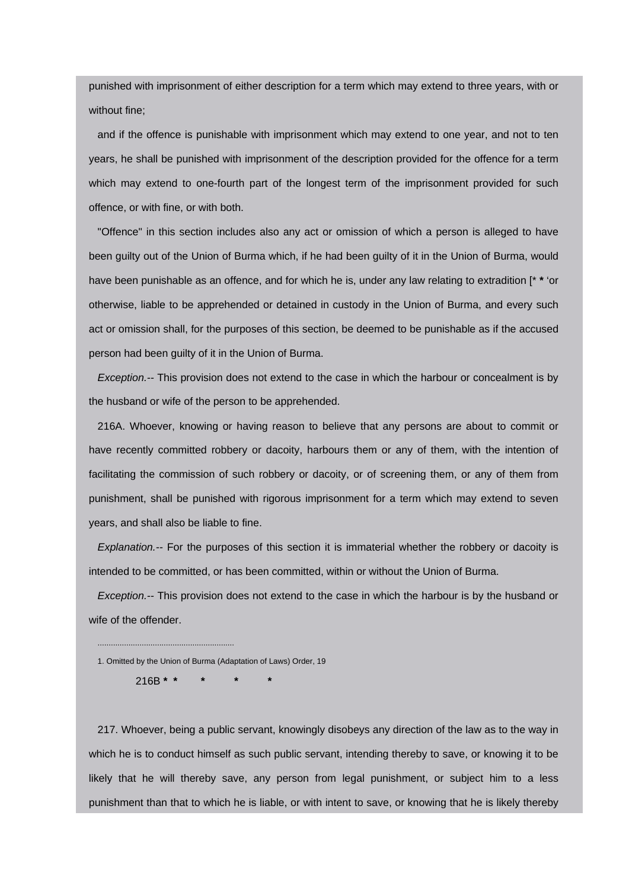punished with imprisonment of either description for a term which may extend to three years, with or without fine;

and if the offence is punishable with imprisonment which may extend to one year, and not to ten years, he shall be punished with imprisonment of the description provided for the offence for a term which may extend to one-fourth part of the longest term of the imprisonment provided for such offence, or with fine, or with both.

"Offence" in this section includes also any act or omission of which a person is alleged to have been guilty out of the Union of Burma which, if he had been guilty of it in the Union of Burma, would have been punishable as an offence, and for which he is, under any law relating to extradition [\* **\*** 'or otherwise, liable to be apprehended or detained in custody in the Union of Burma, and every such act or omission shall, for the purposes of this section, be deemed to be punishable as if the accused person had been guilty of it in the Union of Burma.

*Exception.--* This provision does not extend to the case in which the harbour or concealment is by the husband or wife of the person to be apprehended.

216A. Whoever, knowing or having reason to believe that any persons are about to commit or have recently committed robbery or dacoity, harbours them or any of them, with the intention of facilitating the commission of such robbery or dacoity, or of screening them, or any of them from punishment, shall be punished with rigorous imprisonment for a term which may extend to seven years, and shall also be liable to fine.

*Explanation.--* For the purposes of this section it is immaterial whether the robbery or dacoity is intended to be committed, or has been committed, within or without the Union of Burma.

*Exception.--* This provision does not extend to the case in which the harbour is by the husband or wife of the offender

216B **\* \* \* \* \***

..............................................................

217. Whoever, being a public servant, knowingly disobeys any direction of the law as to the way in which he is to conduct himself as such public servant, intending thereby to save, or knowing it to be likely that he will thereby save, any person from legal punishment, or subject him to a less punishment than that to which he is liable, or with intent to save, or knowing that he is likely thereby

<sup>1.</sup> Omitted by the Union of Burma (Adaptation of Laws) Order, 19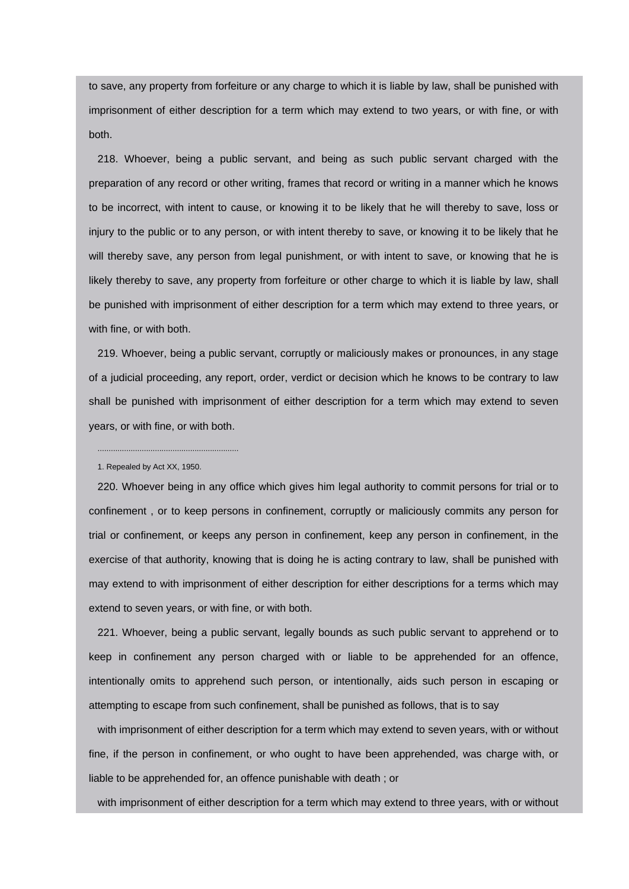to save, any property from forfeiture or any charge to which it is liable by law, shall be punished with imprisonment of either description for a term which may extend to two years, or with fine, or with both.

218. Whoever, being a public servant, and being as such public servant charged with the preparation of any record or other writing, frames that record or writing in a manner which he knows to be incorrect, with intent to cause, or knowing it to be likely that he will thereby to save, loss or injury to the public or to any person, or with intent thereby to save, or knowing it to be likely that he will thereby save, any person from legal punishment, or with intent to save, or knowing that he is likely thereby to save, any property from forfeiture or other charge to which it is liable by law, shall be punished with imprisonment of either description for a term which may extend to three years, or with fine, or with both.

219. Whoever, being a public servant, corruptly or maliciously makes or pronounces, in any stage of a judicial proceeding, any report, order, verdict or decision which he knows to be contrary to law shall be punished with imprisonment of either description for a term which may extend to seven years, or with fine, or with both.

1. Repealed by Act XX, 1950.

................................................................

220. Whoever being in any office which gives him legal authority to commit persons for trial or to confinement , or to keep persons in confinement, corruptly or maliciously commits any person for trial or confinement, or keeps any person in confinement, keep any person in confinement, in the exercise of that authority, knowing that is doing he is acting contrary to law, shall be punished with may extend to with imprisonment of either description for either descriptions for a terms which may extend to seven years, or with fine, or with both.

221. Whoever, being a public servant, legally bounds as such public servant to apprehend or to keep in confinement any person charged with or liable to be apprehended for an offence, intentionally omits to apprehend such person, or intentionally, aids such person in escaping or attempting to escape from such confinement, shall be punished as follows, that is to say

with imprisonment of either description for a term which may extend to seven years, with or without fine, if the person in confinement, or who ought to have been apprehended, was charge with, or liable to be apprehended for, an offence punishable with death ; or

with imprisonment of either description for a term which may extend to three years, with or without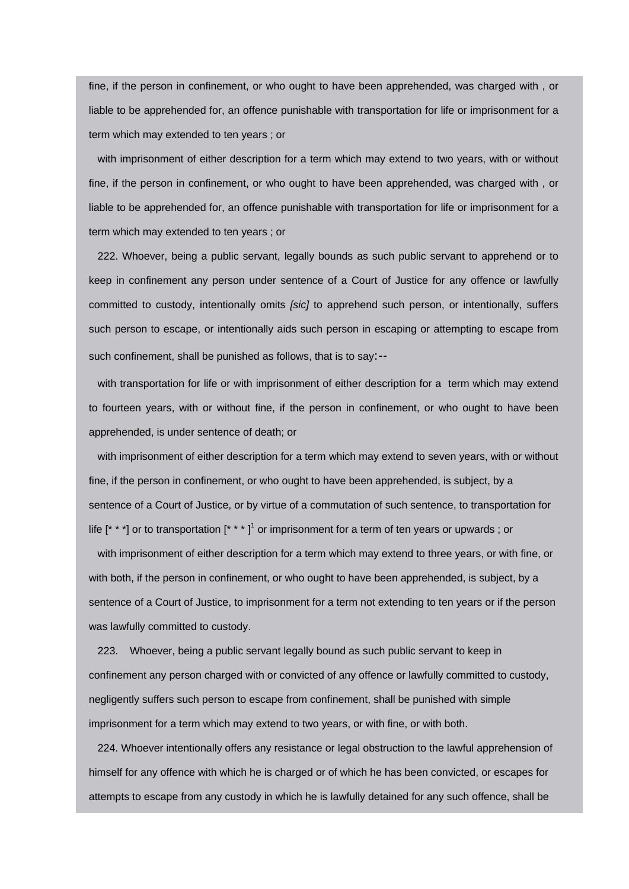fine, if the person in confinement, or who ought to have been apprehended, was charged with , or liable to be apprehended for, an offence punishable with transportation for life or imprisonment for a term which may extended to ten years ; or

with imprisonment of either description for a term which may extend to two years, with or without fine, if the person in confinement, or who ought to have been apprehended, was charged with , or liable to be apprehended for, an offence punishable with transportation for life or imprisonment for a term which may extended to ten years ; or

222. Whoever, being a public servant, legally bounds as such public servant to apprehend or to keep in confinement any person under sentence of a Court of Justice for any offence or lawfully committed to custody, intentionally omits *[sic]* to apprehend such person, or intentionally, suffers such person to escape, or intentionally aids such person in escaping or attempting to escape from such confinement, shall be punished as follows, that is to say:--

with transportation for life or with imprisonment of either description for a term which may extend to fourteen years, with or without fine, if the person in confinement, or who ought to have been apprehended, is under sentence of death; or

with imprisonment of either description for a term which may extend to seven years, with or without fine, if the person in confinement, or who ought to have been apprehended, is subject, by a sentence of a Court of Justice, or by virtue of a commutation of such sentence, to transportation for life [\* \* \*] or to transportation [\* \* \* ]<sup>1</sup> or imprisonment for a term of ten years or upwards ; or

with imprisonment of either description for a term which may extend to three years, or with fine, or with both, if the person in confinement, or who ought to have been apprehended, is subject, by a sentence of a Court of Justice, to imprisonment for a term not extending to ten years or if the person was lawfully committed to custody.

223. Whoever, being a public servant legally bound as such public servant to keep in confinement any person charged with or convicted of any offence or lawfully committed to custody, negligently suffers such person to escape from confinement, shall be punished with simple imprisonment for a term which may extend to two years, or with fine, or with both.

224. Whoever intentionally offers any resistance or legal obstruction to the lawful apprehension of himself for any offence with which he is charged or of which he has been convicted, or escapes for attempts to escape from any custody in which he is lawfully detained for any such offence, shall be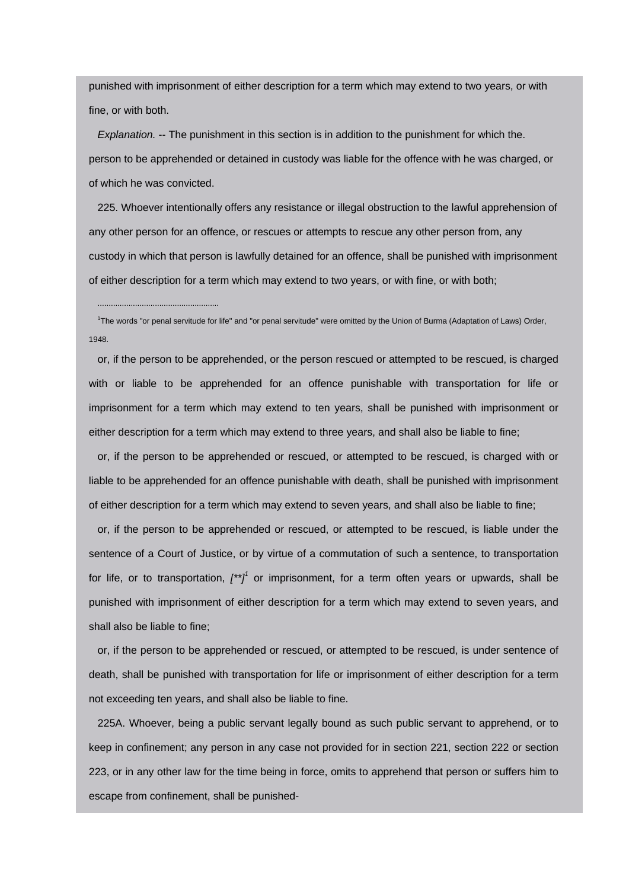punished with imprisonment of either description for a term which may extend to two years, or with fine, or with both.

*Explanation.* -- The punishment in this section is in addition to the punishment for which the. person to be apprehended or detained in custody was liable for the offence with he was charged, or of which he was convicted.

225. Whoever intentionally offers any resistance or illegal obstruction to the lawful apprehension of any other person for an offence, or rescues or attempts to rescue any other person from, any custody in which that person is lawfully detained for an offence, shall be punished with imprisonment of either description for a term which may extend to two years, or with fine, or with both;

1 The words "or penal servitude for life" and "or penal servitude" were omitted by the Union of Burma (Adaptation of Laws) Order, 1948.

.......................................................

or, if the person to be apprehended, or the person rescued or attempted to be rescued, is charged with or liable to be apprehended for an offence punishable with transportation for life or imprisonment for a term which may extend to ten years, shall be punished with imprisonment or either description for a term which may extend to three years, and shall also be liable to fine;

or, if the person to be apprehended or rescued, or attempted to be rescued, is charged with or liable to be apprehended for an offence punishable with death, shall be punished with imprisonment of either description for a term which may extend to seven years, and shall also be liable to fine;

or, if the person to be apprehended or rescued, or attempted to be rescued, is liable under the sentence of a Court of Justice, or by virtue of a commutation of such a sentence, to transportation for life, or to transportation,  $\binom{**}{1}$  or imprisonment, for a term often years or upwards, shall be punished with imprisonment of either description for a term which may extend to seven years, and shall also be liable to fine;

or, if the person to be apprehended or rescued, or attempted to be rescued, is under sentence of death, shall be punished with transportation for life or imprisonment of either description for a term not exceeding ten years, and shall also be liable to fine.

225A. Whoever, being a public servant legally bound as such public servant to apprehend, or to keep in confinement; any person in any case not provided for in section 221, section 222 or section 223, or in any other law for the time being in force, omits to apprehend that person or suffers him to escape from confinement, shall be punished-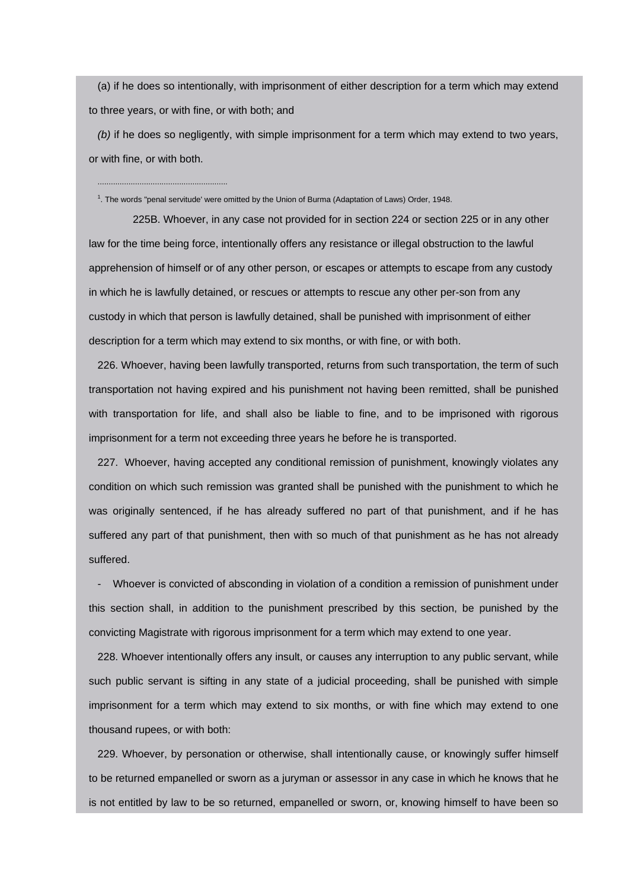(a) if he does so intentionally, with imprisonment of either description for a term which may extend to three years, or with fine, or with both; and

*(b)* if he does so negligently, with simple imprisonment for a term which may extend to two years, or with fine, or with both.

1 . The words "penal servitude' were omitted by the Union of Burma (Adaptation of Laws) Order, 1948.

...........................................................

 225B. Whoever, in any case not provided for in section 224 or section 225 or in any other law for the time being force, intentionally offers any resistance or illegal obstruction to the lawful apprehension of himself or of any other person, or escapes or attempts to escape from any custody in which he is lawfully detained, or rescues or attempts to rescue any other per-son from any custody in which that person is lawfully detained, shall be punished with imprisonment of either description for a term which may extend to six months, or with fine, or with both.

226. Whoever, having been lawfully transported, returns from such transportation, the term of such transportation not having expired and his punishment not having been remitted, shall be punished with transportation for life, and shall also be liable to fine, and to be imprisoned with rigorous imprisonment for a term not exceeding three years he before he is transported.

227. Whoever, having accepted any conditional remission of punishment, knowingly violates any condition on which such remission was granted shall be punished with the punishment to which he was originally sentenced, if he has already suffered no part of that punishment, and if he has suffered any part of that punishment, then with so much of that punishment as he has not already suffered.

- Whoever is convicted of absconding in violation of a condition a remission of punishment under this section shall, in addition to the punishment prescribed by this section, be punished by the convicting Magistrate with rigorous imprisonment for a term which may extend to one year.

228. Whoever intentionally offers any insult, or causes any interruption to any public servant, while such public servant is sifting in any state of a judicial proceeding, shall be punished with simple imprisonment for a term which may extend to six months, or with fine which may extend to one thousand rupees, or with both:

229. Whoever, by personation or otherwise, shall intentionally cause, or knowingly suffer himself to be returned empanelled or sworn as a juryman or assessor in any case in which he knows that he is not entitled by law to be so returned, empanelled or sworn, or, knowing himself to have been so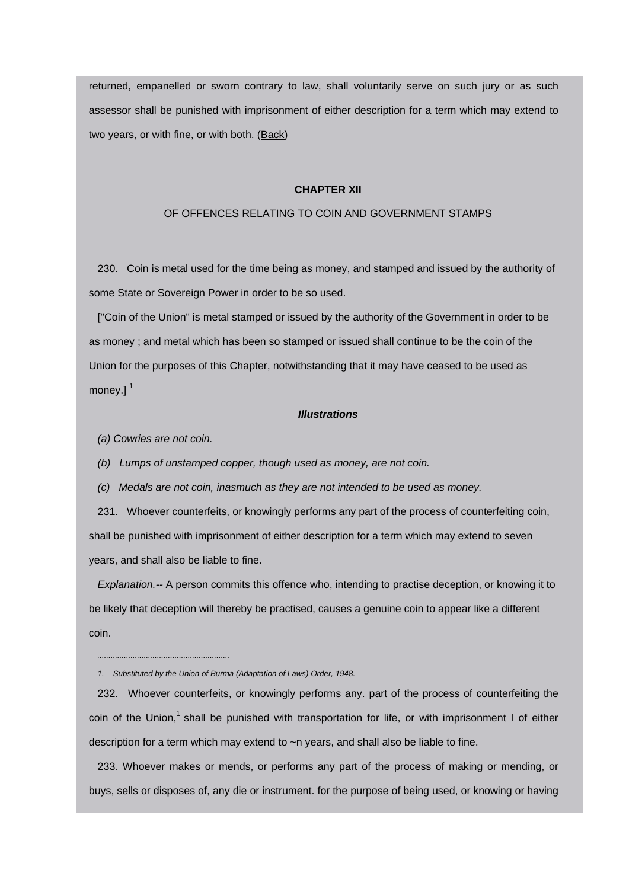returned, empanelled or sworn contrary to law, shall voluntarily serve on such jury or as such assessor shall be punished with imprisonment of either description for a term which may extend to two years, or with fine, or with both. ([Back](http://www.blc-burma.org/html/Myanmar Penal Code/mpc.html#comcpt11))

### **CHAPTER XII**

# OF OFFENCES RELATING TO COIN AND GOVERNMENT STAMPS

230. Coin is metal used for the time being as money, and stamped and issued by the authority of some State or Sovereign Power in order to be so used.

["Coin of the Union" is metal stamped or issued by the authority of the Government in order to be as money ; and metal which has been so stamped or issued shall continue to be the coin of the Union for the purposes of this Chapter, notwithstanding that it may have ceased to be used as money. $l^1$ 

### *Illustrations*

*(a) Cowries are not coin.*

*............................................................*

*(b) Lumps of unstamped copper, though used as money, are not coin.*

*(c) Medals are not coin, inasmuch as they are not intended to be used as money.*

231. Whoever counterfeits, or knowingly performs any part of the process of counterfeiting coin, shall be punished with imprisonment of either description for a term which may extend to seven years, and shall also be liable to fine.

*Explanation.--* A person commits this offence who, intending to practise deception, or knowing it to be likely that deception will thereby be practised, causes a genuine coin to appear like a different coin.

232. Whoever counterfeits, or knowingly performs any. part of the process of counterfeiting the coin of the Union, $1$  shall be punished with transportation for life, or with imprisonment I of either description for a term which may extend to ~n years, and shall also be liable to fine.

233. Whoever makes or mends, or performs any part of the process of making or mending, or buys, sells or disposes of, any die or instrument. for the purpose of being used, or knowing or having

*<sup>1.</sup> Substituted by the Union of Burma (Adaptation of Laws) Order, 1948.*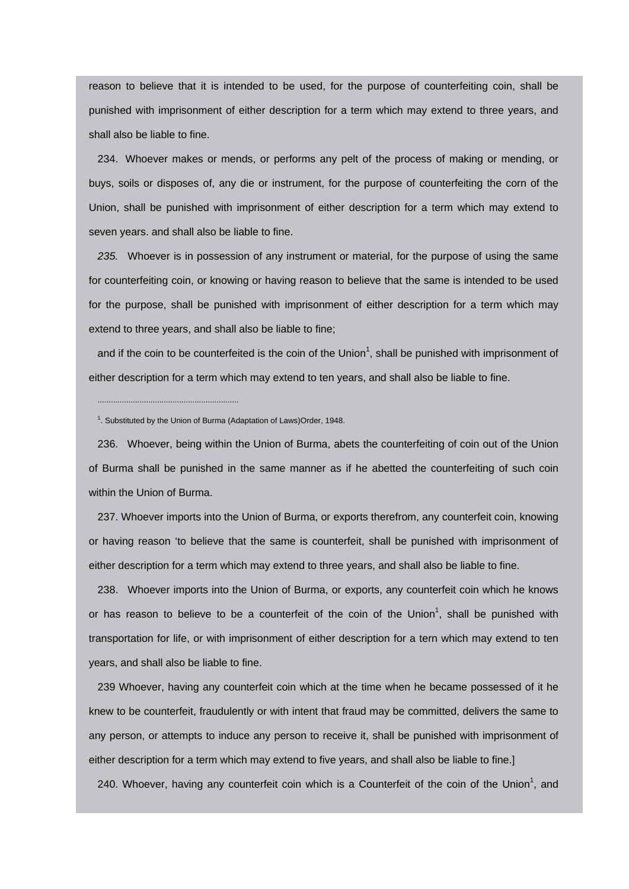reason to believe that it is intended to be used, for the purpose of counterfeiting coin, shall be punished with imprisonment of either description for a term which may extend to three years, and shall also be liable to fine.

234. Whoever makes or mends, or performs any pelt of the process of making or mending, or buys, soils or disposes of, any die or instrument, for the purpose of counterfeiting the corn of the Union, shall be punished with imprisonment of either description for a term which may extend to seven years. and shall also be liable to fine.

*235.* Whoever is in possession of any instrument or material, for the purpose of using the same for counterfeiting coin, or knowing or having reason to believe that the same is intended to be used for the purpose, shall be punished with imprisonment of either description for a term which may extend to three years, and shall also be liable to fine;

and if the coin to be counterfeited is the coin of the Union<sup>1</sup>, shall be punished with imprisonment of either description for a term which may extend to ten years, and shall also be liable to fine.

<sup>1</sup>. Substituted by the Union of Burma (Adaptation of Laws) Order, 1948.

................................................................

236. Whoever, being within the Union of Burma, abets the counterfeiting of coin out of the Union of Burma shall be punished in the same manner as if he abetted the counterfeiting of such coin within the Union of Burma.

237. Whoever imports into the Union of Burma, or exports therefrom, any counterfeit coin, knowing or having reason 'to believe that the same is counterfeit, shall be punished with imprisonment of either description for a term which may extend to three years, and shall also be liable to fine.

238. Whoever imports into the Union of Burma, or exports, any counterfeit coin which he knows or has reason to believe to be a counterfeit of the coin of the Union<sup>1</sup>, shall be punished with transportation for life, or with imprisonment of either description for a tern which may extend to ten years, and shall also be liable to fine.

239 Whoever, having any counterfeit coin which at the time when he became possessed of it he knew to be counterfeit, fraudulently or with intent that fraud may be committed, delivers the same to any person, or attempts to induce any person to receive it, shall be punished with imprisonment of either description for a term which may extend to five years, and shall also be liable to fine.]

240. Whoever, having any counterfeit coin which is a Counterfeit of the coin of the Union<sup>1</sup>, and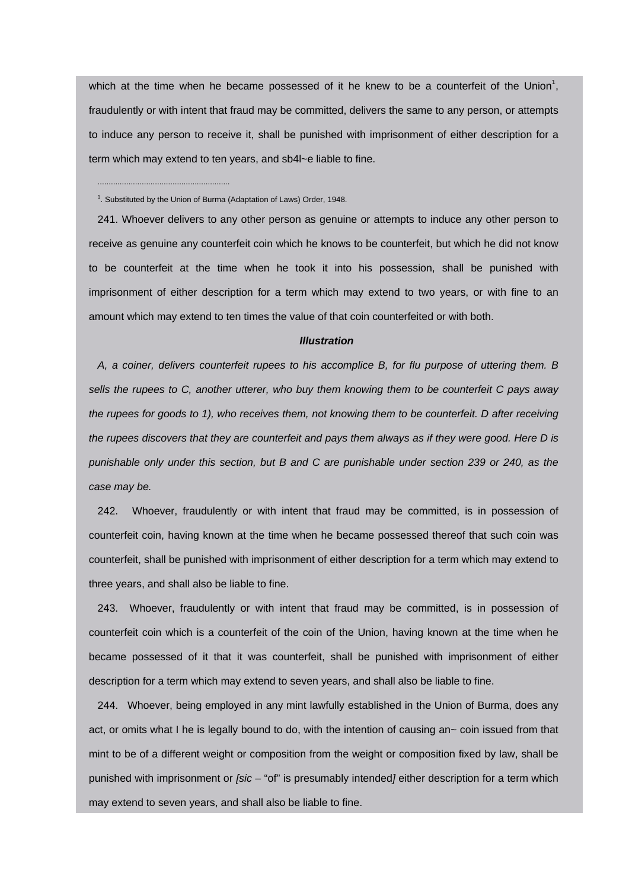which at the time when he became possessed of it he knew to be a counterfeit of the Union<sup>1</sup>, fraudulently or with intent that fraud may be committed, delivers the same to any person, or attempts to induce any person to receive it, shall be punished with imprisonment of either description for a term which may extend to ten years, and sb4l~e liable to fine.

............................................................

<sup>1</sup>. Substituted by the Union of Burma (Adaptation of Laws) Order, 1948.

241. Whoever delivers to any other person as genuine or attempts to induce any other person to receive as genuine any counterfeit coin which he knows to be counterfeit, but which he did not know to be counterfeit at the time when he took it into his possession, shall be punished with imprisonment of either description for a term which may extend to two years, or with fine to an amount which may extend to ten times the value of that coin counterfeited or with both.

#### *Illustration*

*A, a coiner, delivers counterfeit rupees to his accomplice B, for flu purpose of uttering them. B sells the rupees to C, another utterer, who buy them knowing them to be counterfeit C pays away the rupees for goods to 1), who receives them, not knowing them to be counterfeit. D after receiving the rupees discovers that they are counterfeit and pays them always as if they were good. Here D is punishable only under this section, but B and C are punishable under section 239 or 240, as the case may be.*

242. Whoever, fraudulently or with intent that fraud may be committed, is in possession of counterfeit coin, having known at the time when he became possessed thereof that such coin was counterfeit, shall be punished with imprisonment of either description for a term which may extend to three years, and shall also be liable to fine.

243. Whoever, fraudulently or with intent that fraud may be committed, is in possession of counterfeit coin which is a counterfeit of the coin of the Union, having known at the time when he became possessed of it that it was counterfeit, shall be punished with imprisonment of either description for a term which may extend to seven years, and shall also be liable to fine.

244. Whoever, being employed in any mint lawfully established in the Union of Burma, does any act, or omits what I he is legally bound to do, with the intention of causing an~ coin issued from that mint to be of a different weight or composition from the weight or composition fixed by law, shall be punished with imprisonment or *[sic –* "of" is presumably intended*]* either description for a term which may extend to seven years, and shall also be liable to fine.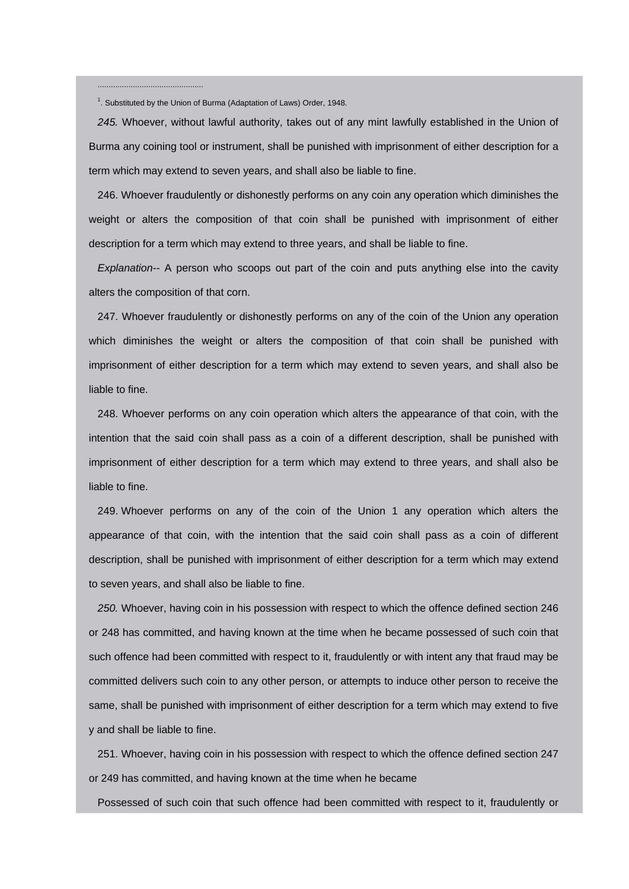................................................

<sup>1</sup>. Substituted by the Union of Burma (Adaptation of Laws) Order, 1948.

*245.* Whoever, without lawful authority, takes out of any mint lawfully established in the Union of Burma any coining tool or instrument, shall be punished with imprisonment of either description for a term which may extend to seven years, and shall also be liable to fine.

246. Whoever fraudulently or dishonestly performs on any coin any operation which diminishes the weight or alters the composition of that coin shall be punished with imprisonment of either description for a term which may extend to three years, and shall be liable to fine.

*Explanation--* A person who scoops out part of the coin and puts anything else into the cavity alters the composition of that corn.

247. Whoever fraudulently or dishonestly performs on any of the coin of the Union any operation which diminishes the weight or alters the composition of that coin shall be punished with imprisonment of either description for a term which may extend to seven years, and shall also be liable to fine.

248. Whoever performs on any coin operation which alters the appearance of that coin, with the intention that the said coin shall pass as a coin of a different description, shall be punished with imprisonment of either description for a term which may extend to three years, and shall also be liable to fine.

249. Whoever performs on any of the coin of the Union 1 any operation which alters the appearance of that coin, with the intention that the said coin shall pass as a coin of different description, shall be punished with imprisonment of either description for a term which may extend to seven years, and shall also be liable to fine.

*250.* Whoever, having coin in his possession with respect to which the offence defined section 246 or 248 has committed, and having known at the time when he became possessed of such coin that such offence had been committed with respect to it, fraudulently or with intent any that fraud may be committed delivers such coin to any other person, or attempts to induce other person to receive the same, shall be punished with imprisonment of either description for a term which may extend to five y and shall be liable to fine.

251. Whoever, having coin in his possession with respect to which the offence defined section 247 or 249 has committed, and having known at the time when he became

Possessed of such coin that such offence had been committed with respect to it, fraudulently or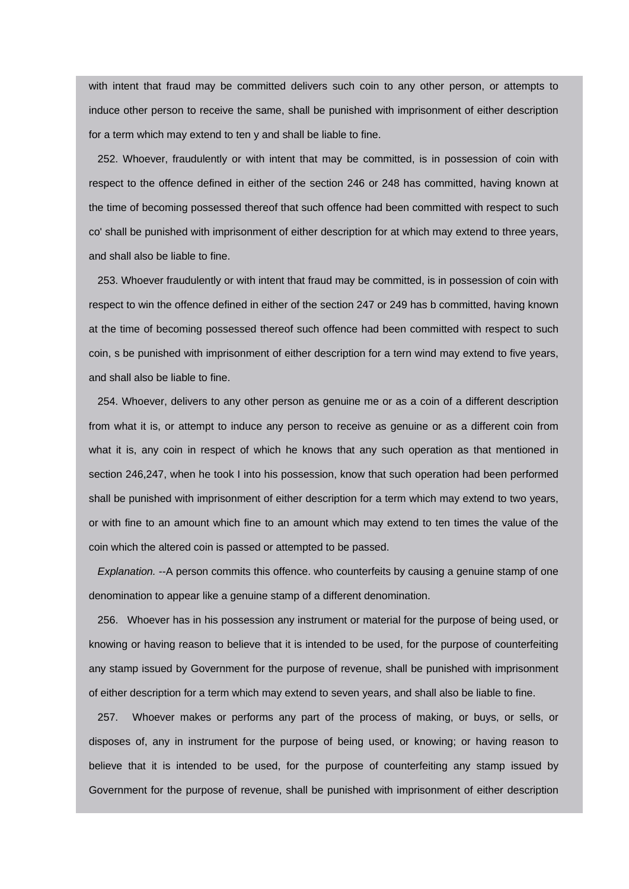with intent that fraud may be committed delivers such coin to any other person, or attempts to induce other person to receive the same, shall be punished with imprisonment of either description for a term which may extend to ten y and shall be liable to fine.

252. Whoever, fraudulently or with intent that may be committed, is in possession of coin with respect to the offence defined in either of the section 246 or 248 has committed, having known at the time of becoming possessed thereof that such offence had been committed with respect to such co' shall be punished with imprisonment of either description for at which may extend to three years, and shall also be liable to fine.

253. Whoever fraudulently or with intent that fraud may be committed, is in possession of coin with respect to win the offence defined in either of the section 247 or 249 has b committed, having known at the time of becoming possessed thereof such offence had been committed with respect to such coin, s be punished with imprisonment of either description for a tern wind may extend to five years, and shall also be liable to fine.

254. Whoever, delivers to any other person as genuine me or as a coin of a different description from what it is, or attempt to induce any person to receive as genuine or as a different coin from what it is, any coin in respect of which he knows that any such operation as that mentioned in section 246,247, when he took I into his possession, know that such operation had been performed shall be punished with imprisonment of either description for a term which may extend to two years, or with fine to an amount which fine to an amount which may extend to ten times the value of the coin which the altered coin is passed or attempted to be passed.

*Explanation.* --A person commits this offence. who counterfeits by causing a genuine stamp of one denomination to appear like a genuine stamp of a different denomination.

256. Whoever has in his possession any instrument or material for the purpose of being used, or knowing or having reason to believe that it is intended to be used, for the purpose of counterfeiting any stamp issued by Government for the purpose of revenue, shall be punished with imprisonment of either description for a term which may extend to seven years, and shall also be liable to fine.

257. Whoever makes or performs any part of the process of making, or buys, or sells, or disposes of, any in instrument for the purpose of being used, or knowing; or having reason to believe that it is intended to be used, for the purpose of counterfeiting any stamp issued by Government for the purpose of revenue, shall be punished with imprisonment of either description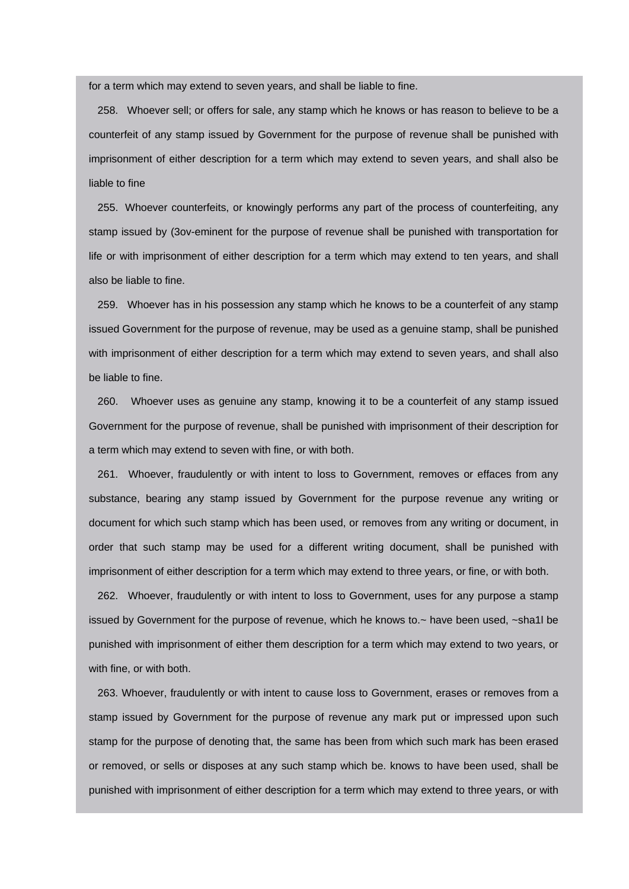for a term which may extend to seven years, and shall be liable to fine.

258. Whoever sell; or offers for sale, any stamp which he knows or has reason to believe to be a counterfeit of any stamp issued by Government for the purpose of revenue shall be punished with imprisonment of either description for a term which may extend to seven years, and shall also be liable to fine

255. Whoever counterfeits, or knowingly performs any part of the process of counterfeiting, any stamp issued by (3ov-eminent for the purpose of revenue shall be punished with transportation for life or with imprisonment of either description for a term which may extend to ten years, and shall also be liable to fine.

259. Whoever has in his possession any stamp which he knows to be a counterfeit of any stamp issued Government for the purpose of revenue, may be used as a genuine stamp, shall be punished with imprisonment of either description for a term which may extend to seven years, and shall also be liable to fine.

260. Whoever uses as genuine any stamp, knowing it to be a counterfeit of any stamp issued Government for the purpose of revenue, shall be punished with imprisonment of their description for a term which may extend to seven with fine, or with both.

261. Whoever, fraudulently or with intent to loss to Government, removes or effaces from any substance, bearing any stamp issued by Government for the purpose revenue any writing or document for which such stamp which has been used, or removes from any writing or document, in order that such stamp may be used for a different writing document, shall be punished with imprisonment of either description for a term which may extend to three years, or fine, or with both.

262. Whoever, fraudulently or with intent to loss to Government, uses for any purpose a stamp issued by Government for the purpose of revenue, which he knows to.~ have been used, ~sha1l be punished with imprisonment of either them description for a term which may extend to two years, or with fine, or with both.

263. Whoever, fraudulently or with intent to cause loss to Government, erases or removes from a stamp issued by Government for the purpose of revenue any mark put or impressed upon such stamp for the purpose of denoting that, the same has been from which such mark has been erased or removed, or sells or disposes at any such stamp which be. knows to have been used, shall be punished with imprisonment of either description for a term which may extend to three years, or with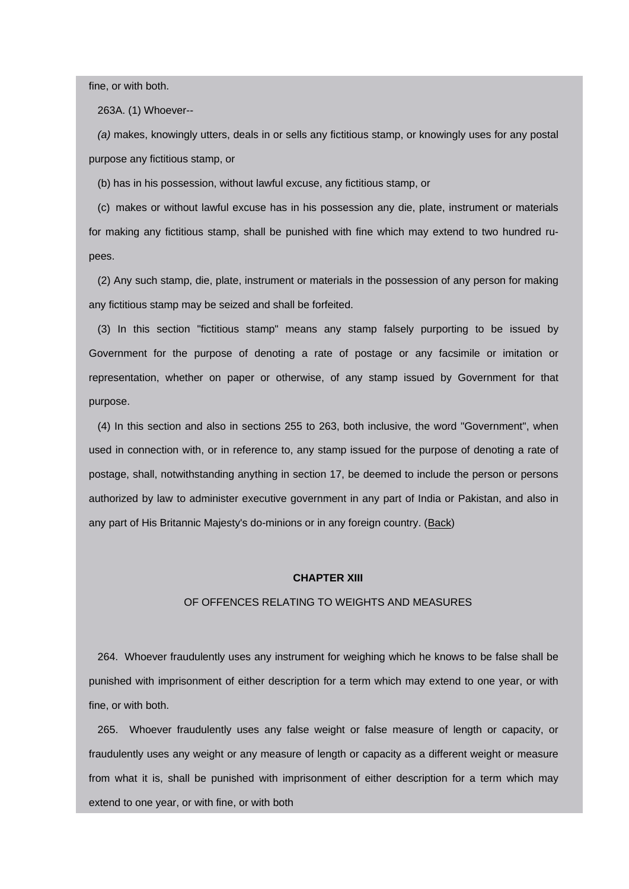fine, or with both.

263A. (1) Whoever--

*(a)* makes, knowingly utters, deals in or sells any fictitious stamp, or knowingly uses for any postal purpose any fictitious stamp, or

(b) has in his possession, without lawful excuse, any fictitious stamp, or

(c) makes or without lawful excuse has in his possession any die, plate, instrument or materials for making any fictitious stamp, shall be punished with fine which may extend to two hundred rupees.

(2) Any such stamp, die, plate, instrument or materials in the possession of any person for making any fictitious stamp may be seized and shall be forfeited.

(3) In this section "fictitious stamp" means any stamp falsely purporting to be issued by Government for the purpose of denoting a rate of postage or any facsimile or imitation or representation, whether on paper or otherwise, of any stamp issued by Government for that purpose.

(4) In this section and also in sections 255 to 263, both inclusive, the word "Government", when used in connection with, or in reference to, any stamp issued for the purpose of denoting a rate of postage, shall, notwithstanding anything in section 17, be deemed to include the person or persons authorized by law to administer executive government in any part of India or Pakistan, and also in any part of His Britannic Majesty's do-minions or in any foreign country. ([Back](http://www.blc-burma.org/html/Myanmar Penal Code/mpc.html#concpt12))

## **CHAPTER XIII**

#### OF OFFENCES RELATING TO WEIGHTS AND MEASURES

264. Whoever fraudulently uses any instrument for weighing which he knows to be false shall be punished with imprisonment of either description for a term which may extend to one year, or with fine, or with both.

265. Whoever fraudulently uses any false weight or false measure of length or capacity, or fraudulently uses any weight or any measure of length or capacity as a different weight or measure from what it is, shall be punished with imprisonment of either description for a term which may extend to one year, or with fine, or with both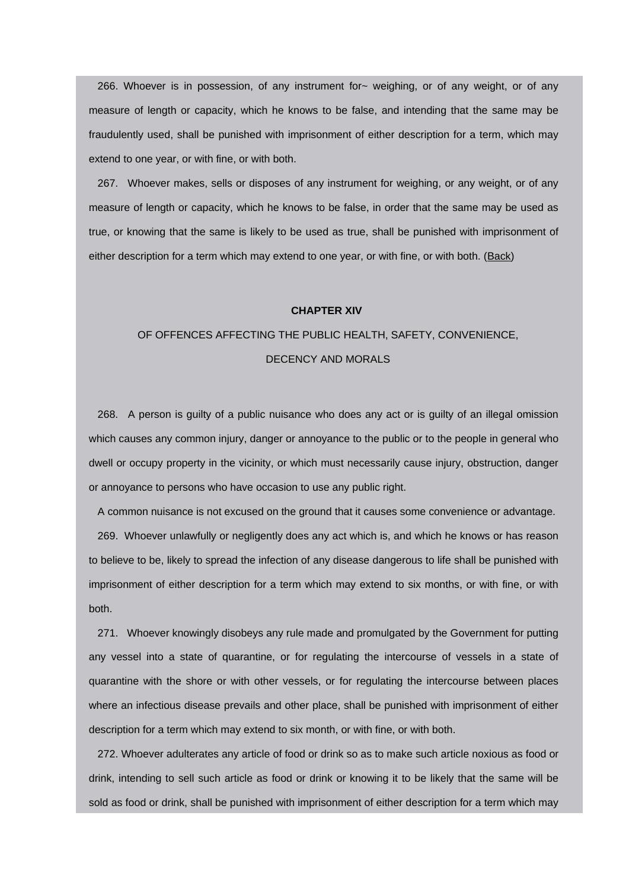266. Whoever is in possession, of any instrument for~ weighing, or of any weight, or of any measure of length or capacity, which he knows to be false, and intending that the same may be fraudulently used, shall be punished with imprisonment of either description for a term, which may extend to one year, or with fine, or with both.

267. Whoever makes, sells or disposes of any instrument for weighing, or any weight, or of any measure of length or capacity, which he knows to be false, in order that the same may be used as true, or knowing that the same is likely to be used as true, shall be punished with imprisonment of either description for a term which may extend to one year, or with fine, or with both. [\(Back\)](http://www.blc-burma.org/html/Myanmar Penal Code/mpc.html#comcpt13)

#### **CHAPTER XIV**

# OF OFFENCES AFFECTING THE PUBLIC HEALTH, SAFETY, CONVENIENCE, DECENCY AND MORALS

268. A person is guilty of a public nuisance who does any act or is guilty of an illegal omission which causes any common injury, danger or annoyance to the public or to the people in general who dwell or occupy property in the vicinity, or which must necessarily cause injury, obstruction, danger or annoyance to persons who have occasion to use any public right.

A common nuisance is not excused on the ground that it causes some convenience or advantage.

269. Whoever unlawfully or negligently does any act which is, and which he knows or has reason to believe to be, likely to spread the infection of any disease dangerous to life shall be punished with imprisonment of either description for a term which may extend to six months, or with fine, or with both.

271. Whoever knowingly disobeys any rule made and promulgated by the Government for putting any vessel into a state of quarantine, or for regulating the intercourse of vessels in a state of quarantine with the shore or with other vessels, or for regulating the intercourse between places where an infectious disease prevails and other place, shall be punished with imprisonment of either description for a term which may extend to six month, or with fine, or with both.

272. Whoever adulterates any article of food or drink so as to make such article noxious as food or drink, intending to sell such article as food or drink or knowing it to be likely that the same will be sold as food or drink, shall be punished with imprisonment of either description for a term which may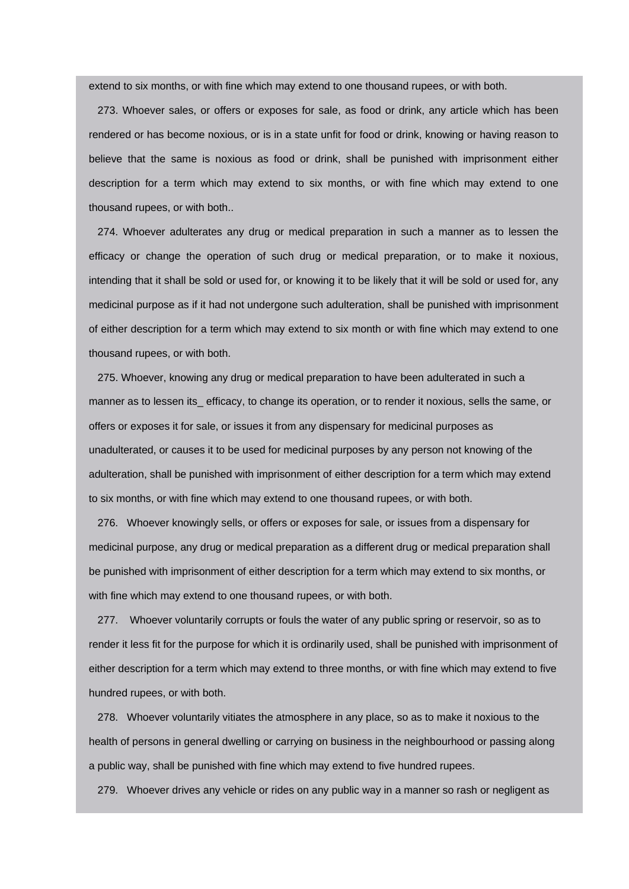extend to six months, or with fine which may extend to one thousand rupees, or with both.

273. Whoever sales, or offers or exposes for sale, as food or drink, any article which has been rendered or has become noxious, or is in a state unfit for food or drink, knowing or having reason to believe that the same is noxious as food or drink, shall be punished with imprisonment either description for a term which may extend to six months, or with fine which may extend to one thousand rupees, or with both..

274. Whoever adulterates any drug or medical preparation in such a manner as to lessen the efficacy or change the operation of such drug or medical preparation, or to make it noxious, intending that it shall be sold or used for, or knowing it to be likely that it will be sold or used for, any medicinal purpose as if it had not undergone such adulteration, shall be punished with imprisonment of either description for a term which may extend to six month or with fine which may extend to one thousand rupees, or with both.

275. Whoever, knowing any drug or medical preparation to have been adulterated in such a manner as to lessen its efficacy, to change its operation, or to render it noxious, sells the same, or offers or exposes it for sale, or issues it from any dispensary for medicinal purposes as unadulterated, or causes it to be used for medicinal purposes by any person not knowing of the adulteration, shall be punished with imprisonment of either description for a term which may extend to six months, or with fine which may extend to one thousand rupees, or with both.

276. Whoever knowingly sells, or offers or exposes for sale, or issues from a dispensary for medicinal purpose, any drug or medical preparation as a different drug or medical preparation shall be punished with imprisonment of either description for a term which may extend to six months, or with fine which may extend to one thousand rupees, or with both.

277. Whoever voluntarily corrupts or fouls the water of any public spring or reservoir, so as to render it less fit for the purpose for which it is ordinarily used, shall be punished with imprisonment of either description for a term which may extend to three months, or with fine which may extend to five hundred rupees, or with both.

278. Whoever voluntarily vitiates the atmosphere in any place, so as to make it noxious to the health of persons in general dwelling or carrying on business in the neighbourhood or passing along a public way, shall be punished with fine which may extend to five hundred rupees.

279. Whoever drives any vehicle or rides on any public way in a manner so rash or negligent as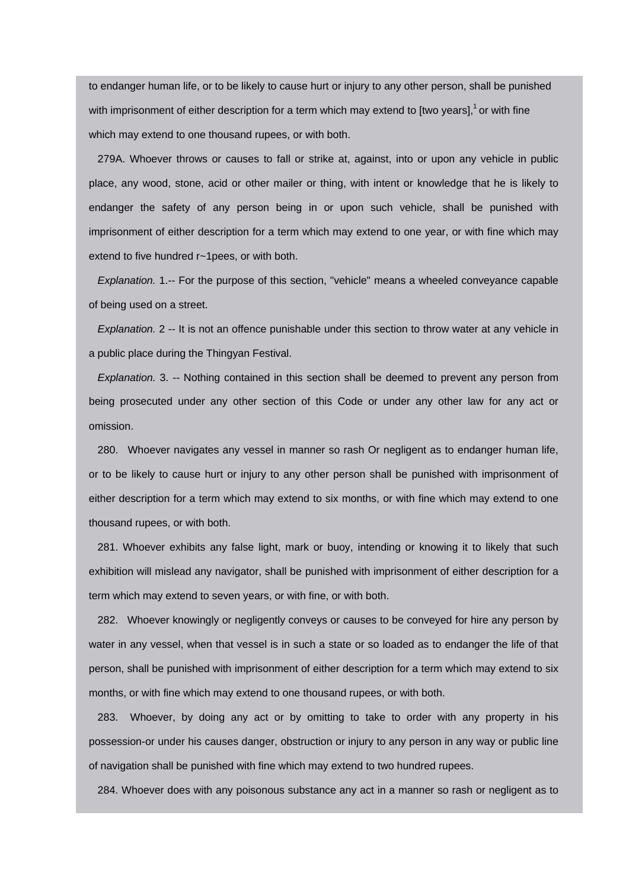to endanger human life, or to be likely to cause hurt or injury to any other person, shall be punished with imprisonment of either description for a term which may extend to [two years], $<sup>1</sup>$  or with fine</sup> which may extend to one thousand rupees, or with both.

279A. Whoever throws or causes to fall or strike at, against, into or upon any vehicle in public place, any wood, stone, acid or other mailer or thing, with intent or knowledge that he is likely to endanger the safety of any person being in or upon such vehicle, shall be punished with imprisonment of either description for a term which may extend to one year, or with fine which may extend to five hundred r~1pees, or with both.

*Explanation.* 1.-- For the purpose of this section, "vehicle" means a wheeled conveyance capable of being used on a street.

*Explanation.* 2 -- It is not an offence punishable under this section to throw water at any vehicle in a public place during the Thingyan Festival.

*Explanation.* 3. -- Nothing contained in this section shall be deemed to prevent any person from being prosecuted under any other section of this Code or under any other law for any act or omission.

280. Whoever navigates any vessel in manner so rash Or negligent as to endanger human life, or to be likely to cause hurt or injury to any other person shall be punished with imprisonment of either description for a term which may extend to six months, or with fine which may extend to one thousand rupees, or with both.

281. Whoever exhibits any false light, mark or buoy, intending or knowing it to likely that such exhibition will mislead any navigator, shall be punished with imprisonment of either description for a term which may extend to seven years, or with fine, or with both.

282. Whoever knowingly or negligently conveys or causes to be conveyed for hire any person by water in any vessel, when that vessel is in such a state or so loaded as to endanger the life of that person, shall be punished with imprisonment of either description for a term which may extend to six months, or with fine which may extend to one thousand rupees, or with both.

283. Whoever, by doing any act or by omitting to take to order with any property in his possession-or under his causes danger, obstruction or injury to any person in any way or public line of navigation shall be punished with fine which may extend to two hundred rupees.

284. Whoever does with any poisonous substance any act in a manner so rash or negligent as to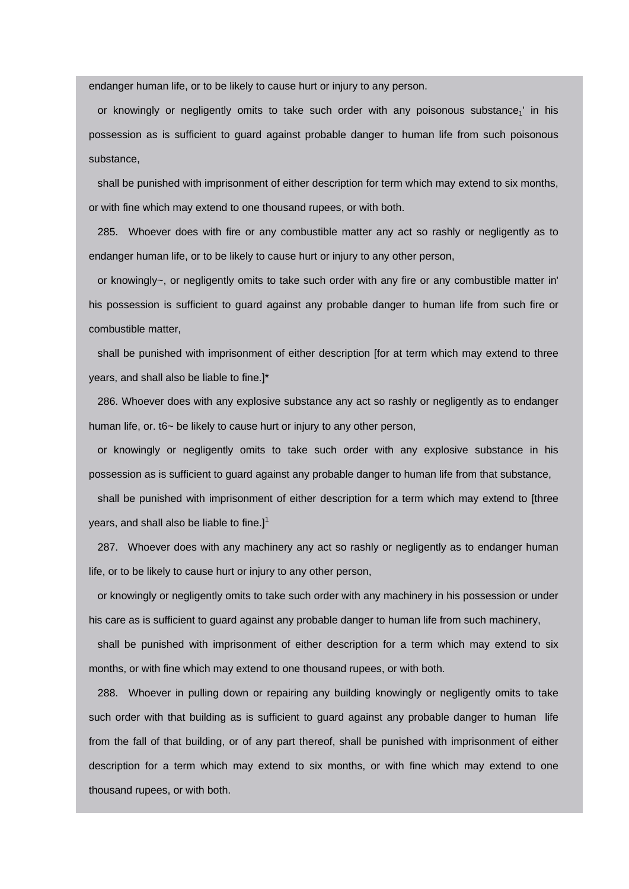endanger human life, or to be likely to cause hurt or injury to any person.

or knowingly or negligently omits to take such order with any poisonous substance<sub>1</sub>' in his possession as is sufficient to guard against probable danger to human life from such poisonous substance,

shall be punished with imprisonment of either description for term which may extend to six months, or with fine which may extend to one thousand rupees, or with both.

285. Whoever does with fire or any combustible matter any act so rashly or negligently as to endanger human life, or to be likely to cause hurt or injury to any other person,

or knowingly~, or negligently omits to take such order with any fire or any combustible matter in' his possession is sufficient to guard against any probable danger to human life from such fire or combustible matter,

shall be punished with imprisonment of either description [for at term which may extend to three years, and shall also be liable to fine.]\*

286. Whoever does with any explosive substance any act so rashly or negligently as to endanger human life, or. t6~ be likely to cause hurt or injury to any other person,

or knowingly or negligently omits to take such order with any explosive substance in his possession as is sufficient to guard against any probable danger to human life from that substance,

shall be punished with imprisonment of either description for a term which may extend to [three years, and shall also be liable to fine.] $<sup>1</sup>$ </sup>

287. Whoever does with any machinery any act so rashly or negligently as to endanger human life, or to be likely to cause hurt or injury to any other person,

or knowingly or negligently omits to take such order with any machinery in his possession or under his care as is sufficient to guard against any probable danger to human life from such machinery,

shall be punished with imprisonment of either description for a term which may extend to six months, or with fine which may extend to one thousand rupees, or with both.

288. Whoever in pulling down or repairing any building knowingly or negligently omits to take such order with that building as is sufficient to guard against any probable danger to human life from the fall of that building, or of any part thereof, shall be punished with imprisonment of either description for a term which may extend to six months, or with fine which may extend to one thousand rupees, or with both.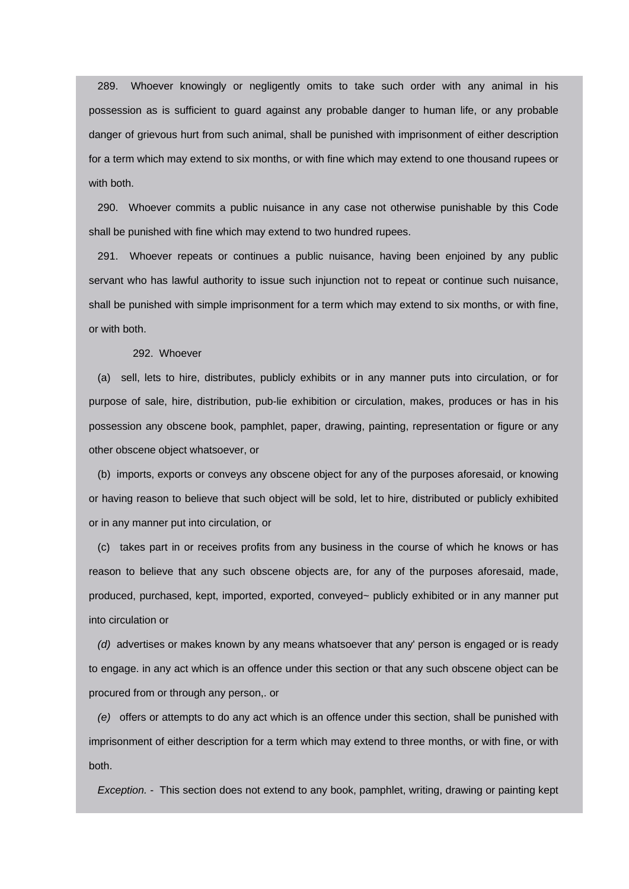289. Whoever knowingly or negligently omits to take such order with any animal in his possession as is sufficient to guard against any probable danger to human life, or any probable danger of grievous hurt from such animal, shall be punished with imprisonment of either description for a term which may extend to six months, or with fine which may extend to one thousand rupees or with both.

290. Whoever commits a public nuisance in any case not otherwise punishable by this Code shall be punished with fine which may extend to two hundred rupees.

291. Whoever repeats or continues a public nuisance, having been enjoined by any public servant who has lawful authority to issue such injunction not to repeat or continue such nuisance, shall be punished with simple imprisonment for a term which may extend to six months, or with fine, or with both.

# 292. Whoever

(a) sell, lets to hire, distributes, publicly exhibits or in any manner puts into circulation, or for purpose of sale, hire, distribution, pub-lie exhibition or circulation, makes, produces or has in his possession any obscene book, pamphlet, paper, drawing, painting, representation or figure or any other obscene object whatsoever, or

(b)imports, exports or conveys any obscene object for any of the purposes aforesaid, or knowing or having reason to believe that such object will be sold, let to hire, distributed or publicly exhibited or in any manner put into circulation, or

(c)takes part in or receives profits from any business in the course of which he knows or has reason to believe that any such obscene objects are, for any of the purposes aforesaid, made, produced, purchased, kept, imported, exported, conveyed~ publicly exhibited or in any manner put into circulation or

*(d)* advertises or makes known by any means whatsoever that any' person is engaged or is ready to engage. in any act which is an offence under this section or that any such obscene object can be procured from or through any person,. or

*(e)* offers or attempts to do any act which is an offence under this section, shall be punished with imprisonment of either description for a term which may extend to three months, or with fine, or with both.

*Exception.* - This section does not extend to any book, pamphlet, writing, drawing or painting kept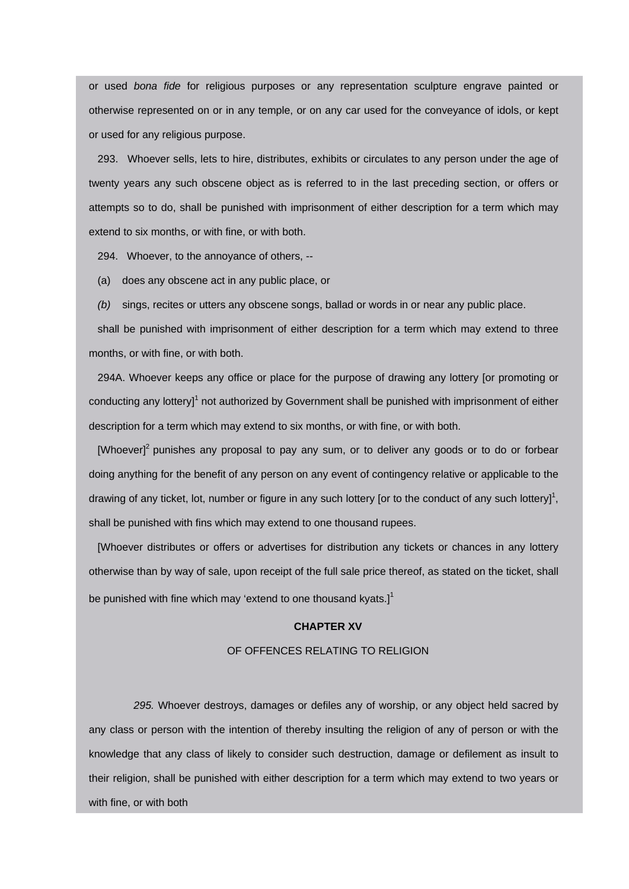or used *bona fide* for religious purposes or any representation sculpture engrave painted or otherwise represented on or in any temple, or on any car used for the conveyance of idols, or kept or used for any religious purpose.

293. Whoever sells, lets to hire, distributes, exhibits or circulates to any person under the age of twenty years any such obscene object as is referred to in the last preceding section, or offers or attempts so to do, shall be punished with imprisonment of either description for a term which may extend to six months, or with fine, or with both.

294. Whoever, to the annoyance of others, --

(a) does any obscene act in any public place, or

*(b)* sings, recites or utters any obscene songs, ballad or words in or near any public place.

shall be punished with imprisonment of either description for a term which may extend to three months, or with fine, or with both.

294A. Whoever keeps any office or place for the purpose of drawing any lottery [or promoting or conducting any lottery]<sup>1</sup> not authorized by Government shall be punished with imprisonment of either description for a term which may extend to six months, or with fine, or with both.

 $[Whoever]<sup>2</sup>$  punishes any proposal to pay any sum, or to deliver any goods or to do or forbear doing anything for the benefit of any person on any event of contingency relative or applicable to the drawing of any ticket, lot, number or figure in any such lottery [or to the conduct of any such lottery]<sup>1</sup>, shall be punished with fins which may extend to one thousand rupees.

[Whoever distributes or offers or advertises for distribution any tickets or chances in any lottery otherwise than by way of sale, upon receipt of the full sale price thereof, as stated on the ticket, shall be punished with fine which may 'extend to one thousand kyats.]<sup>1</sup>

#### **CHAPTER XV**

## OF OFFENCES RELATING TO RELIGION

*295.* Whoever destroys, damages or defiles any of worship, or any object held sacred by any class or person with the intention of thereby insulting the religion of any of person or with the knowledge that any class of likely to consider such destruction, damage or defilement as insult to their religion, shall be punished with either description for a term which may extend to two years or with fine, or with both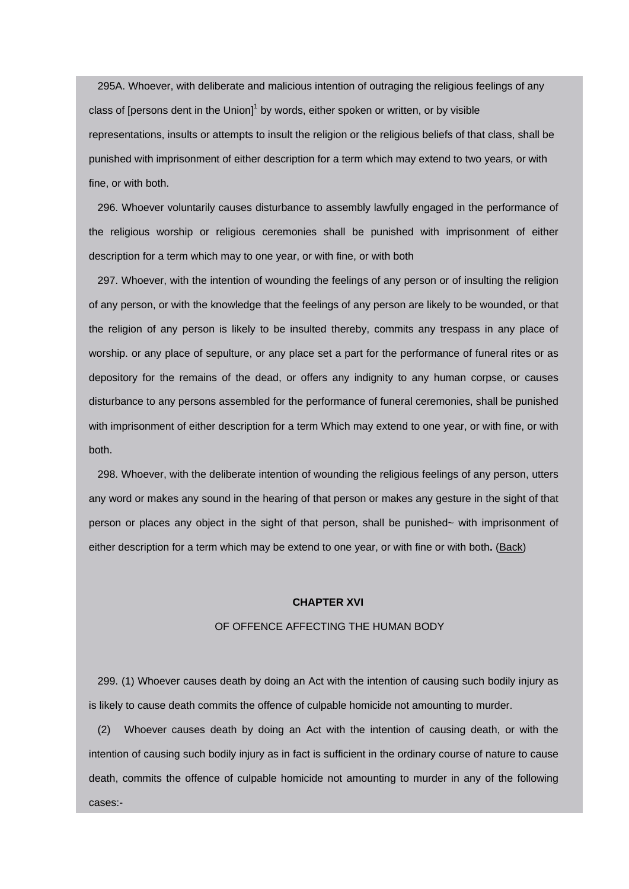295A. Whoever, with deliberate and malicious intention of outraging the religious feelings of any class of [persons dent in the Union] $1$  by words, either spoken or written, or by visible representations, insults or attempts to insult the religion or the religious beliefs of that class, shall be punished with imprisonment of either description for a term which may extend to two years, or with fine, or with both.

296. Whoever voluntarily causes disturbance to assembly lawfully engaged in the performance of the religious worship or religious ceremonies shall be punished with imprisonment of either description for a term which may to one year, or with fine, or with both

297. Whoever, with the intention of wounding the feelings of any person or of insulting the religion of any person, or with the knowledge that the feelings of any person are likely to be wounded, or that the religion of any person is likely to be insulted thereby, commits any trespass in any place of worship. or any place of sepulture, or any place set a part for the performance of funeral rites or as depository for the remains of the dead, or offers any indignity to any human corpse, or causes disturbance to any persons assembled for the performance of funeral ceremonies, shall be punished with imprisonment of either description for a term Which may extend to one year, or with fine, or with both.

298. Whoever, with the deliberate intention of wounding the religious feelings of any person, utters any word or makes any sound in the hearing of that person or makes any gesture in the sight of that person or places any object in the sight of that person, shall be punished~ with imprisonment of either description for a term which may be extend to one year, or with fine or with both**.** ([Back\)](http://www.blc-burma.org/html/Myanmar Penal Code/mpc.html#comcpt15)

#### **CHAPTER XVI**

#### OF OFFENCE AFFECTING THE HUMAN BODY

299. (1) Whoever causes death by doing an Act with the intention of causing such bodily injury as is likely to cause death commits the offence of culpable homicide not amounting to murder.

(2) Whoever causes death by doing an Act with the intention of causing death, or with the intention of causing such bodily injury as in fact is sufficient in the ordinary course of nature to cause death, commits the offence of culpable homicide not amounting to murder in any of the following cases:-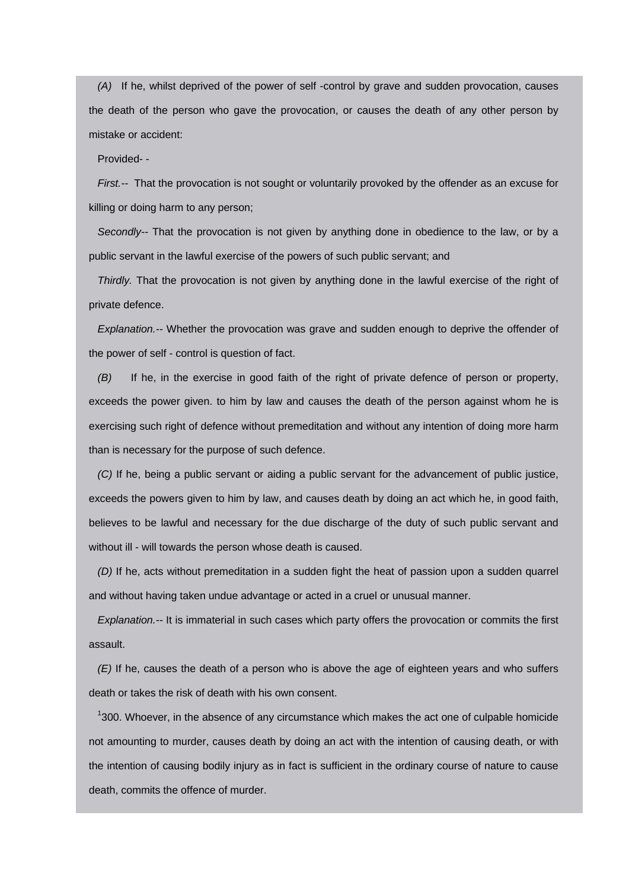*(A)* If he, whilst deprived of the power of self -control by grave and sudden provocation, causes the death of the person who gave the provocation, or causes the death of any other person by mistake or accident:

Provided- -

*First.--* That the provocation is not sought or voluntarily provoked by the offender as an excuse for killing or doing harm to any person;

*Secondly--* That the provocation is not given by anything done in obedience to the law, or by a public servant in the lawful exercise of the powers of such public servant; and

*Thirdly.* That the provocation is not given by anything done in the lawful exercise of the right of private defence.

*Explanation.--* Whether the provocation was grave and sudden enough to deprive the offender of the power of self - control is question of fact.

*(B)* If he, in the exercise in good faith of the right of private defence of person or property, exceeds the power given. to him by law and causes the death of the person against whom he is exercising such right of defence without premeditation and without any intention of doing more harm than is necessary for the purpose of such defence.

*(C)* If he, being a public servant or aiding a public servant for the advancement of public justice, exceeds the powers given to him by law, and causes death by doing an act which he, in good faith, believes to be lawful and necessary for the due discharge of the duty of such public servant and without ill - will towards the person whose death is caused.

*(D)* If he, acts without premeditation in a sudden fight the heat of passion upon a sudden quarrel and without having taken undue advantage or acted in a cruel or unusual manner.

*Explanation.--* It is immaterial in such cases which party offers the provocation or commits the first assault.

*(E)* If he, causes the death of a person who is above the age of eighteen years and who suffers death or takes the risk of death with his own consent.

 $1300$ . Whoever, in the absence of any circumstance which makes the act one of culpable homicide not amounting to murder, causes death by doing an act with the intention of causing death, or with the intention of causing bodily injury as in fact is sufficient in the ordinary course of nature to cause death, commits the offence of murder.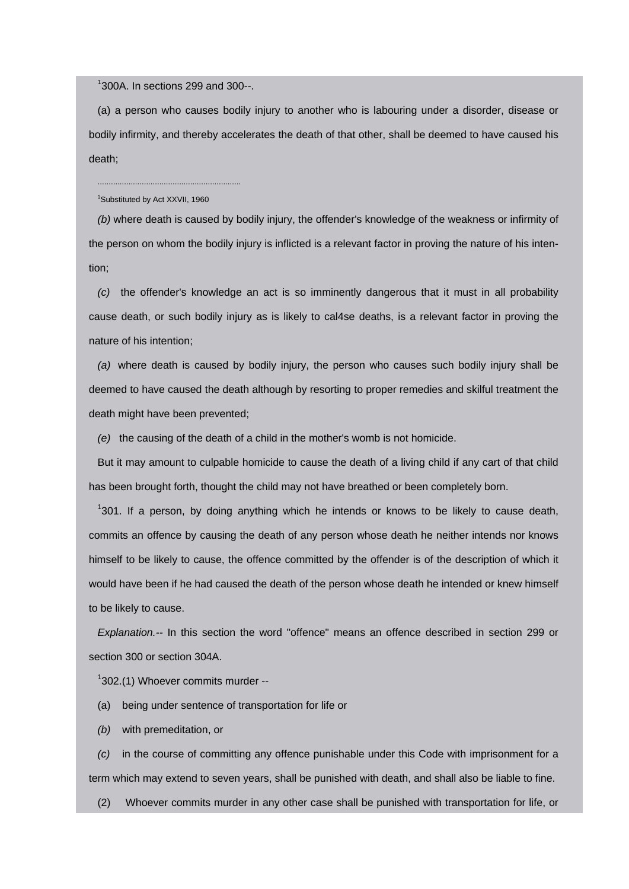1 300A. In sections 299 and 300--.

(a) a person who causes bodily injury to another who is labouring under a disorder, disease or bodily infirmity, and thereby accelerates the death of that other, shall be deemed to have caused his death;

.................................................................

<sup>1</sup>Substituted by Act XXVII, 1960

*(b)* where death is caused by bodily injury, the offender's knowledge of the weakness or infirmity of the person on whom the bodily injury is inflicted is a relevant factor in proving the nature of his intention;

*(c)* the offender's knowledge an act is so imminently dangerous that it must in all probability cause death, or such bodily injury as is likely to cal4se deaths, is a relevant factor in proving the nature of his intention;

*(a)* where death is caused by bodily injury, the person who causes such bodily injury shall be deemed to have caused the death although by resorting to proper remedies and skilful treatment the death might have been prevented;

*(e)* the causing of the death of a child in the mother's womb is not homicide.

But it may amount to culpable homicide to cause the death of a living child if any cart of that child has been brought forth, thought the child may not have breathed or been completely born.

 $1301$ . If a person, by doing anything which he intends or knows to be likely to cause death, commits an offence by causing the death of any person whose death he neither intends nor knows himself to be likely to cause, the offence committed by the offender is of the description of which it would have been if he had caused the death of the person whose death he intended or knew himself to be likely to cause.

*Explanation.--* In this section the word "offence" means an offence described in section 299 or section 300 or section 304A.

 $1$ 302.(1) Whoever commits murder --

- (a) being under sentence of transportation for life or
- *(b)* with premeditation, or

*(c)* in the course of committing any offence punishable under this Code with imprisonment for a term which may extend to seven years, shall be punished with death, and shall also be liable to fine.

(2) Whoever commits murder in any other case shall be punished with transportation for life, or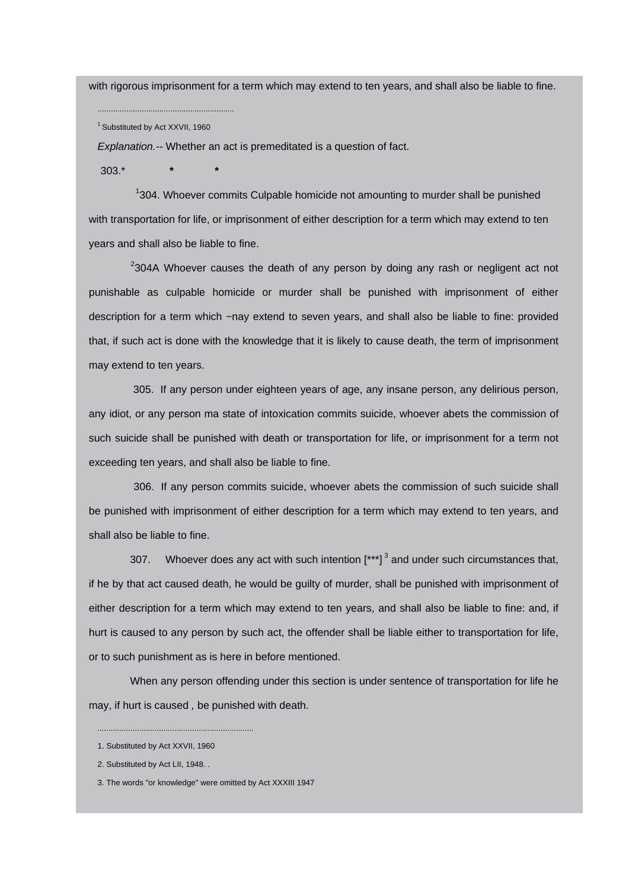with rigorous imprisonment for a term which may extend to ten years, and shall also be liable to fine.

<sup>1</sup> Substituted by Act XXVII, 1960

..............................................................

*Explanation.--* Whether an act is premeditated is a question of fact.

303.\* *\* \**

 $\overline{1}$  $1304$ . Whoever commits Culpable homicide not amounting to murder shall be punished with transportation for life, or imprisonment of either description for a term which may extend to ten years and shall also be liable to fine.

 $2304A$  Whoever causes the death of any person by doing any rash or negligent act not punishable as culpable homicide or murder shall be punished with imprisonment of either description for a term which ~nay extend to seven years, and shall also be liable to fine: provided that, if such act is done with the knowledge that it is likely to cause death, the term of imprisonment may extend to ten years.

 305. If any person under eighteen years of age, any insane person, any delirious person, any idiot, or any person ma state of intoxication commits suicide, whoever abets the commission of such suicide shall be punished with death or transportation for life, or imprisonment for a term not exceeding ten years, and shall also be liable to fine.

 306. If any person commits suicide, whoever abets the commission of such suicide shall be punished with imprisonment of either description for a term which may extend to ten years, and shall also be liable to fine.

307. Whoever does any act with such intention  $[***]$ <sup>3</sup> and under such circumstances that, if he by that act caused death, he would be guilty of murder, shall be punished with imprisonment of either description for a term which may extend to ten years, and shall also be liable to fine: and, if hurt is caused to any person by such act, the offender shall be liable either to transportation for life, or to such punishment as is here in before mentioned.

 When any person offending under this section is under sentence of transportation for life he may, if hurt is caused *,* be punished with death.

1. Substituted by Act XXVII, 1960

*.......................................................................*

<sup>2.</sup> Substituted by Act LII, 1948. .

<sup>3.</sup> The words "or knowledge" were omitted by Act XXXIII 1947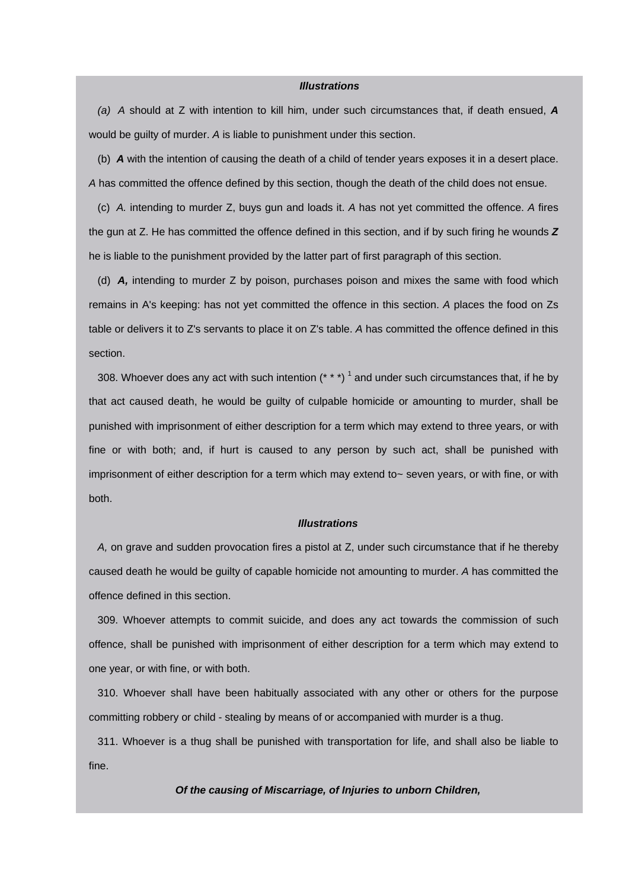## *Illustrations*

*(a) A* should at Z with intention to kill him, under such circumstances that, if death ensued, *A*  would be guilty of murder. *A* is liable to punishment under this section.

(b) *A* with the intention of causing the death of a child of tender years exposes it in a desert place. *A* has committed the offence defined by this section, though the death of the child does not ensue.

(c) *A.* intending to murder Z, buys gun and loads it. *A* has not yet committed the offence. *A* fires the gun at Z. He has committed the offence defined in this section, and if by such firing he wounds *Z*  he is liable to the punishment provided by the latter part of first paragraph of this section.

(d) *A,* intending to murder Z by poison, purchases poison and mixes the same with food which remains in A's keeping: has not yet committed the offence in this section. *A* places the food on Zs table or delivers it to Z's servants to place it on Z's table. *A* has committed the offence defined in this section.

308. Whoever does any act with such intention  $(* * )$ <sup>1</sup> and under such circumstances that, if he by that act caused death, he would be guilty of culpable homicide or amounting to murder, shall be punished with imprisonment of either description for a term which may extend to three years, or with fine or with both; and, if hurt is caused to any person by such act, shall be punished with imprisonment of either description for a term which may extend to~ seven years, or with fine, or with both.

#### *Illustrations*

*A,* on grave and sudden provocation fires a pistol at Z, under such circumstance that if he thereby caused death he would be guilty of capable homicide not amounting to murder. *A* has committed the offence defined in this section.

309. Whoever attempts to commit suicide, and does any act towards the commission of such offence, shall be punished with imprisonment of either description for a term which may extend to one year, or with fine, or with both.

310. Whoever shall have been habitually associated with any other or others for the purpose committing robbery or child - stealing by means of or accompanied with murder is a thug.

311. Whoever is a thug shall be punished with transportation for life, and shall also be liable to fine.

# *Of the causing of Miscarriage, of Injuries to unborn Children,*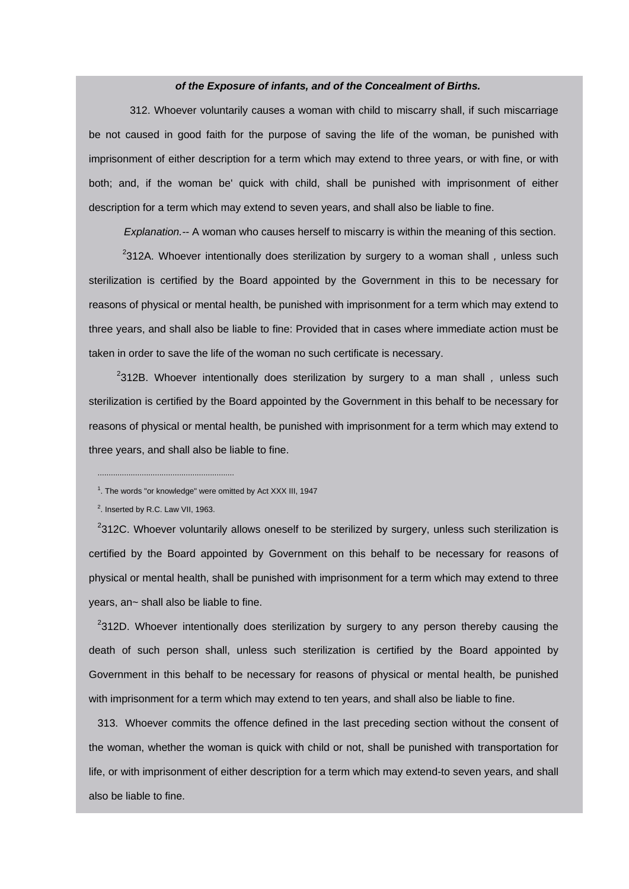## *of the Exposure of infants, and of the Concealment of Births.*

 312. Whoever voluntarily causes a woman with child to miscarry shall, if such miscarriage be not caused in good faith for the purpose of saving the life of the woman, be punished with imprisonment of either description for a term which may extend to three years, or with fine, or with both; and, if the woman be' quick with child, shall be punished with imprisonment of either description for a term which may extend to seven years, and shall also be liable to fine.

 *Explanation.--* A woman who causes herself to miscarry is within the meaning of this section.

 <sup>2</sup> 312A. Whoever intentionally does sterilization by surgery to a woman shall *,* unless such sterilization is certified by the Board appointed by the Government in this to be necessary for reasons of physical or mental health, be punished with imprisonment for a term which may extend to three years, and shall also be liable to fine: Provided that in cases where immediate action must be taken in order to save the life of the woman no such certificate is necessary.

 2312B. Whoever intentionally does sterilization by surgery to a man shall *,* unless such sterilization is certified by the Board appointed by the Government in this behalf to be necessary for reasons of physical or mental health, be punished with imprisonment for a term which may extend to three years, and shall also be liable to fine.

..............................................................

 $2$ 312C. Whoever voluntarily allows oneself to be sterilized by surgery, unless such sterilization is certified by the Board appointed by Government on this behalf to be necessary for reasons of physical or mental health, shall be punished with imprisonment for a term which may extend to three years, an~ shall also be liable to fine.

 $2$ 312D. Whoever intentionally does sterilization by surgery to any person thereby causing the death of such person shall, unless such sterilization is certified by the Board appointed by Government in this behalf to be necessary for reasons of physical or mental health, be punished with imprisonment for a term which may extend to ten years, and shall also be liable to fine.

313. Whoever commits the offence defined in the last preceding section without the consent of the woman, whether the woman is quick with child or not, shall be punished with transportation for life, or with imprisonment of either description for a term which may extend-to seven years, and shall also be liable to fine.

<sup>&</sup>lt;sup>1</sup>. The words "or knowledge" were omitted by Act XXX III, 1947

 $2$ . Inserted by R.C. Law VII, 1963.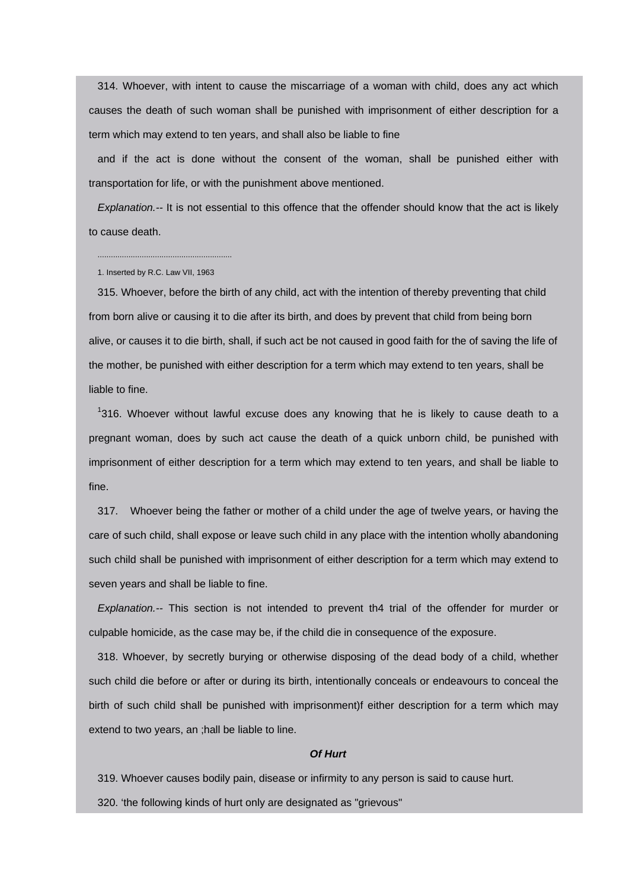314. Whoever, with intent to cause the miscarriage of a woman with child, does any act which causes the death of such woman shall be punished with imprisonment of either description for a term which may extend to ten years, and shall also be liable to fine

and if the act is done without the consent of the woman, shall be punished either with transportation for life, or with the punishment above mentioned.

*Explanation.--* It is not essential to this offence that the offender should know that the act is likely to cause death.

#### 1. Inserted by R.C. Law VII, 1963

.............................................................

315. Whoever, before the birth of any child, act with the intention of thereby preventing that child from born alive or causing it to die after its birth, and does by prevent that child from being born alive, or causes it to die birth, shall, if such act be not caused in good faith for the of saving the life of the mother, be punished with either description for a term which may extend to ten years, shall be liable to fine.

 $1316$ . Whoever without lawful excuse does any knowing that he is likely to cause death to a pregnant woman, does by such act cause the death of a quick unborn child, be punished with imprisonment of either description for a term which may extend to ten years, and shall be liable to fine.

317. Whoever being the father or mother of a child under the age of twelve years, or having the care of such child, shall expose or leave such child in any place with the intention wholly abandoning such child shall be punished with imprisonment of either description for a term which may extend to seven years and shall be liable to fine.

*Explanation.--* This section is not intended to prevent th4 trial of the offender for murder or culpable homicide, as the case may be, if the child die in consequence of the exposure.

318. Whoever, by secretly burying or otherwise disposing of the dead body of a child, whether such child die before or after or during its birth, intentionally conceals or endeavours to conceal the birth of such child shall be punished with imprisonment)f either description for a term which may extend to two years, an ;hall be liable to line.

#### *Of Hurt*

319. Whoever causes bodily pain, disease or infirmity to any person is said to cause hurt.

320. 'the following kinds of hurt only are designated as "grievous"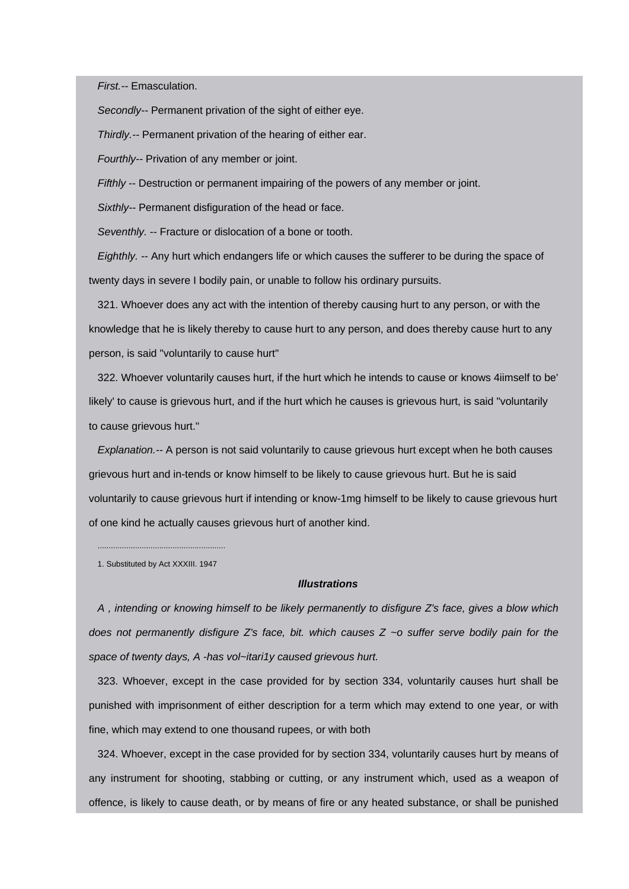*First.--* Emasculation.

*Secondly--* Permanent privation of the sight of either eye.

*Thirdly.--* Permanent privation of the hearing of either ear.

*Fourthly--* Privation of any member or joint.

*Fifthly* -- Destruction or permanent impairing of the powers of any member or joint.

*Sixthly--* Permanent disfiguration of the head or face.

*Seventhly.* -- Fracture or dislocation of a bone or tooth.

*Eighthly.* -- Any hurt which endangers life or which causes the sufferer to be during the space of twenty days in severe I bodily pain, or unable to follow his ordinary pursuits.

321. Whoever does any act with the intention of thereby causing hurt to any person, or with the knowledge that he is likely thereby to cause hurt to any person, and does thereby cause hurt to any person, is said "voluntarily to cause hurt"

322. Whoever voluntarily causes hurt, if the hurt which he intends to cause or knows 4iimself to be' likely' to cause is grievous hurt, and if the hurt which he causes is grievous hurt, is said "voluntarily to cause grievous hurt."

*Explanation.--* A person is not said voluntarily to cause grievous hurt except when he both causes grievous hurt and in-tends or know himself to be likely to cause grievous hurt. But he is said voluntarily to cause grievous hurt if intending or know-1mg himself to be likely to cause grievous hurt of one kind he actually causes grievous hurt of another kind.

1. Substituted by Act XXXIII. 1947

#### *Illustrations*

*A , intending or knowing himself to be likely permanently to disfigure Z's face, gives a blow which does not permanently disfigure Z's face, bit. which causes Z ~o suffer serve bodily pain for the space of twenty days, A -has vol~itari1y caused grievous hurt.*

323. Whoever, except in the case provided for by section 334, voluntarily causes hurt shall be punished with imprisonment of either description for a term which may extend to one year, or with fine, which may extend to one thousand rupees, or with both

324. Whoever, except in the case provided for by section 334, voluntarily causes hurt by means of any instrument for shooting, stabbing or cutting, or any instrument which, used as a weapon of offence, is likely to cause death, or by means of fire or any heated substance, or shall be punished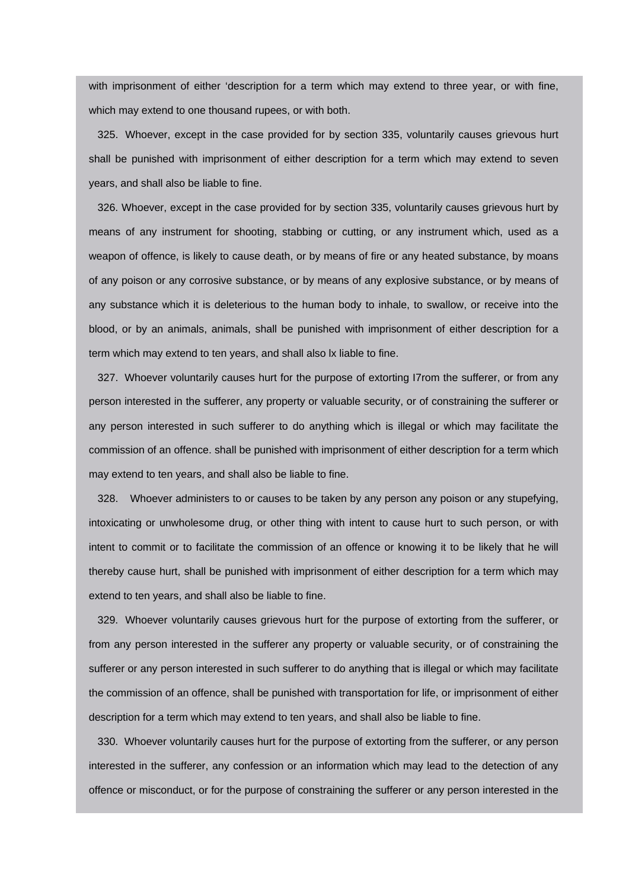with imprisonment of either 'description for a term which may extend to three year, or with fine, which may extend to one thousand rupees, or with both.

325. Whoever, except in the case provided for by section 335, voluntarily causes grievous hurt shall be punished with imprisonment of either description for a term which may extend to seven years, and shall also be liable to fine.

326. Whoever, except in the case provided for by section 335, voluntarily causes grievous hurt by means of any instrument for shooting, stabbing or cutting, or any instrument which, used as a weapon of offence, is likely to cause death, or by means of fire or any heated substance, by moans of any poison or any corrosive substance, or by means of any explosive substance, or by means of any substance which it is deleterious to the human body to inhale, to swallow, or receive into the blood, or by an animals, animals, shall be punished with imprisonment of either description for a term which may extend to ten years, and shall also lx liable to fine.

327. Whoever voluntarily causes hurt for the purpose of extorting I7rom the sufferer, or from any person interested in the sufferer, any property or valuable security, or of constraining the sufferer or any person interested in such sufferer to do anything which is illegal or which may facilitate the commission of an offence. shall be punished with imprisonment of either description for a term which may extend to ten years, and shall also be liable to fine.

328. Whoever administers to or causes to be taken by any person any poison or any stupefying, intoxicating or unwholesome drug, or other thing with intent to cause hurt to such person, or with intent to commit or to facilitate the commission of an offence or knowing it to be likely that he will thereby cause hurt, shall be punished with imprisonment of either description for a term which may extend to ten years, and shall also be liable to fine.

329. Whoever voluntarily causes grievous hurt for the purpose of extorting from the sufferer, or from any person interested in the sufferer any property or valuable security, or of constraining the sufferer or any person interested in such sufferer to do anything that is illegal or which may facilitate the commission of an offence, shall be punished with transportation for life, or imprisonment of either description for a term which may extend to ten years, and shall also be liable to fine.

330. Whoever voluntarily causes hurt for the purpose of extorting from the sufferer, or any person interested in the sufferer, any confession or an information which may lead to the detection of any offence or misconduct, or for the purpose of constraining the sufferer or any person interested in the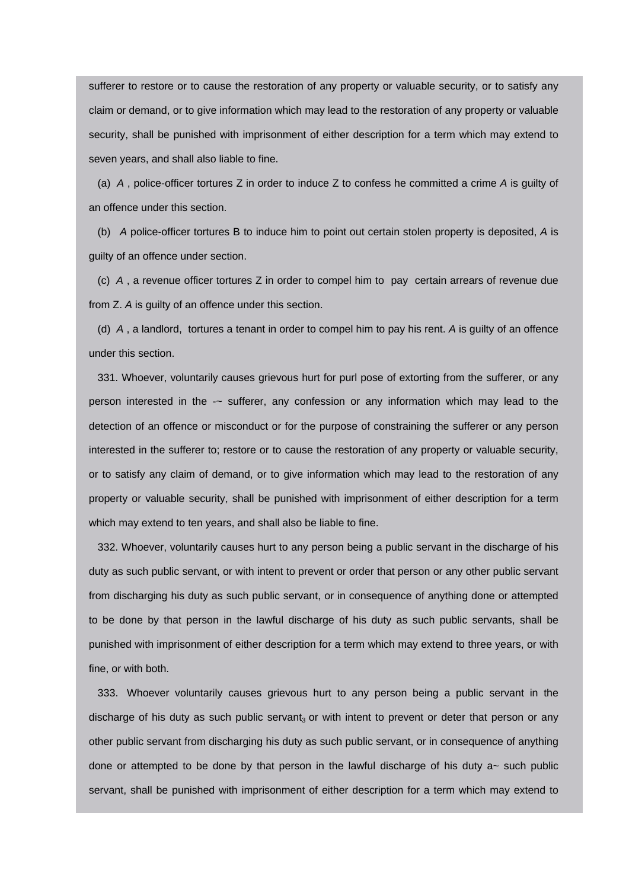sufferer to restore or to cause the restoration of any property or valuable security, or to satisfy any claim or demand, or to give information which may lead to the restoration of any property or valuable security, shall be punished with imprisonment of either description for a term which may extend to seven years, and shall also liable to fine.

(a) *A* , police-officer tortures Z in order to induce Z to confess he committed a crime *A* is guilty of an offence under this section.

(b) *A* police-officer tortures B to induce him to point out certain stolen property is deposited, *A* is guilty of an offence under section.

(c) *A* , a revenue officer tortures Z in order to compel him to pay certain arrears of revenue due from Z. *A* is guilty of an offence under this section.

(d) *A* , a landlord, tortures a tenant in order to compel him to pay his rent. *A* is guilty of an offence under this section.

331. Whoever, voluntarily causes grievous hurt for purl pose of extorting from the sufferer, or any person interested in the  $-$  sufferer, any confession or any information which may lead to the detection of an offence or misconduct or for the purpose of constraining the sufferer or any person interested in the sufferer to; restore or to cause the restoration of any property or valuable security, or to satisfy any claim of demand, or to give information which may lead to the restoration of any property or valuable security, shall be punished with imprisonment of either description for a term which may extend to ten years, and shall also be liable to fine.

332. Whoever, voluntarily causes hurt to any person being a public servant in the discharge of his duty as such public servant, or with intent to prevent or order that person or any other public servant from discharging his duty as such public servant, or in consequence of anything done or attempted to be done by that person in the lawful discharge of his duty as such public servants, shall be punished with imprisonment of either description for a term which may extend to three years, or with fine, or with both.

333. Whoever voluntarily causes grievous hurt to any person being a public servant in the discharge of his duty as such public servant, or with intent to prevent or deter that person or any other public servant from discharging his duty as such public servant, or in consequence of anything done or attempted to be done by that person in the lawful discharge of his duty  $a<sub>~</sub>$  such public servant, shall be punished with imprisonment of either description for a term which may extend to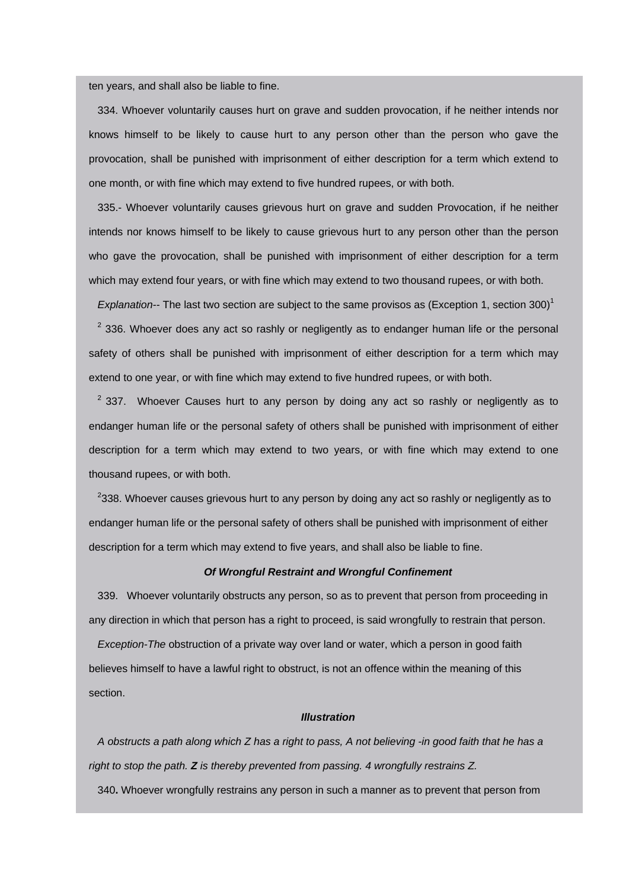ten years, and shall also be liable to fine.

334. Whoever voluntarily causes hurt on grave and sudden provocation, if he neither intends nor knows himself to be likely to cause hurt to any person other than the person who gave the provocation, shall be punished with imprisonment of either description for a term which extend to one month, or with fine which may extend to five hundred rupees, or with both.

335.- Whoever voluntarily causes grievous hurt on grave and sudden Provocation, if he neither intends nor knows himself to be likely to cause grievous hurt to any person other than the person who gave the provocation, shall be punished with imprisonment of either description for a term which may extend four years, or with fine which may extend to two thousand rupees, or with both.

*Explanation*-- The last two section are subject to the same provisos as (Exception 1, section 300)<sup>1</sup>

 $2$  336. Whoever does any act so rashly or negligently as to endanger human life or the personal safety of others shall be punished with imprisonment of either description for a term which may extend to one year, or with fine which may extend to five hundred rupees, or with both.

 $2$  337. Whoever Causes hurt to any person by doing any act so rashly or negligently as to endanger human life or the personal safety of others shall be punished with imprisonment of either description for a term which may extend to two years, or with fine which may extend to one thousand rupees, or with both.

 $^{2}$ 338. Whoever causes grievous hurt to any person by doing any act so rashly or negligently as to endanger human life or the personal safety of others shall be punished with imprisonment of either description for a term which may extend to five years, and shall also be liable to fine.

### *Of Wrongful Restraint and Wrongful Confinement*

339. Whoever voluntarily obstructs any person, so as to prevent that person from proceeding in any direction in which that person has a right to proceed, is said wrongfully to restrain that person.

*Exception-The* obstruction of a private way over land or water, which a person in good faith believes himself to have a lawful right to obstruct, is not an offence within the meaning of this section.

#### *Illustration*

*A obstructs a path along which Z has a right to pass, A not believing -in good faith that he has a right to stop the path. Z is thereby prevented from passing. 4 wrongfully restrains Z.* 340**.** Whoever wrongfully restrains any person in such a manner as to prevent that person from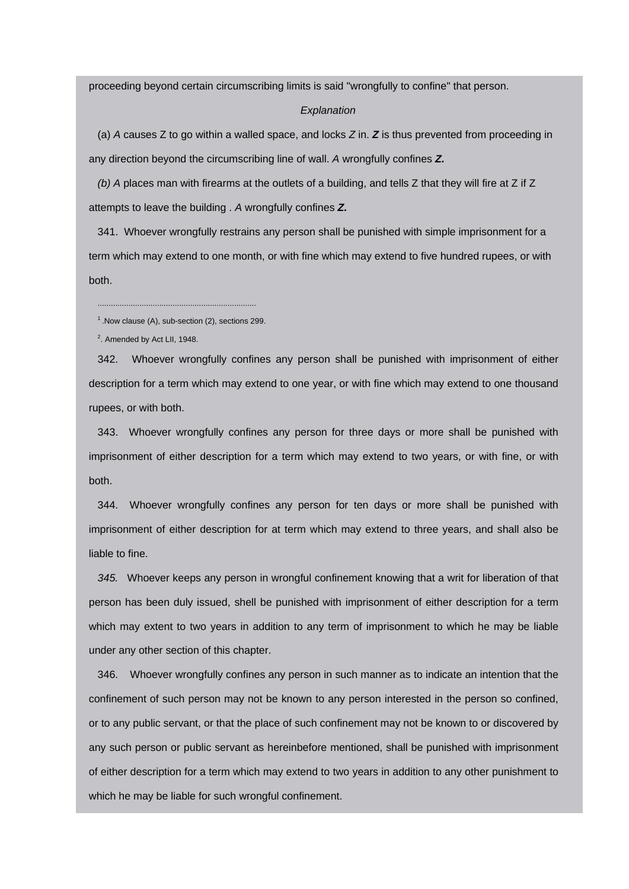proceeding beyond certain circumscribing limits is said "wrongfully to confine" that person.

# *Explanation*

(a) *A* causes Z to go within a walled space, and locks *Z* in. *Z* is thus prevented from proceeding in any direction beyond the circumscribing line of wall. *A* wrongfully confines *Z.*

*(b) A* places man with firearms at the outlets of a building, and tells Z that they will fire at Z if Z attempts to leave the building . *A* wrongfully confines *Z.*

341. Whoever wrongfully restrains any person shall be punished with simple imprisonment for a term which may extend to one month, or with fine which may extend to five hundred rupees, or with both.

 $1$  Now clause (A), sub-section (2), sections 299.

........................................................................

 $2$ . Amended by Act LII, 1948.

342. Whoever wrongfully confines any person shall be punished with imprisonment of either description for a term which may extend to one year, or with fine which may extend to one thousand rupees, or with both.

343. Whoever wrongfully confines any person for three days or more shall be punished with imprisonment of either description for a term which may extend to two years, or with fine, or with both.

344. Whoever wrongfully confines any person for ten days or more shall be punished with imprisonment of either description for at term which may extend to three years, and shall also be liable to fine.

*345.* Whoever keeps any person in wrongful confinement knowing that a writ for liberation of that person has been duly issued, shell be punished with imprisonment of either description for a term which may extent to two years in addition to any term of imprisonment to which he may be liable under any other section of this chapter.

346. Whoever wrongfully confines any person in such manner as to indicate an intention that the confinement of such person may not be known to any person interested in the person so confined, or to any public servant, or that the place of such confinement may not be known to or discovered by any such person or public servant as hereinbefore mentioned, shall be punished with imprisonment of either description for a term which may extend to two years in addition to any other punishment to which he may be liable for such wrongful confinement.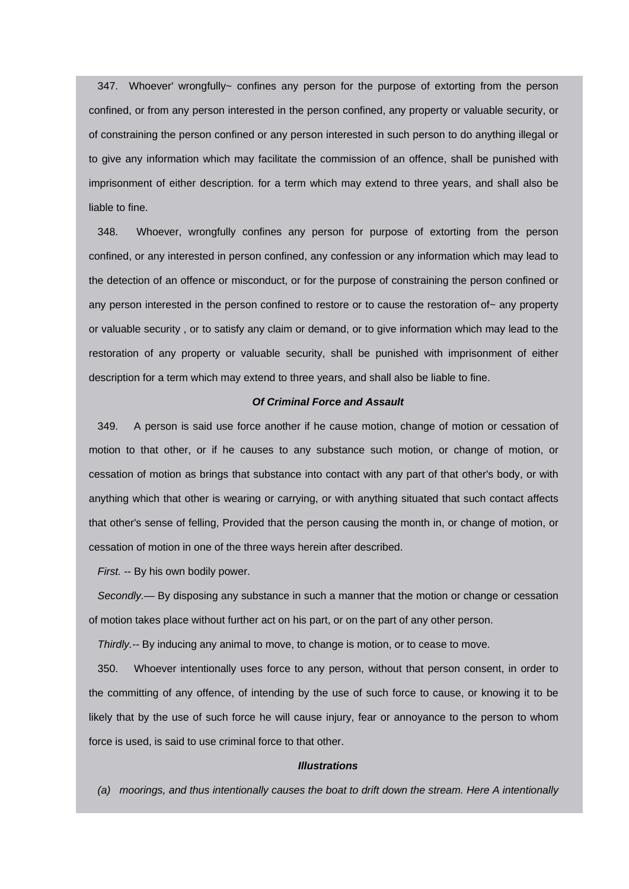347. Whoever' wrongfully~ confines any person for the purpose of extorting from the person confined, or from any person interested in the person confined, any property or valuable security, or of constraining the person confined or any person interested in such person to do anything illegal or to give any information which may facilitate the commission of an offence, shall be punished with imprisonment of either description. for a term which may extend to three years, and shall also be liable to fine.

348. Whoever, wrongfully confines any person for purpose of extorting from the person confined, or any interested in person confined, any confession or any information which may lead to the detection of an offence or misconduct, or for the purpose of constraining the person confined or any person interested in the person confined to restore or to cause the restoration of~ any property or valuable security , or to satisfy any claim or demand, or to give information which may lead to the restoration of any property or valuable security, shall be punished with imprisonment of either description for a term which may extend to three years, and shall also be liable to fine.

# *Of Criminal Force and Assault*

349. A person is said use force another if he cause motion, change of motion or cessation of motion to that other, or if he causes to any substance such motion, or change of motion, or cessation of motion as brings that substance into contact with any part of that other's body, or with anything which that other is wearing or carrying, or with anything situated that such contact affects that other's sense of felling, Provided that the person causing the month in, or change of motion, or cessation of motion in one of the three ways herein after described.

*First.* -- By his own bodily power.

*Secondly.—* By disposing any substance in such a manner that the motion or change or cessation of motion takes place without further act on his part, or on the part of any other person.

*Thirdly.--* By inducing any animal to move, to change is motion, or to cease to move.

350. Whoever intentionally uses force to any person, without that person consent, in order to the committing of any offence, of intending by the use of such force to cause, or knowing it to be likely that by the use of such force he will cause injury, fear or annoyance to the person to whom force is used, is said to use criminal force to that other.

# *Illustrations*

*(a) moorings, and thus intentionally causes the boat to drift down the stream. Here A intentionally*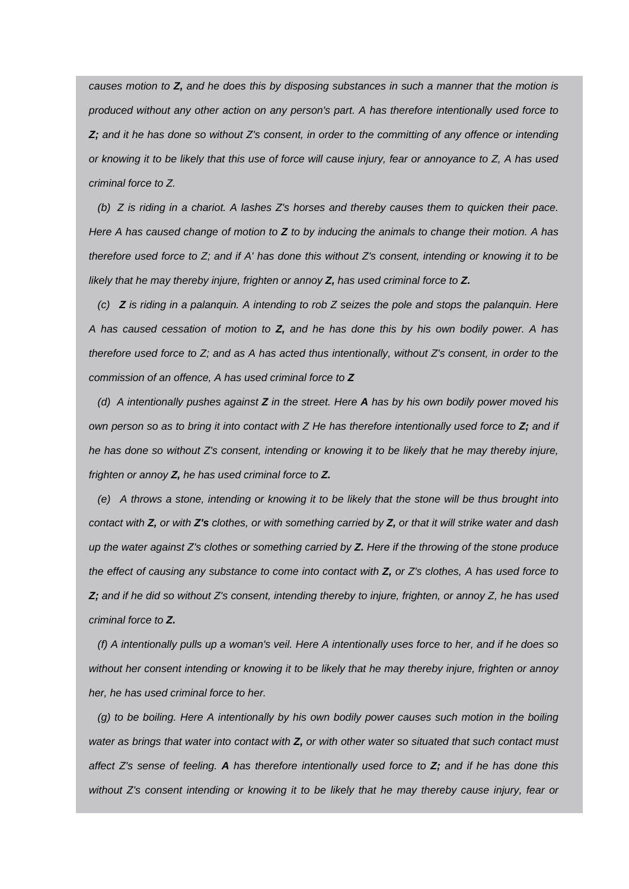*causes motion to Z, and he does this by disposing substances in such a manner that the motion is produced without any other action on any person's part. A has therefore intentionally used force to Z; and it he has done so without Z's consent, in order to the committing of any offence or intending or knowing it to be likely that this use of force will cause injury, fear or annoyance to Z, A has used criminal force to Z.*

*(b) Z is riding in a chariot. A lashes Z's horses and thereby causes them to quicken their pace. Here A has caused change of motion to Z to by inducing the animals to change their motion. A has therefore used force to Z; and if A' has done this without Z's consent, intending or knowing it to be likely that he may thereby injure, frighten or annoy Z, has used criminal force to Z.*

*(c) Z is riding in a palanquin. A intending to rob Z seizes the pole and stops the palanquin. Here A has caused cessation of motion to Z, and he has done this by his own bodily power. A has therefore used force to Z; and as A has acted thus intentionally, without Z's consent, in order to the commission of an offence, A has used criminal force to Z*

*(d) A intentionally pushes against Z in the street. Here A has by his own bodily power moved his own person so as to bring it into contact with Z He has therefore intentionally used force to Z; and if he has done so without Z's consent, intending or knowing it to be likely that he may thereby injure, frighten or annoy Z, he has used criminal force to Z.*

*(e) A throws a stone, intending or knowing it to be likely that the stone will be thus brought into contact with Z, or with Z's clothes, or with something carried by Z, or that it will strike water and dash up the water against Z's clothes or something carried by Z. Here if the throwing of the stone produce the effect of causing any substance to come into contact with Z, or Z's clothes, A has used force to Z; and if he did so without Z's consent, intending thereby to injure, frighten, or annoy Z, he has used criminal force to Z.*

*(f) A intentionally pulls up a woman's veil. Here A intentionally uses force to her, and if he does so without her consent intending or knowing it to be likely that he may thereby injure, frighten or annoy her, he has used criminal force to her.*

*(g) to be boiling. Here A intentionally by his own bodily power causes such motion in the boiling water as brings that water into contact with Z, or with other water so situated that such contact must affect Z's sense of feeling. A has therefore intentionally used force to Z; and if he has done this*  without Z's consent intending or knowing it to be likely that he may thereby cause injury, fear or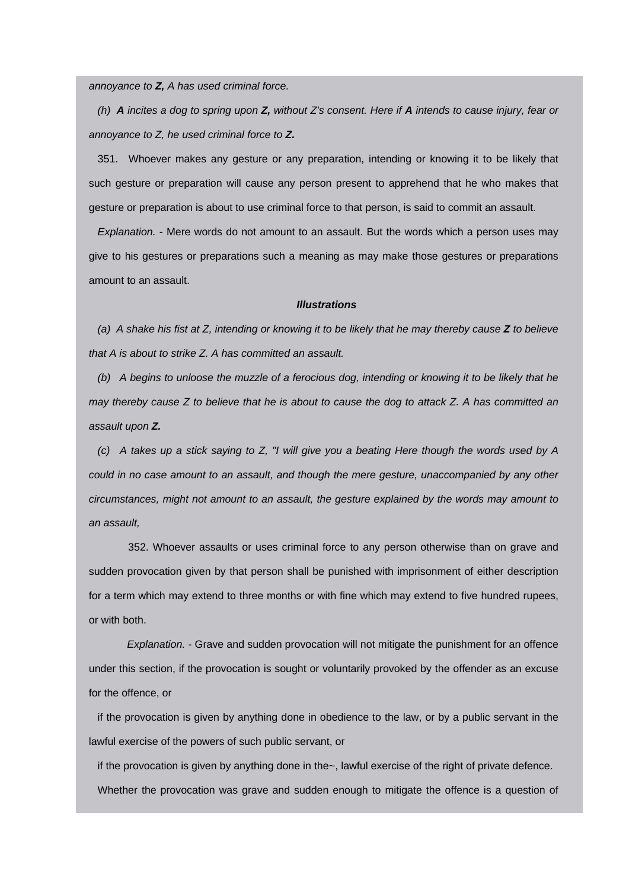*annoyance to Z, A has used criminal force.*

*(h) A incites a dog to spring upon Z, without Z's consent. Here if A intends to cause injury, fear or annoyance to Z, he used criminal force to Z.*

351. Whoever makes any gesture or any preparation, intending or knowing it to be likely that such gesture or preparation will cause any person present to apprehend that he who makes that gesture or preparation is about to use criminal force to that person, is said to commit an assault.

*Explanation.* - Mere words do not amount to an assault. But the words which a person uses may give to his gestures or preparations such a meaning as may make those gestures or preparations amount to an assault.

#### *Illustrations*

*(a) A shake his fist at Z, intending or knowing it to be likely that he may thereby cause Z to believe that A is about to strike Z. A has committed an assault.*

*(b) A begins to unloose the muzzle of a ferocious dog, intending or knowing it to be likely that he may thereby cause Z to believe that he is about to cause the dog to attack Z. A has committed an assault upon Z.*

*(c) A takes up a stick saying to Z, "I will give you a beating Here though the words used by A could in no case amount to an assault, and though the mere gesture, unaccompanied by any other circumstances, might not amount to an assault, the gesture explained by the words may amount to an assault,*

 352. Whoever assaults or uses criminal force to any person otherwise than on grave and sudden provocation given by that person shall be punished with imprisonment of either description for a term which may extend to three months or with fine which may extend to five hundred rupees, or with both.

 *Explanation.* - Grave and sudden provocation will not mitigate the punishment for an offence under this section, if the provocation is sought or voluntarily provoked by the offender as an excuse for the offence, or

if the provocation is given by anything done in obedience to the law, or by a public servant in the lawful exercise of the powers of such public servant, or

if the provocation is given by anything done in the~, lawful exercise of the right of private defence.

Whether the provocation was grave and sudden enough to mitigate the offence is a question of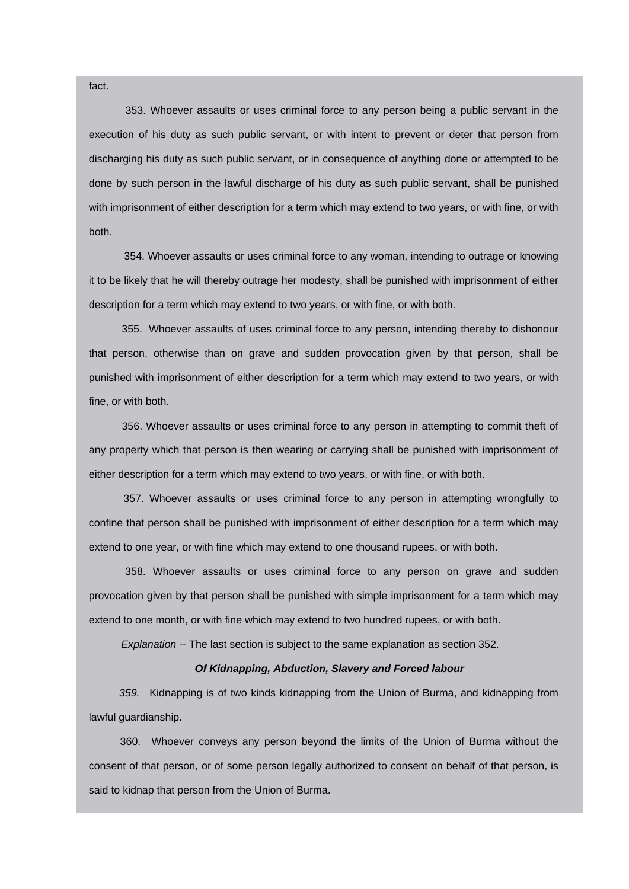353. Whoever assaults or uses criminal force to any person being a public servant in the execution of his duty as such public servant, or with intent to prevent or deter that person from discharging his duty as such public servant, or in consequence of anything done or attempted to be done by such person in the lawful discharge of his duty as such public servant, shall be punished with imprisonment of either description for a term which may extend to two years, or with fine, or with both.

 354. Whoever assaults or uses criminal force to any woman, intending to outrage or knowing it to be likely that he will thereby outrage her modesty, shall be punished with imprisonment of either description for a term which may extend to two years, or with fine, or with both.

 355. Whoever assaults of uses criminal force to any person, intending thereby to dishonour that person, otherwise than on grave and sudden provocation given by that person, shall be punished with imprisonment of either description for a term which may extend to two years, or with fine, or with both.

 356. Whoever assaults or uses criminal force to any person in attempting to commit theft of any property which that person is then wearing or carrying shall be punished with imprisonment of either description for a term which may extend to two years, or with fine, or with both.

 357. Whoever assaults or uses criminal force to any person in attempting wrongfully to confine that person shall be punished with imprisonment of either description for a term which may extend to one year, or with fine which may extend to one thousand rupees, or with both.

 358. Whoever assaults or uses criminal force to any person on grave and sudden provocation given by that person shall be punished with simple imprisonment for a term which may extend to one month, or with fine which may extend to two hundred rupees, or with both.

 *Explanation* -- The last section is subject to the same explanation as section 352.

# *Of Kidnapping, Abduction, Slavery and Forced labour*

 *359.* Kidnapping is of two kinds kidnapping from the Union of Burma, and kidnapping from lawful guardianship.

 360. Whoever conveys any person beyond the limits of the Union of Burma without the consent of that person, or of some person legally authorized to consent on behalf of that person, is said to kidnap that person from the Union of Burma.

fact.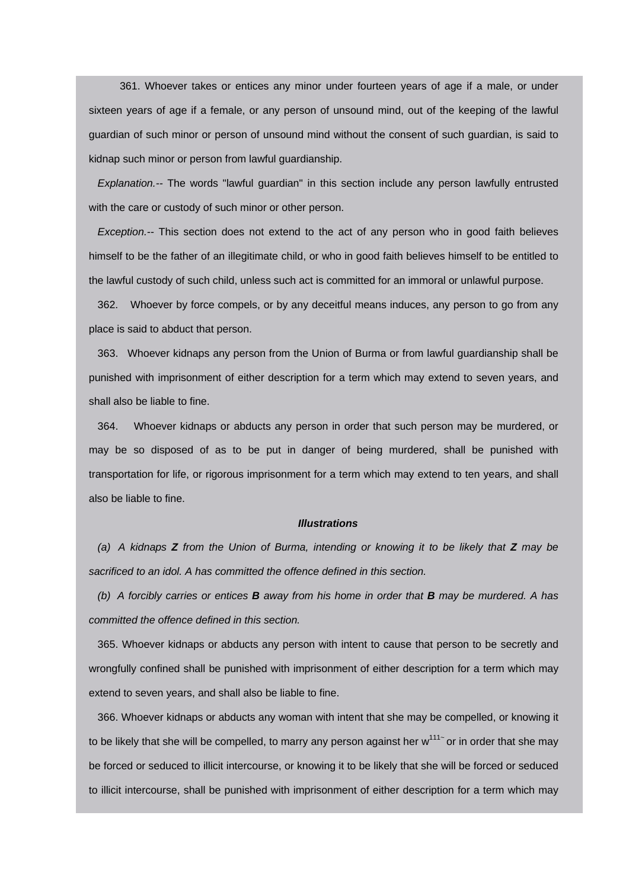361. Whoever takes or entices any minor under fourteen years of age if a male, or under sixteen years of age if a female, or any person of unsound mind, out of the keeping of the lawful guardian of such minor or person of unsound mind without the consent of such guardian, is said to kidnap such minor or person from lawful guardianship.

*Explanation.--* The words "lawful guardian" in this section include any person lawfully entrusted with the care or custody of such minor or other person.

*Exception.--* This section does not extend to the act of any person who in good faith believes himself to be the father of an illegitimate child, or who in good faith believes himself to be entitled to the lawful custody of such child, unless such act is committed for an immoral or unlawful purpose.

362. Whoever by force compels, or by any deceitful means induces, any person to go from any place is said to abduct that person.

363. Whoever kidnaps any person from the Union of Burma or from lawful guardianship shall be punished with imprisonment of either description for a term which may extend to seven years, and shall also be liable to fine.

364. Whoever kidnaps or abducts any person in order that such person may be murdered, or may be so disposed of as to be put in danger of being murdered, shall be punished with transportation for life, or rigorous imprisonment for a term which may extend to ten years, and shall also be liable to fine.

## *Illustrations*

*(a) A kidnaps Z from the Union of Burma, intending or knowing it to be likely that Z may be sacrificed to an idol. A has committed the offence defined in this section.*

*(b) A forcibly carries or entices B away from his home in order that B may be murdered. A has committed the offence defined in this section.*

365. Whoever kidnaps or abducts any person with intent to cause that person to be secretly and wrongfully confined shall be punished with imprisonment of either description for a term which may extend to seven years, and shall also be liable to fine.

366. Whoever kidnaps or abducts any woman with intent that she may be compelled, or knowing it to be likely that she will be compelled, to marry any person against her  $w^{111}$  or in order that she may be forced or seduced to illicit intercourse, or knowing it to be likely that she will be forced or seduced to illicit intercourse, shall be punished with imprisonment of either description for a term which may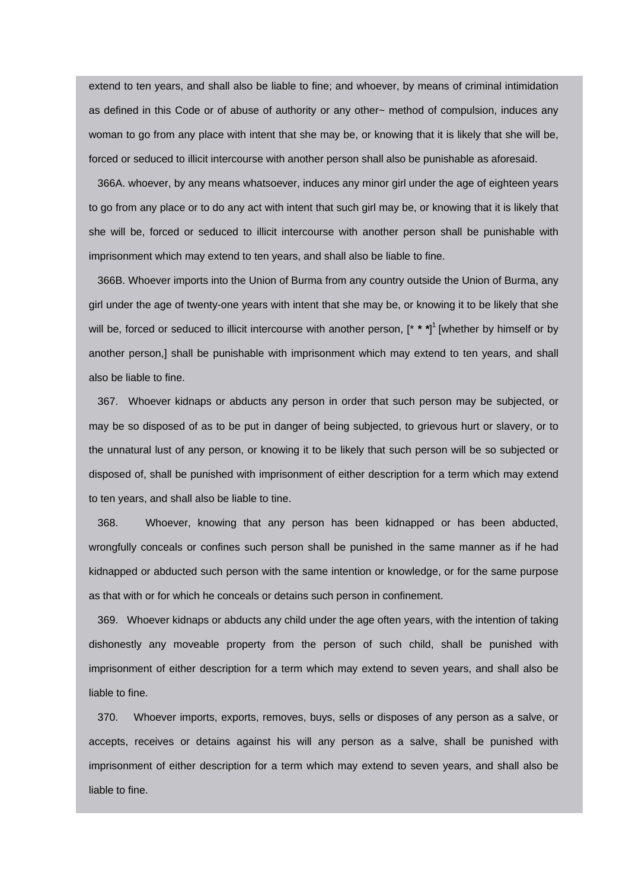extend to ten years, and shall also be liable to fine; and whoever, by means of criminal intimidation as defined in this Code or of abuse of authority or any other~ method of compulsion, induces any woman to go from any place with intent that she may be, or knowing that it is likely that she will be, forced or seduced to illicit intercourse with another person shall also be punishable as aforesaid.

366A. whoever, by any means whatsoever, induces any minor girl under the age of eighteen years to go from any place or to do any act with intent that such girl may be, or knowing that it is likely that she will be, forced or seduced to illicit intercourse with another person shall be punishable with imprisonment which may extend to ten years, and shall also be liable to fine.

366B. Whoever imports into the Union of Burma from any country outside the Union of Burma, any girl under the age of twenty-one years with intent that she may be, or knowing it to be likely that she will be, forced or seduced to illicit intercourse with another person, [\* *\* \**] 1 [whether by himself or by another person,] shall be punishable with imprisonment which may extend to ten years, and shall also be liable to fine.

367. Whoever kidnaps or abducts any person in order that such person may be subjected, or may be so disposed of as to be put in danger of being subjected, to grievous hurt or slavery, or to the unnatural lust of any person, or knowing it to be likely that such person will be so subjected or disposed of, shall be punished with imprisonment of either description for a term which may extend to ten years, and shall also be liable to tine.

368. Whoever, knowing that any person has been kidnapped or has been abducted, wrongfully conceals or confines such person shall be punished in the same manner as if he had kidnapped or abducted such person with the same intention or knowledge, or for the same purpose as that with or for which he conceals or detains such person in confinement.

369. Whoever kidnaps or abducts any child under the age often years, with the intention of taking dishonestly any moveable property from the person of such child, shall be punished with imprisonment of either description for a term which may extend to seven years, and shall also be liable to fine.

370. Whoever imports, exports, removes, buys, sells or disposes of any person as a salve, or accepts, receives or detains against his will any person as a salve, shall be punished with imprisonment of either description for a term which may extend to seven years, and shall also be liable to fine.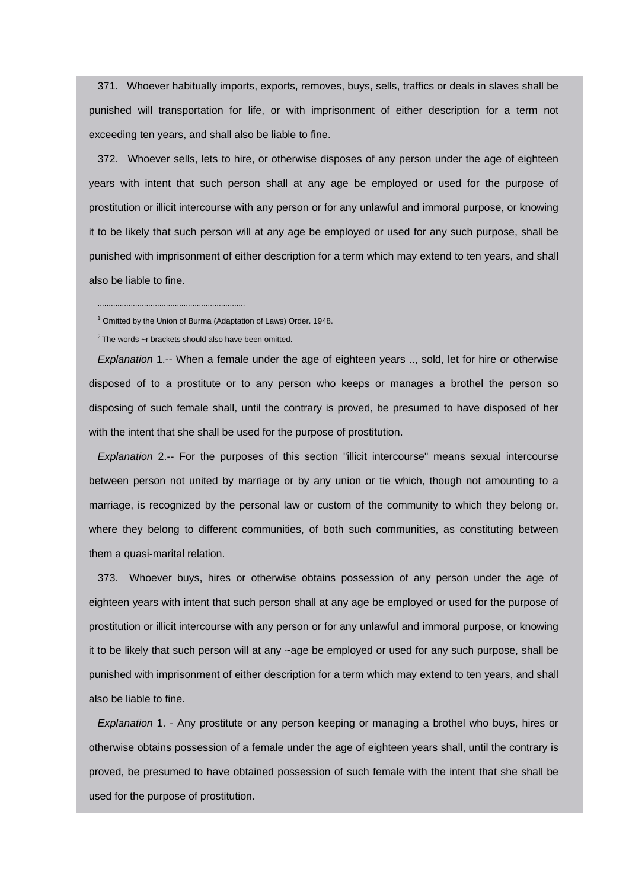371. Whoever habitually imports, exports, removes, buys, sells, traffics or deals in slaves shall be punished will transportation for life, or with imprisonment of either description for a term not exceeding ten years, and shall also be liable to fine.

372. Whoever sells, lets to hire, or otherwise disposes of any person under the age of eighteen years with intent that such person shall at any age be employed or used for the purpose of prostitution or illicit intercourse with any person or for any unlawful and immoral purpose, or knowing it to be likely that such person will at any age be employed or used for any such purpose, shall be punished with imprisonment of either description for a term which may extend to ten years, and shall also be liable to fine.

<sup>1</sup> Omitted by the Union of Burma (Adaptation of Laws) Order. 1948.

 $2$  The words  $\sim$ r brackets should also have been omitted.

...................................................................

*Explanation* 1.-- When a female under the age of eighteen years .., sold, let for hire or otherwise disposed of to a prostitute or to any person who keeps or manages a brothel the person so disposing of such female shall, until the contrary is proved, be presumed to have disposed of her with the intent that she shall be used for the purpose of prostitution.

*Explanation* 2.-- For the purposes of this section "illicit intercourse" means sexual intercourse between person not united by marriage or by any union or tie which, though not amounting to a marriage, is recognized by the personal law or custom of the community to which they belong or, where they belong to different communities, of both such communities, as constituting between them a quasi-marital relation.

373. Whoever buys, hires or otherwise obtains possession of any person under the age of eighteen years with intent that such person shall at any age be employed or used for the purpose of prostitution or illicit intercourse with any person or for any unlawful and immoral purpose, or knowing it to be likely that such person will at any ~age be employed or used for any such purpose, shall be punished with imprisonment of either description for a term which may extend to ten years, and shall also be liable to fine.

*Explanation* 1. - Any prostitute or any person keeping or managing a brothel who buys, hires or otherwise obtains possession of a female under the age of eighteen years shall, until the contrary is proved, be presumed to have obtained possession of such female with the intent that she shall be used for the purpose of prostitution.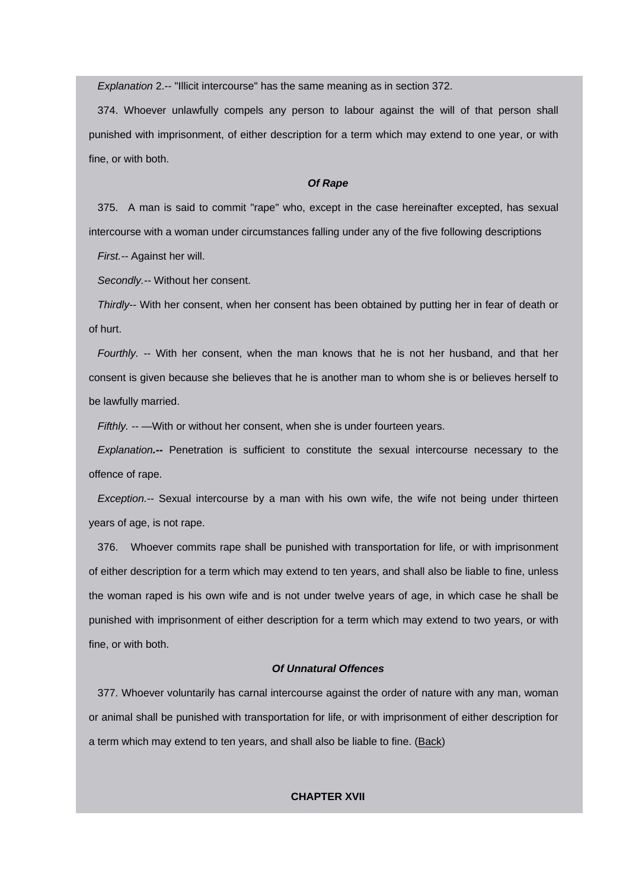*Explanation* 2.-- "Illicit intercourse" has the same meaning as in section 372.

374. Whoever unlawfully compels any person to labour against the will of that person shall punished with imprisonment, of either description for a term which may extend to one year, or with fine, or with both.

#### *Of Rape*

375. A man is said to commit "rape" who, except in the case hereinafter excepted, has sexual intercourse with a woman under circumstances falling under any of the five following descriptions

*First.--* Against her will.

*Secondly.--* Without her consent.

*Thirdly--* With her consent, when her consent has been obtained by putting her in fear of death or of hurt.

*Fourthly.* -- With her consent, when the man knows that he is not her husband, and that her consent is given because she believes that he is another man to whom she is or believes herself to be lawfully married.

*Fifthly.* -- —With or without her consent, when she is under fourteen years.

*Explanation.--* Penetration is sufficient to constitute the sexual intercourse necessary to the offence of rape.

*Exception.--* Sexual intercourse by a man with his own wife, the wife not being under thirteen years of age, is not rape.

376. Whoever commits rape shall be punished with transportation for life, or with imprisonment of either description for a term which may extend to ten years, and shall also be liable to fine, unless the woman raped is his own wife and is not under twelve years of age, in which case he shall be punished with imprisonment of either description for a term which may extend to two years, or with fine, or with both.

# *Of Unnatural Offences*

377. Whoever voluntarily has carnal intercourse against the order of nature with any man, woman or animal shall be punished with transportation for life, or with imprisonment of either description for a term which may extend to ten years, and shall also be liable to fine. ([Back](http://www.blc-burma.org/html/Myanmar Penal Code/mpc.html#comcpt16))

# **CHAPTER XVII**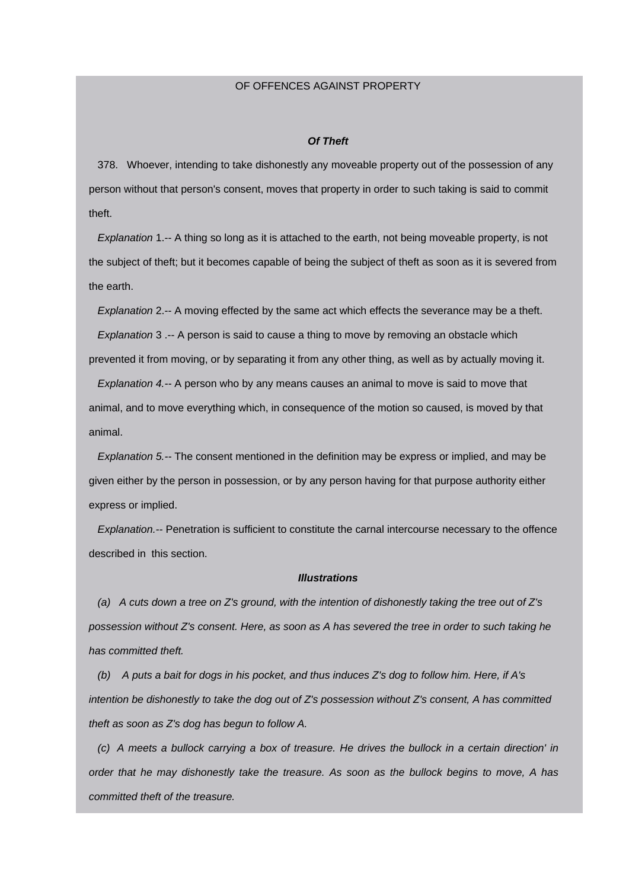### OF OFFENCES AGAINST PROPERTY

#### *Of Theft*

378. Whoever, intending to take dishonestly any moveable property out of the possession of any person without that person's consent, moves that property in order to such taking is said to commit theft.

*Explanation* 1.-- A thing so long as it is attached to the earth, not being moveable property, is not the subject of theft; but it becomes capable of being the subject of theft as soon as it is severed from the earth.

*Explanation* 2.-- A moving effected by the same act which effects the severance may be a theft.

*Explanation* 3 .-- A person is said to cause a thing to move by removing an obstacle which prevented it from moving, or by separating it from any other thing, as well as by actually moving it.

*Explanation 4.--* A person who by any means causes an animal to move is said to move that animal, and to move everything which, in consequence of the motion so caused, is moved by that animal.

*Explanation 5.--* The consent mentioned in the definition may be express or implied, and may be given either by the person in possession, or by any person having for that purpose authority either express or implied.

*Explanation.--* Penetration is sufficient to constitute the carnal intercourse necessary to the offence described in this section.

## *Illustrations*

*(a) A cuts down a tree on Z's ground, with the intention of dishonestly taking the tree out of Z's possession without Z's consent. Here, as soon as A has severed the tree in order to such taking he has committed theft.*

*(b) A puts a bait for dogs in his pocket, and thus induces Z's dog to follow him. Here, if A's intention be dishonestly to take the dog out of Z's possession without Z's consent, A has committed theft as soon as Z's dog has begun to follow A.*

*(c) A meets a bullock carrying a box of treasure. He drives the bullock in a certain direction' in order that he may dishonestly take the treasure. As soon as the bullock begins to move, A has committed theft of the treasure.*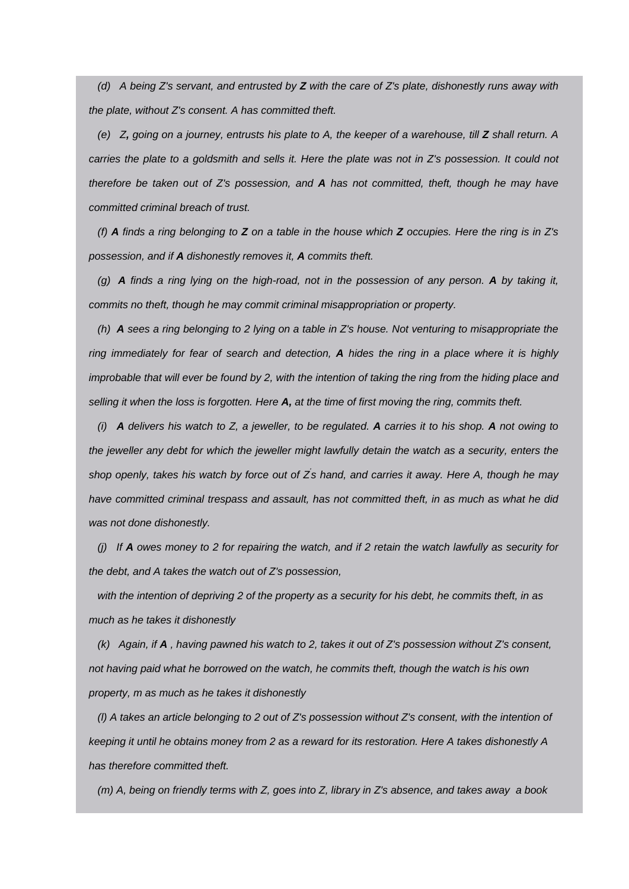*(d) A being Z's servant, and entrusted by Z with the care of Z's plate, dishonestly runs away with the plate, without Z's consent. A has committed theft.*

*(e) Z*, *going on a journey, entrusts his plate to A, the keeper of a warehouse, till Z shall return. A carries the plate to a goldsmith and sells it. Here the plate was not in Z's possession. It could not therefore be taken out of Z's possession, and A has not committed, theft, though he may have committed criminal breach of trust.*

*(f) A finds a ring belonging to Z on a table in the house which Z occupies. Here the ring is in Z's possession, and if A dishonestly removes it, A commits theft.*

*(g) A finds a ring lying on the high-road, not in the possession of any person. A by taking it, commits no theft, though he may commit criminal misappropriation or property.*

*(h) A sees a ring belonging to 2 lying on a table in Z's house. Not venturing to misappropriate the ring immediately for fear of search and detection, A hides the ring in a place where it is highly improbable that will ever be found by 2, with the intention of taking the ring from the hiding place and selling it when the loss is forgotten. Here A, at the time of first moving the ring, commits theft.*

*(i) A delivers his watch to Z, a jeweller, to be regulated. A carries it to his shop. A not owing to the jeweller any debt for which the jeweller might lawfully detain the watch as a security, enters the shop openly, takes his watch by force out of Z' s hand, and carries it away. Here A, though he may have committed criminal trespass and assault, has not committed theft, in as much as what he did was not done dishonestly.*

*(j) If A owes money to 2 for repairing the watch, and if 2 retain the watch lawfully as security for the debt, and A takes the watch out of Z's possession,*

*with the intention of depriving 2 of the property as a security for his debt, he commits theft, in as much as he takes it dishonestly*

*(k) Again, if A , having pawned his watch to 2, takes it out of Z's possession without Z's consent, not having paid what he borrowed on the watch, he commits theft, though the watch is his own property, m as much as he takes it dishonestly*

*(l) A takes an article belonging to 2 out of Z's possession without Z's consent, with the intention of keeping it until he obtains money from 2 as a reward for its restoration. Here A takes dishonestly A has therefore committed theft.*

*(m) A, being on friendly terms with Z, goes into Z, library in Z's absence, and takes away a book*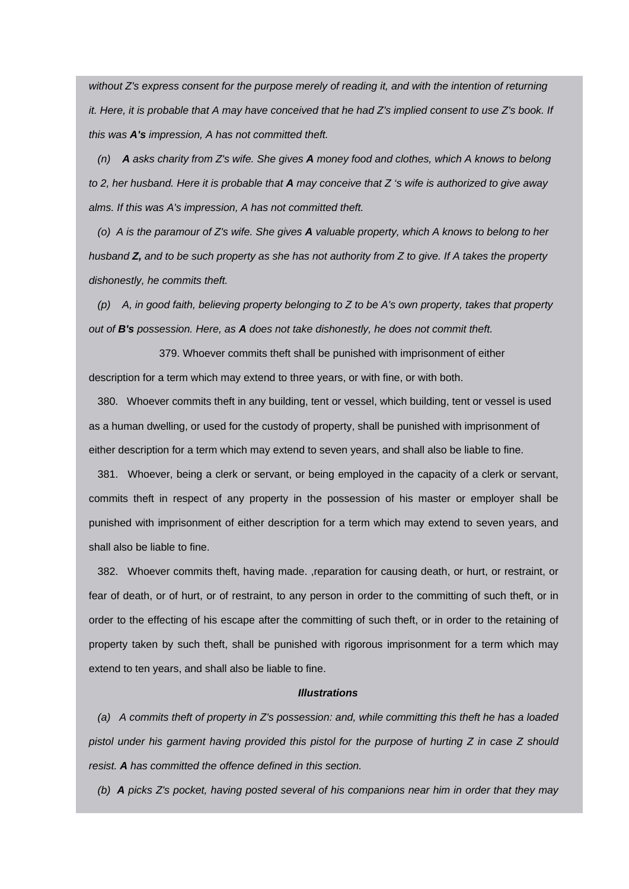*without Z's express consent for the purpose merely of reading it, and with the intention of returning it. Here, it is probable that A may have conceived that he had Z's implied consent to use Z's book. If this was A's impression, A has not committed theft.*

*(n) A asks charity from Z's wife. She gives A money food and clothes, which A knows to belong to 2, her husband. Here it is probable that A may conceive that Z 's wife is authorized to give away alms. If this was A's impression, A has not committed theft.*

*(o) A is the paramour of Z's wife. She gives A valuable property, which A knows to belong to her husband Z, and to be such property as she has not authority from Z to give. If A takes the property dishonestly, he commits theft.*

*(p) A, in good faith, believing property belonging to Z to be A's own property, takes that property out of B's possession. Here, as A does not take dishonestly, he does not commit theft.*

 379. Whoever commits theft shall be punished with imprisonment of either description for a term which may extend to three years, or with fine, or with both.

380. Whoever commits theft in any building, tent or vessel, which building, tent or vessel is used as a human dwelling, or used for the custody of property, shall be punished with imprisonment of either description for a term which may extend to seven years, and shall also be liable to fine.

381. Whoever, being a clerk or servant, or being employed in the capacity of a clerk or servant, commits theft in respect of any property in the possession of his master or employer shall be punished with imprisonment of either description for a term which may extend to seven years, and shall also be liable to fine.

382. Whoever commits theft, having made. ,reparation for causing death, or hurt, or restraint, or fear of death, or of hurt, or of restraint, to any person in order to the committing of such theft, or in order to the effecting of his escape after the committing of such theft, or in order to the retaining of property taken by such theft, shall be punished with rigorous imprisonment for a term which may extend to ten years, and shall also be liable to fine.

### *Illustrations*

*(a) A commits theft of property in Z's possession: and, while committing this theft he has a loaded pistol under his garment having provided this pistol for the purpose of hurting Z in case Z should resist. A has committed the offence defined in this section.*

*(b) A picks Z's pocket, having posted several of his companions near him in order that they may*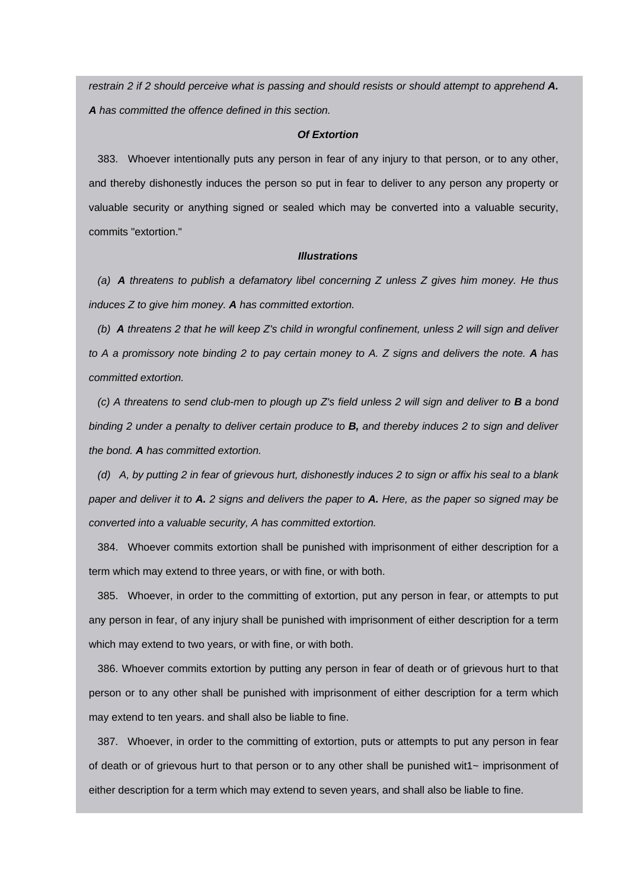*restrain 2 if 2 should perceive what is passing and should resists or should attempt to apprehend A. A has committed the offence defined in this section.*

### *Of Extortion*

383. Whoever intentionally puts any person in fear of any injury to that person, or to any other, and thereby dishonestly induces the person so put in fear to deliver to any person any property or valuable security or anything signed or sealed which may be converted into a valuable security, commits "extortion."

### *Illustrations*

*(a) A threatens to publish a defamatory libel concerning Z unless Z gives him money. He thus induces Z to give him money. A has committed extortion.*

*(b) A threatens 2 that he will keep Z's child in wrongful confinement, unless 2 will sign and deliver to A a promissory note binding 2 to pay certain money to A. Z signs and delivers the note. A has committed extortion.*

*(c)* A threatens to send club-men to plough up Z's field unless 2 will sign and deliver to **B** a bond *binding 2 under a penalty to deliver certain produce to B, and thereby induces 2 to sign and deliver the bond. A has committed extortion.*

*(d) A, by putting 2 in fear of grievous hurt, dishonestly induces 2 to sign or affix his seal to a blank paper and deliver it to A. 2 signs and delivers the paper to A. Here, as the paper so signed may be converted into a valuable security, A has committed extortion.*

384. Whoever commits extortion shall be punished with imprisonment of either description for a term which may extend to three years, or with fine, or with both.

385. Whoever, in order to the committing of extortion, put any person in fear, or attempts to put any person in fear, of any injury shall be punished with imprisonment of either description for a term which may extend to two years, or with fine, or with both.

386. Whoever commits extortion by putting any person in fear of death or of grievous hurt to that person or to any other shall be punished with imprisonment of either description for a term which may extend to ten years. and shall also be liable to fine.

387. Whoever, in order to the committing of extortion, puts or attempts to put any person in fear of death or of grievous hurt to that person or to any other shall be punished wit1 $\sim$  imprisonment of either description for a term which may extend to seven years, and shall also be liable to fine.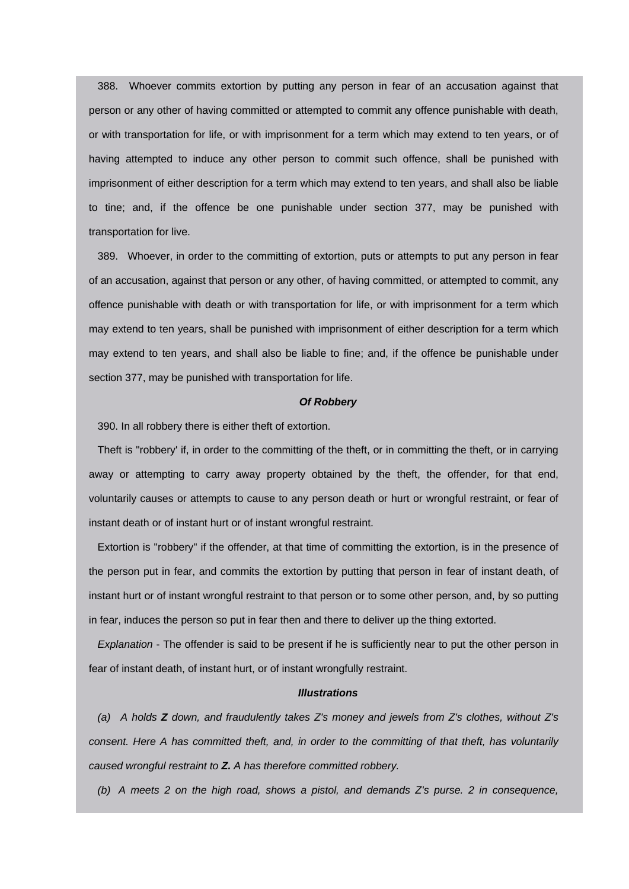388. Whoever commits extortion by putting any person in fear of an accusation against that person or any other of having committed or attempted to commit any offence punishable with death, or with transportation for life, or with imprisonment for a term which may extend to ten years, or of having attempted to induce any other person to commit such offence, shall be punished with imprisonment of either description for a term which may extend to ten years, and shall also be liable to tine; and, if the offence be one punishable under section 377, may be punished with transportation for live.

389. Whoever, in order to the committing of extortion, puts or attempts to put any person in fear of an accusation, against that person or any other, of having committed, or attempted to commit, any offence punishable with death or with transportation for life, or with imprisonment for a term which may extend to ten years, shall be punished with imprisonment of either description for a term which may extend to ten years, and shall also be liable to fine; and, if the offence be punishable under section 377, may be punished with transportation for life.

### *Of Robbery*

390. In all robbery there is either theft of extortion.

Theft is "robbery' if, in order to the committing of the theft, or in committing the theft, or in carrying away or attempting to carry away property obtained by the theft, the offender, for that end, voluntarily causes or attempts to cause to any person death or hurt or wrongful restraint, or fear of instant death or of instant hurt or of instant wrongful restraint.

Extortion is "robbery" if the offender, at that time of committing the extortion, is in the presence of the person put in fear, and commits the extortion by putting that person in fear of instant death, of instant hurt or of instant wrongful restraint to that person or to some other person, and, by so putting in fear, induces the person so put in fear then and there to deliver up the thing extorted.

*Explanation* - The offender is said to be present if he is sufficiently near to put the other person in fear of instant death, of instant hurt, or of instant wrongfully restraint.

#### *Illustrations*

*(a) A holds Z down, and fraudulently takes Z's money and jewels from Z's clothes, without Z's consent. Here A has committed theft, and, in order to the committing of that theft, has voluntarily caused wrongful restraint to Z. A has therefore committed robbery.*

*(b) A meets 2 on the high road, shows a pistol, and demands Z's purse. 2 in consequence,*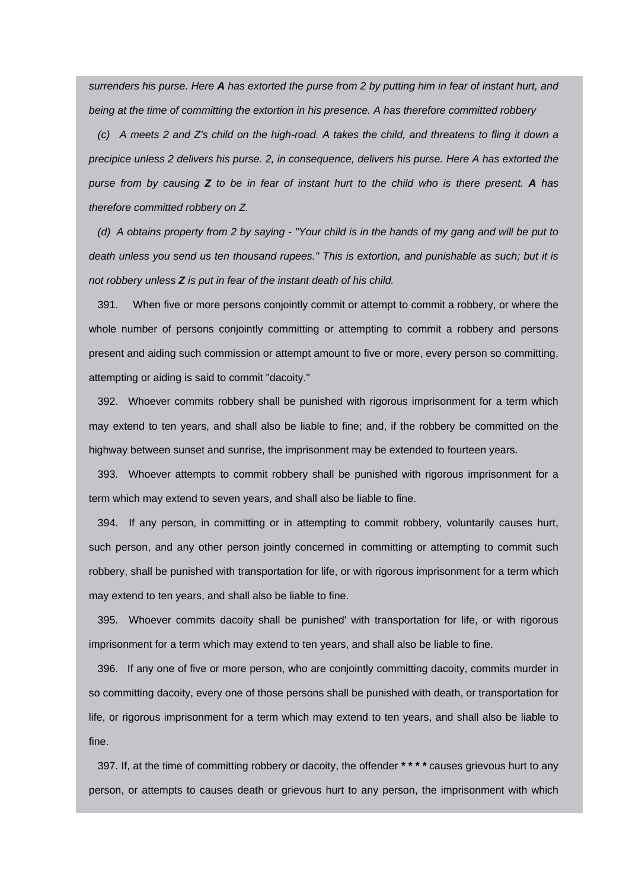*surrenders his purse. Here A has extorted the purse from 2 by putting him in fear of instant hurt, and being at the time of committing the extortion in his presence. A has therefore committed robbery*

*(c) A meets 2 and Z's child on the high-road. A takes the child, and threatens to fling it down a precipice unless 2 delivers his purse. 2, in consequence, delivers his purse. Here A has extorted the purse from by causing Z to be in fear of instant hurt to the child who is there present. A has therefore committed robbery on Z.*

*(d) A obtains property from 2 by saying - "Your child is in the hands of my gang and will be put to death unless you send us ten thousand rupees." This is extortion, and punishable as such; but it is not robbery unless Z is put in fear of the instant death of his child.*

391. When five or more persons conjointly commit or attempt to commit a robbery, or where the whole number of persons conjointly committing or attempting to commit a robbery and persons present and aiding such commission or attempt amount to five or more, every person so committing, attempting or aiding is said to commit "dacoity."

392. Whoever commits robbery shall be punished with rigorous imprisonment for a term which may extend to ten years, and shall also be liable to fine; and, if the robbery be committed on the highway between sunset and sunrise, the imprisonment may be extended to fourteen years.

393. Whoever attempts to commit robbery shall be punished with rigorous imprisonment for a term which may extend to seven years, and shall also be liable to fine.

394. If any person, in committing or in attempting to commit robbery, voluntarily causes hurt, such person, and any other person jointly concerned in committing or attempting to commit such robbery, shall be punished with transportation for life, or with rigorous imprisonment for a term which may extend to ten years, and shall also be liable to fine.

395. Whoever commits dacoity shall be punished' with transportation for life, or with rigorous imprisonment for a term which may extend to ten years, and shall also be liable to fine.

396. If any one of five or more person, who are conjointly committing dacoity, commits murder in so committing dacoity, every one of those persons shall be punished with death, or transportation for life, or rigorous imprisonment for a term which may extend to ten years, and shall also be liable to fine.

397. If, at the time of committing robbery or dacoity, the offender *\* \* \* \** causes grievous hurt to any person, or attempts to causes death or grievous hurt to any person, the imprisonment with which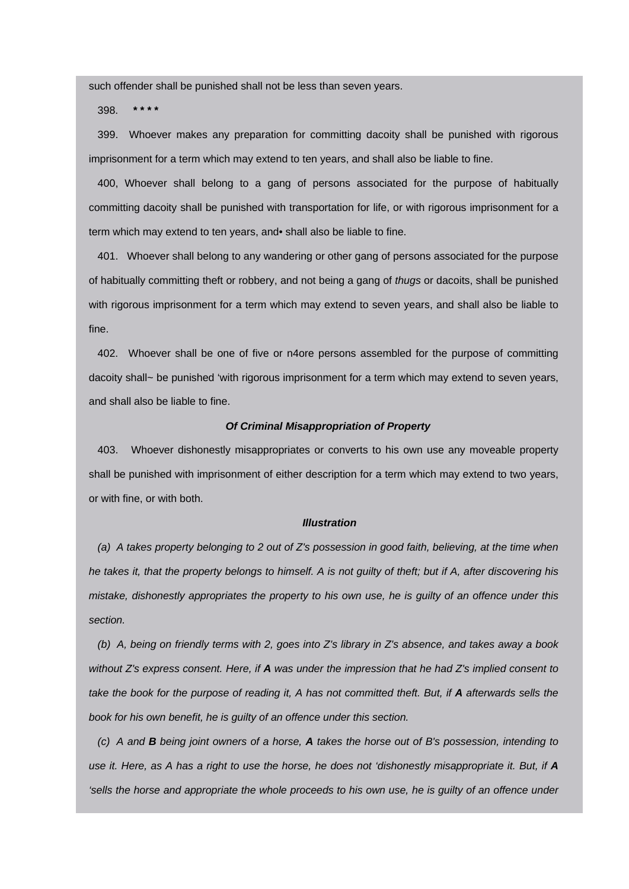such offender shall be punished shall not be less than seven years.

398. *\* \* \* \**

399. Whoever makes any preparation for committing dacoity shall be punished with rigorous imprisonment for a term which may extend to ten years, and shall also be liable to fine.

400, Whoever shall belong to a gang of persons associated for the purpose of habitually committing dacoity shall be punished with transportation for life, or with rigorous imprisonment for a term which may extend to ten years, and• shall also be liable to fine.

401. Whoever shall belong to any wandering or other gang of persons associated for the purpose of habitually committing theft or robbery, and not being a gang of *thugs* or dacoits, shall be punished with rigorous imprisonment for a term which may extend to seven years, and shall also be liable to fine.

402. Whoever shall be one of five or n4ore persons assembled for the purpose of committing dacoity shall~ be punished 'with rigorous imprisonment for a term which may extend to seven years, and shall also be liable to fine.

# *Of Criminal Misappropriation of Property*

403. Whoever dishonestly misappropriates or converts to his own use any moveable property shall be punished with imprisonment of either description for a term which may extend to two years, or with fine, or with both.

# *Illustration*

*(a) A takes property belonging to 2 out of Z's possession in good faith, believing, at the time when he takes it, that the property belongs to himself. A is not guilty of theft; but if A, after discovering his mistake, dishonestly appropriates the property to his own use, he is guilty of an offence under this section.*

*(b) A, being on friendly terms with 2, goes into Z's library in Z's absence, and takes away a book without Z's express consent. Here, if A was under the impression that he had Z's implied consent to take the book for the purpose of reading it, A has not committed theft. But, if A afterwards sells the book for his own benefit, he is guilty of an offence under this section.*

*(c) A and B being joint owners of a horse, A takes the horse out of B's possession, intending to use it. Here, as A has a right to use the horse, he does not 'dishonestly misappropriate it. But, if A* 'sells the horse and appropriate the whole proceeds to his own use, he is guilty of an offence under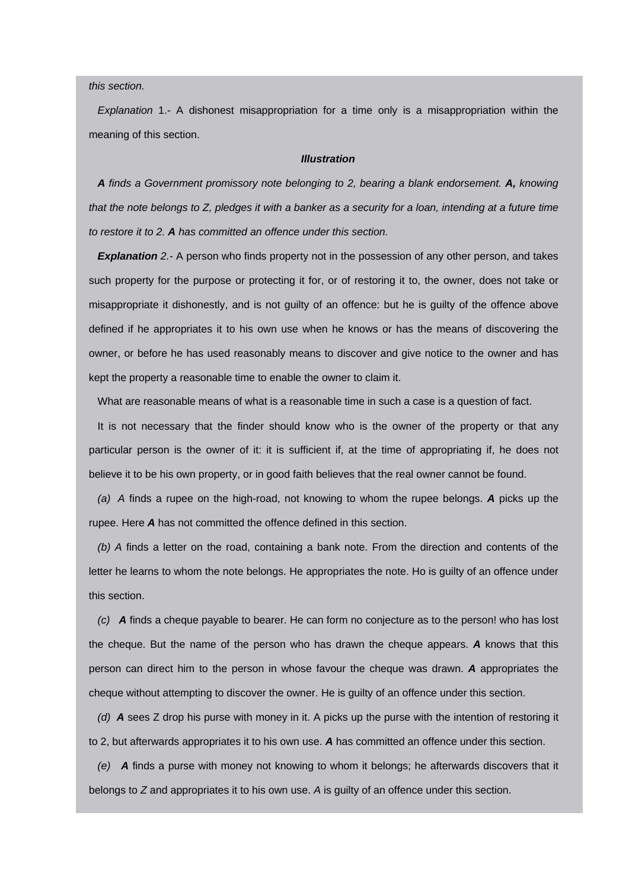*this section.*

*Explanation* 1.- A dishonest misappropriation for a time only is a misappropriation within the meaning of this section.

#### *Illustration*

*A finds a Government promissory note belonging to 2, bearing a blank endorsement. A, knowing that the note belongs to Z, pledges it with a banker as a security for a loan, intending at a future time to restore it to 2. A has committed an offence under this section.*

**Explanation** 2.- A person who finds property not in the possession of any other person, and takes such property for the purpose or protecting it for, or of restoring it to, the owner, does not take or misappropriate it dishonestly, and is not guilty of an offence: but he is guilty of the offence above defined if he appropriates it to his own use when he knows or has the means of discovering the owner, or before he has used reasonably means to discover and give notice to the owner and has kept the property a reasonable time to enable the owner to claim it.

What are reasonable means of what is a reasonable time in such a case is a question of fact.

It is not necessary that the finder should know who is the owner of the property or that any particular person is the owner of it: it is sufficient if, at the time of appropriating if, he does not believe it to be his own property, or in good faith believes that the real owner cannot be found.

*(a) A* finds a rupee on the high-road, not knowing to whom the rupee belongs. *A* picks up the rupee. Here *A* has not committed the offence defined in this section.

*(b) A* finds a letter on the road, containing a bank note. From the direction and contents of the letter he learns to whom the note belongs. He appropriates the note. Ho is guilty of an offence under this section.

*(c) A* finds a cheque payable to bearer. He can form no conjecture as to the person! who has lost the cheque. But the name of the person who has drawn the cheque appears. *A* knows that this person can direct him to the person in whose favour the cheque was drawn. *A* appropriates the cheque without attempting to discover the owner. He is guilty of an offence under this section.

*(d) A* sees Z drop his purse with money in it. A picks up the purse with the intention of restoring it to 2, but afterwards appropriates it to his own use. *A* has committed an offence under this section.

*(e) A* finds a purse with money not knowing to whom it belongs; he afterwards discovers that it belongs to *Z* and appropriates it to his own use. *A* is guilty of an offence under this section.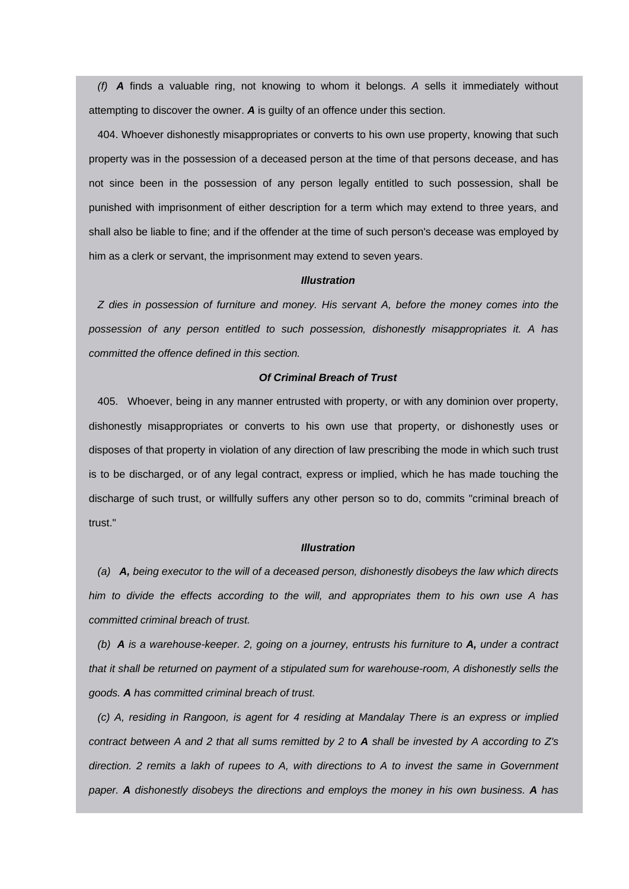*(f) A* finds a valuable ring, not knowing to whom it belongs. *A* sells it immediately without attempting to discover the owner. *A* is guilty of an offence under this section.

404. Whoever dishonestly misappropriates or converts to his own use property, knowing that such property was in the possession of a deceased person at the time of that persons decease, and has not since been in the possession of any person legally entitled to such possession, shall be punished with imprisonment of either description for a term which may extend to three years, and shall also be liable to fine; and if the offender at the time of such person's decease was employed by him as a clerk or servant, the imprisonment may extend to seven years.

### *Illustration*

*Z dies in possession of furniture and money. His servant A, before the money comes into the possession of any person entitled to such possession, dishonestly misappropriates it. A has committed the offence defined in this section.*

# *Of Criminal Breach of Trust*

405. Whoever, being in any manner entrusted with property, or with any dominion over property, dishonestly misappropriates or converts to his own use that property, or dishonestly uses or disposes of that property in violation of any direction of law prescribing the mode in which such trust is to be discharged, or of any legal contract, express or implied, which he has made touching the discharge of such trust, or willfully suffers any other person so to do, commits "criminal breach of trust."

#### *Illustration*

*(a) A, being executor to the will of a deceased person, dishonestly disobeys the law which directs him to divide the effects according to the will, and appropriates them to his own use A has committed criminal breach of trust.*

*(b) A is a warehouse-keeper. 2, going on a journey, entrusts his furniture to A, under a contract that it shall be returned on payment of a stipulated sum for warehouse-room, A dishonestly sells the goods. A has committed criminal breach of trust.*

*(c) A, residing in Rangoon, is agent for 4 residing at Mandalay There is an express or implied contract between A and 2 that all sums remitted by 2 to A shall be invested by A according to Z's direction. 2 remits a lakh of rupees to A, with directions to A to invest the same in Government paper. A dishonestly disobeys the directions and employs the money in his own business. A has*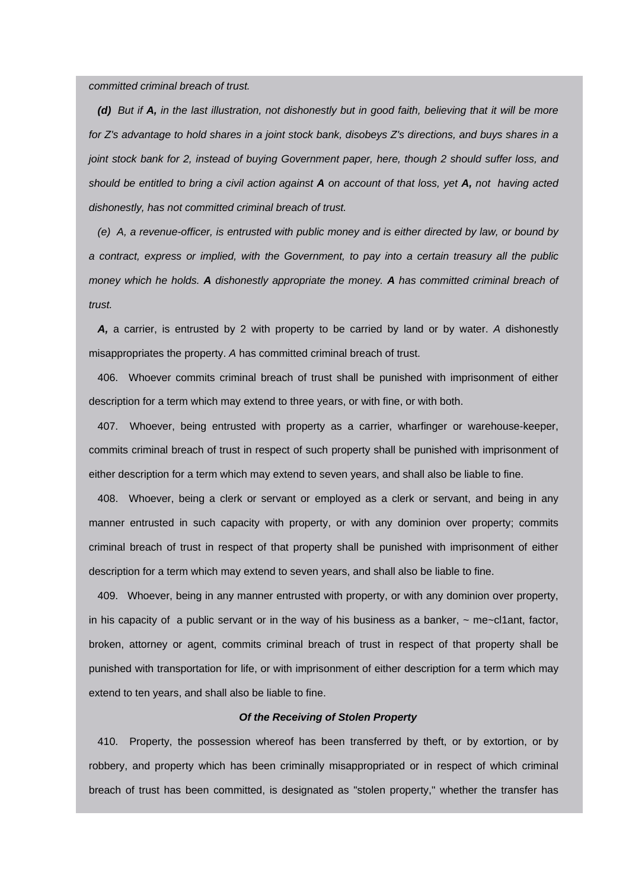*committed criminal breach of trust.* 

*(d) But if A, in the last illustration, not dishonestly but in good faith, believing that it will be more for Z's advantage to hold shares in a joint stock bank, disobeys Z's directions, and buys shares in a joint stock bank for 2, instead of buying Government paper, here, though 2 should suffer loss, and should be entitled to bring a civil action against A on account of that loss, yet A, not having acted dishonestly, has not committed criminal breach of trust.*

*(e) A, a revenue-officer, is entrusted with public money and is either directed by law, or bound by a contract, express or implied, with the Government, to pay into a certain treasury all the public money which he holds. A dishonestly appropriate the money. A has committed criminal breach of trust.*

*A,* a carrier, is entrusted by 2 with property to be carried by land or by water. *A* dishonestly misappropriates the property. *A* has committed criminal breach of trust.

406. Whoever commits criminal breach of trust shall be punished with imprisonment of either description for a term which may extend to three years, or with fine, or with both.

407. Whoever, being entrusted with property as a carrier, wharfinger or warehouse-keeper, commits criminal breach of trust in respect of such property shall be punished with imprisonment of either description for a term which may extend to seven years, and shall also be liable to fine.

408. Whoever, being a clerk or servant or employed as a clerk or servant, and being in any manner entrusted in such capacity with property, or with any dominion over property; commits criminal breach of trust in respect of that property shall be punished with imprisonment of either description for a term which may extend to seven years, and shall also be liable to fine.

409. Whoever, being in any manner entrusted with property, or with any dominion over property, in his capacity of a public servant or in the way of his business as a banker,  $\sim$  me $\sim$ cl1ant, factor, broken, attorney or agent, commits criminal breach of trust in respect of that property shall be punished with transportation for life, or with imprisonment of either description for a term which may extend to ten years, and shall also be liable to fine.

# *Of the Receiving of Stolen Property*

410. Property, the possession whereof has been transferred by theft, or by extortion, or by robbery, and property which has been criminally misappropriated or in respect of which criminal breach of trust has been committed, is designated as "stolen property," whether the transfer has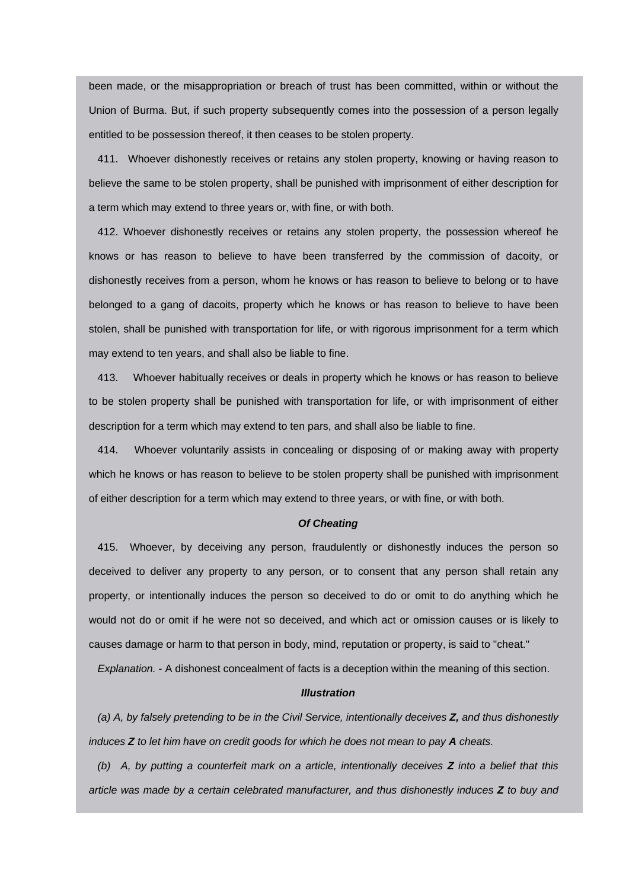been made, or the misappropriation or breach of trust has been committed, within or without the Union of Burma. But, if such property subsequently comes into the possession of a person legally entitled to be possession thereof, it then ceases to be stolen property.

411.Whoever dishonestly receives or retains any stolen property, knowing or having reason to believe the same to be stolen property, shall be punished with imprisonment of either description for a term which may extend to three years or, with fine, or with both.

412. Whoever dishonestly receives or retains any stolen property, the possession whereof he knows or has reason to believe to have been transferred by the commission of dacoity, or dishonestly receives from a person, whom he knows or has reason to believe to belong or to have belonged to a gang of dacoits, property which he knows or has reason to believe to have been stolen, shall be punished with transportation for life, or with rigorous imprisonment for a term which may extend to ten years, and shall also be liable to fine.

413. Whoever habitually receives or deals in property which he knows or has reason to believe to be stolen property shall be punished with transportation for life, or with imprisonment of either description for a term which may extend to ten pars, and shall also be liable to fine.

414. Whoever voluntarily assists in concealing or disposing of or making away with property which he knows or has reason to believe to be stolen property shall be punished with imprisonment of either description for a term which may extend to three years, or with fine, or with both.

#### *Of Cheating*

415. Whoever, by deceiving any person, fraudulently or dishonestly induces the person so deceived to deliver any property to any person, or to consent that any person shall retain any property, or intentionally induces the person so deceived to do or omit to do anything which he would not do or omit if he were not so deceived, and which act or omission causes or is likely to causes damage or harm to that person in body, mind, reputation or property, is said to "cheat."

*Explanation.* - A dishonest concealment of facts is a deception within the meaning of this section.

#### *Illustration*

*(a) A, by falsely pretending to be in the Civil Service, intentionally deceives Z, and thus dishonestly induces Z to let him have on credit goods for which he does not mean to pay A cheats.*

*(b) A, by putting a counterfeit mark on a article, intentionally deceives Z into a belief that this article was made by a certain celebrated manufacturer, and thus dishonestly induces Z to buy and*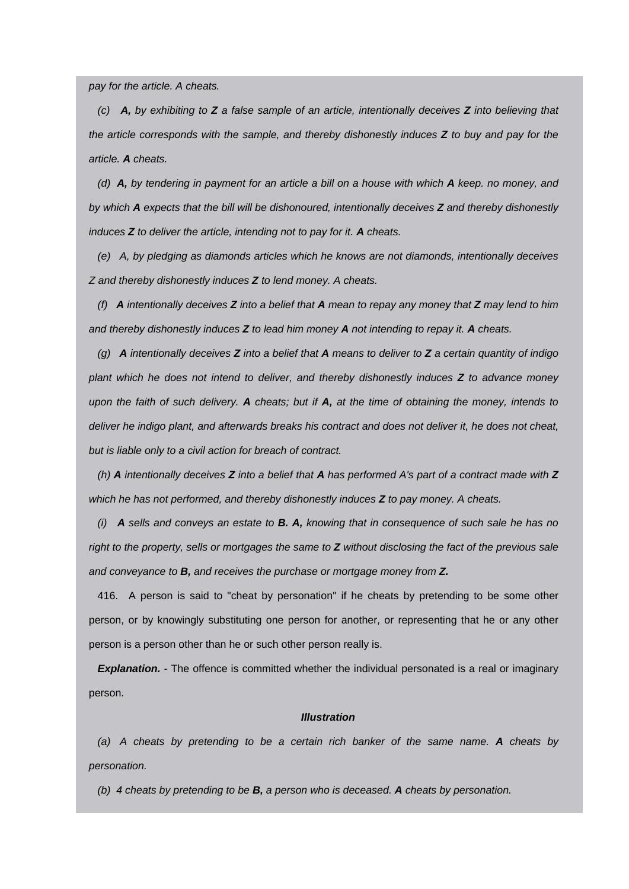*pay for the article. A cheats.*

*(c) A, by exhibiting to Z a false sample of an article, intentionally deceives Z into believing that the article corresponds with the sample, and thereby dishonestly induces Z to buy and pay for the article. A cheats.*

*(d) A, by tendering in payment for an article a bill on a house with which A keep. no money, and by which A expects that the bill will be dishonoured, intentionally deceives Z and thereby dishonestly induces Z to deliver the article, intending not to pay for it. A cheats.*

*(e) A, by pledging as diamonds articles which he knows are not diamonds, intentionally deceives Z and thereby dishonestly induces Z to lend money. A cheats.*

*(f) A intentionally deceives Z into a belief that A mean to repay any money that Z may lend to him and thereby dishonestly induces Z to lead him money A not intending to repay it. A cheats.*

*(g) A intentionally deceives Z into a belief that A means to deliver to Z a certain quantity of indigo plant which he does not intend to deliver, and thereby dishonestly induces Z to advance money upon the faith of such delivery. A cheats; but if A, at the time of obtaining the money, intends to deliver he indigo plant, and afterwards breaks his contract and does not deliver it, he does not cheat, but is liable only to a civil action for breach of contract.*

*(h) A intentionally deceives Z into a belief that A has performed A's part of a contract made with Z which he has not performed, and thereby dishonestly induces Z to pay money. A cheats.*

*(i) A sells and conveys an estate to B. A, knowing that in consequence of such sale he has no right to the property, sells or mortgages the same to Z without disclosing the fact of the previous sale and conveyance to B, and receives the purchase or mortgage money from Z.*

416. A person is said to "cheat by personation" if he cheats by pretending to be some other person, or by knowingly substituting one person for another, or representing that he or any other person is a person other than he or such other person really is.

**Explanation.** - The offence is committed whether the individual personated is a real or imaginary person.

#### *Illustration*

*(a) A cheats by pretending to be a certain rich banker of the same name. A cheats by personation.*

*(b) 4 cheats by pretending to be B, a person who is deceased. A cheats by personation.*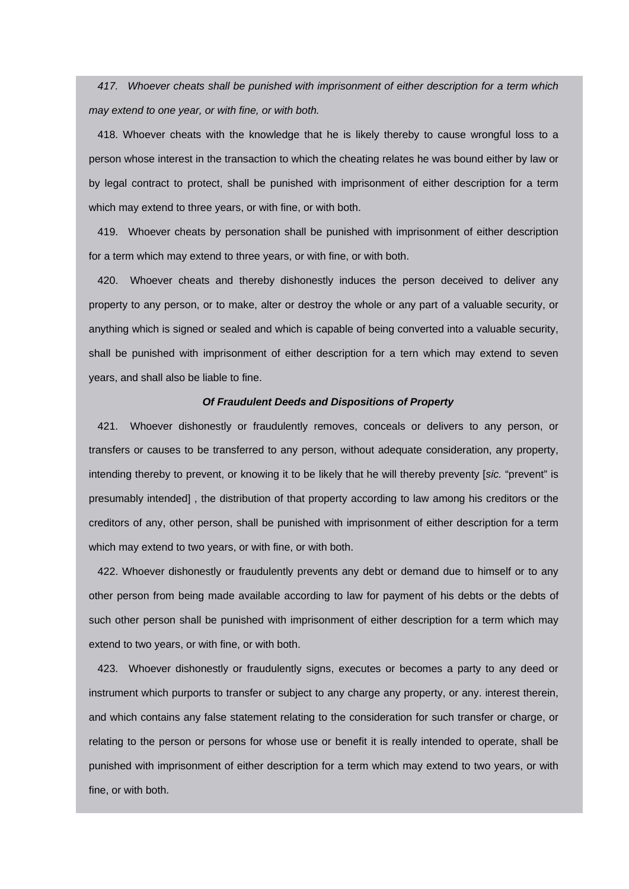*417. Whoever cheats shall be punished with imprisonment of either description for a term which may extend to one year, or with fine, or with both.*

418. Whoever cheats with the knowledge that he is likely thereby to cause wrongful loss to a person whose interest in the transaction to which the cheating relates he was bound either by law or by legal contract to protect, shall be punished with imprisonment of either description for a term which may extend to three years, or with fine, or with both.

419. Whoever cheats by personation shall be punished with imprisonment of either description for a term which may extend to three years, or with fine, or with both.

420. Whoever cheats and thereby dishonestly induces the person deceived to deliver any property to any person, or to make, alter or destroy the whole or any part of a valuable security, or anything which is signed or sealed and which is capable of being converted into a valuable security, shall be punished with imprisonment of either description for a tern which may extend to seven years, and shall also be liable to fine.

# *Of Fraudulent Deeds and Dispositions of Property*

421. Whoever dishonestly or fraudulently removes, conceals or delivers to any person, or transfers or causes to be transferred to any person, without adequate consideration, any property, intending thereby to prevent, or knowing it to be likely that he will thereby preventy [*sic.* "prevent" is presumably intended] , the distribution of that property according to law among his creditors or the creditors of any, other person, shall be punished with imprisonment of either description for a term which may extend to two years, or with fine, or with both.

422. Whoever dishonestly or fraudulently prevents any debt or demand due to himself or to any other person from being made available according to law for payment of his debts or the debts of such other person shall be punished with imprisonment of either description for a term which may extend to two years, or with fine, or with both.

423. Whoever dishonestly or fraudulently signs, executes or becomes a party to any deed or instrument which purports to transfer or subject to any charge any property, or any. interest therein, and which contains any false statement relating to the consideration for such transfer or charge, or relating to the person or persons for whose use or benefit it is really intended to operate, shall be punished with imprisonment of either description for a term which may extend to two years, or with fine, or with both.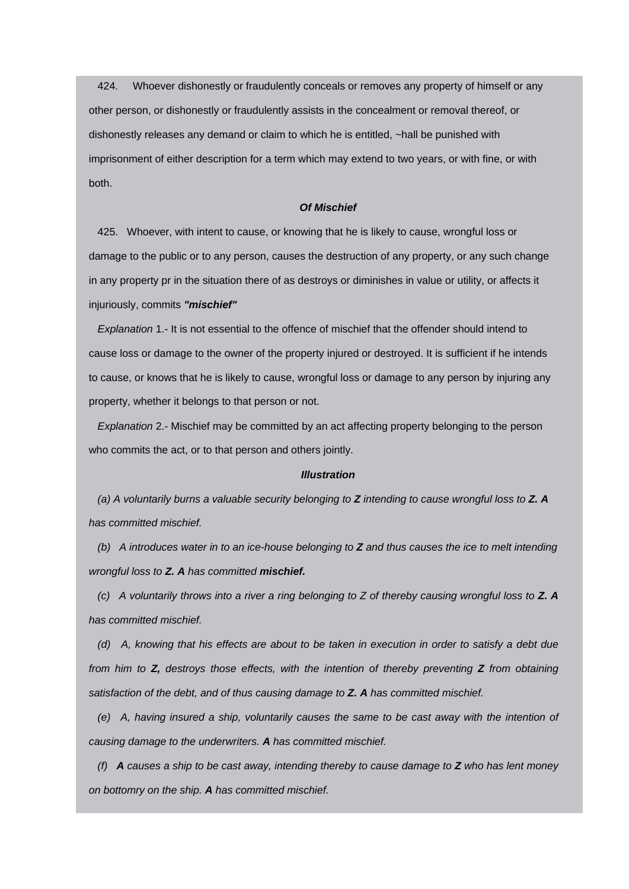424. Whoever dishonestly or fraudulently conceals or removes any property of himself or any other person, or dishonestly or fraudulently assists in the concealment or removal thereof, or dishonestly releases any demand or claim to which he is entitled, ~hall be punished with imprisonment of either description for a term which may extend to two years, or with fine, or with both.

### *Of Mischief*

425. Whoever, with intent to cause, or knowing that he is likely to cause, wrongful loss or damage to the public or to any person, causes the destruction of any property, or any such change in any property pr in the situation there of as destroys or diminishes in value or utility, or affects it injuriously, commits *"mischief"*

*Explanation* 1.- It is not essential to the offence of mischief that the offender should intend to cause loss or damage to the owner of the property injured or destroyed. It is sufficient if he intends to cause, or knows that he is likely to cause, wrongful loss or damage to any person by injuring any property, whether it belongs to that person or not.

*Explanation* 2.- Mischief may be committed by an act affecting property belonging to the person who commits the act, or to that person and others jointly.

## *Illustration*

*(a) A voluntarily burns a valuable security belonging to Z intending to cause wrongful loss to Z. A has committed mischief.*

*(b) A introduces water in to an ice-house belonging to Z and thus causes the ice to melt intending wrongful loss to Z. A has committed mischief.*

*(c) A voluntarily throws into a river a ring belonging to Z of thereby causing wrongful loss to Z. A has committed mischief.*

*(d) A, knowing that his effects are about to be taken in execution in order to satisfy a debt due from him to Z, destroys those effects, with the intention of thereby preventing Z from obtaining satisfaction of the debt, and of thus causing damage to Z. A has committed mischief.*

*(e) A, having insured a ship, voluntarily causes the same to be cast away with the intention of causing damage to the underwriters. A has committed mischief.*

*(f) A causes a ship to be cast away, intending thereby to cause damage to Z who has lent money on bottomry on the ship. A has committed mischief.*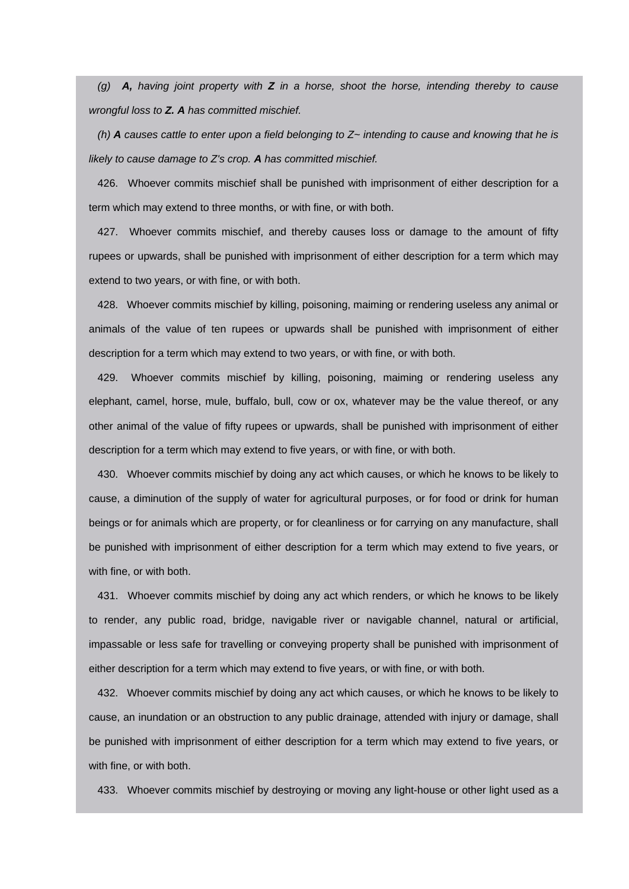*(g) A, having joint property with Z in a horse, shoot the horse, intending thereby to cause wrongful loss to Z. A has committed mischief.*

*(h) A causes cattle to enter upon a field belonging to Z~ intending to cause and knowing that he is likely to cause damage to Z's crop. A has committed mischief.*

426. Whoever commits mischief shall be punished with imprisonment of either description for a term which may extend to three months, or with fine, or with both.

427. Whoever commits mischief, and thereby causes loss or damage to the amount of fifty rupees or upwards, shall be punished with imprisonment of either description for a term which may extend to two years, or with fine, or with both.

428. Whoever commits mischief by killing, poisoning, maiming or rendering useless any animal or animals of the value of ten rupees or upwards shall be punished with imprisonment of either description for a term which may extend to two years, or with fine, or with both.

429. Whoever commits mischief by killing, poisoning, maiming or rendering useless any elephant, camel, horse, mule, buffalo, bull, cow or ox, whatever may be the value thereof, or any other animal of the value of fifty rupees or upwards, shall be punished with imprisonment of either description for a term which may extend to five years, or with fine, or with both.

430. Whoever commits mischief by doing any act which causes, or which he knows to be likely to cause, a diminution of the supply of water for agricultural purposes, or for food or drink for human beings or for animals which are property, or for cleanliness or for carrying on any manufacture, shall be punished with imprisonment of either description for a term which may extend to five years, or with fine, or with both.

431. Whoever commits mischief by doing any act which renders, or which he knows to be likely to render, any public road, bridge, navigable river or navigable channel, natural or artificial, impassable or less safe for travelling or conveying property shall be punished with imprisonment of either description for a term which may extend to five years, or with fine, or with both.

432. Whoever commits mischief by doing any act which causes, or which he knows to be likely to cause, an inundation or an obstruction to any public drainage, attended with injury or damage, shall be punished with imprisonment of either description for a term which may extend to five years, or with fine, or with both.

433. Whoever commits mischief by destroying or moving any light-house or other light used as a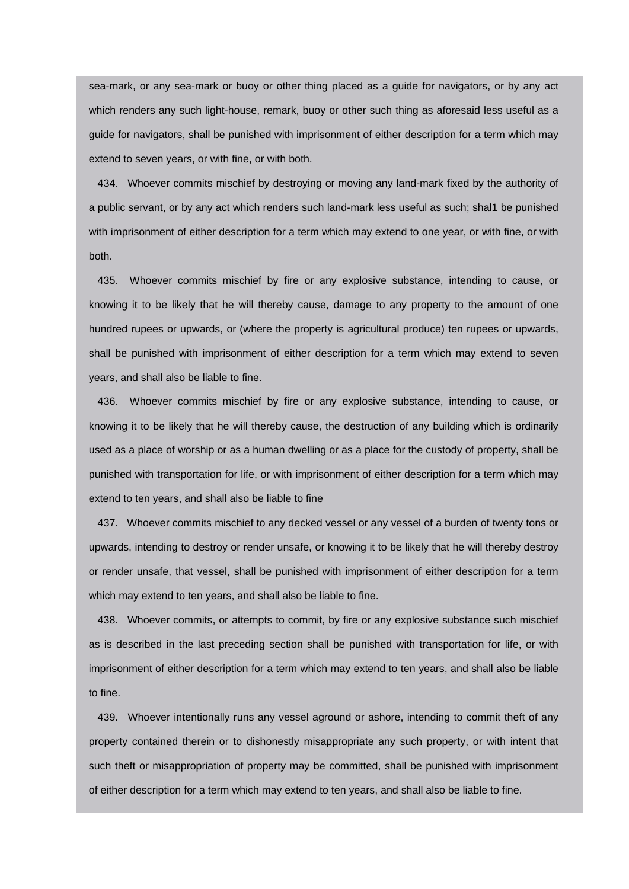sea-mark, or any sea-mark or buoy or other thing placed as a guide for navigators, or by any act which renders any such light-house, remark, buoy or other such thing as aforesaid less useful as a guide for navigators, shall be punished with imprisonment of either description for a term which may extend to seven years, or with fine, or with both.

434. Whoever commits mischief by destroying or moving any land-mark fixed by the authority of a public servant, or by any act which renders such land-mark less useful as such; shal1 be punished with imprisonment of either description for a term which may extend to one year, or with fine, or with both.

435. Whoever commits mischief by fire or any explosive substance, intending to cause, or knowing it to be likely that he will thereby cause, damage to any property to the amount of one hundred rupees or upwards, or (where the property is agricultural produce) ten rupees or upwards, shall be punished with imprisonment of either description for a term which may extend to seven years, and shall also be liable to fine.

436. Whoever commits mischief by fire or any explosive substance, intending to cause, or knowing it to be likely that he will thereby cause, the destruction of any building which is ordinarily used as a place of worship or as a human dwelling or as a place for the custody of property, shall be punished with transportation for life, or with imprisonment of either description for a term which may extend to ten years, and shall also be liable to fine

437. Whoever commits mischief to any decked vessel or any vessel of a burden of twenty tons or upwards, intending to destroy or render unsafe, or knowing it to be likely that he will thereby destroy or render unsafe, that vessel, shall be punished with imprisonment of either description for a term which may extend to ten years, and shall also be liable to fine.

438. Whoever commits, or attempts to commit, by fire or any explosive substance such mischief as is described in the last preceding section shall be punished with transportation for life, or with imprisonment of either description for a term which may extend to ten years, and shall also be liable to fine.

439. Whoever intentionally runs any vessel aground or ashore, intending to commit theft of any property contained therein or to dishonestly misappropriate any such property, or with intent that such theft or misappropriation of property may be committed, shall be punished with imprisonment of either description for a term which may extend to ten years, and shall also be liable to fine.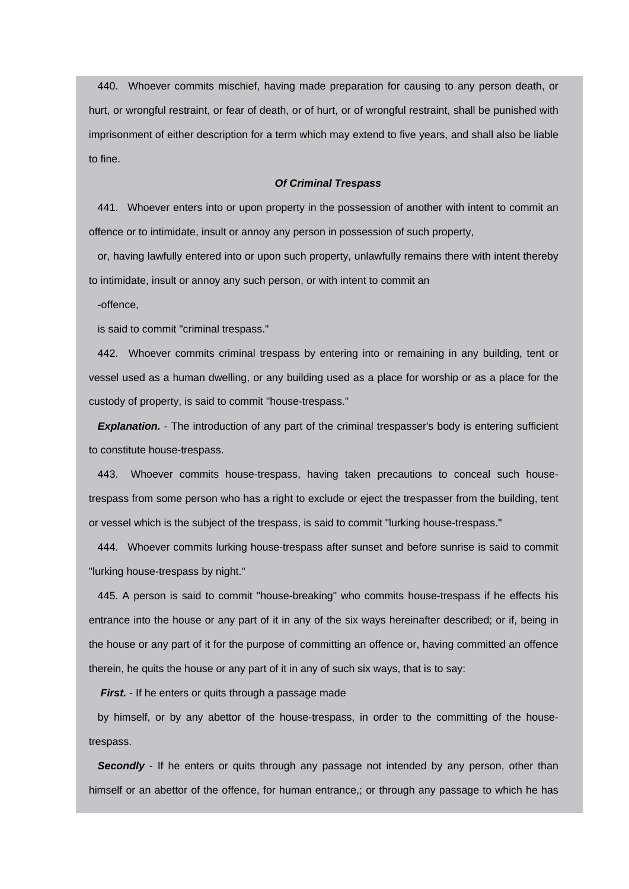440. Whoever commits mischief, having made preparation for causing to any person death, or hurt, or wrongful restraint, or fear of death, or of hurt, or of wrongful restraint, shall be punished with imprisonment of either description for a term which may extend to five years, and shall also be liable to fine.

### *Of Criminal Trespass*

441. Whoever enters into or upon property in the possession of another with intent to commit an offence or to intimidate, insult or annoy any person in possession of such property,

or, having lawfully entered into or upon such property, unlawfully remains there with intent thereby to intimidate, insult or annoy any such person, or with intent to commit an

-offence,

is said to commit "criminal trespass."

442. Whoever commits criminal trespass by entering into or remaining in any building, tent or vessel used as a human dwelling, or any building used as a place for worship or as a place for the custody of property, is said to commit "house-trespass."

**Explanation.** - The introduction of any part of the criminal trespasser's body is entering sufficient to constitute house-trespass.

443. Whoever commits house-trespass, having taken precautions to conceal such housetrespass from some person who has a right to exclude or eject the trespasser from the building, tent or vessel which is the subject of the trespass, is said to commit "lurking house-trespass."

444. Whoever commits lurking house-trespass after sunset and before sunrise is said to commit "lurking house-trespass by night."

445. A person is said to commit "house-breaking" who commits house-trespass if he effects his entrance into the house or any part of it in any of the six ways hereinafter described; or if, being in the house or any part of it for the purpose of committing an offence or, having committed an offence therein, he quits the house or any part of it in any of such six ways, that is to say:

*First.* - If he enters or quits through a passage made

by himself, or by any abettor of the house-trespass, in order to the committing of the housetrespass.

**Secondly** - If he enters or quits through any passage not intended by any person, other than himself or an abettor of the offence, for human entrance,; or through any passage to which he has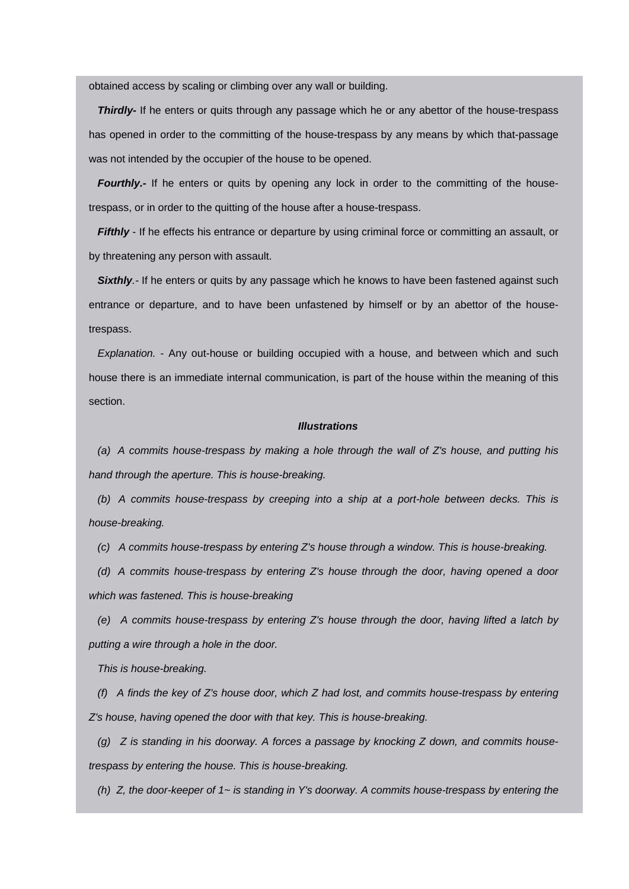obtained access by scaling or climbing over any wall or building.

**Thirdly-** If he enters or quits through any passage which he or any abettor of the house-trespass has opened in order to the committing of the house-trespass by any means by which that-passage was not intended by the occupier of the house to be opened.

*Fourthly.*- If he enters or quits by opening any lock in order to the committing of the housetrespass, or in order to the quitting of the house after a house-trespass.

*Fifthly* - If he effects his entrance or departure by using criminal force or committing an assault, or by threatening any person with assault.

**Sixthly**.- If he enters or quits by any passage which he knows to have been fastened against such entrance or departure, and to have been unfastened by himself or by an abettor of the housetrespass.

*Explanation.* - Any out-house or building occupied with a house, and between which and such house there is an immediate internal communication, is part of the house within the meaning of this section.

#### *Illustrations*

*(a) A commits house-trespass by making a hole through the wall of Z's house, and putting his hand through the aperture. This is house-breaking.*

*(b) A commits house-trespass by creeping into a ship at a port-hole between decks. This is house-breaking.* 

*(c) A commits house-trespass by entering Z's house through a window. This is house-breaking.*

*(d) A commits house-trespass by entering Z's house through the door, having opened a door which was fastened. This is house-breaking* 

*(e) A commits house-trespass by entering Z's house through the door, having lifted a latch by putting a wire through a hole in the door.*

*This is house-breaking.*

*(f) A finds the key of Z's house door, which Z had lost, and commits house-trespass by entering Z's house, having opened the door with that key. This is house-breaking.*

*(g) Z is standing in his doorway. A forces a passage by knocking Z down, and commits housetrespass by entering the house. This is house-breaking.*

*(h) Z, the door-keeper of 1~ is standing in Y's doorway. A commits house-trespass by entering the*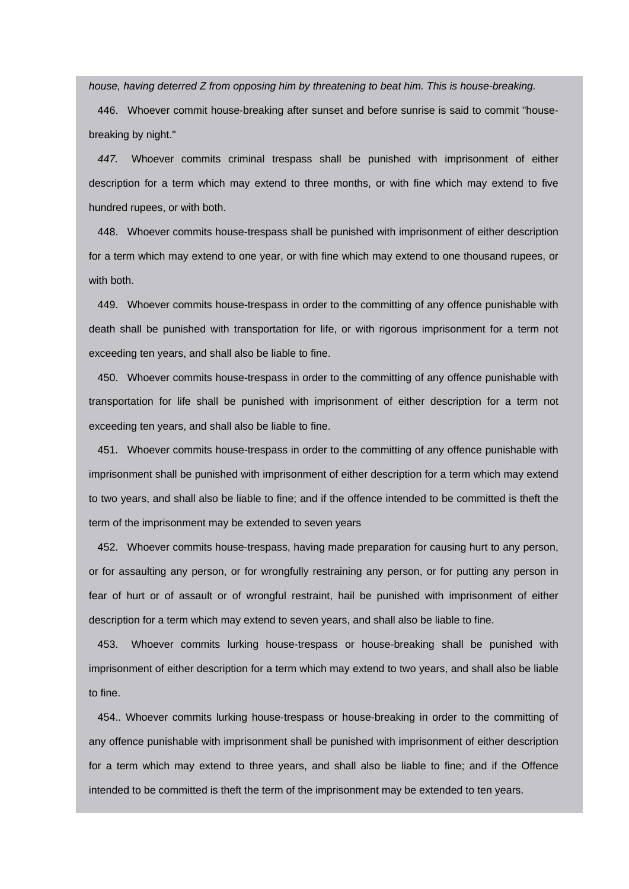*house, having deterred Z from opposing him by threatening to beat him. This is house-breaking.*

446. Whoever commit house-breaking after sunset and before sunrise is said to commit "housebreaking by night."

*447.* Whoever commits criminal trespass shall be punished with imprisonment of either description for a term which may extend to three months, or with fine which may extend to five hundred rupees, or with both.

448. Whoever commits house-trespass shall be punished with imprisonment of either description for a term which may extend to one year, or with fine which may extend to one thousand rupees, or with both.

449. Whoever commits house-trespass in order to the committing of any offence punishable with death shall be punished with transportation for life, or with rigorous imprisonment for a term not exceeding ten years, and shall also be liable to fine.

450. Whoever commits house-trespass in order to the committing of any offence punishable with transportation for life shall be punished with imprisonment of either description for a term not exceeding ten years, and shall also be liable to fine.

451. Whoever commits house-trespass in order to the committing of any offence punishable with imprisonment shall be punished with imprisonment of either description for a term which may extend to two years, and shall also be liable to fine; and if the offence intended to be committed is theft the term of the imprisonment may be extended to seven years

452. Whoever commits house-trespass, having made preparation for causing hurt to any person, or for assaulting any person, or for wrongfully restraining any person, or for putting any person in fear of hurt or of assault or of wrongful restraint, hail be punished with imprisonment of either description for a term which may extend to seven years, and shall also be liable to fine.

453. Whoever commits lurking house-trespass or house-breaking shall be punished with imprisonment of either description for a term which may extend to two years, and shall also be liable to fine.

454.. Whoever commits lurking house-trespass or house-breaking in order to the committing of any offence punishable with imprisonment shall be punished with imprisonment of either description for a term which may extend to three years, and shall also be liable to fine; and if the Offence intended to be committed is theft the term of the imprisonment may be extended to ten years.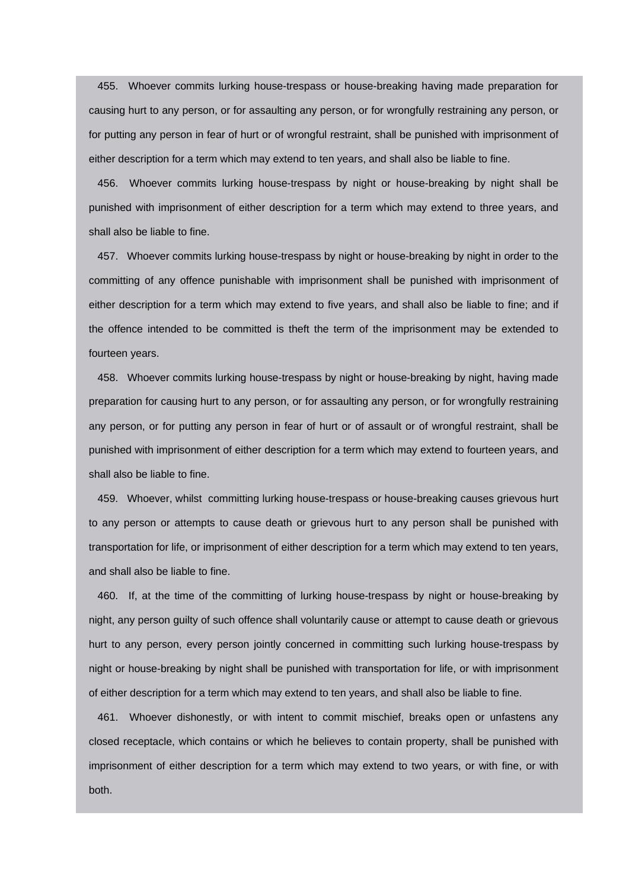455. Whoever commits lurking house-trespass or house-breaking having made preparation for causing hurt to any person, or for assaulting any person, or for wrongfully restraining any person, or for putting any person in fear of hurt or of wrongful restraint, shall be punished with imprisonment of either description for a term which may extend to ten years, and shall also be liable to fine.

456. Whoever commits lurking house-trespass by night or house-breaking by night shall be punished with imprisonment of either description for a term which may extend to three years, and shall also be liable to fine.

457. Whoever commits lurking house-trespass by night or house-breaking by night in order to the committing of any offence punishable with imprisonment shall be punished with imprisonment of either description for a term which may extend to five years, and shall also be liable to fine; and if the offence intended to be committed is theft the term of the imprisonment may be extended to fourteen years.

458. Whoever commits lurking house-trespass by night or house-breaking by night, having made preparation for causing hurt to any person, or for assaulting any person, or for wrongfully restraining any person, or for putting any person in fear of hurt or of assault or of wrongful restraint, shall be punished with imprisonment of either description for a term which may extend to fourteen years, and shall also be liable to fine.

459. Whoever, whilst committing lurking house-trespass or house-breaking causes grievous hurt to any person or attempts to cause death or grievous hurt to any person shall be punished with transportation for life, or imprisonment of either description for a term which may extend to ten years, and shall also be liable to fine.

460. If, at the time of the committing of lurking house-trespass by night or house-breaking by night, any person guilty of such offence shall voluntarily cause or attempt to cause death or grievous hurt to any person, every person jointly concerned in committing such lurking house-trespass by night or house-breaking by night shall be punished with transportation for life, or with imprisonment of either description for a term which may extend to ten years, and shall also be liable to fine.

461. Whoever dishonestly, or with intent to commit mischief, breaks open or unfastens any closed receptacle, which contains or which he believes to contain property, shall be punished with imprisonment of either description for a term which may extend to two years, or with fine, or with both.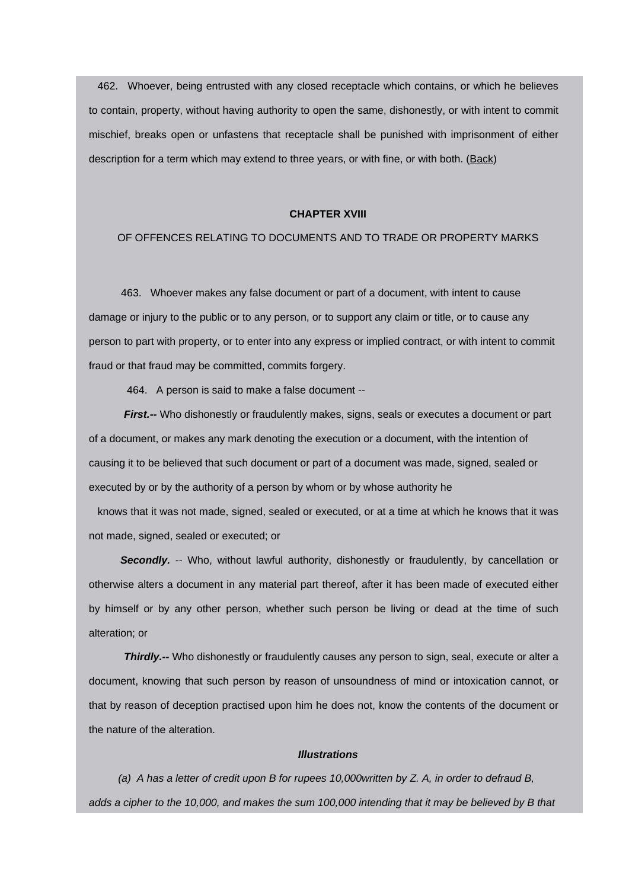462. Whoever, being entrusted with any closed receptacle which contains, or which he believes to contain, property, without having authority to open the same, dishonestly, or with intent to commit mischief, breaks open or unfastens that receptacle shall be punished with imprisonment of either description for a term which may extend to three years, or with fine, or with both. ([Back](http://www.blc-burma.org/html/Myanmar Penal Code/mpc.html#concpt17))

# **CHAPTER XVIII**

# OF OFFENCES RELATING TO DOCUMENTS AND TO TRADE OR PROPERTY MARKS

 463. Whoever makes any false document or part of a document, with intent to cause damage or injury to the public or to any person, or to support any claim or title, or to cause any person to part with property, or to enter into any express or implied contract, or with intent to commit fraud or that fraud may be committed, commits forgery.

464. A person is said to make a false document --

*First.--* Who dishonestly or fraudulently makes, signs, seals or executes a document or part of a document, or makes any mark denoting the execution or a document, with the intention of causing it to be believed that such document or part of a document was made, signed, sealed or executed by or by the authority of a person by whom or by whose authority he

knows that it was not made, signed, sealed or executed, or at a time at which he knows that it was not made, signed, sealed or executed; or

**Secondly.** -- Who, without lawful authority, dishonestly or fraudulently, by cancellation or otherwise alters a document in any material part thereof, after it has been made of executed either by himself or by any other person, whether such person be living or dead at the time of such alteration; or

*Thirdly.--* Who dishonestly or fraudulently causes any person to sign, seal, execute or alter a document, knowing that such person by reason of unsoundness of mind or intoxication cannot, or that by reason of deception practised upon him he does not, know the contents of the document or the nature of the alteration.

#### *Illustrations*

 *(a) A has a letter of credit upon B for rupees 10,000written by Z. A, in order to defraud B, adds a cipher to the 10,000, and makes the sum 100,000 intending that it may be believed by B that*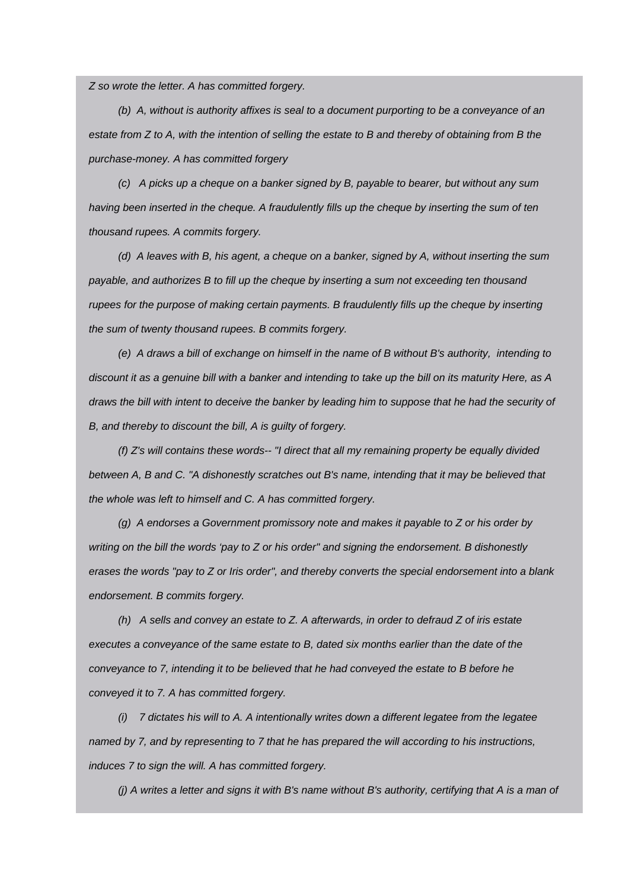*Z so wrote the letter. A has committed forgery.*

 *(b) A, without is authority affixes is seal to a document purporting to be a conveyance of an estate from Z to A, with the intention of selling the estate to B and thereby of obtaining from B the purchase-money. A has committed forgery*

 *(c) A picks up a cheque on a banker signed by B, payable to bearer, but without any sum having been inserted in the cheque. A fraudulently fills up the cheque by inserting the sum of ten thousand rupees. A commits forgery.*

 *(d) A leaves with B, his agent, a cheque on a banker, signed by A, without inserting the sum payable, and authorizes B to fill up the cheque by inserting a sum not exceeding ten thousand rupees for the purpose of making certain payments. B fraudulently fills up the cheque by inserting the sum of twenty thousand rupees. B commits forgery.*

 *(e) A draws a bill of exchange on himself in the name of B without B's authority, intending to discount it as a genuine bill with a banker and intending to take up the bill on its maturity Here, as A draws the bill with intent to deceive the banker by leading him to suppose that he had the security of B, and thereby to discount the bill, A is guilty of forgery.*

 *(f) Z's will contains these words-- "I direct that all my remaining property be equally divided between A, B and C. "A dishonestly scratches out B's name, intending that it may be believed that the whole was left to himself and C. A has committed forgery.*

 *(g) A endorses a Government promissory note and makes it payable to Z or his order by writing on the bill the words 'pay to Z or his order" and signing the endorsement. B dishonestly erases the words "pay to Z or Iris order", and thereby converts the special endorsement into a blank endorsement. B commits forgery.*

 *(h) A sells and convey an estate to Z. A afterwards, in order to defraud Z of iris estate executes a conveyance of the same estate to B, dated six months earlier than the date of the conveyance to 7, intending it to be believed that he had conveyed the estate to B before he conveyed it to 7. A has committed forgery.*

 *(i) 7 dictates his will to A. A intentionally writes down a different legatee from the legatee named by 7, and by representing to 7 that he has prepared the will according to his instructions, induces 7 to sign the will. A has committed forgery.*

 *(j) A writes a letter and signs it with B's name without B's authority, certifying that A is a man of*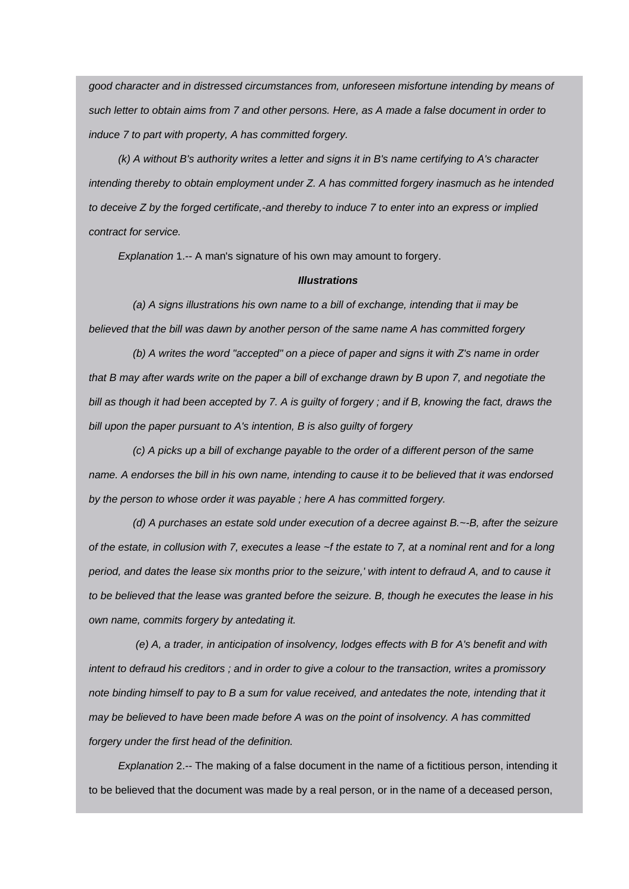*good character and in distressed circumstances from, unforeseen misfortune intending by means of such letter to obtain aims from 7 and other persons. Here, as A made a false document in order to induce 7 to part with property, A has committed forgery.*

 *(k) A without B's authority writes a letter and signs it in B's name certifying to A's character intending thereby to obtain employment under Z. A has committed forgery inasmuch as he intended to deceive Z by the forged certificate,-and thereby to induce 7 to enter into an express or implied contract for service.*

 *Explanation* 1.-- A man's signature of his own may amount to forgery.

#### *Illustrations*

 *(a) A signs illustrations his own name to a bill of exchange, intending that ii may be believed that the bill was dawn by another person of the same name A has committed forgery*

 *(b) A writes the word "accepted" on a piece of paper and signs it with Z's name in order that B may after wards write on the paper a bill of exchange drawn by B upon 7, and negotiate the bill as though it had been accepted by 7. A is guilty of forgery ; and if B, knowing the fact, draws the bill upon the paper pursuant to A's intention, B is also guilty of forgery*

 *(c) A picks up a bill of exchange payable to the order of a different person of the same name. A endorses the bill in his own name, intending to cause it to be believed that it was endorsed by the person to whose order it was payable ; here A has committed forgery.*

 *(d) A purchases an estate sold under execution of a decree against B.~-B, after the seizure of the estate, in collusion with 7, executes a lease ~f the estate to 7, at a nominal rent and for a long period, and dates the lease six months prior to the seizure,' with intent to defraud A, and to cause it to be believed that the lease was granted before the seizure. B, though he executes the lease in his own name, commits forgery by antedating it.* 

 *(e) A, a trader, in anticipation of insolvency, lodges effects with B for A's benefit and with intent to defraud his creditors ; and in order to give a colour to the transaction, writes a promissory note binding himself to pay to B a sum for value received, and antedates the note, intending that it may be believed to have been made before A was on the point of insolvency. A has committed forgery under the first head of the definition.*

 *Explanation* 2.-- The making of a false document in the name of a fictitious person, intending it to be believed that the document was made by a real person, or in the name of a deceased person,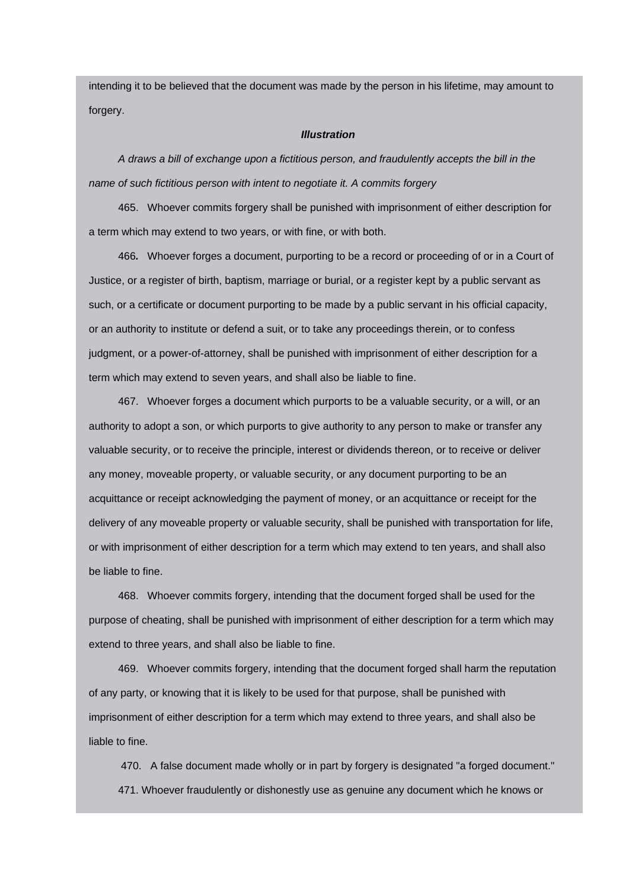intending it to be believed that the document was made by the person in his lifetime, may amount to forgery.

# *Illustration*

 *A draws a bill of exchange upon a fictitious person, and fraudulently accepts the bill in the name of such fictitious person with intent to negotiate it. A commits forgery*

 465. Whoever commits forgery shall be punished with imprisonment of either description for a term which may extend to two years, or with fine, or with both.

 466*.* Whoever forges a document, purporting to be a record or proceeding of or in a Court of Justice, or a register of birth, baptism, marriage or burial, or a register kept by a public servant as such, or a certificate or document purporting to be made by a public servant in his official capacity, or an authority to institute or defend a suit, or to take any proceedings therein, or to confess judgment, or a power-of-attorney, shall be punished with imprisonment of either description for a term which may extend to seven years, and shall also be liable to fine.

 467. Whoever forges a document which purports to be a valuable security, or a will, or an authority to adopt a son, or which purports to give authority to any person to make or transfer any valuable security, or to receive the principle, interest or dividends thereon, or to receive or deliver any money, moveable property, or valuable security, or any document purporting to be an acquittance or receipt acknowledging the payment of money, or an acquittance or receipt for the delivery of any moveable property or valuable security, shall be punished with transportation for life, or with imprisonment of either description for a term which may extend to ten years, and shall also be liable to fine.

 468. Whoever commits forgery, intending that the document forged shall be used for the purpose of cheating, shall be punished with imprisonment of either description for a term which may extend to three years, and shall also be liable to fine.

 469. Whoever commits forgery, intending that the document forged shall harm the reputation of any party, or knowing that it is likely to be used for that purpose, shall be punished with imprisonment of either description for a term which may extend to three years, and shall also be liable to fine.

 470. A false document made wholly or in part by forgery is designated "a forged document." 471. Whoever fraudulently or dishonestly use as genuine any document which he knows or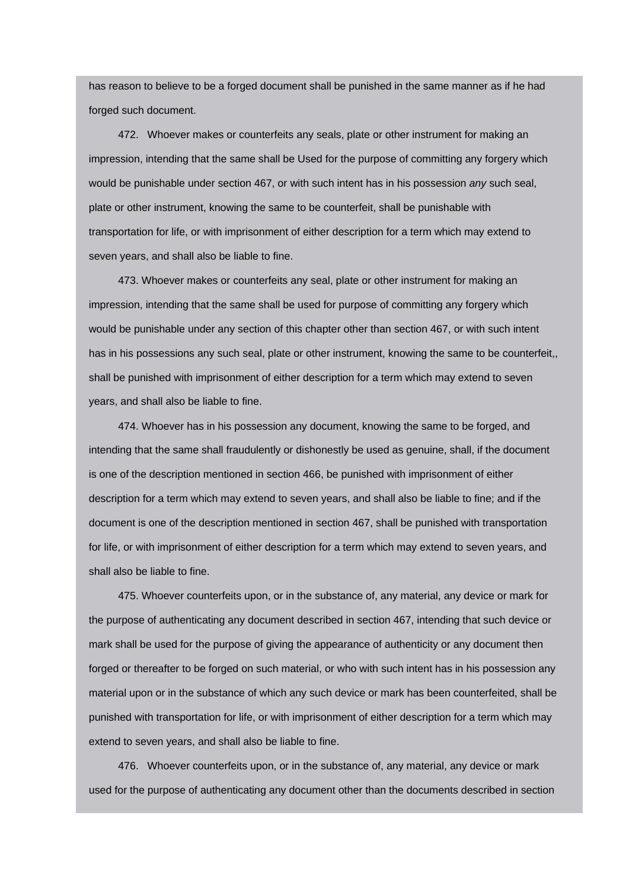has reason to believe to be a forged document shall be punished in the same manner as if he had forged such document.

 472. Whoever makes or counterfeits any seals, plate or other instrument for making an impression, intending that the same shall be Used for the purpose of committing any forgery which would be punishable under section 467, or with such intent has in his possession *any* such seal, plate or other instrument, knowing the same to be counterfeit, shall be punishable with transportation for life, or with imprisonment of either description for a term which may extend to seven years, and shall also be liable to fine.

 473. Whoever makes or counterfeits any seal, plate or other instrument for making an impression, intending that the same shall be used for purpose of committing any forgery which would be punishable under any section of this chapter other than section 467, or with such intent has in his possessions any such seal, plate or other instrument, knowing the same to be counterfeit,, shall be punished with imprisonment of either description for a term which may extend to seven years, and shall also be liable to fine.

 474. Whoever has in his possession any document, knowing the same to be forged, and intending that the same shall fraudulently or dishonestly be used as genuine, shall, if the document is one of the description mentioned in section 466, be punished with imprisonment of either description for a term which may extend to seven years, and shall also be liable to fine; and if the document is one of the description mentioned in section 467, shall be punished with transportation for life, or with imprisonment of either description for a term which may extend to seven years, and shall also be liable to fine.

 475. Whoever counterfeits upon, or in the substance of, any material, any device or mark for the purpose of authenticating any document described in section 467, intending that such device or mark shall be used for the purpose of giving the appearance of authenticity or any document then forged or thereafter to be forged on such material, or who with such intent has in his possession any material upon or in the substance of which any such device or mark has been counterfeited, shall be punished with transportation for life, or with imprisonment of either description for a term which may extend to seven years, and shall also be liable to fine.

 476. Whoever counterfeits upon, or in the substance of, any material, any device or mark used for the purpose of authenticating any document other than the documents described in section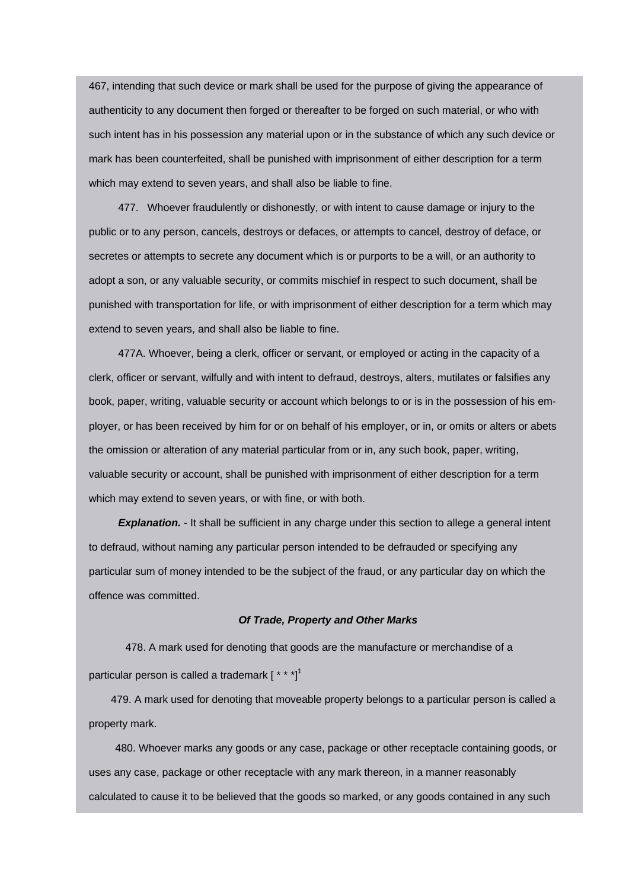467, intending that such device or mark shall be used for the purpose of giving the appearance of authenticity to any document then forged or thereafter to be forged on such material, or who with such intent has in his possession any material upon or in the substance of which any such device or mark has been counterfeited, shall be punished with imprisonment of either description for a term which may extend to seven years, and shall also be liable to fine.

 477. Whoever fraudulently or dishonestly, or with intent to cause damage or injury to the public or to any person, cancels, destroys or defaces, or attempts to cancel, destroy of deface, or secretes or attempts to secrete any document which is or purports to be a will, or an authority to adopt a son, or any valuable security, or commits mischief in respect to such document, shall be punished with transportation for life, or with imprisonment of either description for a term which may extend to seven years, and shall also be liable to fine.

 477A. Whoever, being a clerk, officer or servant, or employed or acting in the capacity of a clerk, officer or servant, wilfully and with intent to defraud, destroys, alters, mutilates or falsifies any book, paper, writing, valuable security or account which belongs to or is in the possession of his employer, or has been received by him for or on behalf of his employer, or in, or omits or alters or abets the omission or alteration of any material particular from or in, any such book, paper, writing, valuable security or account, shall be punished with imprisonment of either description for a term which may extend to seven years, or with fine, or with both.

**Explanation.** - It shall be sufficient in any charge under this section to allege a general intent to defraud, without naming any particular person intended to be defrauded or specifying any particular sum of money intended to be the subject of the fraud, or any particular day on which the offence was committed.

### *Of Trade, Property and Other Marks*

 478. A mark used for denoting that goods are the manufacture or merchandise of a particular person is called a trademark  $[x * *]$ <sup>1</sup>

 479. A mark used for denoting that moveable property belongs to a particular person is called a property mark.

 480. Whoever marks any goods or any case, package or other receptacle containing goods, or uses any case, package or other receptacle with any mark thereon, in a manner reasonably calculated to cause it to be believed that the goods so marked, or any goods contained in any such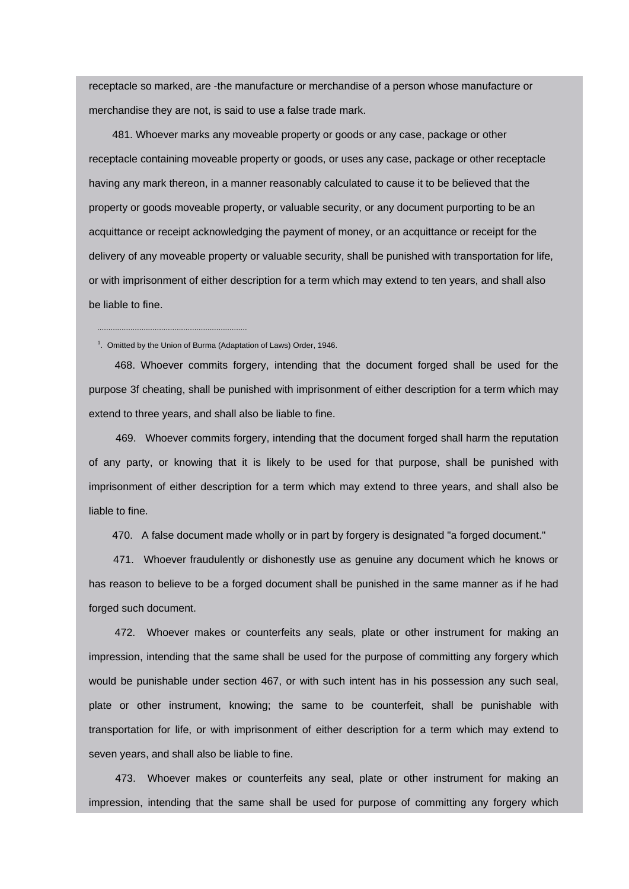receptacle so marked, are -the manufacture or merchandise of a person whose manufacture or merchandise they are not, is said to use a false trade mark.

 481. Whoever marks any moveable property or goods or any case, package or other receptacle containing moveable property or goods, or uses any case, package or other receptacle having any mark thereon, in a manner reasonably calculated to cause it to be believed that the property or goods moveable property, or valuable security, or any document purporting to be an acquittance or receipt acknowledging the payment of money, or an acquittance or receipt for the delivery of any moveable property or valuable security, shall be punished with transportation for life, or with imprisonment of either description for a term which may extend to ten years, and shall also be liable to fine.

#### <sup>1</sup>. Omitted by the Union of Burma (Adaptation of Laws) Order, 1946.

*....................................................................*

 468. Whoever commits forgery, intending that the document forged shall be used for the purpose 3f cheating, shall be punished with imprisonment of either description for a term which may extend to three years, and shall also be liable to fine.

 469. Whoever commits forgery, intending that the document forged shall harm the reputation of any party, or knowing that it is likely to be used for that purpose, shall be punished with imprisonment of either description for a term which may extend to three years, and shall also be liable to fine.

470. A false document made wholly or in part by forgery is designated "a forged document."

 471. Whoever fraudulently or dishonestly use as genuine any document which he knows or has reason to believe to be a forged document shall be punished in the same manner as if he had forged such document.

 472. Whoever makes or counterfeits any seals, plate or other instrument for making an impression, intending that the same shall be used for the purpose of committing any forgery which would be punishable under section 467, or with such intent has in his possession any such seal, plate or other instrument, knowing; the same to be counterfeit, shall be punishable with transportation for life, or with imprisonment of either description for a term which may extend to seven years, and shall also be liable to fine.

 473. Whoever makes or counterfeits any seal, plate or other instrument for making an impression, intending that the same shall be used for purpose of committing any forgery which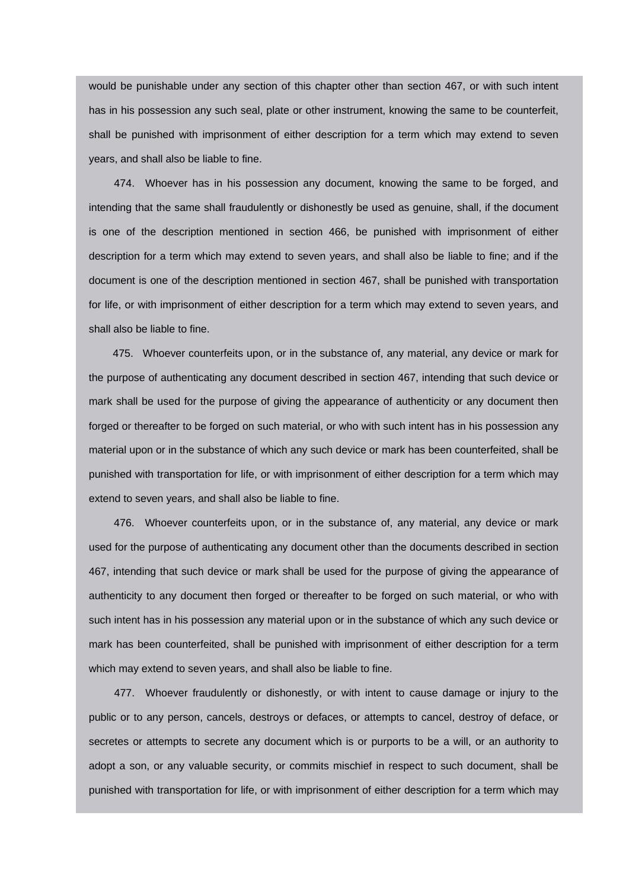would be punishable under any section of this chapter other than section 467, or with such intent has in his possession any such seal, plate or other instrument, knowing the same to be counterfeit, shall be punished with imprisonment of either description for a term which may extend to seven years, and shall also be liable to fine.

 474. Whoever has in his possession any document, knowing the same to be forged, and intending that the same shall fraudulently or dishonestly be used as genuine, shall, if the document is one of the description mentioned in section 466, be punished with imprisonment of either description for a term which may extend to seven years, and shall also be liable to fine; and if the document is one of the description mentioned in section 467, shall be punished with transportation for life, or with imprisonment of either description for a term which may extend to seven years, and shall also be liable to fine.

 475. Whoever counterfeits upon, or in the substance of, any material, any device or mark for the purpose of authenticating any document described in section 467, intending that such device or mark shall be used for the purpose of giving the appearance of authenticity or any document then forged or thereafter to be forged on such material, or who with such intent has in his possession any material upon or in the substance of which any such device or mark has been counterfeited, shall be punished with transportation for life, or with imprisonment of either description for a term which may extend to seven years, and shall also be liable to fine.

 476. Whoever counterfeits upon, or in the substance of, any material, any device or mark used for the purpose of authenticating any document other than the documents described in section 467, intending that such device or mark shall be used for the purpose of giving the appearance of authenticity to any document then forged or thereafter to be forged on such material, or who with such intent has in his possession any material upon or in the substance of which any such device or mark has been counterfeited, shall be punished with imprisonment of either description for a term which may extend to seven years, and shall also be liable to fine.

 477. Whoever fraudulently or dishonestly, or with intent to cause damage or injury to the public or to any person, cancels, destroys or defaces, or attempts to cancel, destroy of deface, or secretes or attempts to secrete any document which is or purports to be a will, or an authority to adopt a son, or any valuable security, or commits mischief in respect to such document, shall be punished with transportation for life, or with imprisonment of either description for a term which may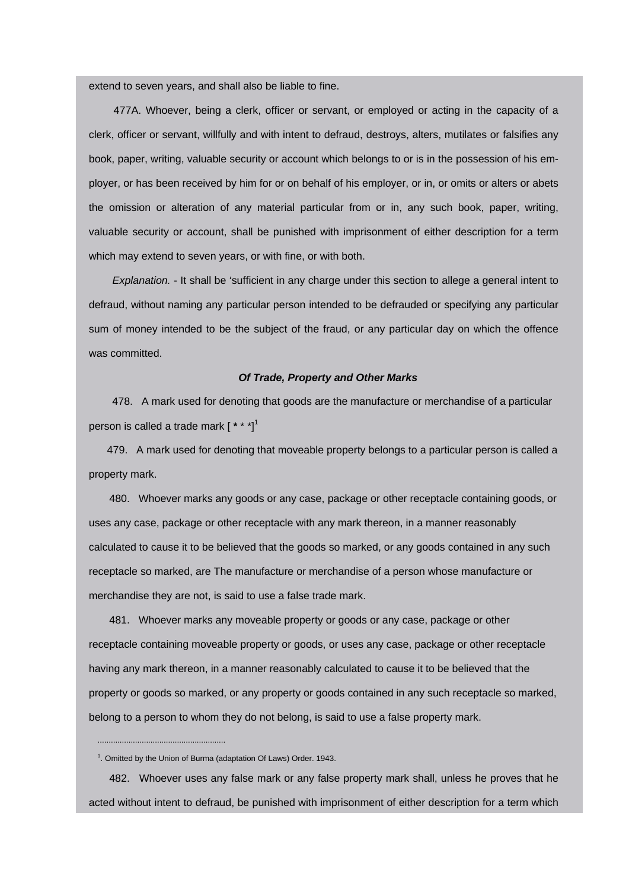extend to seven years, and shall also be liable to fine.

 477A. Whoever, being a clerk, officer or servant, or employed or acting in the capacity of a clerk, officer or servant, willfully and with intent to defraud, destroys, alters, mutilates or falsifies any book, paper, writing, valuable security or account which belongs to or is in the possession of his employer, or has been received by him for or on behalf of his employer, or in, or omits or alters or abets the omission or alteration of any material particular from or in, any such book, paper, writing, valuable security or account, shall be punished with imprisonment of either description for a term which may extend to seven years, or with fine, or with both.

 *Explanation.* - It shall be 'sufficient in any charge under this section to allege a general intent to defraud, without naming any particular person intended to be defrauded or specifying any particular sum of money intended to be the subject of the fraud, or any particular day on which the offence was committed.

## *Of Trade, Property and Other Marks*

 478. A mark used for denoting that goods are the manufacture or merchandise of a particular person is called a trade mark [ **\*** \* \*]1

 479. A mark used for denoting that moveable property belongs to a particular person is called a property mark.

 480. Whoever marks any goods or any case, package or other receptacle containing goods, or uses any case, package or other receptacle with any mark thereon, in a manner reasonably calculated to cause it to be believed that the goods so marked, or any goods contained in any such receptacle so marked, are The manufacture or merchandise of a person whose manufacture or merchandise they are not, is said to use a false trade mark.

 481. Whoever marks any moveable property or goods or any case, package or other receptacle containing moveable property or goods, or uses any case, package or other receptacle having any mark thereon, in a manner reasonably calculated to cause it to be believed that the property or goods so marked, or any property or goods contained in any such receptacle so marked, belong to a person to whom they do not belong, is said to use a false property mark.

..........................................................

 482. Whoever uses any false mark or any false property mark shall, unless he proves that he acted without intent to defraud, be punished with imprisonment of either description for a term which

<sup>&</sup>lt;sup>1</sup>. Omitted by the Union of Burma (adaptation Of Laws) Order. 1943.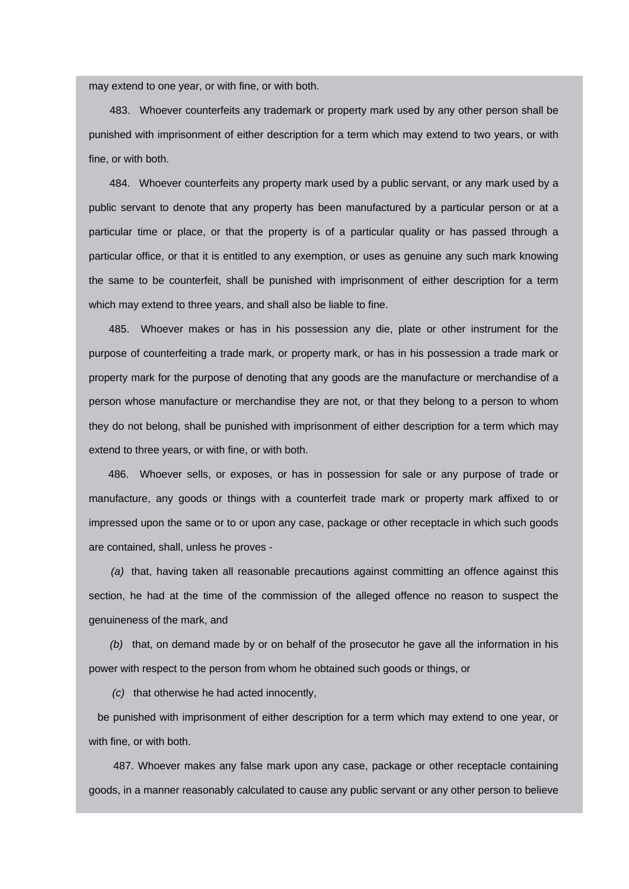may extend to one year, or with fine, or with both.

 483. Whoever counterfeits any trademark or property mark used by any other person shall be punished with imprisonment of either description for a term which may extend to two years, or with fine, or with both.

 484. Whoever counterfeits any property mark used by a public servant, or any mark used by a public servant to denote that any property has been manufactured by a particular person or at a particular time or place, or that the property is of a particular quality or has passed through a particular office, or that it is entitled to any exemption, or uses as genuine any such mark knowing the same to be counterfeit, shall be punished with imprisonment of either description for a term which may extend to three years, and shall also be liable to fine.

 485. Whoever makes or has in his possession any die, plate or other instrument for the purpose of counterfeiting a trade mark, or property mark, or has in his possession a trade mark or property mark for the purpose of denoting that any goods are the manufacture or merchandise of a person whose manufacture or merchandise they are not, or that they belong to a person to whom they do not belong, shall be punished with imprisonment of either description for a term which may extend to three years, or with fine, or with both.

 486. Whoever sells, or exposes, or has in possession for sale or any purpose of trade or manufacture, any goods or things with a counterfeit trade mark or property mark affixed to or impressed upon the same or to or upon any case, package or other receptacle in which such goods are contained, shall, unless he proves -

 *(a)* that, having taken all reasonable precautions against committing an offence against this section, he had at the time of the commission of the alleged offence no reason to suspect the genuineness of the mark, and

 *(b)* that, on demand made by or on behalf of the prosecutor he gave all the information in his power with respect to the person from whom he obtained such goods or things, or

 *(c)* that otherwise he had acted innocently,

be punished with imprisonment of either description for a term which may extend to one year, or with fine, or with both.

 487. Whoever makes any false mark upon any case, package or other receptacle containing goods, in a manner reasonably calculated to cause any public servant or any other person to believe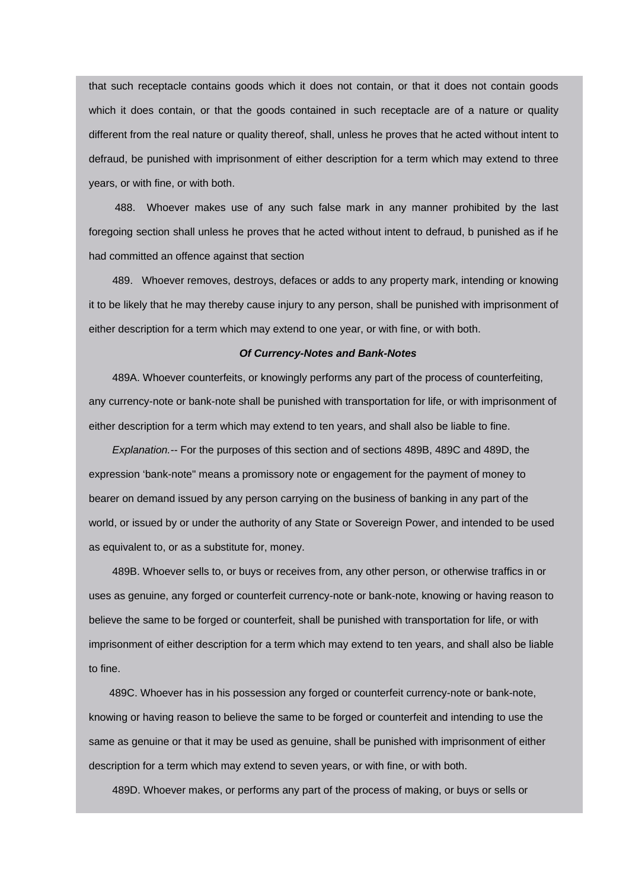that such receptacle contains goods which it does not contain, or that it does not contain goods which it does contain, or that the goods contained in such receptacle are of a nature or quality different from the real nature or quality thereof, shall, unless he proves that he acted without intent to defraud, be punished with imprisonment of either description for a term which may extend to three years, or with fine, or with both.

 488. Whoever makes use of any such false mark in any manner prohibited by the last foregoing section shall unless he proves that he acted without intent to defraud, b punished as if he had committed an offence against that section

 489. Whoever removes, destroys, defaces or adds to any property mark, intending or knowing it to be likely that he may thereby cause injury to any person, shall be punished with imprisonment of either description for a term which may extend to one year, or with fine, or with both.

# *Of Currency-Notes and Bank-Notes*

 489A. Whoever counterfeits, or knowingly performs any part of the process of counterfeiting, any currency-note or bank-note shall be punished with transportation for life, or with imprisonment of either description for a term which may extend to ten years, and shall also be liable to fine.

 *Explanation.--* For the purposes of this section and of sections 489B, 489C and 489D, the expression 'bank-note" means a promissory note or engagement for the payment of money to bearer on demand issued by any person carrying on the business of banking in any part of the world, or issued by or under the authority of any State or Sovereign Power, and intended to be used as equivalent to, or as a substitute for, money.

 489B. Whoever sells to, or buys or receives from, any other person, or otherwise traffics in or uses as genuine, any forged or counterfeit currency-note or bank-note, knowing or having reason to believe the same to be forged or counterfeit, shall be punished with transportation for life, or with imprisonment of either description for a term which may extend to ten years, and shall also be liable to fine.

 489C. Whoever has in his possession any forged or counterfeit currency-note or bank-note, knowing or having reason to believe the same to be forged or counterfeit and intending to use the same as genuine or that it may be used as genuine, shall be punished with imprisonment of either description for a term which may extend to seven years, or with fine, or with both.

489D. Whoever makes, or performs any part of the process of making, or buys or sells or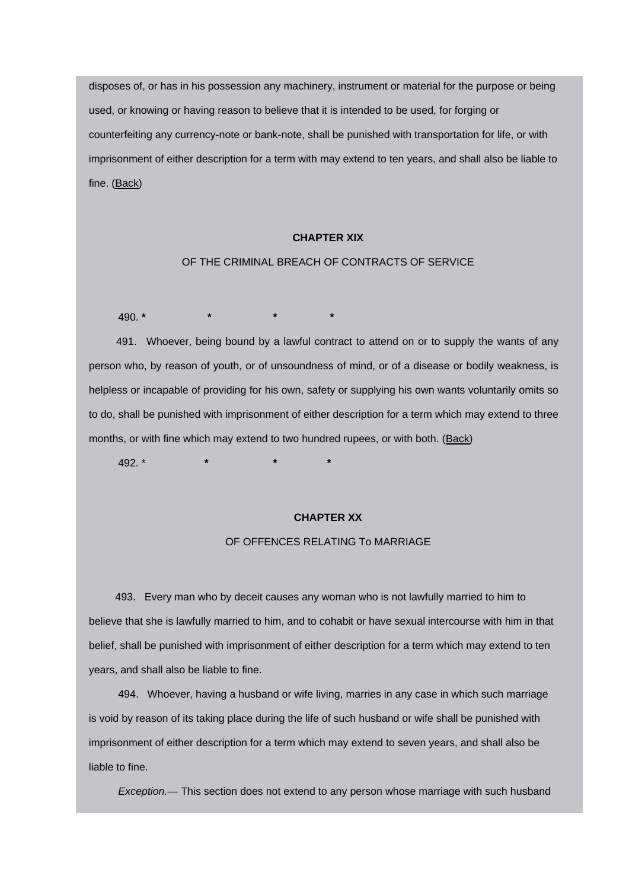disposes of, or has in his possession any machinery, instrument or material for the purpose or being used, or knowing or having reason to believe that it is intended to be used, for forging or counterfeiting any currency-note or bank-note, shall be punished with transportation for life, or with imprisonment of either description for a term with may extend to ten years, and shall also be liable to fine. [\(Back](http://www.blc-burma.org/html/Myanmar Penal Code/mpc.html#concpt18))

## **CHAPTER XIX**

# OF THE CRIMINAL BREACH OF CONTRACTS OF SERVICE

490. **\* \* \* \***

491. Whoever, being bound by a lawful contract to attend on or to supply the wants of any person who, by reason of youth, or of unsoundness of mind, or of a disease or bodily weakness, is helpless or incapable of providing for his own, safety or supplying his own wants voluntarily omits so to do, shall be punished with imprisonment of either description for a term which may extend to three months, or with fine which may extend to two hundred rupees, or with both. ([Back](http://www.blc-burma.org/html/Myanmar Penal Code/mpc.html#concpt19))

492. \* **\* \* \***

### **CHAPTER XX**

#### OF OFFENCES RELATING To MARRIAGE

 493. Every man who by deceit causes any woman who is not lawfully married to him to believe that she is lawfully married to him, and to cohabit or have sexual intercourse with him in that belief, shall be punished with imprisonment of either description for a term which may extend to ten years, and shall also be liable to fine.

 494. Whoever, having a husband or wife living, marries in any case in which such marriage is void by reason of its taking place during the life of such husband or wife shall be punished with imprisonment of either description for a term which may extend to seven years, and shall also be liable to fine.

 *Exception.—* This section does not extend to any person whose marriage with such husband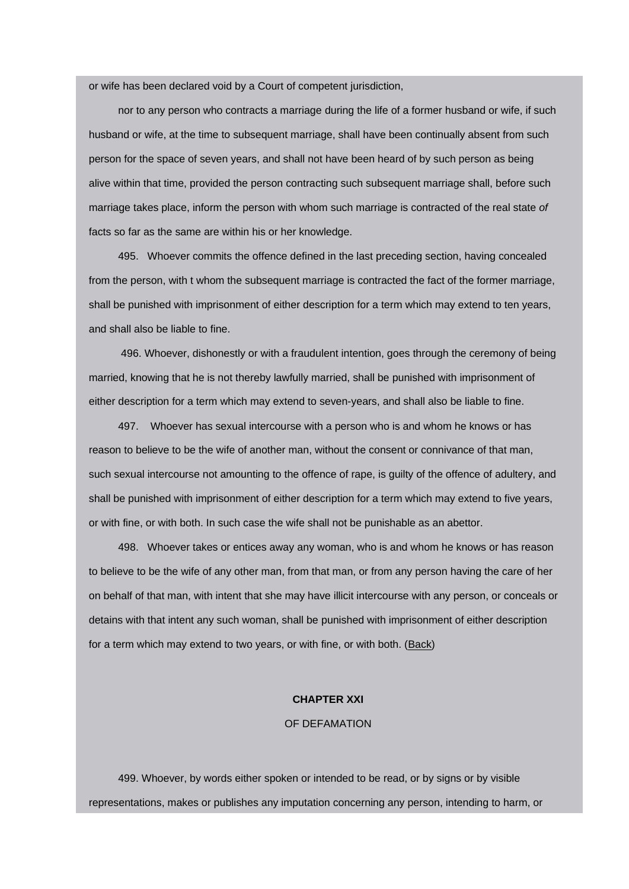or wife has been declared void by a Court of competent jurisdiction,

 nor to any person who contracts a marriage during the life of a former husband or wife, if such husband or wife, at the time to subsequent marriage, shall have been continually absent from such person for the space of seven years, and shall not have been heard of by such person as being alive within that time, provided the person contracting such subsequent marriage shall, before such marriage takes place, inform the person with whom such marriage is contracted of the real state *of*  facts so far as the same are within his or her knowledge.

 495. Whoever commits the offence defined in the last preceding section, having concealed from the person, with t whom the subsequent marriage is contracted the fact of the former marriage, shall be punished with imprisonment of either description for a term which may extend to ten years, and shall also be liable to fine.

 496. Whoever, dishonestly or with a fraudulent intention, goes through the ceremony of being married, knowing that he is not thereby lawfully married, shall be punished with imprisonment of either description for a term which may extend to seven-years, and shall also be liable to fine.

 497. Whoever has sexual intercourse with a person who is and whom he knows or has reason to believe to be the wife of another man, without the consent or connivance of that man, such sexual intercourse not amounting to the offence of rape, is guilty of the offence of adultery, and shall be punished with imprisonment of either description for a term which may extend to five years, or with fine, or with both. In such case the wife shall not be punishable as an abettor.

 498. Whoever takes or entices away any woman, who is and whom he knows or has reason to believe to be the wife of any other man, from that man, or from any person having the care of her on behalf of that man, with intent that she may have illicit intercourse with any person, or conceals or detains with that intent any such woman, shall be punished with imprisonment of either description for a term which may extend to two years, or with fine, or with both. [\(Back\)](http://www.blc-burma.org/html/Myanmar Penal Code/mpc.html#concpt20)

### **CHAPTER XXI**

## OF DEFAMATION

 499. Whoever, by words either spoken or intended to be read, or by signs or by visible representations, makes or publishes any imputation concerning any person, intending to harm, or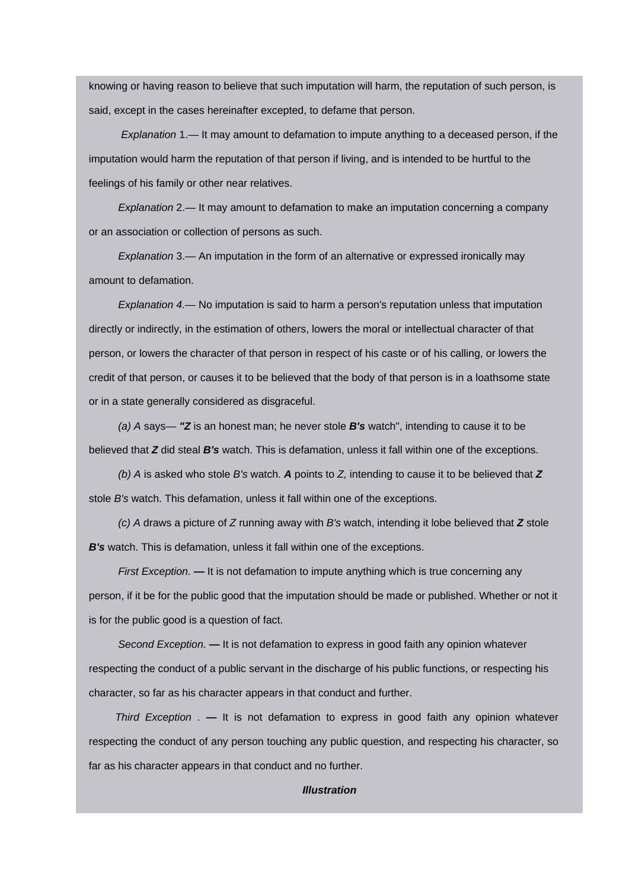knowing or having reason to believe that such imputation will harm, the reputation of such person, is said, except in the cases hereinafter excepted, to defame that person.

 *Explanation* 1.— It may amount to defamation to impute anything to a deceased person, if the imputation would harm the reputation of that person if living, and is intended to be hurtful to the feelings of his family or other near relatives.

 *Explanation* 2.— It may amount to defamation to make an imputation concerning a company or an association or collection of persons as such.

 *Explanation* 3.— An imputation in the form of an alternative or expressed ironically may amount to defamation.

 *Explanation 4.—* No imputation is said to harm a person's reputation unless that imputation directly or indirectly, in the estimation of others, lowers the moral or intellectual character of that person, or lowers the character of that person in respect of his caste or of his calling, or lowers the credit of that person, or causes it to be believed that the body of that person is in a loathsome state or in a state generally considered as disgraceful.

 *(a) A* says— *"Z* is an honest man; he never stole *B's* watch", intending to cause it to be believed that *Z* did steal *B's* watch. This is defamation, unless it fall within one of the exceptions.

 *(b) A* is asked who stole *B's* watch. *A* points to *Z,* intending to cause it to be believed that *Z*  stole *B's* watch. This defamation, unless it fall within one of the exceptions.

 *(c) A* draws a picture of *Z* running away with *B's* watch, intending it lobe believed that *Z* stole *B's* watch. This is defamation, unless it fall within one of the exceptions.

 *First Exception.* **—** It is not defamation to impute anything which is true concerning any person, if it be for the public good that the imputation should be made or published. Whether or not it is for the public good is a question of fact.

 *Second Exception.* **—** It is not defamation to express in good faith any opinion whatever respecting the conduct of a public servant in the discharge of his public functions, or respecting his character, so far as his character appears in that conduct and further.

 *Third Exception* . **—** It is not defamation to express in good faith any opinion whatever respecting the conduct of any person touching any public question, and respecting his character, so far as his character appears in that conduct and no further.

# *Illustration*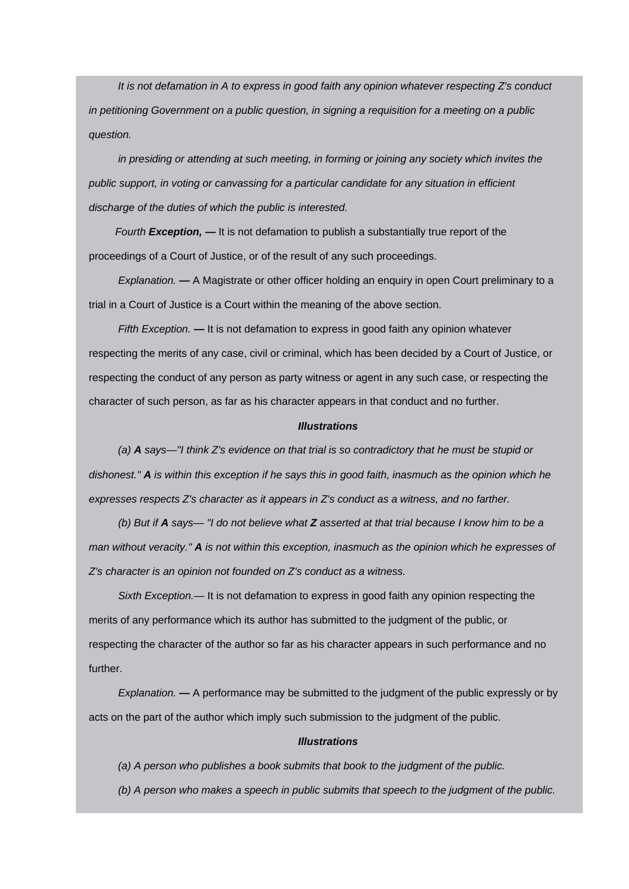*It is not defamation in A to express in good faith any opinion whatever respecting Z's conduct in petitioning Government on a public question, in signing a requisition for a meeting on a public question.*

 *in presiding or attending at such meeting, in forming or joining any society which invites the public support, in voting or canvassing for a particular candidate for any situation in efficient discharge of the duties of which the public is interested.*

*Fourth Exception, — It is not defamation to publish a substantially true report of the* proceedings of a Court of Justice, or of the result of any such proceedings.

 *Explanation.* **—** A Magistrate or other officer holding an enquiry in open Court preliminary to a trial in a Court of Justice is a Court within the meaning of the above section.

 *Fifth Exception.* **—** It is not defamation to express in good faith any opinion whatever respecting the merits of any case, civil or criminal, which has been decided by a Court of Justice, or respecting the conduct of any person as party witness or agent in any such case, or respecting the character of such person, as far as his character appears in that conduct and no further.

### *Illustrations*

 *(a) A says—"I think Z's evidence on that trial is so contradictory that he must be stupid or dishonest." A is within this exception if he says this in good faith, inasmuch as the opinion which he expresses respects Z's character as it appears in Z's conduct as a witness, and no farther.*

 *(b) But if A says— "I do not believe what Z asserted at that trial because I know him to be a man without veracity." A is not within this exception, inasmuch as the opinion which he expresses of Z's character is an opinion not founded on Z's conduct as a witness.*

 *Sixth Exception.—* It is not defamation to express in good faith any opinion respecting the merits of any performance which its author has submitted to the judgment of the public, or respecting the character of the author so far as his character appears in such performance and no further.

 *Explanation.* **—** A performance may be submitted to the judgment of the public expressly or by acts on the part of the author which imply such submission to the judgment of the public.

## *Illustrations*

*(a) A person who publishes a book submits that book to the judgment of the public.*

 *(b) A person who makes a speech in public submits that speech to the judgment of the public.*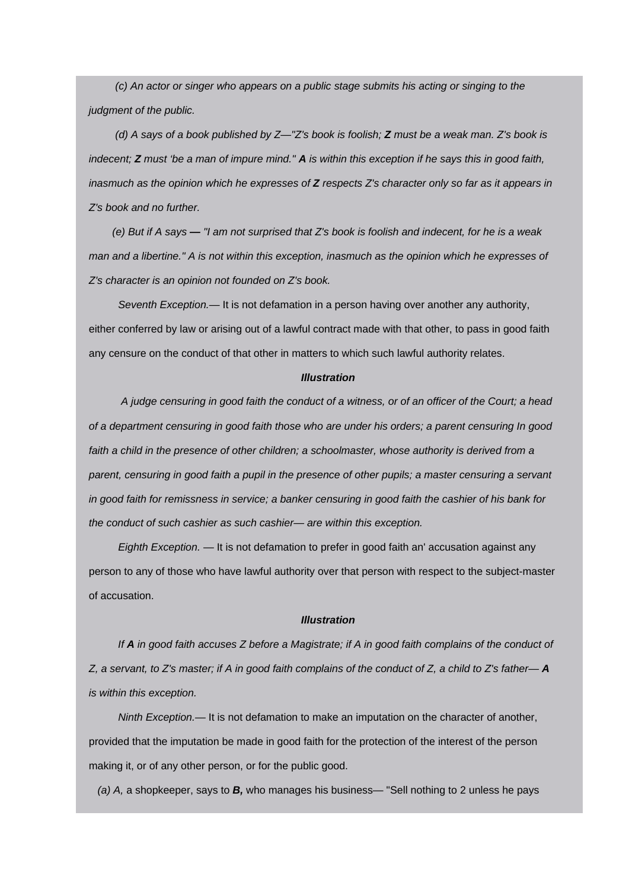*(c) An actor or singer who appears on a public stage submits his acting or singing to the judgment of the public.*

 *(d) A says of a book published by Z—"Z's book is foolish; Z must be a weak man. Z's book is indecent; Z must 'be a man of impure mind." A is within this exception if he says this in good faith, inasmuch as the opinion which he expresses of Z respects Z's character only so far as it appears in Z's book and no further.*

 *(e) But if A says — "I am not surprised that Z's book is foolish and indecent, for he is a weak man and a libertine." A is not within this exception, inasmuch as the opinion which he expresses of Z's character is an opinion not founded on Z's book.*

 *Seventh Exception.—* It is not defamation in a person having over another any authority, either conferred by law or arising out of a lawful contract made with that other, to pass in good faith any censure on the conduct of that other in matters to which such lawful authority relates.

# *Illustration*

 *A judge censuring in good faith the conduct of a witness, or of an officer of the Court; a head of a department censuring in good faith those who are under his orders; a parent censuring In good*  faith a child in the presence of other children; a schoolmaster, whose authority is derived from a *parent, censuring in good faith a pupil in the presence of other pupils; a master censuring a servant in good faith for remissness in service; a banker censuring in good faith the cashier of his bank for the conduct of such cashier as such cashier— are within this exception.*

*Eighth Exception. — It is not defamation to prefer in good faith an' accusation against any* person to any of those who have lawful authority over that person with respect to the subject-master of accusation.

### *Illustration*

 *If A in good faith accuses Z before a Magistrate; if A in good faith complains of the conduct of Z, a servant, to Z's master; if A in good faith complains of the conduct of Z, a child to Z's father— A is within this exception.*

 *Ninth Exception.—* It is not defamation to make an imputation on the character of another, provided that the imputation be made in good faith for the protection of the interest of the person making it, or of any other person, or for the public good.

*(a) A,* a shopkeeper, says to *B,* who manages his business— "Sell nothing to 2 unless he pays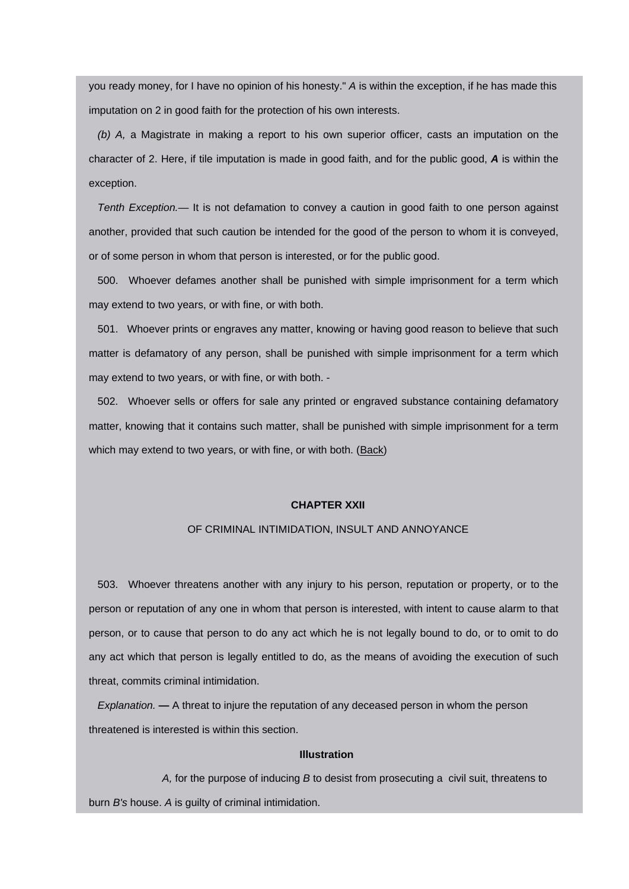you ready money, for I have no opinion of his honesty." *A* is within the exception, if he has made this imputation on 2 in good faith for the protection of his own interests.

*(b) A,* a Magistrate in making a report to his own superior officer, casts an imputation on the character of 2. Here, if tile imputation is made in good faith, and for the public good, *A* is within the exception.

*Tenth Exception.—* It is not defamation to convey a caution in good faith to one person against another, provided that such caution be intended for the good of the person to whom it is conveyed, or of some person in whom that person is interested, or for the public good.

500. Whoever defames another shall be punished with simple imprisonment for a term which may extend to two years, or with fine, or with both.

501. Whoever prints or engraves any matter, knowing or having good reason to believe that such matter is defamatory of any person, shall be punished with simple imprisonment for a term which may extend to two years, or with fine, or with both. -

502. Whoever sells or offers for sale any printed or engraved substance containing defamatory matter, knowing that it contains such matter, shall be punished with simple imprisonment for a term which may extend to two years, or with fine, or with both. ([Back](http://www.blc-burma.org/html/Myanmar Penal Code/mpc.html#concpt21))

# **CHAPTER XXII**

### OF CRIMINAL INTIMIDATION, INSULT AND ANNOYANCE

503. Whoever threatens another with any injury to his person, reputation or property, or to the person or reputation of any one in whom that person is interested, with intent to cause alarm to that person, or to cause that person to do any act which he is not legally bound to do, or to omit to do any act which that person is legally entitled to do, as the means of avoiding the execution of such threat, commits criminal intimidation.

*Explanation.* **—** A threat to injure the reputation of any deceased person in whom the person threatened is interested is within this section.

### **Illustration**

 *A,* for the purpose of inducing *B* to desist from prosecuting a civil suit, threatens to burn *B's* house. *A* is guilty of criminal intimidation.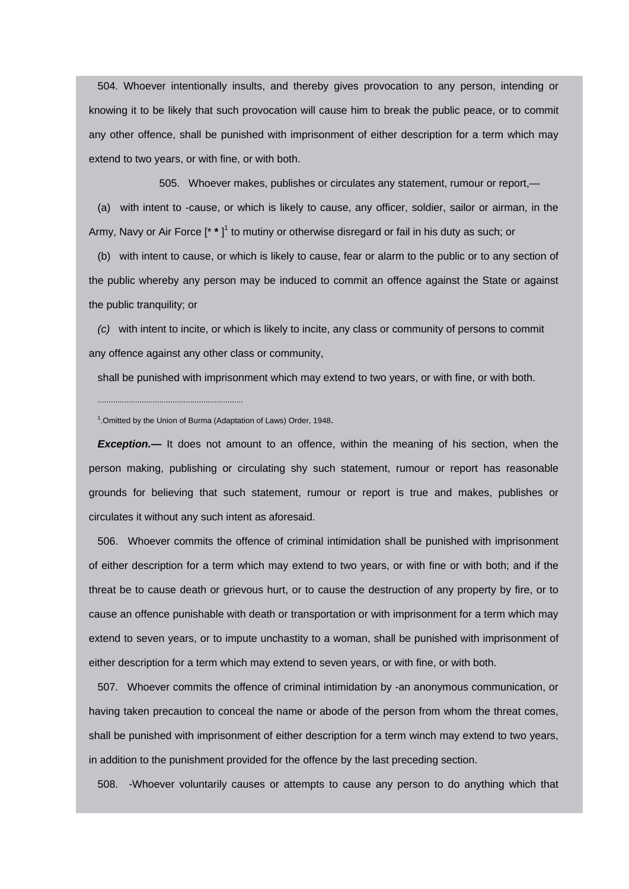504. Whoever intentionally insults, and thereby gives provocation to any person, intending or knowing it to be likely that such provocation will cause him to break the public peace, or to commit any other offence, shall be punished with imprisonment of either description for a term which may extend to two years, or with fine, or with both.

505. Whoever makes, publishes or circulates any statement, rumour or report,—

(a) with intent to -cause, or which is likely to cause, any officer, soldier, sailor or airman, in the Army, Navy or Air Force [\* \* ]<sup>1</sup> to mutiny or otherwise disregard or fail in his duty as such; or

(b) with intent to cause, or which is likely to cause, fear or alarm to the public or to any section of the public whereby any person may be induced to commit an offence against the State or against the public tranquility; or

*(c)* with intent to incite, or which is likely to incite, any class or community of persons to commit any offence against any other class or community,

shall be punished with imprisonment which may extend to two years, or with fine, or with both.

..................................................................

*Exception.—* It does not amount to an offence, within the meaning of his section, when the person making, publishing or circulating shy such statement, rumour or report has reasonable grounds for believing that such statement, rumour or report is true and makes, publishes or circulates it without any such intent as aforesaid.

506. Whoever commits the offence of criminal intimidation shall be punished with imprisonment of either description for a term which may extend to two years, or with fine or with both; and if the threat be to cause death or grievous hurt, or to cause the destruction of any property by fire, or to cause an offence punishable with death or transportation or with imprisonment for a term which may extend to seven years, or to impute unchastity to a woman, shall be punished with imprisonment of either description for a term which may extend to seven years, or with fine, or with both.

507. Whoever commits the offence of criminal intimidation by -an anonymous communication, or having taken precaution to conceal the name or abode of the person from whom the threat comes, shall be punished with imprisonment of either description for a term winch may extend to two years, in addition to the punishment provided for the offence by the last preceding section.

508. -Whoever voluntarily causes or attempts to cause any person to do anything which that

<sup>&</sup>lt;sup>1</sup>. Omitted by the Union of Burma (Adaptation of Laws) Order, 1948.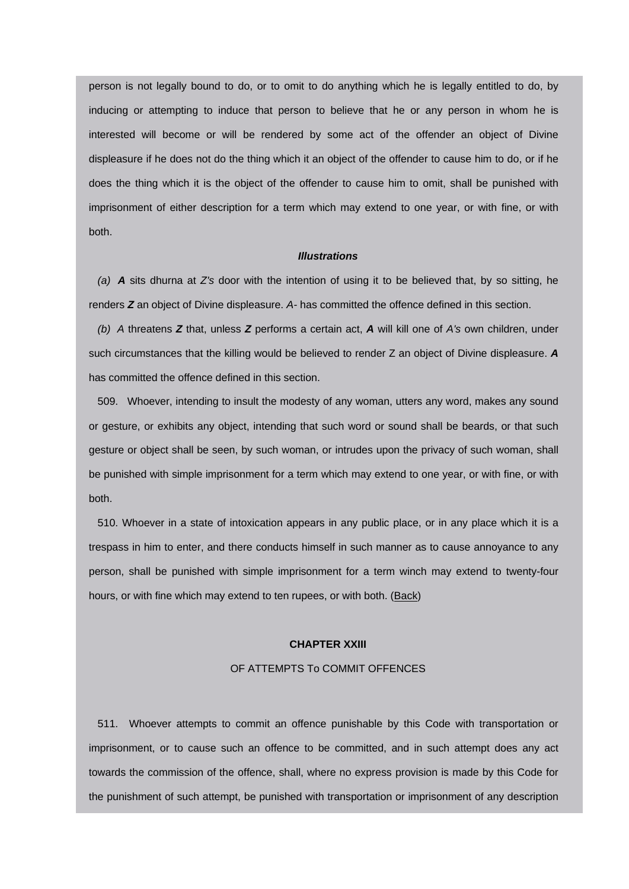person is not legally bound to do, or to omit to do anything which he is legally entitled to do, by inducing or attempting to induce that person to believe that he or any person in whom he is interested will become or will be rendered by some act of the offender an object of Divine displeasure if he does not do the thing which it an object of the offender to cause him to do, or if he does the thing which it is the object of the offender to cause him to omit, shall be punished with imprisonment of either description for a term which may extend to one year, or with fine, or with both.

#### *Illustrations*

*(a) A* sits dhurna at *Z's* door with the intention of using it to be believed that, by so sitting, he renders *Z* an object of Divine displeasure. *A-* has committed the offence defined in this section.

*(b) A* threatens *Z* that, unless *Z* performs a certain act, *A* will kill one of *A's* own children, under such circumstances that the killing would be believed to render Z an object of Divine displeasure. *A*  has committed the offence defined in this section.

509. Whoever, intending to insult the modesty of any woman, utters any word, makes any sound or gesture, or exhibits any object, intending that such word or sound shall be beards, or that such gesture or object shall be seen, by such woman, or intrudes upon the privacy of such woman, shall be punished with simple imprisonment for a term which may extend to one year, or with fine, or with both.

510. Whoever in a state of intoxication appears in any public place, or in any place which it is a trespass in him to enter, and there conducts himself in such manner as to cause annoyance to any person, shall be punished with simple imprisonment for a term winch may extend to twenty-four hours, or with fine which may extend to ten rupees, or with both. [\(Back](http://www.blc-burma.org/html/Myanmar Penal Code/mpc.html#concpt22))

## **CHAPTER XXIII**

# OF ATTEMPTS To COMMIT OFFENCES

511. Whoever attempts to commit an offence punishable by this Code with transportation or imprisonment, or to cause such an offence to be committed, and in such attempt does any act towards the commission of the offence, shall, where no express provision is made by this Code for the punishment of such attempt, be punished with transportation or imprisonment of any description